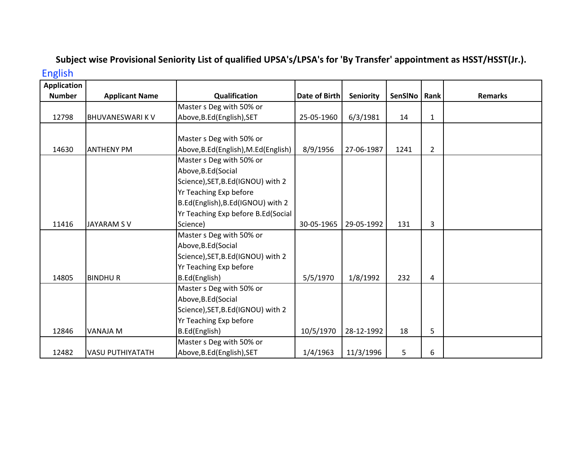## Subject wise Provisional Seniority List of qualified UPSA's/LPSA's for 'By Transfer' appointment as HSST/HSST(Jr.). English

| <b>Application</b> |                         |                                       |               |                  |         |                |                |
|--------------------|-------------------------|---------------------------------------|---------------|------------------|---------|----------------|----------------|
| <b>Number</b>      | <b>Applicant Name</b>   | Qualification                         | Date of Birth | <b>Seniority</b> | SenSINo | Rank           | <b>Remarks</b> |
|                    |                         | Master s Deg with 50% or              |               |                  |         |                |                |
| 12798              | BHUVANESWARI K V        | Above, B.Ed (English), SET            | 25-05-1960    | 6/3/1981         | 14      | $\mathbf{1}$   |                |
|                    |                         |                                       |               |                  |         |                |                |
|                    |                         | Master s Deg with 50% or              |               |                  |         |                |                |
| 14630              | <b>ANTHENY PM</b>       | Above, B.Ed (English), M.Ed (English) | 8/9/1956      | 27-06-1987       | 1241    | $\overline{2}$ |                |
|                    |                         | Master s Deg with 50% or              |               |                  |         |                |                |
|                    |                         | Above, B.Ed (Social                   |               |                  |         |                |                |
|                    |                         | Science), SET, B.Ed(IGNOU) with 2     |               |                  |         |                |                |
|                    |                         | Yr Teaching Exp before                |               |                  |         |                |                |
|                    |                         | B.Ed(English), B.Ed(IGNOU) with 2     |               |                  |         |                |                |
|                    |                         | Yr Teaching Exp before B.Ed(Social    |               |                  |         |                |                |
| 11416              | <b>JAYARAM SV</b>       | Science)                              | 30-05-1965    | 29-05-1992       | 131     | 3              |                |
|                    |                         | Master s Deg with 50% or              |               |                  |         |                |                |
|                    |                         | Above, B.Ed (Social                   |               |                  |         |                |                |
|                    |                         | Science), SET, B.Ed(IGNOU) with 2     |               |                  |         |                |                |
|                    |                         | Yr Teaching Exp before                |               |                  |         |                |                |
| 14805              | <b>BINDHUR</b>          | B.Ed(English)                         | 5/5/1970      | 1/8/1992         | 232     | 4              |                |
|                    |                         | Master s Deg with 50% or              |               |                  |         |                |                |
|                    |                         | Above, B.Ed (Social                   |               |                  |         |                |                |
|                    |                         | Science), SET, B.Ed(IGNOU) with 2     |               |                  |         |                |                |
|                    |                         | Yr Teaching Exp before                |               |                  |         |                |                |
| 12846              | <b>VANAJA M</b>         | B.Ed(English)                         | 10/5/1970     | 28-12-1992       | 18      | 5              |                |
|                    |                         | Master s Deg with 50% or              |               |                  |         |                |                |
| 12482              | <b>VASU PUTHIYATATH</b> | Above, B.Ed (English), SET            | 1/4/1963      | 11/3/1996        | 5       | 6              |                |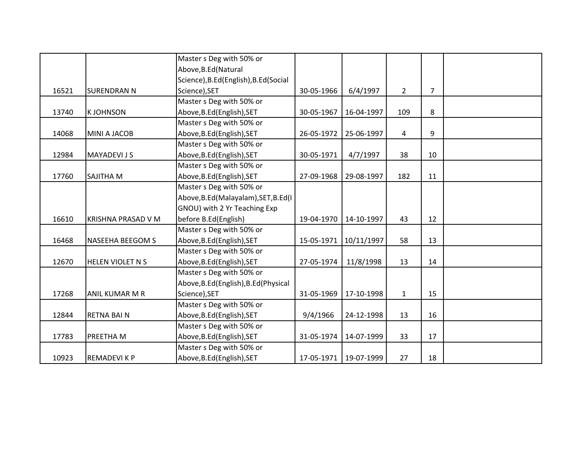|       |                         | Master s Deg with 50% or              |            |            |              |                |  |
|-------|-------------------------|---------------------------------------|------------|------------|--------------|----------------|--|
|       |                         | Above, B.Ed (Natural                  |            |            |              |                |  |
|       |                         | Science), B.Ed(English), B.Ed(Social  |            |            |              |                |  |
| 16521 | <b>SURENDRAN N</b>      | Science), SET                         | 30-05-1966 | 6/4/1997   | $2^{\circ}$  | $\overline{7}$ |  |
|       |                         | Master s Deg with 50% or              |            |            |              |                |  |
| 13740 | <b>KJOHNSON</b>         | Above, B.Ed (English), SET            | 30-05-1967 | 16-04-1997 | 109          | 8              |  |
|       |                         | Master s Deg with 50% or              |            |            |              |                |  |
| 14068 | MINI A JACOB            | Above, B.Ed (English), SET            | 26-05-1972 | 25-06-1997 | 4            | 9              |  |
|       |                         | Master s Deg with 50% or              |            |            |              |                |  |
| 12984 | <b>MAYADEVI JS</b>      | Above, B.Ed (English), SET            | 30-05-1971 | 4/7/1997   | 38           | 10             |  |
|       |                         | Master s Deg with 50% or              |            |            |              |                |  |
| 17760 | <b>SAJITHA M</b>        | Above, B.Ed (English), SET            | 27-09-1968 | 29-08-1997 | 182          | 11             |  |
|       |                         | Master s Deg with 50% or              |            |            |              |                |  |
|       |                         | Above, B.Ed (Malayalam), SET, B.Ed (I |            |            |              |                |  |
|       |                         | GNOU) with 2 Yr Teaching Exp          |            |            |              |                |  |
| 16610 | KRISHNA PRASAD V M      | before B.Ed(English)                  | 19-04-1970 | 14-10-1997 | 43           | 12             |  |
|       |                         | Master s Deg with 50% or              |            |            |              |                |  |
| 16468 | <b>NASEEHA BEEGOM S</b> | Above, B.Ed (English), SET            | 15-05-1971 | 10/11/1997 | 58           | 13             |  |
|       |                         | Master s Deg with 50% or              |            |            |              |                |  |
| 12670 | <b>HELEN VIOLET N S</b> | Above, B.Ed (English), SET            | 27-05-1974 | 11/8/1998  | 13           | 14             |  |
|       |                         | Master s Deg with 50% or              |            |            |              |                |  |
|       |                         | Above, B.Ed (English), B.Ed (Physical |            |            |              |                |  |
| 17268 | <b>ANIL KUMAR M R</b>   | Science), SET                         | 31-05-1969 | 17-10-1998 | $\mathbf{1}$ | 15             |  |
|       |                         | Master s Deg with 50% or              |            |            |              |                |  |
| 12844 | <b>RETNA BAIN</b>       | Above, B.Ed (English), SET            | 9/4/1966   | 24-12-1998 | 13           | 16             |  |
|       |                         | Master s Deg with 50% or              |            |            |              |                |  |
| 17783 | <b>PREETHAM</b>         | Above, B.Ed (English), SET            | 31-05-1974 | 14-07-1999 | 33           | 17             |  |
|       |                         | Master s Deg with 50% or              |            |            |              |                |  |
| 10923 | <b>REMADEVIKP</b>       | Above, B.Ed (English), SET            | 17-05-1971 | 19-07-1999 | 27           | 18             |  |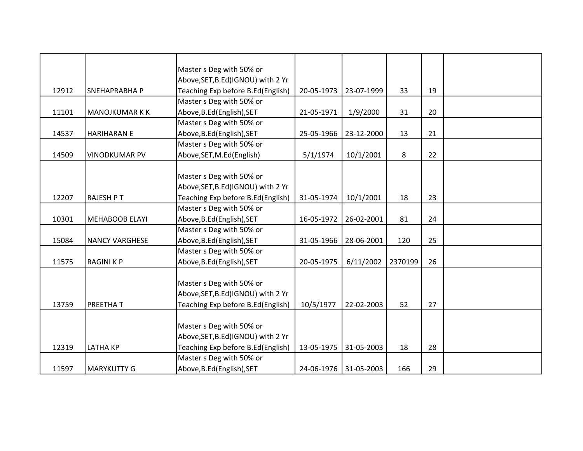|       |                       | Master s Deg with 50% or           |            |                       |         |    |  |
|-------|-----------------------|------------------------------------|------------|-----------------------|---------|----|--|
|       |                       | Above, SET, B.Ed(IGNOU) with 2 Yr  |            |                       |         |    |  |
| 12912 | <b>SNEHAPRABHAP</b>   | Teaching Exp before B.Ed(English)  | 20-05-1973 | 23-07-1999            | 33      | 19 |  |
|       |                       | Master s Deg with 50% or           |            |                       |         |    |  |
| 11101 | <b>MANOJKUMAR K K</b> | Above, B.Ed (English), SET         | 21-05-1971 | 1/9/2000              | 31      | 20 |  |
|       |                       | Master s Deg with 50% or           |            |                       |         |    |  |
| 14537 | <b>HARIHARAN E</b>    | Above, B.Ed (English), SET         | 25-05-1966 | 23-12-2000            | 13      | 21 |  |
|       |                       | Master s Deg with 50% or           |            |                       |         |    |  |
| 14509 | <b>VINODKUMAR PV</b>  | Above, SET, M.Ed (English)         | 5/1/1974   | 10/1/2001             | 8       | 22 |  |
|       |                       |                                    |            |                       |         |    |  |
|       |                       | Master s Deg with 50% or           |            |                       |         |    |  |
|       |                       | Above, SET, B.Ed(IGNOU) with 2 Yr  |            |                       |         |    |  |
| 12207 | <b>RAJESH PT</b>      | Teaching Exp before B.Ed(English)  | 31-05-1974 | 10/1/2001             | 18      | 23 |  |
|       |                       | Master s Deg with 50% or           |            |                       |         |    |  |
| 10301 | <b>MEHABOOB ELAYI</b> | Above, B.Ed (English), SET         | 16-05-1972 | 26-02-2001            | 81      | 24 |  |
|       |                       | Master s Deg with 50% or           |            |                       |         |    |  |
| 15084 | <b>NANCY VARGHESE</b> | Above, B.Ed (English), SET         | 31-05-1966 | 28-06-2001            | 120     | 25 |  |
|       |                       | Master s Deg with 50% or           |            |                       |         |    |  |
| 11575 | <b>RAGINIKP</b>       | Above, B.Ed (English), SET         | 20-05-1975 | 6/11/2002             | 2370199 | 26 |  |
|       |                       |                                    |            |                       |         |    |  |
|       |                       | Master s Deg with 50% or           |            |                       |         |    |  |
|       |                       | Above, SET, B.Ed (IGNOU) with 2 Yr |            |                       |         |    |  |
| 13759 | <b>PREETHAT</b>       | Teaching Exp before B.Ed(English)  | 10/5/1977  | 22-02-2003            | 52      | 27 |  |
|       |                       |                                    |            |                       |         |    |  |
|       |                       | Master s Deg with 50% or           |            |                       |         |    |  |
|       |                       | Above, SET, B.Ed (IGNOU) with 2 Yr |            |                       |         |    |  |
| 12319 | <b>LATHA KP</b>       | Teaching Exp before B.Ed(English)  | 13-05-1975 | 31-05-2003            | 18      | 28 |  |
|       |                       | Master s Deg with 50% or           |            |                       |         |    |  |
| 11597 | <b>MARYKUTTY G</b>    | Above, B.Ed (English), SET         |            | 24-06-1976 31-05-2003 | 166     | 29 |  |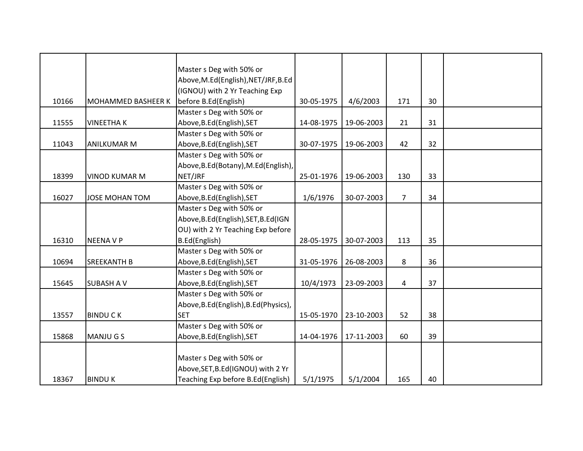|       |                       | Master s Deg with 50% or              |            |            |                |    |  |
|-------|-----------------------|---------------------------------------|------------|------------|----------------|----|--|
|       |                       | Above, M.Ed(English), NET/JRF, B.Ed   |            |            |                |    |  |
|       |                       | (IGNOU) with 2 Yr Teaching Exp        |            |            |                |    |  |
| 10166 | MOHAMMED BASHEER K    | before B.Ed(English)                  | 30-05-1975 | 4/6/2003   | 171            | 30 |  |
|       |                       | Master s Deg with 50% or              |            |            |                |    |  |
| 11555 | <b>VINEETHAK</b>      | Above, B.Ed (English), SET            | 14-08-1975 | 19-06-2003 | 21             | 31 |  |
|       |                       | Master s Deg with 50% or              |            |            |                |    |  |
| 11043 | <b>ANILKUMAR M</b>    | Above, B.Ed (English), SET            | 30-07-1975 | 19-06-2003 | 42             | 32 |  |
|       |                       | Master s Deg with 50% or              |            |            |                |    |  |
|       |                       | Above, B.Ed (Botany), M.Ed (English), |            |            |                |    |  |
| 18399 | <b>VINOD KUMAR M</b>  | NET/JRF                               | 25-01-1976 | 19-06-2003 | 130            | 33 |  |
|       |                       | Master s Deg with 50% or              |            |            |                |    |  |
| 16027 | <b>JOSE MOHAN TOM</b> | Above, B.Ed (English), SET            | 1/6/1976   | 30-07-2003 | $\overline{7}$ | 34 |  |
|       |                       | Master s Deg with 50% or              |            |            |                |    |  |
|       |                       | Above, B.Ed (English), SET, B.Ed (IGN |            |            |                |    |  |
|       |                       | OU) with 2 Yr Teaching Exp before     |            |            |                |    |  |
| 16310 | <b>NEENAVP</b>        | B.Ed(English)                         | 28-05-1975 | 30-07-2003 | 113            | 35 |  |
|       |                       | Master s Deg with 50% or              |            |            |                |    |  |
| 10694 | <b>SREEKANTH B</b>    | Above, B.Ed (English), SET            | 31-05-1976 | 26-08-2003 | 8              | 36 |  |
|       |                       | Master s Deg with 50% or              |            |            |                |    |  |
| 15645 | <b>SUBASH A V</b>     | Above, B.Ed (English), SET            | 10/4/1973  | 23-09-2003 | 4              | 37 |  |
|       |                       | Master s Deg with 50% or              |            |            |                |    |  |
|       |                       | Above, B.Ed(English), B.Ed(Physics),  |            |            |                |    |  |
| 13557 | <b>BINDUCK</b>        | <b>SET</b>                            | 15-05-1970 | 23-10-2003 | 52             | 38 |  |
|       |                       | Master s Deg with 50% or              |            |            |                |    |  |
| 15868 | <b>MANJUGS</b>        | Above, B.Ed (English), SET            | 14-04-1976 | 17-11-2003 | 60             | 39 |  |
|       |                       |                                       |            |            |                |    |  |
|       |                       | Master s Deg with 50% or              |            |            |                |    |  |
|       |                       | Above, SET, B.Ed (IGNOU) with 2 Yr    |            |            |                |    |  |
| 18367 | <b>BINDUK</b>         | Teaching Exp before B.Ed(English)     | 5/1/1975   | 5/1/2004   | 165            | 40 |  |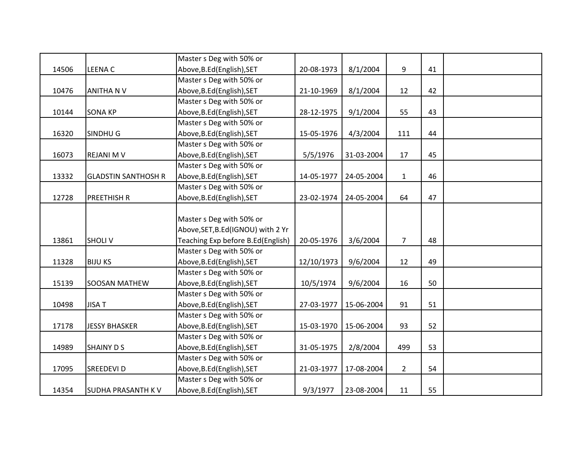|       |                            | Master s Deg with 50% or           |            |            |                |    |  |
|-------|----------------------------|------------------------------------|------------|------------|----------------|----|--|
| 14506 | <b>LEENA C</b>             | Above, B.Ed (English), SET         | 20-08-1973 | 8/1/2004   | 9              | 41 |  |
|       |                            | Master s Deg with 50% or           |            |            |                |    |  |
| 10476 | <b>ANITHANV</b>            | Above, B.Ed (English), SET         | 21-10-1969 | 8/1/2004   | 12             | 42 |  |
|       |                            | Master s Deg with 50% or           |            |            |                |    |  |
| 10144 | <b>SONA KP</b>             | Above, B.Ed (English), SET         | 28-12-1975 | 9/1/2004   | 55             | 43 |  |
|       |                            | Master s Deg with 50% or           |            |            |                |    |  |
| 16320 | SINDHU G                   | Above, B.Ed (English), SET         | 15-05-1976 | 4/3/2004   | 111            | 44 |  |
|       |                            | Master s Deg with 50% or           |            |            |                |    |  |
| 16073 | <b>REJANI M V</b>          | Above, B.Ed (English), SET         | 5/5/1976   | 31-03-2004 | 17             | 45 |  |
|       |                            | Master s Deg with 50% or           |            |            |                |    |  |
| 13332 | <b>GLADSTIN SANTHOSH R</b> | Above, B.Ed (English), SET         | 14-05-1977 | 24-05-2004 | $\mathbf 1$    | 46 |  |
|       |                            | Master s Deg with 50% or           |            |            |                |    |  |
| 12728 | <b>PREETHISH R</b>         | Above, B.Ed (English), SET         | 23-02-1974 | 24-05-2004 | 64             | 47 |  |
|       |                            |                                    |            |            |                |    |  |
|       |                            | Master s Deg with 50% or           |            |            |                |    |  |
|       |                            | Above, SET, B.Ed (IGNOU) with 2 Yr |            |            |                |    |  |
| 13861 | <b>SHOLIV</b>              | Teaching Exp before B.Ed(English)  | 20-05-1976 | 3/6/2004   | $\overline{7}$ | 48 |  |
|       |                            | Master s Deg with 50% or           |            |            |                |    |  |
| 11328 | <b>BIJU KS</b>             | Above, B.Ed (English), SET         | 12/10/1973 | 9/6/2004   | 12             | 49 |  |
|       |                            | Master s Deg with 50% or           |            |            |                |    |  |
| 15139 | SOOSAN MATHEW              | Above, B.Ed (English), SET         | 10/5/1974  | 9/6/2004   | 16             | 50 |  |
|       |                            | Master s Deg with 50% or           |            |            |                |    |  |
| 10498 | <b>JISAT</b>               | Above, B.Ed (English), SET         | 27-03-1977 | 15-06-2004 | 91             | 51 |  |
|       |                            | Master s Deg with 50% or           |            |            |                |    |  |
| 17178 | <b>JESSY BHASKER</b>       | Above, B.Ed (English), SET         | 15-03-1970 | 15-06-2004 | 93             | 52 |  |
|       |                            | Master s Deg with 50% or           |            |            |                |    |  |
| 14989 | <b>SHAINY D S</b>          | Above, B.Ed (English), SET         | 31-05-1975 | 2/8/2004   | 499            | 53 |  |
|       |                            | Master s Deg with 50% or           |            |            |                |    |  |
| 17095 | <b>SREEDEVI D</b>          | Above, B.Ed (English), SET         | 21-03-1977 | 17-08-2004 | $2^{\circ}$    | 54 |  |
|       |                            | Master s Deg with 50% or           |            |            |                |    |  |
| 14354 | <b>SUDHA PRASANTH KV</b>   | Above, B.Ed (English), SET         | 9/3/1977   | 23-08-2004 | 11             | 55 |  |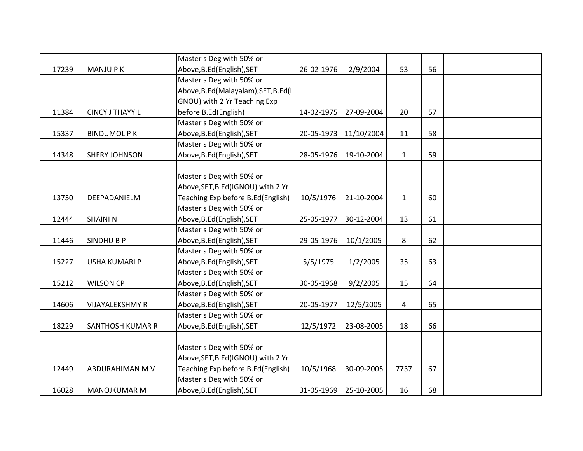|       |                         | Master s Deg with 50% or              |            |                       |              |    |  |
|-------|-------------------------|---------------------------------------|------------|-----------------------|--------------|----|--|
| 17239 | <b>MANJUPK</b>          | Above, B.Ed (English), SET            | 26-02-1976 | 2/9/2004              | 53           | 56 |  |
|       |                         | Master s Deg with 50% or              |            |                       |              |    |  |
|       |                         | Above, B.Ed (Malayalam), SET, B.Ed (I |            |                       |              |    |  |
|       |                         | GNOU) with 2 Yr Teaching Exp          |            |                       |              |    |  |
| 11384 | <b>CINCY J THAYYIL</b>  | before B.Ed(English)                  | 14-02-1975 | 27-09-2004            | 20           | 57 |  |
|       |                         | Master s Deg with 50% or              |            |                       |              |    |  |
| 15337 | <b>BINDUMOL P K</b>     | Above, B.Ed (English), SET            | 20-05-1973 | 11/10/2004            | 11           | 58 |  |
|       |                         | Master s Deg with 50% or              |            |                       |              |    |  |
| 14348 | <b>SHERY JOHNSON</b>    | Above, B.Ed (English), SET            | 28-05-1976 | 19-10-2004            | $\mathbf{1}$ | 59 |  |
|       |                         |                                       |            |                       |              |    |  |
|       |                         | Master s Deg with 50% or              |            |                       |              |    |  |
|       |                         | Above, SET, B.Ed(IGNOU) with 2 Yr     |            |                       |              |    |  |
| 13750 | DEEPADANIELM            | Teaching Exp before B.Ed(English)     | 10/5/1976  | 21-10-2004            | $\mathbf{1}$ | 60 |  |
|       |                         | Master s Deg with 50% or              |            |                       |              |    |  |
| 12444 | <b>SHAININ</b>          | Above, B.Ed (English), SET            | 25-05-1977 | 30-12-2004            | 13           | 61 |  |
|       |                         | Master s Deg with 50% or              |            |                       |              |    |  |
| 11446 | <b>SINDHUBP</b>         | Above, B.Ed (English), SET            | 29-05-1976 | 10/1/2005             | 8            | 62 |  |
|       |                         | Master s Deg with 50% or              |            |                       |              |    |  |
| 15227 | <b>USHA KUMARI P</b>    | Above, B.Ed (English), SET            | 5/5/1975   | 1/2/2005              | 35           | 63 |  |
|       |                         | Master s Deg with 50% or              |            |                       |              |    |  |
| 15212 | <b>WILSON CP</b>        | Above, B.Ed (English), SET            | 30-05-1968 | 9/2/2005              | 15           | 64 |  |
|       |                         | Master s Deg with 50% or              |            |                       |              |    |  |
| 14606 | <b>VIJAYALEKSHMY R</b>  | Above, B.Ed (English), SET            | 20-05-1977 | 12/5/2005             | 4            | 65 |  |
|       |                         | Master s Deg with 50% or              |            |                       |              |    |  |
| 18229 | <b>SANTHOSH KUMAR R</b> | Above, B.Ed (English), SET            | 12/5/1972  | 23-08-2005            | 18           | 66 |  |
|       |                         |                                       |            |                       |              |    |  |
|       |                         | Master s Deg with 50% or              |            |                       |              |    |  |
|       |                         | Above, SET, B.Ed (IGNOU) with 2 Yr    |            |                       |              |    |  |
| 12449 | ABDURAHIMAN M V         | Teaching Exp before B.Ed(English)     | 10/5/1968  | 30-09-2005            | 7737         | 67 |  |
|       |                         | Master s Deg with 50% or              |            |                       |              |    |  |
| 16028 | <b>MANOJKUMAR M</b>     | Above, B.Ed (English), SET            |            | 31-05-1969 25-10-2005 | 16           | 68 |  |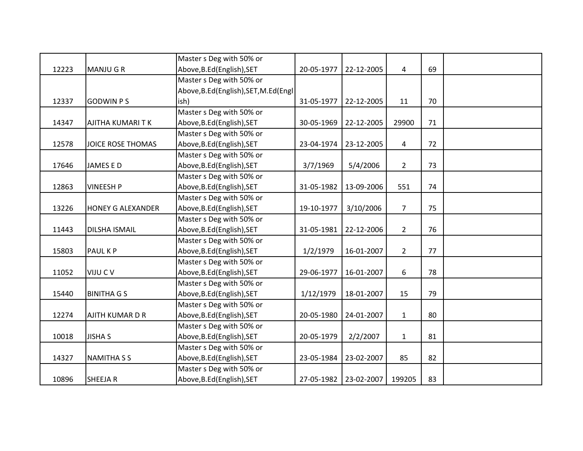|       |                          | Master s Deg with 50% or               |            |                       |                |    |  |
|-------|--------------------------|----------------------------------------|------------|-----------------------|----------------|----|--|
| 12223 | <b>MANJUGR</b>           | Above, B.Ed (English), SET             | 20-05-1977 | 22-12-2005            | 4              | 69 |  |
|       |                          | Master s Deg with 50% or               |            |                       |                |    |  |
|       |                          | Above, B.Ed (English), SET, M.Ed (Engl |            |                       |                |    |  |
| 12337 | <b>GODWIN PS</b>         | ish)                                   | 31-05-1977 | 22-12-2005            | 11             | 70 |  |
|       |                          | Master s Deg with 50% or               |            |                       |                |    |  |
| 14347 | <b>AJITHA KUMARI T K</b> | Above, B.Ed (English), SET             | 30-05-1969 | 22-12-2005            | 29900          | 71 |  |
|       |                          | Master s Deg with 50% or               |            |                       |                |    |  |
| 12578 | JOICE ROSE THOMAS        | Above, B.Ed (English), SET             | 23-04-1974 | 23-12-2005            | $\overline{4}$ | 72 |  |
|       |                          | Master s Deg with 50% or               |            |                       |                |    |  |
| 17646 | <b>JAMES E D</b>         | Above, B.Ed (English), SET             | 3/7/1969   | 5/4/2006              | $\overline{2}$ | 73 |  |
|       |                          | Master s Deg with 50% or               |            |                       |                |    |  |
| 12863 | <b>VINEESH P</b>         | Above, B.Ed (English), SET             | 31-05-1982 | 13-09-2006            | 551            | 74 |  |
|       |                          | Master s Deg with 50% or               |            |                       |                |    |  |
| 13226 | <b>HONEY G ALEXANDER</b> | Above, B.Ed (English), SET             | 19-10-1977 | 3/10/2006             | $\overline{7}$ | 75 |  |
|       |                          | Master s Deg with 50% or               |            |                       |                |    |  |
| 11443 | <b>DILSHA ISMAIL</b>     | Above, B.Ed (English), SET             | 31-05-1981 | 22-12-2006            | $2^{\circ}$    | 76 |  |
|       |                          | Master s Deg with 50% or               |            |                       |                |    |  |
| 15803 | PAUL K P                 | Above, B.Ed (English), SET             | 1/2/1979   | 16-01-2007            | $\overline{2}$ | 77 |  |
|       |                          | Master s Deg with 50% or               |            |                       |                |    |  |
| 11052 | VIJU C V                 | Above, B.Ed (English), SET             | 29-06-1977 | 16-01-2007            | 6              | 78 |  |
|       |                          | Master s Deg with 50% or               |            |                       |                |    |  |
| 15440 | <b>BINITHA G S</b>       | Above, B.Ed (English), SET             | 1/12/1979  | 18-01-2007            | 15             | 79 |  |
|       |                          | Master s Deg with 50% or               |            |                       |                |    |  |
| 12274 | AJITH KUMAR D R          | Above, B.Ed (English), SET             | 20-05-1980 | 24-01-2007            | $\mathbf{1}$   | 80 |  |
|       |                          | Master s Deg with 50% or               |            |                       |                |    |  |
| 10018 | <b>JISHA S</b>           | Above, B.Ed (English), SET             | 20-05-1979 | 2/2/2007              | $\mathbf{1}$   | 81 |  |
|       |                          | Master s Deg with 50% or               |            |                       |                |    |  |
| 14327 | <b>NAMITHA S S</b>       | Above, B.Ed (English), SET             | 23-05-1984 | 23-02-2007            | 85             | 82 |  |
|       |                          | Master s Deg with 50% or               |            |                       |                |    |  |
| 10896 | <b>SHEEJAR</b>           | Above, B.Ed (English), SET             |            | 27-05-1982 23-02-2007 | 199205         | 83 |  |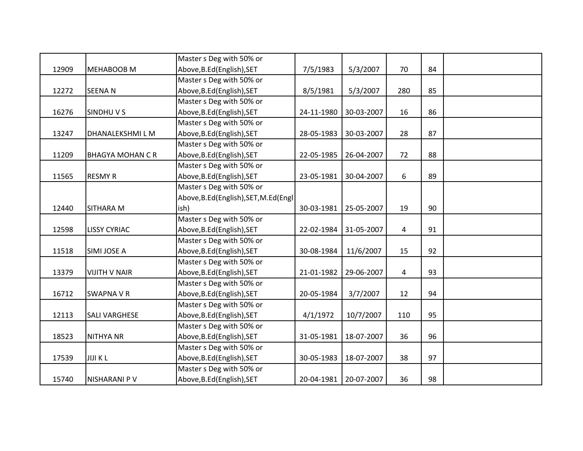|       |                         | Master s Deg with 50% or               |            |                       |                |    |  |
|-------|-------------------------|----------------------------------------|------------|-----------------------|----------------|----|--|
| 12909 | <b>MEHABOOB M</b>       | Above, B.Ed (English), SET             | 7/5/1983   | 5/3/2007              | 70             | 84 |  |
|       |                         | Master s Deg with 50% or               |            |                       |                |    |  |
| 12272 | <b>SEENAN</b>           | Above, B.Ed (English), SET             | 8/5/1981   | 5/3/2007              | 280            | 85 |  |
|       |                         | Master s Deg with 50% or               |            |                       |                |    |  |
| 16276 | <b>SINDHUVS</b>         | Above, B.Ed (English), SET             | 24-11-1980 | 30-03-2007            | 16             | 86 |  |
|       |                         | Master s Deg with 50% or               |            |                       |                |    |  |
| 13247 | DHANALEKSHMI L M        | Above, B.Ed (English), SET             | 28-05-1983 | 30-03-2007            | 28             | 87 |  |
|       |                         | Master s Deg with 50% or               |            |                       |                |    |  |
| 11209 | <b>BHAGYA MOHAN C R</b> | Above, B.Ed (English), SET             | 22-05-1985 | 26-04-2007            | 72             | 88 |  |
|       |                         | Master s Deg with 50% or               |            |                       |                |    |  |
| 11565 | <b>RESMY R</b>          | Above, B.Ed (English), SET             | 23-05-1981 | 30-04-2007            | 6              | 89 |  |
|       |                         | Master s Deg with 50% or               |            |                       |                |    |  |
|       |                         | Above, B.Ed (English), SET, M.Ed (Engl |            |                       |                |    |  |
| 12440 | <b>SITHARA M</b>        | ish)                                   | 30-03-1981 | 25-05-2007            | 19             | 90 |  |
|       |                         | Master s Deg with 50% or               |            |                       |                |    |  |
| 12598 | <b>LISSY CYRIAC</b>     | Above, B.Ed (English), SET             | 22-02-1984 | 31-05-2007            | $\overline{4}$ | 91 |  |
|       |                         | Master s Deg with 50% or               |            |                       |                |    |  |
| 11518 | SIMI JOSE A             | Above, B.Ed (English), SET             | 30-08-1984 | 11/6/2007             | 15             | 92 |  |
|       |                         | Master s Deg with 50% or               |            |                       |                |    |  |
| 13379 | <b>VIJITH V NAIR</b>    | Above, B.Ed (English), SET             | 21-01-1982 | 29-06-2007            | 4              | 93 |  |
|       |                         | Master s Deg with 50% or               |            |                       |                |    |  |
| 16712 | <b>SWAPNA V R</b>       | Above, B.Ed (English), SET             | 20-05-1984 | 3/7/2007              | 12             | 94 |  |
|       |                         | Master s Deg with 50% or               |            |                       |                |    |  |
| 12113 | <b>SALI VARGHESE</b>    | Above, B.Ed (English), SET             | 4/1/1972   | 10/7/2007             | 110            | 95 |  |
|       |                         | Master s Deg with 50% or               |            |                       |                |    |  |
| 18523 | <b>NITHYA NR</b>        | Above, B.Ed (English), SET             | 31-05-1981 | 18-07-2007            | 36             | 96 |  |
|       |                         | Master s Deg with 50% or               |            |                       |                |    |  |
| 17539 | <b>JIJI KL</b>          | Above, B.Ed (English), SET             | 30-05-1983 | 18-07-2007            | 38             | 97 |  |
|       |                         | Master s Deg with 50% or               |            |                       |                |    |  |
| 15740 | <b>NISHARANI P V</b>    | Above, B.Ed (English), SET             |            | 20-04-1981 20-07-2007 | 36             | 98 |  |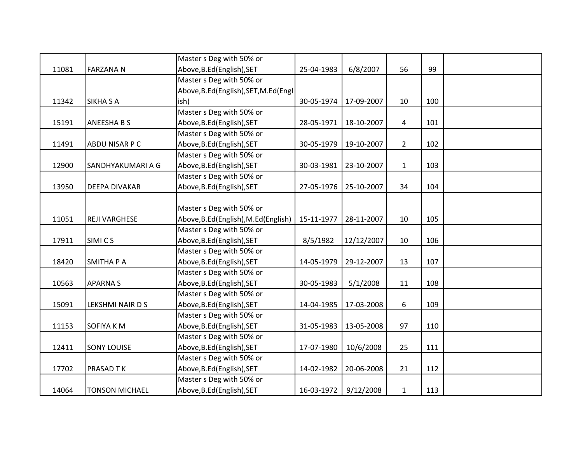|       |                       | Master s Deg with 50% or               |            |            |              |     |  |
|-------|-----------------------|----------------------------------------|------------|------------|--------------|-----|--|
| 11081 | <b>FARZANAN</b>       | Above, B.Ed (English), SET             | 25-04-1983 | 6/8/2007   | 56           | 99  |  |
|       |                       | Master s Deg with 50% or               |            |            |              |     |  |
|       |                       | Above, B.Ed (English), SET, M.Ed (Engl |            |            |              |     |  |
| 11342 | <b>SIKHA S A</b>      | ish)                                   | 30-05-1974 | 17-09-2007 | 10           | 100 |  |
|       |                       | Master s Deg with 50% or               |            |            |              |     |  |
| 15191 | <b>ANEESHA B S</b>    | Above, B.Ed (English), SET             | 28-05-1971 | 18-10-2007 | 4            | 101 |  |
|       |                       | Master s Deg with 50% or               |            |            |              |     |  |
| 11491 | ABDU NISAR P C        | Above, B.Ed (English), SET             | 30-05-1979 | 19-10-2007 | $2^{\circ}$  | 102 |  |
|       |                       | Master s Deg with 50% or               |            |            |              |     |  |
| 12900 | SANDHYAKUMARI A G     | Above, B.Ed (English), SET             | 30-03-1981 | 23-10-2007 | $\mathbf{1}$ | 103 |  |
|       |                       | Master s Deg with 50% or               |            |            |              |     |  |
| 13950 | <b>DEEPA DIVAKAR</b>  | Above, B.Ed (English), SET             | 27-05-1976 | 25-10-2007 | 34           | 104 |  |
|       |                       |                                        |            |            |              |     |  |
|       |                       | Master s Deg with 50% or               |            |            |              |     |  |
| 11051 | <b>REJI VARGHESE</b>  | Above, B.Ed (English), M.Ed (English)  | 15-11-1977 | 28-11-2007 | 10           | 105 |  |
|       |                       | Master s Deg with 50% or               |            |            |              |     |  |
| 17911 | SIMI CS               | Above, B.Ed (English), SET             | 8/5/1982   | 12/12/2007 | 10           | 106 |  |
|       |                       | Master s Deg with 50% or               |            |            |              |     |  |
| 18420 | <b>SMITHA P A</b>     | Above, B.Ed (English), SET             | 14-05-1979 | 29-12-2007 | 13           | 107 |  |
|       |                       | Master s Deg with 50% or               |            |            |              |     |  |
| 10563 | <b>APARNAS</b>        | Above, B.Ed (English), SET             | 30-05-1983 | 5/1/2008   | 11           | 108 |  |
|       |                       | Master s Deg with 50% or               |            |            |              |     |  |
| 15091 | LEKSHMI NAIR D S      | Above, B.Ed (English), SET             | 14-04-1985 | 17-03-2008 | 6            | 109 |  |
|       |                       | Master s Deg with 50% or               |            |            |              |     |  |
| 11153 | <b>SOFIYA KM</b>      | Above, B.Ed (English), SET             | 31-05-1983 | 13-05-2008 | 97           | 110 |  |
|       |                       | Master s Deg with 50% or               |            |            |              |     |  |
| 12411 | <b>SONY LOUISE</b>    | Above, B.Ed (English), SET             | 17-07-1980 | 10/6/2008  | 25           | 111 |  |
|       |                       | Master s Deg with 50% or               |            |            |              |     |  |
| 17702 | <b>PRASAD TK</b>      | Above, B.Ed (English), SET             | 14-02-1982 | 20-06-2008 | 21           | 112 |  |
|       |                       | Master s Deg with 50% or               |            |            |              |     |  |
| 14064 | <b>TONSON MICHAEL</b> | Above, B.Ed (English), SET             | 16-03-1972 | 9/12/2008  | $\mathbf{1}$ | 113 |  |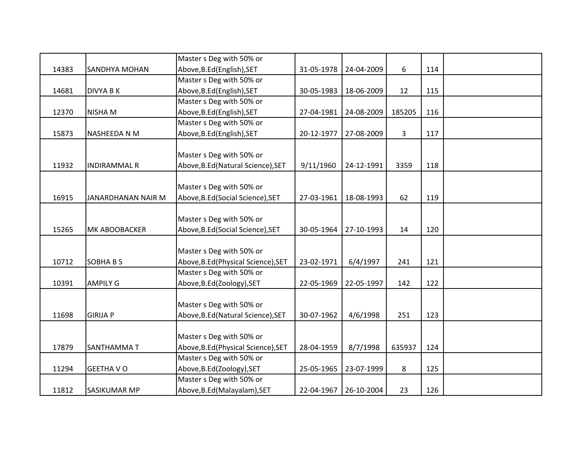|       |                      | Master s Deg with 50% or            |            |            |              |     |  |
|-------|----------------------|-------------------------------------|------------|------------|--------------|-----|--|
| 14383 | <b>SANDHYA MOHAN</b> | Above, B.Ed (English), SET          | 31-05-1978 | 24-04-2009 | 6            | 114 |  |
|       |                      | Master s Deg with 50% or            |            |            |              |     |  |
| 14681 | <b>DIVYA B K</b>     | Above, B.Ed (English), SET          | 30-05-1983 | 18-06-2009 | 12           | 115 |  |
|       |                      | Master s Deg with 50% or            |            |            |              |     |  |
| 12370 | NISHA M              | Above, B.Ed (English), SET          | 27-04-1981 | 24-08-2009 | 185205       | 116 |  |
|       |                      | Master s Deg with 50% or            |            |            |              |     |  |
| 15873 | NASHEEDA N M         | Above, B.Ed (English), SET          | 20-12-1977 | 27-08-2009 | $\mathbf{3}$ | 117 |  |
|       |                      |                                     |            |            |              |     |  |
|       |                      | Master s Deg with 50% or            |            |            |              |     |  |
| 11932 | <b>INDIRAMMAL R</b>  | Above, B.Ed (Natural Science), SET  | 9/11/1960  | 24-12-1991 | 3359         | 118 |  |
|       |                      |                                     |            |            |              |     |  |
|       |                      | Master s Deg with 50% or            |            |            |              |     |  |
| 16915 | JANARDHANAN NAIR M   | Above, B.Ed (Social Science), SET   | 27-03-1961 | 18-08-1993 | 62           | 119 |  |
|       |                      |                                     |            |            |              |     |  |
|       |                      | Master s Deg with 50% or            |            |            |              |     |  |
| 15265 | <b>MK ABOOBACKER</b> | Above, B.Ed (Social Science), SET   | 30-05-1964 | 27-10-1993 | 14           | 120 |  |
|       |                      |                                     |            |            |              |     |  |
|       |                      | Master s Deg with 50% or            |            |            |              |     |  |
| 10712 | <b>SOBHABS</b>       | Above, B.Ed (Physical Science), SET | 23-02-1971 | 6/4/1997   | 241          | 121 |  |
|       |                      | Master s Deg with 50% or            |            |            |              |     |  |
| 10391 | <b>AMPILY G</b>      | Above, B.Ed (Zoology), SET          | 22-05-1969 | 22-05-1997 | 142          | 122 |  |
|       |                      |                                     |            |            |              |     |  |
|       |                      | Master s Deg with 50% or            |            |            |              |     |  |
| 11698 | <b>GIRIJA P</b>      | Above, B.Ed (Natural Science), SET  | 30-07-1962 | 4/6/1998   | 251          | 123 |  |
|       |                      |                                     |            |            |              |     |  |
|       |                      | Master s Deg with 50% or            |            |            |              |     |  |
| 17879 | <b>SANTHAMMAT</b>    | Above, B.Ed (Physical Science), SET | 28-04-1959 | 8/7/1998   | 635937       | 124 |  |
|       |                      | Master s Deg with 50% or            |            |            |              |     |  |
| 11294 | <b>GEETHA VO</b>     | Above, B.Ed(Zoology), SET           | 25-05-1965 | 23-07-1999 | 8            | 125 |  |
|       |                      | Master s Deg with 50% or            |            |            |              |     |  |
| 11812 | <b>SASIKUMAR MP</b>  | Above, B.Ed (Malayalam), SET        | 22-04-1967 | 26-10-2004 | 23           | 126 |  |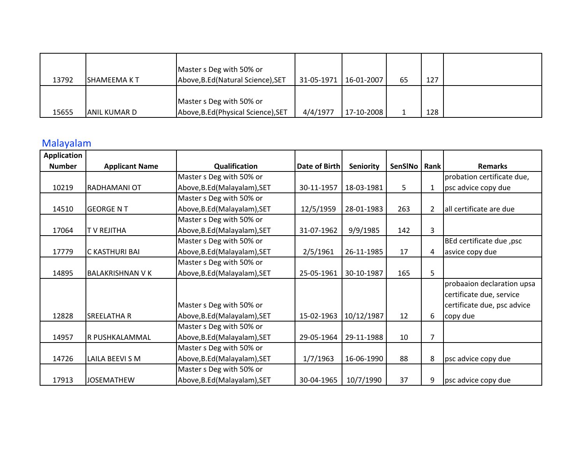|       |               | Master s Deg with 50% or            |            |              |    |     |  |
|-------|---------------|-------------------------------------|------------|--------------|----|-----|--|
| 13792 | ISHAMEEMA K T | Above, B.Ed (Natural Science), SET  | 31-05-1971 | $16-01-2007$ | 65 | 127 |  |
|       |               |                                     |            |              |    |     |  |
|       |               | Master s Deg with 50% or            |            |              |    |     |  |
| 15655 | IANIL KUMAR D | Above, B.Ed (Physical Science), SET | 4/4/1977   | 17-10-2008   |    | 128 |  |

## Malayalam

| <b>Application</b> |                         |                              |                      |                  |         |                |                             |
|--------------------|-------------------------|------------------------------|----------------------|------------------|---------|----------------|-----------------------------|
| <b>Number</b>      | <b>Applicant Name</b>   | Qualification                | <b>Date of Birth</b> | <b>Seniority</b> | SenSINo | <b>Rank</b>    | <b>Remarks</b>              |
|                    |                         | Master s Deg with 50% or     |                      |                  |         |                | probation certificate due,  |
| 10219              | <b>RADHAMANI OT</b>     | Above, B.Ed (Malayalam), SET | 30-11-1957           | 18-03-1981       | 5       | $\mathbf{1}$   | psc advice copy due         |
|                    |                         | Master s Deg with 50% or     |                      |                  |         |                |                             |
| 14510              | <b>GEORGE N T</b>       | Above, B.Ed (Malayalam), SET | 12/5/1959            | 28-01-1983       | 263     | $\overline{2}$ | all certificate are due     |
|                    |                         | Master s Deg with 50% or     |                      |                  |         |                |                             |
| 17064              | <b>T V REJITHA</b>      | Above, B.Ed (Malayalam), SET | 31-07-1962           | 9/9/1985         | 142     | 3              |                             |
|                    |                         | Master s Deg with 50% or     |                      |                  |         |                | BEd certificate due, psc    |
| 17779              | C KASTHURI BAI          | Above, B.Ed (Malayalam), SET | 2/5/1961             | 26-11-1985       | 17      | 4              | asvice copy due             |
|                    |                         | Master s Deg with 50% or     |                      |                  |         |                |                             |
| 14895              | <b>BALAKRISHNAN V K</b> | Above, B.Ed (Malayalam), SET | 25-05-1961           | 30-10-1987       | 165     | 5              |                             |
|                    |                         |                              |                      |                  |         |                | probaaion declaration upsa  |
|                    |                         |                              |                      |                  |         |                | certificate due, service    |
|                    |                         | Master s Deg with 50% or     |                      |                  |         |                | certificate due, psc advice |
| 12828              | <b>SREELATHA R</b>      | Above, B.Ed (Malayalam), SET | 15-02-1963           | 10/12/1987       | 12      | 6              | copy due                    |
|                    |                         | Master s Deg with 50% or     |                      |                  |         |                |                             |
| 14957              | R PUSHKALAMMAL          | Above, B.Ed (Malayalam), SET | 29-05-1964           | 29-11-1988       | 10      | 7              |                             |
|                    |                         | Master s Deg with 50% or     |                      |                  |         |                |                             |
| 14726              | LAILA BEEVI S M         | Above, B.Ed (Malayalam), SET | 1/7/1963             | 16-06-1990       | 88      | 8              | psc advice copy due         |
|                    |                         | Master s Deg with 50% or     |                      |                  |         |                |                             |
| 17913              | <b>JOSEMATHEW</b>       | Above, B.Ed (Malayalam), SET | 30-04-1965           | 10/7/1990        | 37      | 9              | psc advice copy due         |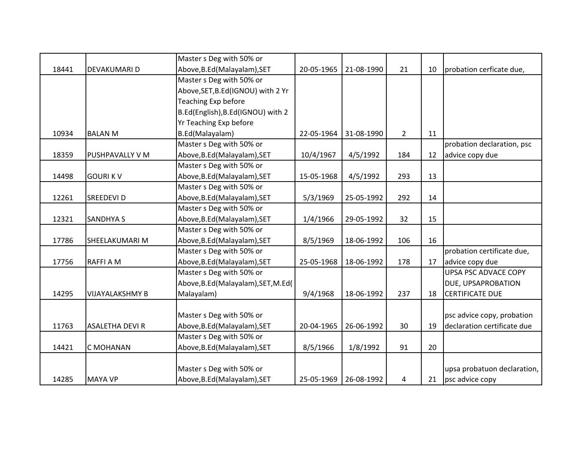|       |                        | Master s Deg with 50% or             |            |            |                |    |                             |
|-------|------------------------|--------------------------------------|------------|------------|----------------|----|-----------------------------|
| 18441 | <b>DEVAKUMARI D</b>    | Above, B.Ed (Malayalam), SET         | 20-05-1965 | 21-08-1990 | 21             | 10 | probation cerficate due,    |
|       |                        | Master s Deg with 50% or             |            |            |                |    |                             |
|       |                        | Above, SET, B.Ed (IGNOU) with 2 Yr   |            |            |                |    |                             |
|       |                        | Teaching Exp before                  |            |            |                |    |                             |
|       |                        | B.Ed(English), B.Ed(IGNOU) with 2    |            |            |                |    |                             |
|       |                        | Yr Teaching Exp before               |            |            |                |    |                             |
| 10934 | <b>BALAN M</b>         | B.Ed(Malayalam)                      | 22-05-1964 | 31-08-1990 | $\overline{2}$ | 11 |                             |
|       |                        | Master s Deg with 50% or             |            |            |                |    | probation declaration, psc  |
| 18359 | <b>PUSHPAVALLY V M</b> | Above, B.Ed (Malayalam), SET         | 10/4/1967  | 4/5/1992   | 184            | 12 | advice copy due             |
|       |                        | Master s Deg with 50% or             |            |            |                |    |                             |
| 14498 | <b>GOURIKV</b>         | Above, B.Ed (Malayalam), SET         | 15-05-1968 | 4/5/1992   | 293            | 13 |                             |
|       |                        | Master s Deg with 50% or             |            |            |                |    |                             |
| 12261 | <b>SREEDEVID</b>       | Above, B.Ed (Malayalam), SET         | 5/3/1969   | 25-05-1992 | 292            | 14 |                             |
|       |                        | Master s Deg with 50% or             |            |            |                |    |                             |
| 12321 | <b>SANDHYAS</b>        | Above, B.Ed (Malayalam), SET         | 1/4/1966   | 29-05-1992 | 32             | 15 |                             |
|       |                        | Master s Deg with 50% or             |            |            |                |    |                             |
| 17786 | SHEELAKUMARI M         | Above, B.Ed (Malayalam), SET         | 8/5/1969   | 18-06-1992 | 106            | 16 |                             |
|       |                        | Master s Deg with 50% or             |            |            |                |    | probation certificate due,  |
| 17756 | <b>RAFFI A M</b>       | Above, B.Ed (Malayalam), SET         | 25-05-1968 | 18-06-1992 | 178            | 17 | advice copy due             |
|       |                        | Master s Deg with 50% or             |            |            |                |    | <b>UPSA PSC ADVACE COPY</b> |
|       |                        | Above, B.Ed (Malayalam), SET, M.Ed ( |            |            |                |    | DUE, UPSAPROBATION          |
| 14295 | <b>VIJAYALAKSHMY B</b> | Malayalam)                           | 9/4/1968   | 18-06-1992 | 237            | 18 | <b>CERTIFICATE DUE</b>      |
|       |                        |                                      |            |            |                |    |                             |
|       |                        | Master s Deg with 50% or             |            |            |                |    | psc advice copy, probation  |
| 11763 | <b>ASALETHA DEVIR</b>  | Above, B.Ed (Malayalam), SET         | 20-04-1965 | 26-06-1992 | 30             | 19 | declaration certificate due |
|       |                        | Master s Deg with 50% or             |            |            |                |    |                             |
| 14421 | <b>C MOHANAN</b>       | Above, B.Ed (Malayalam), SET         | 8/5/1966   | 1/8/1992   | 91             | 20 |                             |
|       |                        |                                      |            |            |                |    |                             |
|       |                        | Master s Deg with 50% or             |            |            |                |    | upsa probatuon declaration, |
| 14285 | <b>MAYA VP</b>         | Above, B.Ed (Malayalam), SET         | 25-05-1969 | 26-08-1992 | 4              | 21 | psc advice copy             |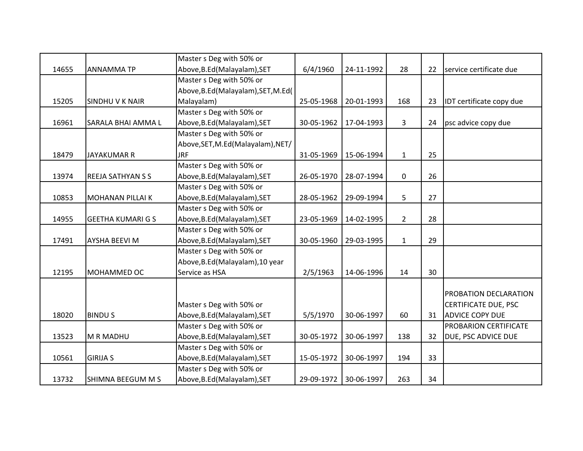|       |                          | Master s Deg with 50% or             |            |            |                |    |                             |
|-------|--------------------------|--------------------------------------|------------|------------|----------------|----|-----------------------------|
| 14655 | <b>ANNAMMATP</b>         | Above, B.Ed (Malayalam), SET         | 6/4/1960   | 24-11-1992 | 28             | 22 | service certificate due     |
|       |                          | Master s Deg with 50% or             |            |            |                |    |                             |
|       |                          | Above, B.Ed (Malayalam), SET, M.Ed ( |            |            |                |    |                             |
| 15205 | <b>SINDHUVK NAIR</b>     | Malayalam)                           | 25-05-1968 | 20-01-1993 | 168            | 23 | IDT certificate copy due    |
|       |                          | Master s Deg with 50% or             |            |            |                |    |                             |
| 16961 | SARALA BHAI AMMA L       | Above, B.Ed (Malayalam), SET         | 30-05-1962 | 17-04-1993 | 3              | 24 | psc advice copy due         |
|       |                          | Master s Deg with 50% or             |            |            |                |    |                             |
|       |                          | Above, SET, M.Ed(Malayalam), NET/    |            |            |                |    |                             |
| 18479 | <b>JAYAKUMAR R</b>       | <b>JRF</b>                           | 31-05-1969 | 15-06-1994 | $\mathbf{1}$   | 25 |                             |
|       |                          | Master s Deg with 50% or             |            |            |                |    |                             |
| 13974 | <b>REEJA SATHYAN S S</b> | Above, B.Ed (Malayalam), SET         | 26-05-1970 | 28-07-1994 | 0              | 26 |                             |
|       |                          | Master s Deg with 50% or             |            |            |                |    |                             |
| 10853 | <b>MOHANAN PILLAI K</b>  | Above, B.Ed (Malayalam), SET         | 28-05-1962 | 29-09-1994 | 5              | 27 |                             |
|       |                          | Master s Deg with 50% or             |            |            |                |    |                             |
| 14955 | <b>GEETHA KUMARI G S</b> | Above, B.Ed (Malayalam), SET         | 23-05-1969 | 14-02-1995 | $\overline{2}$ | 28 |                             |
|       |                          | Master s Deg with 50% or             |            |            |                |    |                             |
| 17491 | <b>AYSHA BEEVI M</b>     | Above, B.Ed (Malayalam), SET         | 30-05-1960 | 29-03-1995 | $\mathbf{1}$   | 29 |                             |
|       |                          | Master s Deg with 50% or             |            |            |                |    |                             |
|       |                          | Above, B.Ed (Malayalam), 10 year     |            |            |                |    |                             |
| 12195 | MOHAMMED OC              | Service as HSA                       | 2/5/1963   | 14-06-1996 | 14             | 30 |                             |
|       |                          |                                      |            |            |                |    |                             |
|       |                          |                                      |            |            |                |    | PROBATION DECLARATION       |
|       |                          | Master s Deg with 50% or             |            |            |                |    | <b>CERTIFICATE DUE, PSC</b> |
| 18020 | <b>BINDUS</b>            | Above, B.Ed (Malayalam), SET         | 5/5/1970   | 30-06-1997 | 60             | 31 | <b>ADVICE COPY DUE</b>      |
|       |                          | Master s Deg with 50% or             |            |            |                |    | PROBARION CERTIFICATE       |
| 13523 | M R MADHU                | Above, B.Ed (Malayalam), SET         | 30-05-1972 | 30-06-1997 | 138            | 32 | DUE, PSC ADVICE DUE         |
|       |                          | Master s Deg with 50% or             |            |            |                |    |                             |
| 10561 | <b>GIRIJA S</b>          | Above, B.Ed (Malayalam), SET         | 15-05-1972 | 30-06-1997 | 194            | 33 |                             |
|       |                          | Master s Deg with 50% or             |            |            |                |    |                             |
| 13732 | SHIMNA BEEGUM M S        | Above, B.Ed (Malayalam), SET         | 29-09-1972 | 30-06-1997 | 263            | 34 |                             |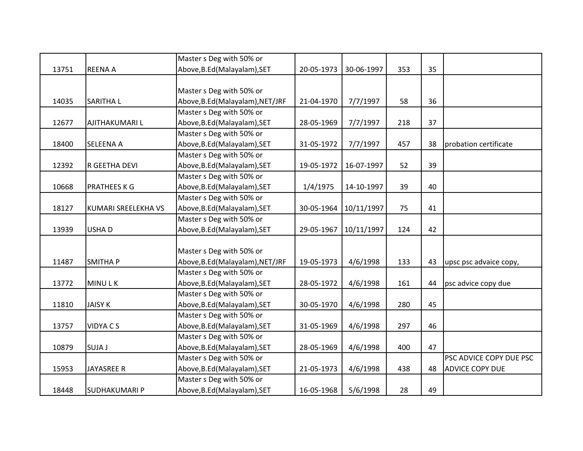|       |                            | Master s Deg with 50% or         |            |            |     |    |                         |
|-------|----------------------------|----------------------------------|------------|------------|-----|----|-------------------------|
| 13751 | <b>REENA A</b>             | Above, B.Ed (Malayalam), SET     | 20-05-1973 | 30-06-1997 | 353 | 35 |                         |
|       |                            |                                  |            |            |     |    |                         |
|       |                            | Master s Deg with 50% or         |            |            |     |    |                         |
| 14035 | <b>SARITHAL</b>            | Above, B.Ed (Malayalam), NET/JRF | 21-04-1970 | 7/7/1997   | 58  | 36 |                         |
|       |                            | Master s Deg with 50% or         |            |            |     |    |                         |
| 12677 | <b>AJITHAKUMARI L</b>      | Above, B.Ed (Malayalam), SET     | 28-05-1969 | 7/7/1997   | 218 | 37 |                         |
|       |                            | Master s Deg with 50% or         |            |            |     |    |                         |
| 18400 | <b>SELEENA A</b>           | Above, B.Ed (Malayalam), SET     | 31-05-1972 | 7/7/1997   | 457 | 38 | probation certificate   |
|       |                            | Master s Deg with 50% or         |            |            |     |    |                         |
| 12392 | R GEETHA DEVI              | Above, B.Ed (Malayalam), SET     | 19-05-1972 | 16-07-1997 | 52  | 39 |                         |
|       |                            | Master s Deg with 50% or         |            |            |     |    |                         |
| 10668 | <b>PRATHEES K G</b>        | Above, B.Ed (Malayalam), SET     | 1/4/1975   | 14-10-1997 | 39  | 40 |                         |
|       |                            | Master s Deg with 50% or         |            |            |     |    |                         |
| 18127 | <b>KUMARI SREELEKHA VS</b> | Above, B.Ed (Malayalam), SET     | 30-05-1964 | 10/11/1997 | 75  | 41 |                         |
|       |                            | Master s Deg with 50% or         |            |            |     |    |                         |
| 13939 | <b>USHAD</b>               | Above, B.Ed (Malayalam), SET     | 29-05-1967 | 10/11/1997 | 124 | 42 |                         |
|       |                            |                                  |            |            |     |    |                         |
|       |                            | Master s Deg with 50% or         |            |            |     |    |                         |
| 11487 | <b>SMITHAP</b>             | Above, B.Ed (Malayalam), NET/JRF | 19-05-1973 | 4/6/1998   | 133 | 43 | upsc psc advaice copy,  |
|       |                            | Master s Deg with 50% or         |            |            |     |    |                         |
| 13772 | <b>MINULK</b>              | Above, B.Ed (Malayalam), SET     | 28-05-1972 | 4/6/1998   | 161 | 44 | psc advice copy due     |
|       |                            | Master s Deg with 50% or         |            |            |     |    |                         |
| 11810 | <b>JAISY K</b>             | Above, B.Ed (Malayalam), SET     | 30-05-1970 | 4/6/1998   | 280 | 45 |                         |
|       |                            | Master s Deg with 50% or         |            |            |     |    |                         |
| 13757 | <b>VIDYACS</b>             | Above, B.Ed (Malayalam), SET     | 31-05-1969 | 4/6/1998   | 297 | 46 |                         |
|       |                            | Master s Deg with 50% or         |            |            |     |    |                         |
| 10879 | SUJA J                     | Above, B.Ed (Malayalam), SET     | 28-05-1969 | 4/6/1998   | 400 | 47 |                         |
|       |                            | Master s Deg with 50% or         |            |            |     |    | PSC ADVICE COPY DUE PSC |
| 15953 | <b>JAYASREE R</b>          | Above, B.Ed (Malayalam), SET     | 21-05-1973 | 4/6/1998   | 438 | 48 | <b>ADVICE COPY DUE</b>  |
|       |                            | Master s Deg with 50% or         |            |            |     |    |                         |
| 18448 | <b>SUDHAKUMARI P</b>       | Above, B.Ed (Malayalam), SET     | 16-05-1968 | 5/6/1998   | 28  | 49 |                         |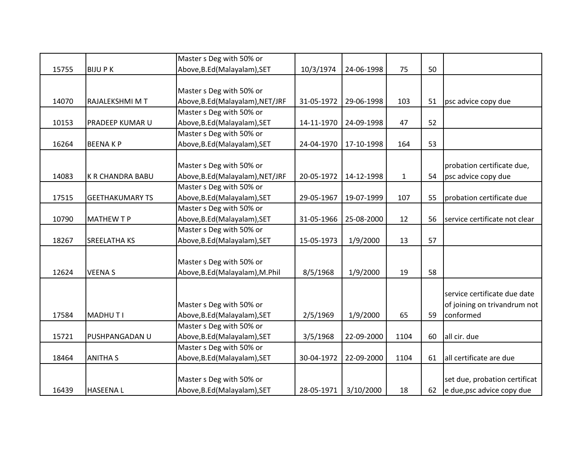|       |                         | Master s Deg with 50% or        |            |            |              |    |                               |
|-------|-------------------------|---------------------------------|------------|------------|--------------|----|-------------------------------|
| 15755 | <b>BIJUPK</b>           | Above, B.Ed (Malayalam), SET    | 10/3/1974  | 24-06-1998 | 75           | 50 |                               |
|       |                         |                                 |            |            |              |    |                               |
|       |                         | Master s Deg with 50% or        |            |            |              |    |                               |
| 14070 | RAJALEKSHMI M T         | Above, B.Ed(Malayalam), NET/JRF | 31-05-1972 | 29-06-1998 | 103          | 51 | psc advice copy due           |
|       |                         | Master s Deg with 50% or        |            |            |              |    |                               |
| 10153 | PRADEEP KUMAR U         | Above, B.Ed (Malayalam), SET    | 14-11-1970 | 24-09-1998 | 47           | 52 |                               |
|       |                         | Master s Deg with 50% or        |            |            |              |    |                               |
| 16264 | <b>BEENAKP</b>          | Above, B.Ed (Malayalam), SET    | 24-04-1970 | 17-10-1998 | 164          | 53 |                               |
|       |                         |                                 |            |            |              |    |                               |
|       |                         | Master s Deg with 50% or        |            |            |              |    | probation certificate due,    |
| 14083 | <b>K R CHANDRA BABU</b> | Above, B.Ed(Malayalam), NET/JRF | 20-05-1972 | 14-12-1998 | $\mathbf{1}$ | 54 | psc advice copy due           |
|       |                         | Master s Deg with 50% or        |            |            |              |    |                               |
| 17515 | <b>GEETHAKUMARY TS</b>  | Above, B.Ed (Malayalam), SET    | 29-05-1967 | 19-07-1999 | 107          | 55 | probation certificate due     |
|       |                         | Master s Deg with 50% or        |            |            |              |    |                               |
| 10790 | <b>MATHEW T P</b>       | Above, B.Ed (Malayalam), SET    | 31-05-1966 | 25-08-2000 | 12           | 56 | service certificate not clear |
|       |                         | Master s Deg with 50% or        |            |            |              |    |                               |
| 18267 | <b>SREELATHA KS</b>     | Above, B.Ed (Malayalam), SET    | 15-05-1973 | 1/9/2000   | 13           | 57 |                               |
|       |                         |                                 |            |            |              |    |                               |
|       |                         | Master s Deg with 50% or        |            |            |              |    |                               |
| 12624 | <b>VEENAS</b>           | Above, B.Ed (Malayalam), M.Phil | 8/5/1968   | 1/9/2000   | 19           | 58 |                               |
|       |                         |                                 |            |            |              |    |                               |
|       |                         |                                 |            |            |              |    | service certificate due date  |
|       |                         | Master s Deg with 50% or        |            |            |              |    | of joining on trivandrum not  |
| 17584 | MADHUTI                 | Above, B.Ed (Malayalam), SET    | 2/5/1969   | 1/9/2000   | 65           | 59 | conformed                     |
|       |                         | Master s Deg with 50% or        |            |            |              |    |                               |
| 15721 | PUSHPANGADAN U          | Above, B.Ed (Malayalam), SET    | 3/5/1968   | 22-09-2000 | 1104         | 60 | all cir. due                  |
|       |                         | Master s Deg with 50% or        |            |            |              |    |                               |
| 18464 | <b>ANITHA S</b>         | Above, B.Ed (Malayalam), SET    | 30-04-1972 | 22-09-2000 | 1104         | 61 | all certificate are due       |
|       |                         |                                 |            |            |              |    |                               |
|       |                         | Master s Deg with 50% or        |            |            |              |    | set due, probation certificat |
| 16439 | <b>HASEENAL</b>         | Above, B.Ed (Malayalam), SET    | 28-05-1971 | 3/10/2000  | 18           | 62 | e due, psc advice copy due    |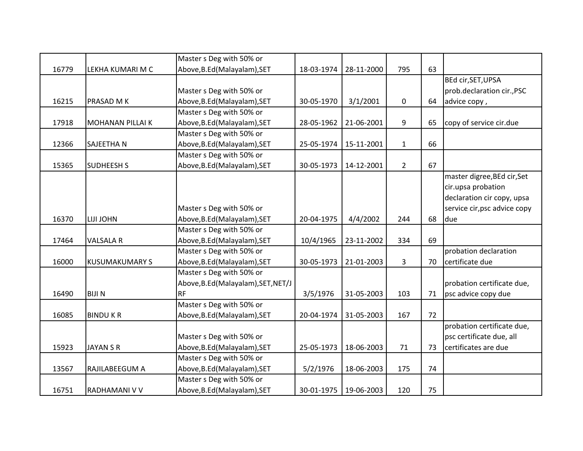|       |                         | Master s Deg with 50% or            |            |            |              |    |                              |
|-------|-------------------------|-------------------------------------|------------|------------|--------------|----|------------------------------|
| 16779 | LEKHA KUMARI M C        | Above, B.Ed (Malayalam), SET        | 18-03-1974 | 28-11-2000 | 795          | 63 |                              |
|       |                         |                                     |            |            |              |    | BEd cir, SET, UPSA           |
|       |                         | Master s Deg with 50% or            |            |            |              |    | prob.declaration cir., PSC   |
| 16215 | PRASAD M K              | Above, B.Ed (Malayalam), SET        | 30-05-1970 | 3/1/2001   | 0            | 64 | advice copy,                 |
|       |                         | Master s Deg with 50% or            |            |            |              |    |                              |
| 17918 | <b>MOHANAN PILLAI K</b> | Above, B.Ed (Malayalam), SET        | 28-05-1962 | 21-06-2001 | 9            | 65 | copy of service cir.due      |
|       |                         | Master s Deg with 50% or            |            |            |              |    |                              |
| 12366 | <b>SAJEETHAN</b>        | Above, B.Ed (Malayalam), SET        | 25-05-1974 | 15-11-2001 | $\mathbf{1}$ | 66 |                              |
|       |                         | Master s Deg with 50% or            |            |            |              |    |                              |
| 15365 | <b>SUDHEESH S</b>       | Above, B.Ed (Malayalam), SET        | 30-05-1973 | 14-12-2001 | $2^{\circ}$  | 67 |                              |
|       |                         |                                     |            |            |              |    | master digree, BEd cir, Set  |
|       |                         |                                     |            |            |              |    | cir.upsa probation           |
|       |                         |                                     |            |            |              |    | declaration cir copy, upsa   |
|       |                         | Master s Deg with 50% or            |            |            |              |    | service cir, psc advice copy |
| 16370 | LIJI JOHN               | Above, B.Ed (Malayalam), SET        | 20-04-1975 | 4/4/2002   | 244          | 68 | due                          |
|       |                         | Master s Deg with 50% or            |            |            |              |    |                              |
| 17464 | <b>VALSALA R</b>        | Above, B.Ed (Malayalam), SET        | 10/4/1965  | 23-11-2002 | 334          | 69 |                              |
|       |                         | Master s Deg with 50% or            |            |            |              |    | probation declaration        |
| 16000 | <b>KUSUMAKUMARY S</b>   | Above, B.Ed (Malayalam), SET        | 30-05-1973 | 21-01-2003 | 3            | 70 | certificate due              |
|       |                         | Master s Deg with 50% or            |            |            |              |    |                              |
|       |                         | Above, B.Ed (Malayalam), SET, NET/J |            |            |              |    | probation certificate due,   |
| 16490 | <b>BIJIN</b>            | <b>RF</b>                           | 3/5/1976   | 31-05-2003 | 103          | 71 | psc advice copy due          |
|       |                         | Master s Deg with 50% or            |            |            |              |    |                              |
| 16085 | <b>BINDUKR</b>          | Above, B.Ed (Malayalam), SET        | 20-04-1974 | 31-05-2003 | 167          | 72 |                              |
|       |                         |                                     |            |            |              |    | probation certificate due,   |
|       |                         | Master s Deg with 50% or            |            |            |              |    | psc certificate due, all     |
| 15923 | <b>JAYAN S R</b>        | Above, B.Ed (Malayalam), SET        | 25-05-1973 | 18-06-2003 | 71           | 73 | certificates are due         |
|       |                         | Master s Deg with 50% or            |            |            |              |    |                              |
| 13567 | RAJILABEEGUM A          | Above, B.Ed (Malayalam), SET        | 5/2/1976   | 18-06-2003 | 175          | 74 |                              |
|       |                         | Master s Deg with 50% or            |            |            |              |    |                              |
| 16751 | RADHAMANI V V           | Above, B.Ed (Malayalam), SET        | 30-01-1975 | 19-06-2003 | 120          | 75 |                              |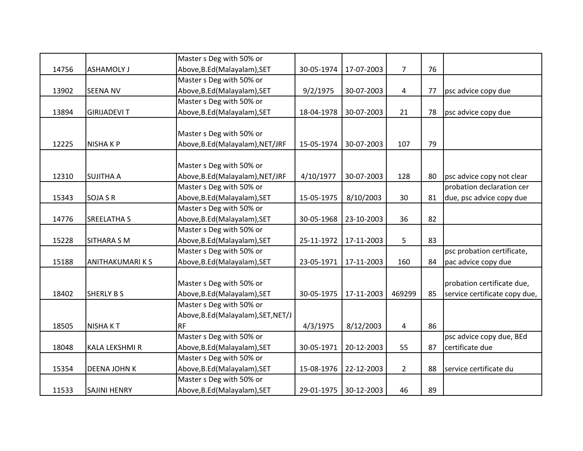|       |                       | Master s Deg with 50% or            |            |                       |                |    |                               |
|-------|-----------------------|-------------------------------------|------------|-----------------------|----------------|----|-------------------------------|
| 14756 | <b>ASHAMOLY J</b>     | Above, B.Ed (Malayalam), SET        | 30-05-1974 | 17-07-2003            | $\overline{7}$ | 76 |                               |
|       |                       | Master s Deg with 50% or            |            |                       |                |    |                               |
| 13902 | <b>SEENA NV</b>       | Above, B.Ed (Malayalam), SET        | 9/2/1975   | 30-07-2003            | 4              | 77 | psc advice copy due           |
|       |                       | Master s Deg with 50% or            |            |                       |                |    |                               |
| 13894 | <b>GIRIJADEVIT</b>    | Above, B.Ed (Malayalam), SET        | 18-04-1978 | 30-07-2003            | 21             | 78 | psc advice copy due           |
|       |                       |                                     |            |                       |                |    |                               |
|       |                       | Master s Deg with 50% or            |            |                       |                |    |                               |
| 12225 | <b>NISHAKP</b>        | Above, B.Ed (Malayalam), NET/JRF    | 15-05-1974 | 30-07-2003            | 107            | 79 |                               |
|       |                       |                                     |            |                       |                |    |                               |
|       |                       | Master s Deg with 50% or            |            |                       |                |    |                               |
| 12310 | <b>SUJITHA A</b>      | Above, B.Ed (Malayalam), NET/JRF    | 4/10/1977  | 30-07-2003            | 128            | 80 | psc advice copy not clear     |
|       |                       | Master s Deg with 50% or            |            |                       |                |    | probation declaration cer     |
| 15343 | <b>SOJA S R</b>       | Above, B.Ed (Malayalam), SET        | 15-05-1975 | 8/10/2003             | 30             | 81 | due, psc advice copy due      |
|       |                       | Master s Deg with 50% or            |            |                       |                |    |                               |
| 14776 | <b>SREELATHA S</b>    | Above, B.Ed (Malayalam), SET        | 30-05-1968 | 23-10-2003            | 36             | 82 |                               |
|       |                       | Master s Deg with 50% or            |            |                       |                |    |                               |
| 15228 | <b>SITHARA S M</b>    | Above, B.Ed (Malayalam), SET        | 25-11-1972 | 17-11-2003            | 5              | 83 |                               |
|       |                       | Master s Deg with 50% or            |            |                       |                |    | psc probation certificate,    |
| 15188 | <b>ANITHAKUMARIKS</b> | Above, B.Ed (Malayalam), SET        | 23-05-1971 | 17-11-2003            | 160            | 84 | pac advice copy due           |
|       |                       |                                     |            |                       |                |    |                               |
|       |                       | Master s Deg with 50% or            |            |                       |                |    | probation certificate due,    |
| 18402 | <b>SHERLY B S</b>     | Above, B.Ed (Malayalam), SET        | 30-05-1975 | 17-11-2003            | 469299         | 85 | service certificate copy due, |
|       |                       | Master s Deg with 50% or            |            |                       |                |    |                               |
|       |                       | Above, B.Ed (Malayalam), SET, NET/J |            |                       |                |    |                               |
| 18505 | <b>NISHAKT</b>        | <b>RF</b>                           | 4/3/1975   | 8/12/2003             | 4              | 86 |                               |
|       |                       | Master s Deg with 50% or            |            |                       |                |    | psc advice copy due, BEd      |
| 18048 | <b>KALA LEKSHMI R</b> | Above, B.Ed (Malayalam), SET        | 30-05-1971 | 20-12-2003            | 55             | 87 | certificate due               |
|       |                       | Master s Deg with 50% or            |            |                       |                |    |                               |
| 15354 | <b>DEENA JOHN K</b>   | Above, B.Ed (Malayalam), SET        | 15-08-1976 | 22-12-2003            | $\overline{2}$ | 88 | service certificate du        |
|       |                       | Master s Deg with 50% or            |            |                       |                |    |                               |
| 11533 | <b>SAJINI HENRY</b>   | Above, B.Ed (Malayalam), SET        |            | 29-01-1975 30-12-2003 | 46             | 89 |                               |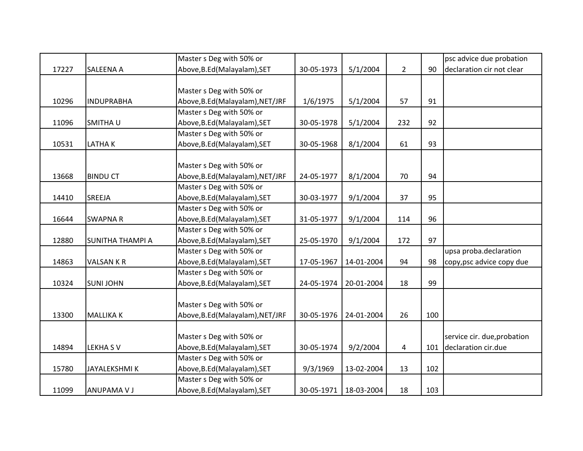|       |                         | Master s Deg with 50% or         |            |            |                |     | psc advice due probation    |
|-------|-------------------------|----------------------------------|------------|------------|----------------|-----|-----------------------------|
| 17227 | <b>SALEENA A</b>        | Above, B.Ed (Malayalam), SET     | 30-05-1973 | 5/1/2004   | $\overline{2}$ | 90  | declaration cir not clear   |
|       |                         |                                  |            |            |                |     |                             |
|       |                         | Master s Deg with 50% or         |            |            |                |     |                             |
| 10296 | <b>INDUPRABHA</b>       | Above, B.Ed (Malayalam), NET/JRF | 1/6/1975   | 5/1/2004   | 57             | 91  |                             |
|       |                         | Master s Deg with 50% or         |            |            |                |     |                             |
| 11096 | SMITHA U                | Above, B.Ed (Malayalam), SET     | 30-05-1978 | 5/1/2004   | 232            | 92  |                             |
|       |                         | Master s Deg with 50% or         |            |            |                |     |                             |
| 10531 | <b>LATHAK</b>           | Above, B.Ed (Malayalam), SET     | 30-05-1968 | 8/1/2004   | 61             | 93  |                             |
|       |                         |                                  |            |            |                |     |                             |
|       |                         | Master s Deg with 50% or         |            |            |                |     |                             |
| 13668 | <b>BINDU CT</b>         | Above, B.Ed(Malayalam), NET/JRF  | 24-05-1977 | 8/1/2004   | 70             | 94  |                             |
|       |                         | Master s Deg with 50% or         |            |            |                |     |                             |
| 14410 | <b>SREEJA</b>           | Above, B.Ed (Malayalam), SET     | 30-03-1977 | 9/1/2004   | 37             | 95  |                             |
|       |                         | Master s Deg with 50% or         |            |            |                |     |                             |
| 16644 | <b>SWAPNAR</b>          | Above, B.Ed (Malayalam), SET     | 31-05-1977 | 9/1/2004   | 114            | 96  |                             |
|       |                         | Master s Deg with 50% or         |            |            |                |     |                             |
| 12880 | <b>SUNITHA THAMPI A</b> | Above, B.Ed (Malayalam), SET     | 25-05-1970 | 9/1/2004   | 172            | 97  |                             |
|       |                         | Master s Deg with 50% or         |            |            |                |     | upsa proba.declaration      |
| 14863 | <b>VALSAN K R</b>       | Above, B.Ed (Malayalam), SET     | 17-05-1967 | 14-01-2004 | 94             | 98  | copy, psc advice copy due   |
|       |                         | Master s Deg with 50% or         |            |            |                |     |                             |
| 10324 | <b>SUNI JOHN</b>        | Above, B.Ed (Malayalam), SET     | 24-05-1974 | 20-01-2004 | 18             | 99  |                             |
|       |                         |                                  |            |            |                |     |                             |
|       |                         | Master s Deg with 50% or         |            |            |                |     |                             |
| 13300 | <b>MALLIKAK</b>         | Above, B.Ed (Malayalam), NET/JRF | 30-05-1976 | 24-01-2004 | 26             | 100 |                             |
|       |                         |                                  |            |            |                |     |                             |
|       |                         | Master s Deg with 50% or         |            |            |                |     | service cir. due, probation |
| 14894 | <b>LEKHASV</b>          | Above, B.Ed (Malayalam), SET     | 30-05-1974 | 9/2/2004   | 4              | 101 | declaration cir.due         |
|       |                         | Master s Deg with 50% or         |            |            |                |     |                             |
| 15780 | <b>JAYALEKSHMIK</b>     | Above, B.Ed (Malayalam), SET     | 9/3/1969   | 13-02-2004 | 13             | 102 |                             |
|       |                         | Master s Deg with 50% or         |            |            |                |     |                             |
| 11099 | <b>ANUPAMA V J</b>      | Above, B.Ed (Malayalam), SET     | 30-05-1971 | 18-03-2004 | 18             | 103 |                             |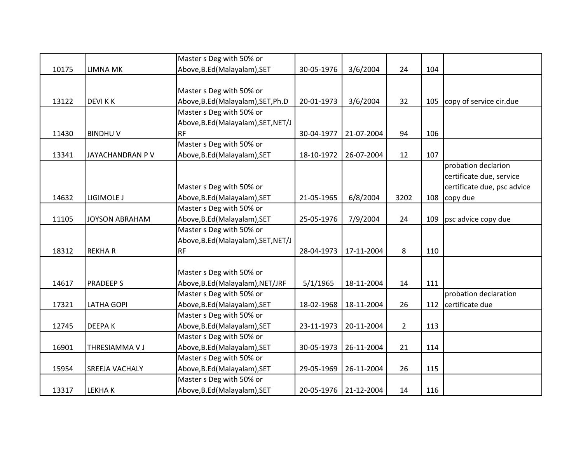|       |                       | Master s Deg with 50% or            |            |                       |             |     |                             |
|-------|-----------------------|-------------------------------------|------------|-----------------------|-------------|-----|-----------------------------|
| 10175 | <b>LIMNA MK</b>       | Above, B.Ed (Malayalam), SET        | 30-05-1976 | 3/6/2004              | 24          | 104 |                             |
|       |                       |                                     |            |                       |             |     |                             |
|       |                       | Master s Deg with 50% or            |            |                       |             |     |                             |
| 13122 | <b>DEVIKK</b>         | Above, B.Ed (Malayalam), SET, Ph.D  | 20-01-1973 | 3/6/2004              | 32          | 105 | copy of service cir.due     |
|       |                       | Master s Deg with 50% or            |            |                       |             |     |                             |
|       |                       | Above, B.Ed (Malayalam), SET, NET/J |            |                       |             |     |                             |
| 11430 | <b>BINDHUV</b>        | <b>RF</b>                           | 30-04-1977 | 21-07-2004            | 94          | 106 |                             |
|       |                       | Master s Deg with 50% or            |            |                       |             |     |                             |
| 13341 | JAYACHANDRAN P V      | Above, B.Ed (Malayalam), SET        | 18-10-1972 | 26-07-2004            | 12          | 107 |                             |
|       |                       |                                     |            |                       |             |     | probation declarion         |
|       |                       |                                     |            |                       |             |     | certificate due, service    |
|       |                       | Master s Deg with 50% or            |            |                       |             |     | certificate due, psc advice |
| 14632 | LIGIMOLE J            | Above, B.Ed (Malayalam), SET        | 21-05-1965 | 6/8/2004              | 3202        | 108 | copy due                    |
|       |                       | Master s Deg with 50% or            |            |                       |             |     |                             |
| 11105 | <b>JOYSON ABRAHAM</b> | Above, B.Ed (Malayalam), SET        | 25-05-1976 | 7/9/2004              | 24          | 109 | psc advice copy due         |
|       |                       | Master s Deg with 50% or            |            |                       |             |     |                             |
|       |                       | Above, B.Ed (Malayalam), SET, NET/J |            |                       |             |     |                             |
| 18312 | <b>REKHAR</b>         | <b>RF</b>                           | 28-04-1973 | 17-11-2004            | 8           | 110 |                             |
|       |                       |                                     |            |                       |             |     |                             |
|       |                       | Master s Deg with 50% or            |            |                       |             |     |                             |
| 14617 | <b>PRADEEPS</b>       | Above, B.Ed(Malayalam), NET/JRF     | 5/1/1965   | 18-11-2004            | 14          | 111 |                             |
|       |                       | Master s Deg with 50% or            |            |                       |             |     | probation declaration       |
| 17321 | <b>LATHA GOPI</b>     | Above, B.Ed (Malayalam), SET        | 18-02-1968 | 18-11-2004            | 26          |     | 112 certificate due         |
|       |                       | Master s Deg with 50% or            |            |                       |             |     |                             |
| 12745 | <b>DEEPAK</b>         | Above, B.Ed (Malayalam), SET        | 23-11-1973 | 20-11-2004            | $2^{\circ}$ | 113 |                             |
|       |                       | Master s Deg with 50% or            |            |                       |             |     |                             |
| 16901 | THRESIAMMA V J        | Above, B.Ed (Malayalam), SET        | 30-05-1973 | 26-11-2004            | 21          | 114 |                             |
|       |                       | Master s Deg with 50% or            |            |                       |             |     |                             |
| 15954 | SREEJA VACHALY        | Above, B.Ed (Malayalam), SET        | 29-05-1969 | 26-11-2004            | 26          | 115 |                             |
|       |                       | Master s Deg with 50% or            |            |                       |             |     |                             |
| 13317 | <b>LEKHAK</b>         | Above, B.Ed (Malayalam), SET        |            | 20-05-1976 21-12-2004 | 14          | 116 |                             |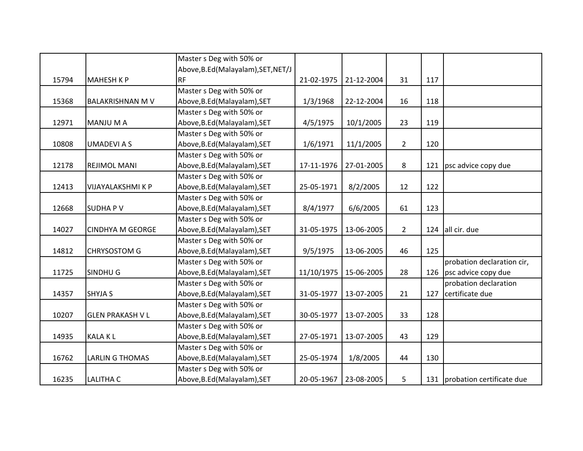|       |                         | Master s Deg with 50% or            |            |                       |                |     |                               |
|-------|-------------------------|-------------------------------------|------------|-----------------------|----------------|-----|-------------------------------|
|       |                         | Above, B.Ed (Malayalam), SET, NET/J |            |                       |                |     |                               |
| 15794 | <b>MAHESH K P</b>       | <b>RF</b>                           | 21-02-1975 | 21-12-2004            | 31             | 117 |                               |
|       |                         | Master s Deg with 50% or            |            |                       |                |     |                               |
| 15368 | <b>BALAKRISHNAN M V</b> | Above, B.Ed (Malayalam), SET        | 1/3/1968   | 22-12-2004            | 16             | 118 |                               |
|       |                         | Master s Deg with 50% or            |            |                       |                |     |                               |
| 12971 | <b>MANJU M A</b>        | Above, B.Ed (Malayalam), SET        | 4/5/1975   | 10/1/2005             | 23             | 119 |                               |
|       |                         | Master s Deg with 50% or            |            |                       |                |     |                               |
| 10808 | <b>UMADEVIAS</b>        | Above, B.Ed (Malayalam), SET        | 1/6/1971   | 11/1/2005             | $2^{\circ}$    | 120 |                               |
|       |                         | Master s Deg with 50% or            |            |                       |                |     |                               |
| 12178 | <b>REJIMOL MANI</b>     | Above, B.Ed (Malayalam), SET        | 17-11-1976 | 27-01-2005            | 8              |     | 121 psc advice copy due       |
|       |                         | Master s Deg with 50% or            |            |                       |                |     |                               |
| 12413 | VIJAYALAKSHMI K P       | Above, B.Ed (Malayalam), SET        | 25-05-1971 | 8/2/2005              | 12             | 122 |                               |
|       |                         | Master s Deg with 50% or            |            |                       |                |     |                               |
| 12668 | <b>SUDHAPV</b>          | Above, B.Ed (Malayalam), SET        | 8/4/1977   | 6/6/2005              | 61             | 123 |                               |
|       |                         | Master s Deg with 50% or            |            |                       |                |     |                               |
| 14027 | <b>CINDHYA M GEORGE</b> | Above, B.Ed (Malayalam), SET        | 31-05-1975 | 13-06-2005            | $\overline{2}$ |     | 124 all cir. due              |
|       |                         | Master s Deg with 50% or            |            |                       |                |     |                               |
| 14812 | <b>CHRYSOSTOM G</b>     | Above, B.Ed (Malayalam), SET        | 9/5/1975   | 13-06-2005            | 46             | 125 |                               |
|       |                         | Master s Deg with 50% or            |            |                       |                |     | probation declaration cir,    |
| 11725 | SINDHU G                | Above, B.Ed (Malayalam), SET        | 11/10/1975 | 15-06-2005            | 28             |     | 126 psc advice copy due       |
|       |                         | Master s Deg with 50% or            |            |                       |                |     | probation declaration         |
| 14357 | <b>SHYJA S</b>          | Above, B.Ed (Malayalam), SET        | 31-05-1977 | 13-07-2005            | 21             | 127 | certificate due               |
|       |                         | Master s Deg with 50% or            |            |                       |                |     |                               |
| 10207 | <b>GLEN PRAKASH V L</b> | Above, B.Ed (Malayalam), SET        | 30-05-1977 | 13-07-2005            | 33             | 128 |                               |
|       |                         | Master s Deg with 50% or            |            |                       |                |     |                               |
| 14935 | <b>KALAKL</b>           | Above, B.Ed (Malayalam), SET        | 27-05-1971 | 13-07-2005            | 43             | 129 |                               |
|       |                         | Master s Deg with 50% or            |            |                       |                |     |                               |
| 16762 | <b>LARLIN G THOMAS</b>  | Above, B.Ed (Malayalam), SET        | 25-05-1974 | 1/8/2005              | 44             | 130 |                               |
|       |                         | Master s Deg with 50% or            |            |                       |                |     |                               |
| 16235 | <b>LALITHA C</b>        | Above, B.Ed (Malayalam), SET        |            | 20-05-1967 23-08-2005 | 5              |     | 131 probation certificate due |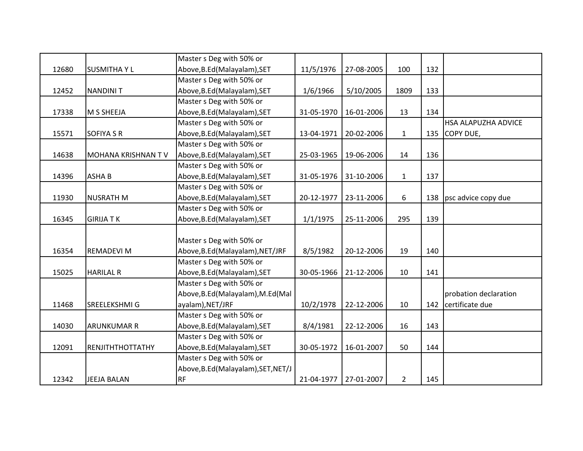|       |                           | Master s Deg with 50% or            |            |            |                |     |                            |
|-------|---------------------------|-------------------------------------|------------|------------|----------------|-----|----------------------------|
| 12680 | <b>SUSMITHAYL</b>         | Above, B.Ed (Malayalam), SET        | 11/5/1976  | 27-08-2005 | 100            | 132 |                            |
|       |                           | Master s Deg with 50% or            |            |            |                |     |                            |
| 12452 | <b>NANDINIT</b>           | Above, B.Ed (Malayalam), SET        | 1/6/1966   | 5/10/2005  | 1809           | 133 |                            |
|       |                           | Master s Deg with 50% or            |            |            |                |     |                            |
| 17338 | M S SHEEJA                | Above, B.Ed (Malayalam), SET        | 31-05-1970 | 16-01-2006 | 13             | 134 |                            |
|       |                           | Master s Deg with 50% or            |            |            |                |     | <b>HSA ALAPUZHA ADVICE</b> |
| 15571 | <b>SOFIYA S R</b>         | Above, B.Ed (Malayalam), SET        | 13-04-1971 | 20-02-2006 | $\mathbf{1}$   | 135 | COPY DUE,                  |
|       |                           | Master s Deg with 50% or            |            |            |                |     |                            |
| 14638 | <b>MOHANA KRISHNAN TV</b> | Above, B.Ed (Malayalam), SET        | 25-03-1965 | 19-06-2006 | 14             | 136 |                            |
|       |                           | Master s Deg with 50% or            |            |            |                |     |                            |
| 14396 | <b>ASHAB</b>              | Above, B.Ed (Malayalam), SET        | 31-05-1976 | 31-10-2006 | $\mathbf{1}$   | 137 |                            |
|       |                           | Master s Deg with 50% or            |            |            |                |     |                            |
| 11930 | <b>NUSRATH M</b>          | Above, B.Ed (Malayalam), SET        | 20-12-1977 | 23-11-2006 | 6              | 138 | psc advice copy due        |
|       |                           | Master s Deg with 50% or            |            |            |                |     |                            |
| 16345 | <b>GIRIJATK</b>           | Above, B.Ed (Malayalam), SET        | 1/1/1975   | 25-11-2006 | 295            | 139 |                            |
|       |                           |                                     |            |            |                |     |                            |
|       |                           | Master s Deg with 50% or            |            |            |                |     |                            |
| 16354 | <b>REMADEVI M</b>         | Above, B.Ed (Malayalam), NET/JRF    | 8/5/1982   | 20-12-2006 | 19             | 140 |                            |
|       |                           | Master s Deg with 50% or            |            |            |                |     |                            |
| 15025 | <b>HARILAL R</b>          | Above, B.Ed (Malayalam), SET        | 30-05-1966 | 21-12-2006 | 10             | 141 |                            |
|       |                           | Master s Deg with 50% or            |            |            |                |     |                            |
|       |                           | Above, B.Ed (Malayalam), M.Ed (Mal  |            |            |                |     | probation declaration      |
| 11468 | SREELEKSHMI G             | ayalam), NET/JRF                    | 10/2/1978  | 22-12-2006 | 10             |     | 142 certificate due        |
|       |                           | Master s Deg with 50% or            |            |            |                |     |                            |
| 14030 | <b>ARUNKUMAR R</b>        | Above, B.Ed (Malayalam), SET        | 8/4/1981   | 22-12-2006 | 16             | 143 |                            |
|       |                           | Master s Deg with 50% or            |            |            |                |     |                            |
| 12091 | RENJITHTHOTTATHY          | Above, B.Ed (Malayalam), SET        | 30-05-1972 | 16-01-2007 | 50             | 144 |                            |
|       |                           | Master s Deg with 50% or            |            |            |                |     |                            |
|       |                           | Above, B.Ed (Malayalam), SET, NET/J |            |            |                |     |                            |
| 12342 | <b>JEEJA BALAN</b>        | <b>RF</b>                           | 21-04-1977 | 27-01-2007 | $\overline{2}$ | 145 |                            |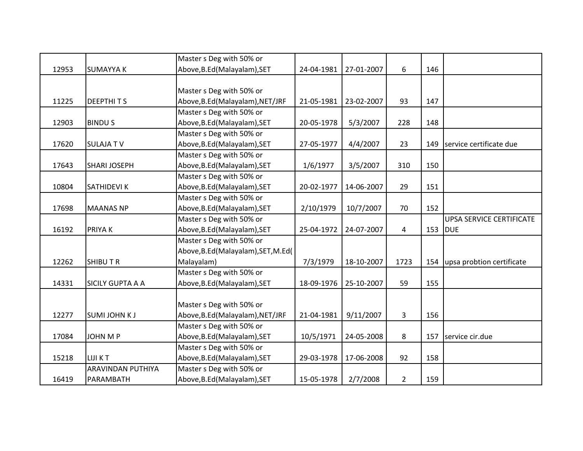|       |                          | Master s Deg with 50% or             |            |            |                |     |                                 |
|-------|--------------------------|--------------------------------------|------------|------------|----------------|-----|---------------------------------|
| 12953 | <b>SUMAYYA K</b>         | Above, B.Ed (Malayalam), SET         | 24-04-1981 | 27-01-2007 | 6              | 146 |                                 |
|       |                          |                                      |            |            |                |     |                                 |
|       |                          | Master s Deg with 50% or             |            |            |                |     |                                 |
| 11225 | <b>DEEPTHITS</b>         | Above, B.Ed(Malayalam), NET/JRF      | 21-05-1981 | 23-02-2007 | 93             | 147 |                                 |
|       |                          | Master s Deg with 50% or             |            |            |                |     |                                 |
| 12903 | <b>BINDUS</b>            | Above, B.Ed (Malayalam), SET         | 20-05-1978 | 5/3/2007   | 228            | 148 |                                 |
|       |                          | Master s Deg with 50% or             |            |            |                |     |                                 |
| 17620 | <b>SULAJATV</b>          | Above, B.Ed (Malayalam), SET         | 27-05-1977 | 4/4/2007   | 23             | 149 | service certificate due         |
|       |                          | Master s Deg with 50% or             |            |            |                |     |                                 |
| 17643 | <b>SHARI JOSEPH</b>      | Above, B.Ed (Malayalam), SET         | 1/6/1977   | 3/5/2007   | 310            | 150 |                                 |
|       |                          | Master s Deg with 50% or             |            |            |                |     |                                 |
| 10804 | <b>SATHIDEVIK</b>        | Above, B.Ed (Malayalam), SET         | 20-02-1977 | 14-06-2007 | 29             | 151 |                                 |
|       |                          | Master s Deg with 50% or             |            |            |                |     |                                 |
| 17698 | <b>MAANAS NP</b>         | Above, B.Ed (Malayalam), SET         | 2/10/1979  | 10/7/2007  | 70             | 152 |                                 |
|       |                          | Master s Deg with 50% or             |            |            |                |     | <b>UPSA SERVICE CERTIFICATE</b> |
| 16192 | <b>PRIYAK</b>            | Above, B.Ed (Malayalam), SET         | 25-04-1972 | 24-07-2007 | $\overline{4}$ | 153 | <b>DUE</b>                      |
|       |                          | Master s Deg with 50% or             |            |            |                |     |                                 |
|       |                          | Above, B.Ed (Malayalam), SET, M.Ed ( |            |            |                |     |                                 |
| 12262 | <b>SHIBUTR</b>           | Malayalam)                           | 7/3/1979   | 18-10-2007 | 1723           | 154 | upsa probtion certificate       |
|       |                          | Master s Deg with 50% or             |            |            |                |     |                                 |
| 14331 | <b>SICILY GUPTA A A</b>  | Above, B.Ed (Malayalam), SET         | 18-09-1976 | 25-10-2007 | 59             | 155 |                                 |
|       |                          |                                      |            |            |                |     |                                 |
|       |                          | Master s Deg with 50% or             |            |            |                |     |                                 |
| 12277 | <b>SUMI JOHN KJ</b>      | Above, B.Ed(Malayalam), NET/JRF      | 21-04-1981 | 9/11/2007  | 3              | 156 |                                 |
|       |                          | Master s Deg with 50% or             |            |            |                |     |                                 |
| 17084 | <b>JOHN M P</b>          | Above, B.Ed (Malayalam), SET         | 10/5/1971  | 24-05-2008 | 8              | 157 | service cir.due                 |
|       |                          | Master s Deg with 50% or             |            |            |                |     |                                 |
| 15218 | <b>LIJIKT</b>            | Above, B.Ed (Malayalam), SET         | 29-03-1978 | 17-06-2008 | 92             | 158 |                                 |
|       | <b>ARAVINDAN PUTHIYA</b> | Master s Deg with 50% or             |            |            |                |     |                                 |
| 16419 | PARAMBATH                | Above, B.Ed (Malayalam), SET         | 15-05-1978 | 2/7/2008   | $\overline{2}$ | 159 |                                 |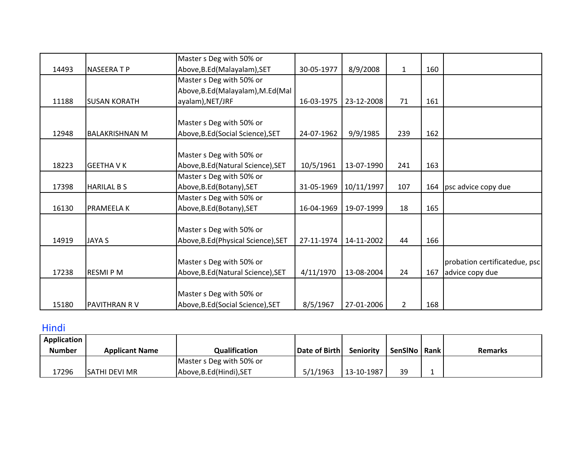|       |                       | Master s Deg with 50% or            |            |            |                |     |                               |
|-------|-----------------------|-------------------------------------|------------|------------|----------------|-----|-------------------------------|
| 14493 | <b>NASEERATP</b>      | Above, B.Ed (Malayalam), SET        | 30-05-1977 | 8/9/2008   | $\mathbf{1}$   | 160 |                               |
|       |                       | Master s Deg with 50% or            |            |            |                |     |                               |
|       |                       | Above, B.Ed (Malayalam), M.Ed (Mal  |            |            |                |     |                               |
| 11188 | <b>SUSAN KORATH</b>   | ayalam), NET/JRF                    | 16-03-1975 | 23-12-2008 | 71             | 161 |                               |
|       |                       |                                     |            |            |                |     |                               |
|       |                       | Master s Deg with 50% or            |            |            |                |     |                               |
| 12948 | <b>BALAKRISHNAN M</b> | Above, B.Ed (Social Science), SET   | 24-07-1962 | 9/9/1985   | 239            | 162 |                               |
|       |                       |                                     |            |            |                |     |                               |
|       |                       | Master s Deg with 50% or            |            |            |                |     |                               |
| 18223 | <b>GEETHA V K</b>     | Above, B.Ed (Natural Science), SET  | 10/5/1961  | 13-07-1990 | 241            | 163 |                               |
|       |                       | Master s Deg with 50% or            |            |            |                |     |                               |
| 17398 | <b>HARILAL BS</b>     | Above, B.Ed (Botany), SET           | 31-05-1969 | 10/11/1997 | 107            |     | 164 psc advice copy due       |
|       |                       | Master s Deg with 50% or            |            |            |                |     |                               |
| 16130 | <b>PRAMEELA K</b>     | Above, B.Ed (Botany), SET           | 16-04-1969 | 19-07-1999 | 18             | 165 |                               |
|       |                       |                                     |            |            |                |     |                               |
|       |                       | Master s Deg with 50% or            |            |            |                |     |                               |
| 14919 | <b>JAYA S</b>         | Above, B.Ed (Physical Science), SET | 27-11-1974 | 14-11-2002 | 44             | 166 |                               |
|       |                       |                                     |            |            |                |     |                               |
|       |                       | Master s Deg with 50% or            |            |            |                |     | probation certificatedue, psc |
| 17238 | <b>RESMIPM</b>        | Above, B.Ed (Natural Science), SET  | 4/11/1970  | 13-08-2004 | 24             | 167 | advice copy due               |
|       |                       |                                     |            |            |                |     |                               |
|       |                       | Master s Deg with 50% or            |            |            |                |     |                               |
| 15180 | <b>PAVITHRAN RV</b>   | Above, B.Ed (Social Science), SET   | 8/5/1967   | 27-01-2006 | $\overline{2}$ | 168 |                               |

## Hindi

| <b>Application</b> |                       |                          |               |                  |         |        |                |
|--------------------|-----------------------|--------------------------|---------------|------------------|---------|--------|----------------|
| <b>Number</b>      | <b>Applicant Name</b> | Qualification            | Date of Birth | <b>Seniority</b> | SenSINo | l Rank | <b>Remarks</b> |
|                    |                       | Master s Deg with 50% or |               |                  |         |        |                |
| 17296              | ISATHI DEVI MR        | Above, B.Ed (Hindi), SET | 5/1/1963      | 13-10-1987       | 39      | -      |                |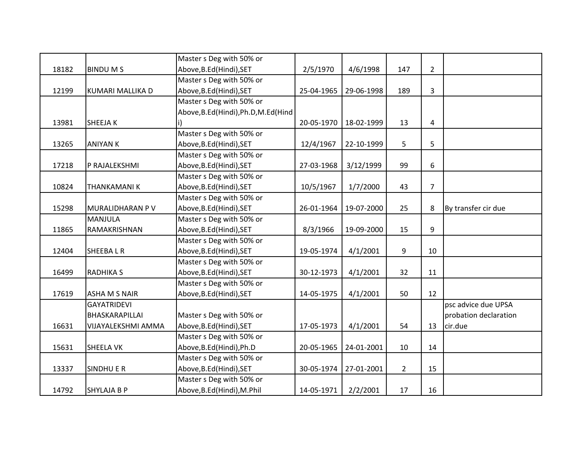|       |                         | Master s Deg with 50% or            |            |            |             |                |                       |
|-------|-------------------------|-------------------------------------|------------|------------|-------------|----------------|-----------------------|
| 18182 | <b>BINDUMS</b>          | Above, B.Ed (Hindi), SET            | 2/5/1970   | 4/6/1998   | 147         | $\overline{2}$ |                       |
|       |                         | Master s Deg with 50% or            |            |            |             |                |                       |
| 12199 | <b>KUMARI MALLIKA D</b> | Above, B.Ed (Hindi), SET            | 25-04-1965 | 29-06-1998 | 189         | 3              |                       |
|       |                         | Master s Deg with 50% or            |            |            |             |                |                       |
|       |                         | Above, B.Ed(Hindi), Ph.D, M.Ed(Hind |            |            |             |                |                       |
| 13981 | SHEEJA K                |                                     | 20-05-1970 | 18-02-1999 | 13          | $\overline{a}$ |                       |
|       |                         | Master s Deg with 50% or            |            |            |             |                |                       |
| 13265 | <b>ANIYAN K</b>         | Above, B.Ed (Hindi), SET            | 12/4/1967  | 22-10-1999 | 5           | 5              |                       |
|       |                         | Master s Deg with 50% or            |            |            |             |                |                       |
| 17218 | P RAJALEKSHMI           | Above, B.Ed (Hindi), SET            | 27-03-1968 | 3/12/1999  | 99          | 6              |                       |
|       |                         | Master s Deg with 50% or            |            |            |             |                |                       |
| 10824 | <b>THANKAMANIK</b>      | Above, B.Ed (Hindi), SET            | 10/5/1967  | 1/7/2000   | 43          | $\overline{7}$ |                       |
|       |                         | Master s Deg with 50% or            |            |            |             |                |                       |
| 15298 | MURALIDHARAN P V        | Above, B.Ed (Hindi), SET            | 26-01-1964 | 19-07-2000 | 25          | 8              | By transfer cir due   |
|       | <b>MANJULA</b>          | Master s Deg with 50% or            |            |            |             |                |                       |
| 11865 | RAMAKRISHNAN            | Above, B.Ed (Hindi), SET            | 8/3/1966   | 19-09-2000 | 15          | 9              |                       |
|       |                         | Master s Deg with 50% or            |            |            |             |                |                       |
| 12404 | <b>SHEEBALR</b>         | Above, B.Ed (Hindi), SET            | 19-05-1974 | 4/1/2001   | 9           | 10             |                       |
|       |                         | Master s Deg with 50% or            |            |            |             |                |                       |
| 16499 | <b>RADHIKA S</b>        | Above, B.Ed (Hindi), SET            | 30-12-1973 | 4/1/2001   | 32          | 11             |                       |
|       |                         | Master s Deg with 50% or            |            |            |             |                |                       |
| 17619 | <b>ASHA M S NAIR</b>    | Above, B.Ed (Hindi), SET            | 14-05-1975 | 4/1/2001   | 50          | 12             |                       |
|       | <b>GAYATRIDEVI</b>      |                                     |            |            |             |                | psc advice due UPSA   |
|       | BHASKARAPILLAI          | Master s Deg with 50% or            |            |            |             |                | probation declaration |
| 16631 | VIJAYALEKSHMI AMMA      | Above, B.Ed (Hindi), SET            | 17-05-1973 | 4/1/2001   | 54          | 13             | cir.due               |
|       |                         | Master s Deg with 50% or            |            |            |             |                |                       |
| 15631 | <b>SHEELA VK</b>        | Above, B.Ed (Hindi), Ph.D           | 20-05-1965 | 24-01-2001 | 10          | 14             |                       |
|       |                         | Master s Deg with 50% or            |            |            |             |                |                       |
| 13337 | <b>SINDHU E R</b>       | Above, B.Ed (Hindi), SET            | 30-05-1974 | 27-01-2001 | $2^{\circ}$ | 15             |                       |
|       |                         | Master s Deg with 50% or            |            |            |             |                |                       |
| 14792 | <b>SHYLAJA B P</b>      | Above, B.Ed (Hindi), M.Phil         | 14-05-1971 | 2/2/2001   | 17          | 16             |                       |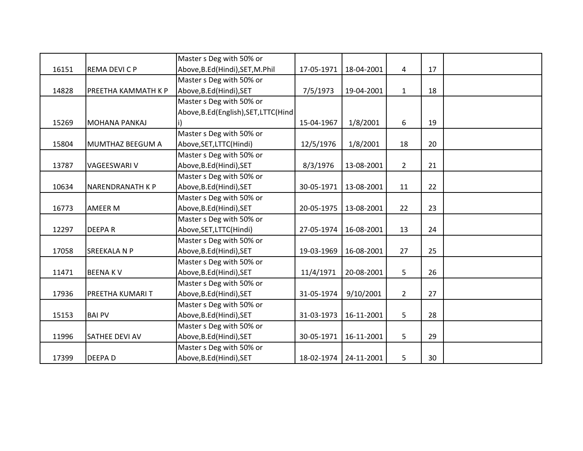|       |                         | Master s Deg with 50% or             |            |            |                |    |  |
|-------|-------------------------|--------------------------------------|------------|------------|----------------|----|--|
| 16151 | REMA DEVI C P           | Above, B.Ed (Hindi), SET, M.Phil     | 17-05-1971 | 18-04-2001 | 4              | 17 |  |
|       |                         | Master s Deg with 50% or             |            |            |                |    |  |
| 14828 | PREETHA KAMMATH K P     | Above, B.Ed (Hindi), SET             | 7/5/1973   | 19-04-2001 | $\mathbf{1}$   | 18 |  |
|       |                         | Master s Deg with 50% or             |            |            |                |    |  |
|       |                         | Above, B.Ed(English), SET, LTTC(Hind |            |            |                |    |  |
| 15269 | MOHANA PANKAJ           |                                      | 15-04-1967 | 1/8/2001   | 6              | 19 |  |
|       |                         | Master s Deg with 50% or             |            |            |                |    |  |
| 15804 | MUMTHAZ BEEGUM A        | Above, SET, LTTC(Hindi)              | 12/5/1976  | 1/8/2001   | 18             | 20 |  |
|       |                         | Master s Deg with 50% or             |            |            |                |    |  |
| 13787 | <b>VAGEESWARI V</b>     | Above, B.Ed (Hindi), SET             | 8/3/1976   | 13-08-2001 | $\overline{2}$ | 21 |  |
|       |                         | Master s Deg with 50% or             |            |            |                |    |  |
| 10634 | INARENDRANATH K P       | Above, B.Ed (Hindi), SET             | 30-05-1971 | 13-08-2001 | 11             | 22 |  |
|       |                         | Master s Deg with 50% or             |            |            |                |    |  |
| 16773 | <b>AMEER M</b>          | Above, B.Ed (Hindi), SET             | 20-05-1975 | 13-08-2001 | 22             | 23 |  |
|       |                         | Master s Deg with 50% or             |            |            |                |    |  |
| 12297 | <b>DEEPAR</b>           | Above, SET, LTTC(Hindi)              | 27-05-1974 | 16-08-2001 | 13             | 24 |  |
|       |                         | Master s Deg with 50% or             |            |            |                |    |  |
| 17058 | <b>SREEKALA N P</b>     | Above, B.Ed (Hindi), SET             | 19-03-1969 | 16-08-2001 | 27             | 25 |  |
|       |                         | Master s Deg with 50% or             |            |            |                |    |  |
| 11471 | <b>BEENAKV</b>          | Above, B.Ed (Hindi), SET             | 11/4/1971  | 20-08-2001 | 5              | 26 |  |
|       |                         | Master s Deg with 50% or             |            |            |                |    |  |
| 17936 | <b>PREETHA KUMARI T</b> | Above, B.Ed (Hindi), SET             | 31-05-1974 | 9/10/2001  | $2^{\circ}$    | 27 |  |
|       |                         | Master s Deg with 50% or             |            |            |                |    |  |
| 15153 | <b>BAI PV</b>           | Above, B.Ed (Hindi), SET             | 31-03-1973 | 16-11-2001 | 5              | 28 |  |
|       |                         | Master s Deg with 50% or             |            |            |                |    |  |
| 11996 | <b>SATHEE DEVI AV</b>   | Above, B.Ed (Hindi), SET             | 30-05-1971 | 16-11-2001 | 5              | 29 |  |
|       |                         | Master s Deg with 50% or             |            |            |                |    |  |
| 17399 | <b>DEEPAD</b>           | Above, B.Ed (Hindi), SET             | 18-02-1974 | 24-11-2001 | 5              | 30 |  |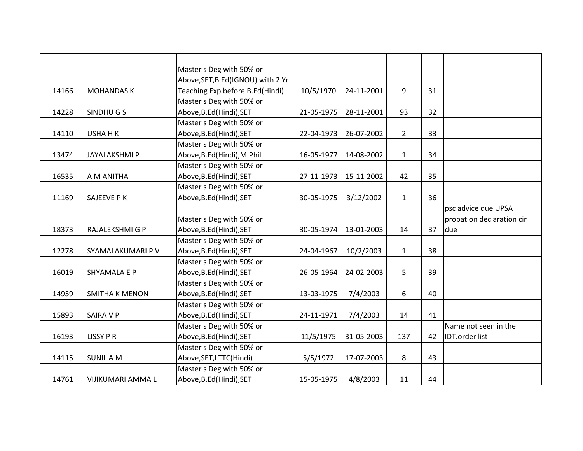|       |                          | Master s Deg with 50% or          |            |            |                |    |                           |
|-------|--------------------------|-----------------------------------|------------|------------|----------------|----|---------------------------|
|       |                          | Above, SET, B.Ed(IGNOU) with 2 Yr |            |            |                |    |                           |
| 14166 | <b>MOHANDAS K</b>        | Teaching Exp before B.Ed(Hindi)   | 10/5/1970  | 24-11-2001 | 9              | 31 |                           |
|       |                          | Master s Deg with 50% or          |            |            |                |    |                           |
| 14228 | SINDHUGS                 | Above, B.Ed (Hindi), SET          | 21-05-1975 | 28-11-2001 | 93             | 32 |                           |
|       |                          | Master s Deg with 50% or          |            |            |                |    |                           |
| 14110 | <b>USHAHK</b>            | Above, B.Ed (Hindi), SET          | 22-04-1973 | 26-07-2002 | $\overline{2}$ | 33 |                           |
|       |                          | Master s Deg with 50% or          |            |            |                |    |                           |
| 13474 | <b>JAYALAKSHMI P</b>     | Above, B.Ed(Hindi), M.Phil        | 16-05-1977 | 14-08-2002 | $\mathbf{1}$   | 34 |                           |
|       |                          | Master s Deg with 50% or          |            |            |                |    |                           |
| 16535 | A M ANITHA               | Above, B.Ed (Hindi), SET          | 27-11-1973 | 15-11-2002 | 42             | 35 |                           |
|       |                          | Master s Deg with 50% or          |            |            |                |    |                           |
| 11169 | <b>SAJEEVE PK</b>        | Above, B.Ed (Hindi), SET          | 30-05-1975 | 3/12/2002  | $\mathbf{1}$   | 36 |                           |
|       |                          |                                   |            |            |                |    | psc advice due UPSA       |
|       |                          | Master s Deg with 50% or          |            |            |                |    | probation declaration cir |
| 18373 | RAJALEKSHMI G P          | Above, B.Ed (Hindi), SET          | 30-05-1974 | 13-01-2003 | 14             | 37 | due                       |
|       |                          | Master s Deg with 50% or          |            |            |                |    |                           |
| 12278 | SYAMALAKUMARI P V        | Above, B.Ed (Hindi), SET          | 24-04-1967 | 10/2/2003  | $\mathbf{1}$   | 38 |                           |
|       |                          | Master s Deg with 50% or          |            |            |                |    |                           |
| 16019 | <b>SHYAMALA E P</b>      | Above, B.Ed (Hindi), SET          | 26-05-1964 | 24-02-2003 | 5              | 39 |                           |
|       |                          | Master s Deg with 50% or          |            |            |                |    |                           |
| 14959 | <b>SMITHA K MENON</b>    | Above, B.Ed (Hindi), SET          | 13-03-1975 | 7/4/2003   | 6              | 40 |                           |
|       |                          | Master s Deg with 50% or          |            |            |                |    |                           |
| 15893 | <b>SAIRA V P</b>         | Above, B.Ed (Hindi), SET          | 24-11-1971 | 7/4/2003   | 14             | 41 |                           |
|       |                          | Master s Deg with 50% or          |            |            |                |    | Name not seen in the      |
| 16193 | <b>LISSY P R</b>         | Above, B.Ed (Hindi), SET          | 11/5/1975  | 31-05-2003 | 137            | 42 | <b>IDT.order list</b>     |
|       |                          | Master s Deg with 50% or          |            |            |                |    |                           |
| 14115 | <b>SUNIL A M</b>         | Above, SET, LTTC(Hindi)           | 5/5/1972   | 17-07-2003 | 8              | 43 |                           |
|       |                          | Master s Deg with 50% or          |            |            |                |    |                           |
| 14761 | <b>VIJIKUMARI AMMA L</b> | Above, B.Ed (Hindi), SET          | 15-05-1975 | 4/8/2003   | 11             | 44 |                           |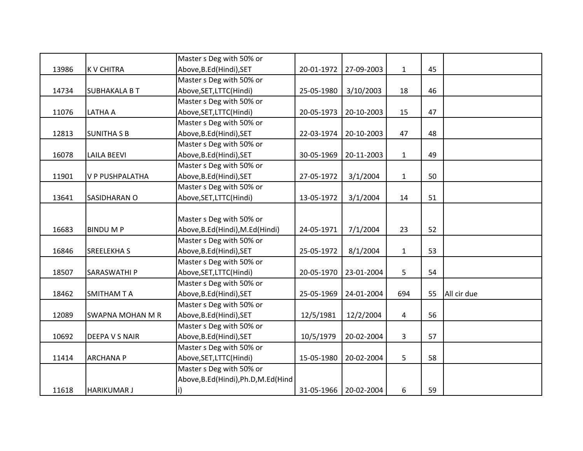|       |                         | Master s Deg with 50% or            |            |                       |              |    |             |
|-------|-------------------------|-------------------------------------|------------|-----------------------|--------------|----|-------------|
| 13986 | <b>K V CHITRA</b>       | Above, B.Ed (Hindi), SET            | 20-01-1972 | 27-09-2003            | $\mathbf{1}$ | 45 |             |
|       |                         | Master s Deg with 50% or            |            |                       |              |    |             |
| 14734 | <b>SUBHAKALA B T</b>    | Above, SET, LTTC(Hindi)             | 25-05-1980 | 3/10/2003             | 18           | 46 |             |
|       |                         | Master s Deg with 50% or            |            |                       |              |    |             |
| 11076 | LATHA A                 | Above, SET, LTTC(Hindi)             | 20-05-1973 | 20-10-2003            | 15           | 47 |             |
|       |                         | Master s Deg with 50% or            |            |                       |              |    |             |
| 12813 | <b>SUNITHA S B</b>      | Above, B.Ed (Hindi), SET            | 22-03-1974 | 20-10-2003            | 47           | 48 |             |
|       |                         | Master s Deg with 50% or            |            |                       |              |    |             |
| 16078 | <b>LAILA BEEVI</b>      | Above, B.Ed (Hindi), SET            | 30-05-1969 | 20-11-2003            | $\mathbf{1}$ | 49 |             |
|       |                         | Master s Deg with 50% or            |            |                       |              |    |             |
| 11901 | <b>V P PUSHPALATHA</b>  | Above, B.Ed (Hindi), SET            | 27-05-1972 | 3/1/2004              | $\mathbf{1}$ | 50 |             |
|       |                         | Master s Deg with 50% or            |            |                       |              |    |             |
| 13641 | SASIDHARAN O            | Above, SET, LTTC(Hindi)             | 13-05-1972 | 3/1/2004              | 14           | 51 |             |
|       |                         |                                     |            |                       |              |    |             |
|       |                         | Master s Deg with 50% or            |            |                       |              |    |             |
| 16683 | <b>BINDUMP</b>          | Above, B.Ed(Hindi), M.Ed(Hindi)     | 24-05-1971 | 7/1/2004              | 23           | 52 |             |
|       |                         | Master s Deg with 50% or            |            |                       |              |    |             |
| 16846 | <b>SREELEKHAS</b>       | Above, B.Ed (Hindi), SET            | 25-05-1972 | 8/1/2004              | $\mathbf{1}$ | 53 |             |
|       |                         | Master s Deg with 50% or            |            |                       |              |    |             |
| 18507 | <b>SARASWATHIP</b>      | Above, SET, LTTC(Hindi)             | 20-05-1970 | 23-01-2004            | 5            | 54 |             |
|       |                         | Master s Deg with 50% or            |            |                       |              |    |             |
| 18462 | <b>SMITHAM T A</b>      | Above, B.Ed (Hindi), SET            | 25-05-1969 | 24-01-2004            | 694          | 55 | All cir due |
|       |                         | Master s Deg with 50% or            |            |                       |              |    |             |
| 12089 | <b>SWAPNA MOHAN M R</b> | Above, B.Ed (Hindi), SET            | 12/5/1981  | 12/2/2004             | 4            | 56 |             |
|       |                         | Master s Deg with 50% or            |            |                       |              |    |             |
| 10692 | <b>DEEPA V S NAIR</b>   | Above, B.Ed (Hindi), SET            | 10/5/1979  | 20-02-2004            | 3            | 57 |             |
|       |                         | Master s Deg with 50% or            |            |                       |              |    |             |
| 11414 | <b>ARCHANA P</b>        | Above, SET, LTTC(Hindi)             | 15-05-1980 | 20-02-2004            | 5            | 58 |             |
|       |                         | Master s Deg with 50% or            |            |                       |              |    |             |
|       |                         | Above, B.Ed(Hindi), Ph.D, M.Ed(Hind |            |                       |              |    |             |
| 11618 | <b>HARIKUMAR J</b>      |                                     |            | 31-05-1966 20-02-2004 | 6            | 59 |             |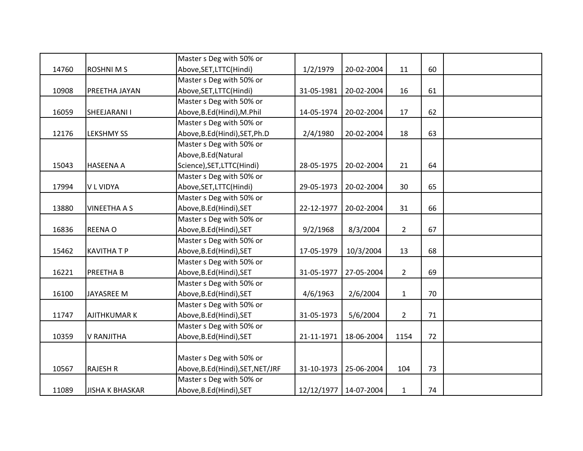|       |                        | Master s Deg with 50% or         |            |                       |                |    |  |
|-------|------------------------|----------------------------------|------------|-----------------------|----------------|----|--|
| 14760 | <b>ROSHNIMS</b>        | Above, SET, LTTC(Hindi)          | 1/2/1979   | 20-02-2004            | 11             | 60 |  |
|       |                        | Master s Deg with 50% or         |            |                       |                |    |  |
| 10908 | PREETHA JAYAN          | Above, SET, LTTC(Hindi)          | 31-05-1981 | 20-02-2004            | 16             | 61 |  |
|       |                        | Master s Deg with 50% or         |            |                       |                |    |  |
| 16059 | SHEEJARANI I           | Above, B.Ed(Hindi), M.Phil       | 14-05-1974 | 20-02-2004            | 17             | 62 |  |
|       |                        | Master s Deg with 50% or         |            |                       |                |    |  |
| 12176 | <b>LEKSHMY SS</b>      | Above, B.Ed(Hindi), SET, Ph.D    | 2/4/1980   | 20-02-2004            | 18             | 63 |  |
|       |                        | Master s Deg with 50% or         |            |                       |                |    |  |
|       |                        | Above, B.Ed (Natural             |            |                       |                |    |  |
| 15043 | <b>HASEENA A</b>       | Science), SET, LTTC(Hindi)       | 28-05-1975 | 20-02-2004            | 21             | 64 |  |
|       |                        | Master s Deg with 50% or         |            |                       |                |    |  |
| 17994 | <b>VL VIDYA</b>        | Above, SET, LTTC(Hindi)          | 29-05-1973 | 20-02-2004            | 30             | 65 |  |
|       |                        | Master s Deg with 50% or         |            |                       |                |    |  |
| 13880 | <b>VINEETHA A S</b>    | Above, B.Ed (Hindi), SET         | 22-12-1977 | 20-02-2004            | 31             | 66 |  |
|       |                        | Master s Deg with 50% or         |            |                       |                |    |  |
| 16836 | <b>REENAO</b>          | Above, B.Ed (Hindi), SET         | 9/2/1968   | 8/3/2004              | $\overline{2}$ | 67 |  |
|       |                        | Master s Deg with 50% or         |            |                       |                |    |  |
| 15462 | <b>KAVITHATP</b>       | Above, B.Ed (Hindi), SET         | 17-05-1979 | 10/3/2004             | 13             | 68 |  |
|       |                        | Master s Deg with 50% or         |            |                       |                |    |  |
| 16221 | <b>PREETHAB</b>        | Above, B.Ed (Hindi), SET         | 31-05-1977 | 27-05-2004            | $2^{\circ}$    | 69 |  |
|       |                        | Master s Deg with 50% or         |            |                       |                |    |  |
| 16100 | <b>JAYASREE M</b>      | Above, B.Ed (Hindi), SET         | 4/6/1963   | 2/6/2004              | $\mathbf{1}$   | 70 |  |
|       |                        | Master s Deg with 50% or         |            |                       |                |    |  |
| 11747 | <b>AJITHKUMAR K</b>    | Above, B.Ed (Hindi), SET         | 31-05-1973 | 5/6/2004              | $\overline{2}$ | 71 |  |
|       |                        | Master s Deg with 50% or         |            |                       |                |    |  |
| 10359 | <b>V RANJITHA</b>      | Above, B.Ed (Hindi), SET         | 21-11-1971 | 18-06-2004            | 1154           | 72 |  |
|       |                        |                                  |            |                       |                |    |  |
|       |                        | Master s Deg with 50% or         |            |                       |                |    |  |
| 10567 | <b>RAJESH R</b>        | Above, B.Ed(Hindi), SET, NET/JRF | 31-10-1973 | 25-06-2004            | 104            | 73 |  |
|       |                        | Master s Deg with 50% or         |            |                       |                |    |  |
| 11089 | <b>JISHA K BHASKAR</b> | Above, B.Ed (Hindi), SET         |            | 12/12/1977 14-07-2004 | $\mathbf{1}$   | 74 |  |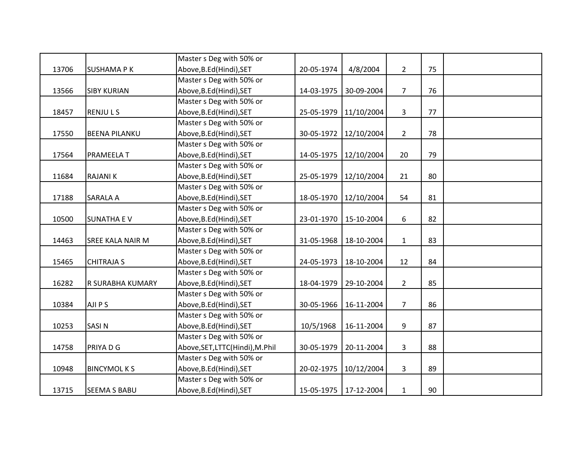|       |                         | Master s Deg with 50% or        |            |                         |                |    |  |
|-------|-------------------------|---------------------------------|------------|-------------------------|----------------|----|--|
| 13706 | <b>SUSHAMA PK</b>       | Above, B.Ed (Hindi), SET        | 20-05-1974 | 4/8/2004                | $\overline{2}$ | 75 |  |
|       |                         | Master s Deg with 50% or        |            |                         |                |    |  |
| 13566 | <b>SIBY KURIAN</b>      | Above, B.Ed (Hindi), SET        | 14-03-1975 | 30-09-2004              | $\overline{7}$ | 76 |  |
|       |                         | Master s Deg with 50% or        |            |                         |                |    |  |
| 18457 | <b>RENJULS</b>          | Above, B.Ed (Hindi), SET        |            | 25-05-1979 11/10/2004   | $\mathbf{3}$   | 77 |  |
|       |                         | Master s Deg with 50% or        |            |                         |                |    |  |
| 17550 | <b>BEENA PILANKU</b>    | Above, B.Ed (Hindi), SET        | 30-05-1972 | 12/10/2004              | $\overline{2}$ | 78 |  |
|       |                         | Master s Deg with 50% or        |            |                         |                |    |  |
| 17564 | PRAMEELA T              | Above, B.Ed (Hindi), SET        | 14-05-1975 | 12/10/2004              | 20             | 79 |  |
|       |                         | Master s Deg with 50% or        |            |                         |                |    |  |
| 11684 | <b>RAJANIK</b>          | Above, B.Ed (Hindi), SET        |            | 25-05-1979   12/10/2004 | 21             | 80 |  |
|       |                         | Master s Deg with 50% or        |            |                         |                |    |  |
| 17188 | SARALA A                | Above, B.Ed (Hindi), SET        | 18-05-1970 | 12/10/2004              | 54             | 81 |  |
|       |                         | Master s Deg with 50% or        |            |                         |                |    |  |
| 10500 | <b>SUNATHA EV</b>       | Above, B.Ed (Hindi), SET        | 23-01-1970 | 15-10-2004              | 6              | 82 |  |
|       |                         | Master s Deg with 50% or        |            |                         |                |    |  |
| 14463 | <b>SREE KALA NAIR M</b> | Above, B.Ed (Hindi), SET        | 31-05-1968 | 18-10-2004              | $\mathbf{1}$   | 83 |  |
|       |                         | Master s Deg with 50% or        |            |                         |                |    |  |
| 15465 | <b>CHITRAJA S</b>       | Above, B.Ed (Hindi), SET        | 24-05-1973 | 18-10-2004              | 12             | 84 |  |
|       |                         | Master s Deg with 50% or        |            |                         |                |    |  |
| 16282 | R SURABHA KUMARY        | Above, B.Ed (Hindi), SET        | 18-04-1979 | 29-10-2004              | $\overline{2}$ | 85 |  |
|       |                         | Master s Deg with 50% or        |            |                         |                |    |  |
| 10384 | AJI P S                 | Above, B.Ed (Hindi), SET        | 30-05-1966 | 16-11-2004              | $\overline{7}$ | 86 |  |
|       |                         | Master s Deg with 50% or        |            |                         |                |    |  |
| 10253 | <b>SASIN</b>            | Above, B.Ed (Hindi), SET        | 10/5/1968  | 16-11-2004              | 9              | 87 |  |
|       |                         | Master s Deg with 50% or        |            |                         |                |    |  |
| 14758 | PRIYA D G               | Above, SET, LTTC(Hindi), M.Phil | 30-05-1979 | 20-11-2004              | $\mathbf{3}$   | 88 |  |
|       |                         | Master s Deg with 50% or        |            |                         |                |    |  |
| 10948 | <b>BINCYMOLKS</b>       | Above, B.Ed (Hindi), SET        | 20-02-1975 | 10/12/2004              | $\overline{3}$ | 89 |  |
|       |                         | Master s Deg with 50% or        |            |                         |                |    |  |
| 13715 | <b>SEEMA S BABU</b>     | Above, B.Ed (Hindi), SET        |            | 15-05-1975 17-12-2004   | $\mathbf 1$    | 90 |  |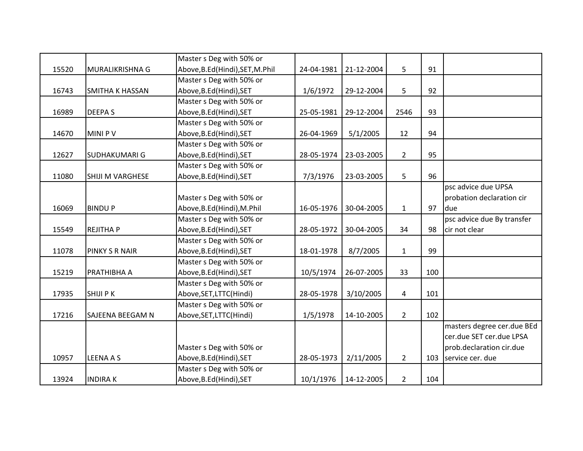|       |                         | Master s Deg with 50% or         |            |            |                |     |                            |
|-------|-------------------------|----------------------------------|------------|------------|----------------|-----|----------------------------|
| 15520 | MURALIKRISHNA G         | Above, B.Ed (Hindi), SET, M.Phil | 24-04-1981 | 21-12-2004 | 5              | 91  |                            |
|       |                         | Master s Deg with 50% or         |            |            |                |     |                            |
| 16743 | <b>SMITHA K HASSAN</b>  | Above, B.Ed (Hindi), SET         | 1/6/1972   | 29-12-2004 | 5              | 92  |                            |
|       |                         | Master s Deg with 50% or         |            |            |                |     |                            |
| 16989 | <b>DEEPAS</b>           | Above, B.Ed (Hindi), SET         | 25-05-1981 | 29-12-2004 | 2546           | 93  |                            |
|       |                         | Master s Deg with 50% or         |            |            |                |     |                            |
| 14670 | <b>MINIPV</b>           | Above, B.Ed (Hindi), SET         | 26-04-1969 | 5/1/2005   | 12             | 94  |                            |
|       |                         | Master s Deg with 50% or         |            |            |                |     |                            |
| 12627 | <b>SUDHAKUMARI G</b>    | Above, B.Ed (Hindi), SET         | 28-05-1974 | 23-03-2005 | $\overline{2}$ | 95  |                            |
|       |                         | Master s Deg with 50% or         |            |            |                |     |                            |
| 11080 | <b>SHIJI M VARGHESE</b> | Above, B.Ed (Hindi), SET         | 7/3/1976   | 23-03-2005 | 5              | 96  |                            |
|       |                         |                                  |            |            |                |     | psc advice due UPSA        |
|       |                         | Master s Deg with 50% or         |            |            |                |     | probation declaration cir  |
| 16069 | <b>BINDUP</b>           | Above, B.Ed(Hindi), M.Phil       | 16-05-1976 | 30-04-2005 | $\mathbf{1}$   | 97  | due                        |
|       |                         | Master s Deg with 50% or         |            |            |                |     | psc advice due By transfer |
| 15549 | <b>REJITHA P</b>        | Above, B.Ed (Hindi), SET         | 28-05-1972 | 30-04-2005 | 34             | 98  | cir not clear              |
|       |                         | Master s Deg with 50% or         |            |            |                |     |                            |
| 11078 | PINKY S R NAIR          | Above, B.Ed (Hindi), SET         | 18-01-1978 | 8/7/2005   | $\mathbf{1}$   | 99  |                            |
|       |                         | Master s Deg with 50% or         |            |            |                |     |                            |
| 15219 | PRATHIBHA A             | Above, B.Ed (Hindi), SET         | 10/5/1974  | 26-07-2005 | 33             | 100 |                            |
|       |                         | Master s Deg with 50% or         |            |            |                |     |                            |
| 17935 | <b>SHIJI PK</b>         | Above, SET, LTTC(Hindi)          | 28-05-1978 | 3/10/2005  | 4              | 101 |                            |
|       |                         | Master s Deg with 50% or         |            |            |                |     |                            |
| 17216 | <b>SAJEENA BEEGAM N</b> | Above, SET, LTTC(Hindi)          | 1/5/1978   | 14-10-2005 | $\overline{2}$ | 102 |                            |
|       |                         |                                  |            |            |                |     | masters degree cer.due BEd |
|       |                         |                                  |            |            |                |     | cer.due SET cer.due LPSA   |
|       |                         | Master s Deg with 50% or         |            |            |                |     | prob.declaration cir.due   |
| 10957 | <b>LEENA A S</b>        | Above, B.Ed (Hindi), SET         | 28-05-1973 | 2/11/2005  | $\overline{2}$ |     | 103 service cer. due       |
|       |                         | Master s Deg with 50% or         |            |            |                |     |                            |
| 13924 | <b>INDIRAK</b>          | Above, B.Ed (Hindi), SET         | 10/1/1976  | 14-12-2005 | $\overline{2}$ | 104 |                            |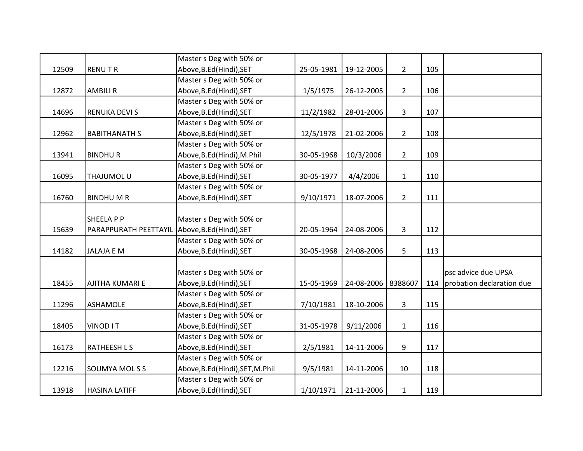|       |                        | Master s Deg with 50% or         |            |            |                |     |                           |
|-------|------------------------|----------------------------------|------------|------------|----------------|-----|---------------------------|
| 12509 | <b>RENUTR</b>          | Above, B.Ed (Hindi), SET         | 25-05-1981 | 19-12-2005 | $2^{\circ}$    | 105 |                           |
|       |                        | Master s Deg with 50% or         |            |            |                |     |                           |
| 12872 | <b>AMBILI R</b>        | Above, B.Ed (Hindi), SET         | 1/5/1975   | 26-12-2005 | $\overline{2}$ | 106 |                           |
|       |                        | Master s Deg with 50% or         |            |            |                |     |                           |
| 14696 | <b>RENUKA DEVI S</b>   | Above, B.Ed (Hindi), SET         | 11/2/1982  | 28-01-2006 | $\mathbf{3}$   | 107 |                           |
|       |                        | Master s Deg with 50% or         |            |            |                |     |                           |
| 12962 | <b>BABITHANATH S</b>   | Above, B.Ed (Hindi), SET         | 12/5/1978  | 21-02-2006 | $\overline{2}$ | 108 |                           |
|       |                        | Master s Deg with 50% or         |            |            |                |     |                           |
| 13941 | <b>BINDHUR</b>         | Above, B.Ed (Hindi), M.Phil      | 30-05-1968 | 10/3/2006  | $\overline{2}$ | 109 |                           |
|       |                        | Master s Deg with 50% or         |            |            |                |     |                           |
| 16095 | <b>THAJUMOL U</b>      | Above, B.Ed (Hindi), SET         | 30-05-1977 | 4/4/2006   | $\mathbf{1}$   | 110 |                           |
|       |                        | Master s Deg with 50% or         |            |            |                |     |                           |
| 16760 | <b>BINDHUMR</b>        | Above, B.Ed (Hindi), SET         | 9/10/1971  | 18-07-2006 | $\overline{2}$ | 111 |                           |
|       |                        |                                  |            |            |                |     |                           |
|       | <b>SHEELA P P</b>      | Master s Deg with 50% or         |            |            |                |     |                           |
| 15639 | PARAPPURATH PEETTAYIL  | Above, B.Ed (Hindi), SET         | 20-05-1964 | 24-08-2006 | $\mathbf{3}$   | 112 |                           |
|       |                        | Master s Deg with 50% or         |            |            |                |     |                           |
| 14182 | <b>JALAJA E M</b>      | Above, B.Ed (Hindi), SET         | 30-05-1968 | 24-08-2006 | 5              | 113 |                           |
|       |                        |                                  |            |            |                |     |                           |
|       |                        | Master s Deg with 50% or         |            |            |                |     | psc advice due UPSA       |
| 18455 | <b>AJITHA KUMARI E</b> | Above, B.Ed (Hindi), SET         | 15-05-1969 | 24-08-2006 | 8388607        | 114 | probation declaration due |
|       |                        | Master s Deg with 50% or         |            |            |                |     |                           |
| 11296 | <b>ASHAMOLE</b>        | Above, B.Ed (Hindi), SET         | 7/10/1981  | 18-10-2006 | $\mathbf{3}$   | 115 |                           |
|       |                        | Master s Deg with 50% or         |            |            |                |     |                           |
| 18405 | VINOD IT               | Above, B.Ed (Hindi), SET         | 31-05-1978 | 9/11/2006  | $\mathbf{1}$   | 116 |                           |
|       |                        | Master s Deg with 50% or         |            |            |                |     |                           |
| 16173 | <b>RATHEESHLS</b>      | Above, B.Ed (Hindi), SET         | 2/5/1981   | 14-11-2006 | 9              | 117 |                           |
|       |                        | Master s Deg with 50% or         |            |            |                |     |                           |
| 12216 | SOUMYA MOLSS           | Above, B.Ed (Hindi), SET, M.Phil | 9/5/1981   | 14-11-2006 | 10             | 118 |                           |
|       |                        | Master s Deg with 50% or         |            |            |                |     |                           |
| 13918 | <b>HASINA LATIFF</b>   | Above, B.Ed (Hindi), SET         | 1/10/1971  | 21-11-2006 | $\mathbf{1}$   | 119 |                           |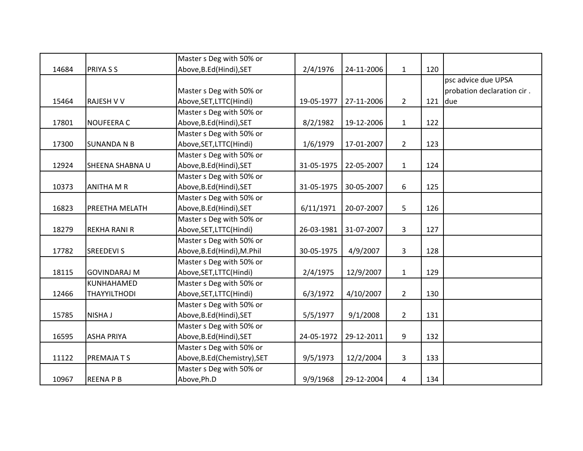|       |                        | Master s Deg with 50% or     |            |            |                |     |                            |
|-------|------------------------|------------------------------|------------|------------|----------------|-----|----------------------------|
| 14684 | <b>PRIYASS</b>         | Above, B.Ed(Hindi), SET      | 2/4/1976   | 24-11-2006 | $\mathbf{1}$   | 120 |                            |
|       |                        |                              |            |            |                |     | psc advice due UPSA        |
|       |                        | Master s Deg with 50% or     |            |            |                |     | probation declaration cir. |
| 15464 | <b>RAJESH V V</b>      | Above, SET, LTTC(Hindi)      | 19-05-1977 | 27-11-2006 | $\overline{2}$ | 121 | due                        |
|       |                        | Master s Deg with 50% or     |            |            |                |     |                            |
| 17801 | <b>NOUFEERA C</b>      | Above, B.Ed (Hindi), SET     | 8/2/1982   | 19-12-2006 | $\mathbf{1}$   | 122 |                            |
|       |                        | Master s Deg with 50% or     |            |            |                |     |                            |
| 17300 | <b>SUNANDA N B</b>     | Above, SET, LTTC(Hindi)      | 1/6/1979   | 17-01-2007 | $\overline{2}$ | 123 |                            |
|       |                        | Master s Deg with 50% or     |            |            |                |     |                            |
| 12924 | <b>SHEENA SHABNA U</b> | Above, B.Ed (Hindi), SET     | 31-05-1975 | 22-05-2007 | $\mathbf{1}$   | 124 |                            |
|       |                        | Master s Deg with 50% or     |            |            |                |     |                            |
| 10373 | <b>ANITHA M R</b>      | Above, B.Ed (Hindi), SET     | 31-05-1975 | 30-05-2007 | 6              | 125 |                            |
|       |                        | Master s Deg with 50% or     |            |            |                |     |                            |
| 16823 | PREETHA MELATH         | Above, B.Ed (Hindi), SET     | 6/11/1971  | 20-07-2007 | 5              | 126 |                            |
|       |                        | Master s Deg with 50% or     |            |            |                |     |                            |
| 18279 | <b>REKHA RANI R</b>    | Above, SET, LTTC(Hindi)      | 26-03-1981 | 31-07-2007 | $\overline{3}$ | 127 |                            |
|       |                        | Master s Deg with 50% or     |            |            |                |     |                            |
| 17782 | <b>SREEDEVI S</b>      | Above, B.Ed(Hindi), M.Phil   | 30-05-1975 | 4/9/2007   | $\mathbf{3}$   | 128 |                            |
|       |                        | Master s Deg with 50% or     |            |            |                |     |                            |
| 18115 | <b>GOVINDARAJ M</b>    | Above, SET, LTTC(Hindi)      | 2/4/1975   | 12/9/2007  | $\mathbf{1}$   | 129 |                            |
|       | KUNHAHAMED             | Master s Deg with 50% or     |            |            |                |     |                            |
| 12466 | <b>THAYYILTHODI</b>    | Above, SET, LTTC(Hindi)      | 6/3/1972   | 4/10/2007  | $\overline{2}$ | 130 |                            |
|       |                        | Master s Deg with 50% or     |            |            |                |     |                            |
| 15785 | <b>NISHA J</b>         | Above, B.Ed (Hindi), SET     | 5/5/1977   | 9/1/2008   | $2^{\circ}$    | 131 |                            |
|       |                        | Master s Deg with 50% or     |            |            |                |     |                            |
| 16595 | <b>ASHA PRIYA</b>      | Above, B.Ed (Hindi), SET     | 24-05-1972 | 29-12-2011 | 9              | 132 |                            |
|       |                        | Master s Deg with 50% or     |            |            |                |     |                            |
| 11122 | PREMAJA T S            | Above, B.Ed (Chemistry), SET | 9/5/1973   | 12/2/2004  | $\mathbf{3}$   | 133 |                            |
|       |                        | Master s Deg with 50% or     |            |            |                |     |                            |
| 10967 | <b>REENAPB</b>         | Above, Ph.D                  | 9/9/1968   | 29-12-2004 | $\overline{4}$ | 134 |                            |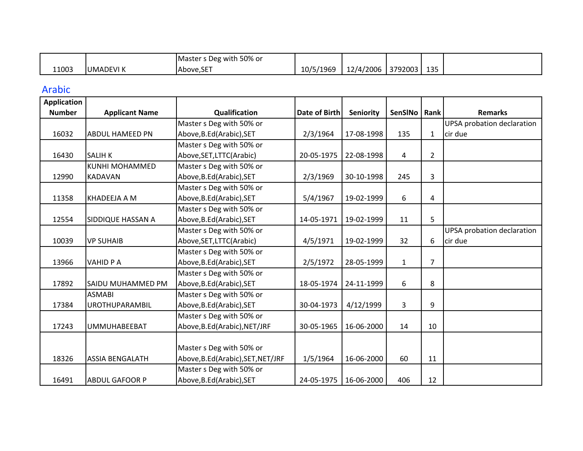|       |                 | s Deg with 50% or<br>Master s |           |           |         |           |  |
|-------|-----------------|-------------------------------|-----------|-----------|---------|-----------|--|
| 11003 | <b>UMADEVIK</b> | $\sim$ $-$<br>IAbove.SE       | 10/5/1969 | 12/4/2006 | 3792003 | 125<br>ᅩᇰ |  |

## Arabic

| <b>Application</b> |                          |                                   |                      |            |              |                |                                   |
|--------------------|--------------------------|-----------------------------------|----------------------|------------|--------------|----------------|-----------------------------------|
| <b>Number</b>      | <b>Applicant Name</b>    | Qualification                     | <b>Date of Birth</b> | Seniority  | SenSINo      | Rank           | <b>Remarks</b>                    |
|                    |                          | Master s Deg with 50% or          |                      |            |              |                | <b>UPSA</b> probation declaration |
| 16032              | <b>ABDUL HAMEED PN</b>   | Above, B.Ed(Arabic), SET          | 2/3/1964             | 17-08-1998 | 135          | $\mathbf{1}$   | cir due                           |
|                    |                          | Master s Deg with 50% or          |                      |            |              |                |                                   |
| 16430              | <b>SALIH K</b>           | Above, SET, LTTC(Arabic)          | 20-05-1975           | 22-08-1998 | 4            | $\overline{2}$ |                                   |
|                    | <b>KUNHI MOHAMMED</b>    | Master s Deg with 50% or          |                      |            |              |                |                                   |
| 12990              | <b>KADAVAN</b>           | Above, B.Ed(Arabic), SET          | 2/3/1969             | 30-10-1998 | 245          | 3              |                                   |
|                    |                          | Master s Deg with 50% or          |                      |            |              |                |                                   |
| 11358              | KHADEEJA A M             | Above, B.Ed(Arabic), SET          | 5/4/1967             | 19-02-1999 | 6            | 4              |                                   |
|                    |                          | Master s Deg with 50% or          |                      |            |              |                |                                   |
| 12554              | <b>SIDDIQUE HASSAN A</b> | Above, B.Ed(Arabic), SET          | 14-05-1971           | 19-02-1999 | 11           | 5              |                                   |
|                    |                          | Master s Deg with 50% or          |                      |            |              |                | UPSA probation declaration        |
| 10039              | <b>VP SUHAIB</b>         | Above, SET, LTTC(Arabic)          | 4/5/1971             | 19-02-1999 | 32           | 6              | cir due                           |
|                    |                          | Master s Deg with 50% or          |                      |            |              |                |                                   |
| 13966              | <b>VAHID PA</b>          | Above, B.Ed(Arabic), SET          | 2/5/1972             | 28-05-1999 | $\mathbf{1}$ | $\overline{7}$ |                                   |
|                    |                          | Master s Deg with 50% or          |                      |            |              |                |                                   |
| 17892              | <b>SAIDU MUHAMMED PM</b> | Above, B.Ed(Arabic), SET          | 18-05-1974           | 24-11-1999 | 6            | 8              |                                   |
|                    | <b>ASMABI</b>            | Master s Deg with 50% or          |                      |            |              |                |                                   |
| 17384              | <b>UROTHUPARAMBIL</b>    | Above, B.Ed(Arabic), SET          | 30-04-1973           | 4/12/1999  | 3            | 9              |                                   |
|                    |                          | Master s Deg with 50% or          |                      |            |              |                |                                   |
| 17243              | UMMUHABEEBAT             | Above, B.Ed(Arabic), NET/JRF      | 30-05-1965           | 16-06-2000 | 14           | 10             |                                   |
|                    |                          |                                   |                      |            |              |                |                                   |
|                    |                          | Master s Deg with 50% or          |                      |            |              |                |                                   |
| 18326              | <b>ASSIA BENGALATH</b>   | Above, B.Ed(Arabic), SET, NET/JRF | 1/5/1964             | 16-06-2000 | 60           | 11             |                                   |
|                    |                          | Master s Deg with 50% or          |                      |            |              |                |                                   |
| 16491              | <b>ABDUL GAFOOR P</b>    | Above, B.Ed(Arabic), SET          | 24-05-1975           | 16-06-2000 | 406          | 12             |                                   |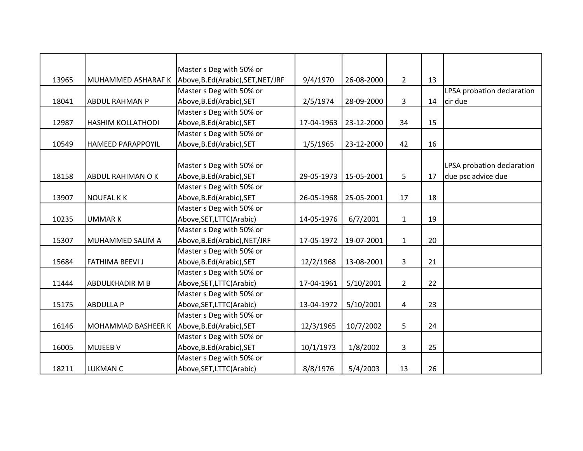|       |                           | Master s Deg with 50% or          |            |            |                |    |                            |
|-------|---------------------------|-----------------------------------|------------|------------|----------------|----|----------------------------|
| 13965 | MUHAMMED ASHARAF K        | Above, B.Ed(Arabic), SET, NET/JRF | 9/4/1970   | 26-08-2000 | $2^{\circ}$    | 13 |                            |
|       |                           | Master s Deg with 50% or          |            |            |                |    | LPSA probation declaration |
| 18041 | <b>ABDUL RAHMAN P</b>     | Above, B.Ed (Arabic), SET         | 2/5/1974   | 28-09-2000 | 3              | 14 | cir due                    |
|       |                           | Master s Deg with 50% or          |            |            |                |    |                            |
| 12987 | <b>HASHIM KOLLATHODI</b>  | Above, B.Ed (Arabic), SET         | 17-04-1963 | 23-12-2000 | 34             | 15 |                            |
|       |                           | Master s Deg with 50% or          |            |            |                |    |                            |
| 10549 | <b>HAMEED PARAPPOYIL</b>  | Above, B.Ed(Arabic), SET          | 1/5/1965   | 23-12-2000 | 42             | 16 |                            |
|       |                           |                                   |            |            |                |    |                            |
|       |                           | Master s Deg with 50% or          |            |            |                |    | LPSA probation declaration |
| 18158 | ABDUL RAHIMAN O K         | Above, B.Ed (Arabic), SET         | 29-05-1973 | 15-05-2001 | 5              | 17 | due psc advice due         |
|       |                           | Master s Deg with 50% or          |            |            |                |    |                            |
| 13907 | <b>NOUFAL KK</b>          | Above, B.Ed (Arabic), SET         | 26-05-1968 | 25-05-2001 | 17             | 18 |                            |
|       |                           | Master s Deg with 50% or          |            |            |                |    |                            |
| 10235 | <b>UMMARK</b>             | Above, SET, LTTC (Arabic)         | 14-05-1976 | 6/7/2001   | $\mathbf{1}$   | 19 |                            |
|       |                           | Master s Deg with 50% or          |            |            |                |    |                            |
| 15307 | MUHAMMED SALIM A          | Above, B.Ed(Arabic), NET/JRF      | 17-05-1972 | 19-07-2001 | $\mathbf{1}$   | 20 |                            |
|       |                           | Master s Deg with 50% or          |            |            |                |    |                            |
| 15684 | <b>FATHIMA BEEVI J</b>    | Above, B.Ed(Arabic), SET          | 12/2/1968  | 13-08-2001 | $\overline{3}$ | 21 |                            |
|       |                           | Master s Deg with 50% or          |            |            |                |    |                            |
| 11444 | <b>ABDULKHADIR M B</b>    | Above, SET, LTTC (Arabic)         | 17-04-1961 | 5/10/2001  | $2^{\circ}$    | 22 |                            |
|       |                           | Master s Deg with 50% or          |            |            |                |    |                            |
| 15175 | <b>ABDULLA P</b>          | Above, SET, LTTC (Arabic)         | 13-04-1972 | 5/10/2001  | 4              | 23 |                            |
|       |                           | Master s Deg with 50% or          |            |            |                |    |                            |
| 16146 | <b>MOHAMMAD BASHEER K</b> | Above, B.Ed (Arabic), SET         | 12/3/1965  | 10/7/2002  | 5              | 24 |                            |
|       |                           | Master s Deg with 50% or          |            |            |                |    |                            |
| 16005 | <b>MUJEEB V</b>           | Above, B.Ed(Arabic), SET          | 10/1/1973  | 1/8/2002   | 3              | 25 |                            |
|       |                           | Master s Deg with 50% or          |            |            |                |    |                            |
| 18211 | <b>LUKMAN C</b>           | Above, SET, LTTC (Arabic)         | 8/8/1976   | 5/4/2003   | 13             | 26 |                            |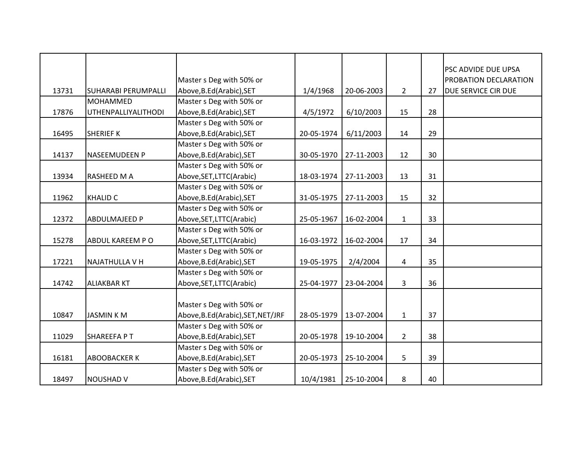| 13731 | SUHARABI PERUMPALLI        | Master s Deg with 50% or<br>Above, B.Ed (Arabic), SET | 1/4/1968   | 20-06-2003 | $\overline{2}$          | 27 | PSC ADVIDE DUE UPSA<br>PROBATION DECLARATION<br><b>DUE SERVICE CIR DUE</b> |
|-------|----------------------------|-------------------------------------------------------|------------|------------|-------------------------|----|----------------------------------------------------------------------------|
|       | MOHAMMED                   | Master s Deg with 50% or                              |            |            |                         |    |                                                                            |
| 17876 | <b>UTHENPALLIYALITHODI</b> | Above, B.Ed (Arabic), SET                             | 4/5/1972   | 6/10/2003  | 15                      | 28 |                                                                            |
|       |                            | Master s Deg with 50% or                              |            |            |                         |    |                                                                            |
| 16495 | <b>SHERIEF K</b>           | Above, B.Ed(Arabic), SET                              | 20-05-1974 | 6/11/2003  | 14                      | 29 |                                                                            |
|       |                            | Master s Deg with 50% or                              |            |            |                         |    |                                                                            |
| 14137 | <b>NASEEMUDEEN P</b>       | Above, B.Ed(Arabic), SET                              | 30-05-1970 | 27-11-2003 | 12                      | 30 |                                                                            |
|       |                            | Master s Deg with 50% or                              |            |            |                         |    |                                                                            |
| 13934 | RASHEED M A                | Above, SET, LTTC (Arabic)                             | 18-03-1974 | 27-11-2003 | 13                      | 31 |                                                                            |
|       |                            | Master s Deg with 50% or                              |            |            |                         |    |                                                                            |
| 11962 | <b>KHALID C</b>            | Above, B.Ed (Arabic), SET                             | 31-05-1975 | 27-11-2003 | 15                      | 32 |                                                                            |
|       |                            | Master s Deg with 50% or                              |            |            |                         |    |                                                                            |
| 12372 | <b>ABDULMAJEED P</b>       | Above, SET, LTTC (Arabic)                             | 25-05-1967 | 16-02-2004 | $\mathbf{1}$            | 33 |                                                                            |
|       |                            | Master s Deg with 50% or                              |            |            |                         |    |                                                                            |
| 15278 | ABDUL KAREEM PO            | Above, SET, LTTC(Arabic)                              | 16-03-1972 | 16-02-2004 | 17                      | 34 |                                                                            |
|       |                            | Master s Deg with 50% or                              |            |            |                         |    |                                                                            |
| 17221 | <b>NAJATHULLA V H</b>      | Above, B.Ed (Arabic), SET                             | 19-05-1975 | 2/4/2004   | $\overline{\mathbf{4}}$ | 35 |                                                                            |
|       |                            | Master s Deg with 50% or                              |            |            |                         |    |                                                                            |
| 14742 | <b>ALIAKBAR KT</b>         | Above, SET, LTTC (Arabic)                             | 25-04-1977 | 23-04-2004 | 3                       | 36 |                                                                            |
|       |                            | Master s Deg with 50% or                              |            |            |                         |    |                                                                            |
| 10847 | <b>JASMIN KM</b>           | Above, B.Ed(Arabic), SET, NET/JRF                     | 28-05-1979 | 13-07-2004 | $\mathbf{1}$            | 37 |                                                                            |
|       |                            | Master s Deg with 50% or                              |            |            |                         |    |                                                                            |
| 11029 | SHAREEFA PT                | Above, B.Ed(Arabic), SET                              | 20-05-1978 | 19-10-2004 | $\overline{2}$          | 38 |                                                                            |
|       |                            | Master s Deg with 50% or                              |            |            |                         |    |                                                                            |
| 16181 | <b>ABOOBACKER K</b>        | Above, B.Ed(Arabic), SET                              | 20-05-1973 | 25-10-2004 | 5                       | 39 |                                                                            |
|       |                            | Master s Deg with 50% or                              |            |            |                         |    |                                                                            |
| 18497 | <b>NOUSHAD V</b>           | Above, B.Ed (Arabic), SET                             | 10/4/1981  | 25-10-2004 | 8                       | 40 |                                                                            |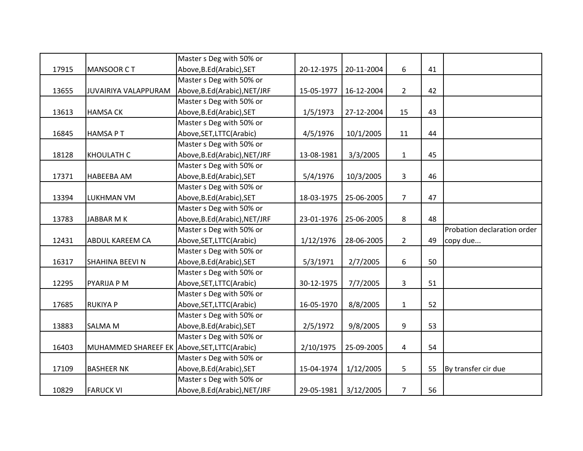|       |                                               | Master s Deg with 50% or     |            |            |                |    |                             |
|-------|-----------------------------------------------|------------------------------|------------|------------|----------------|----|-----------------------------|
| 17915 | <b>MANSOOR CT</b>                             | Above, B.Ed (Arabic), SET    | 20-12-1975 | 20-11-2004 | 6              | 41 |                             |
|       |                                               | Master s Deg with 50% or     |            |            |                |    |                             |
| 13655 | JUVAIRIYA VALAPPURAM                          | Above, B.Ed(Arabic), NET/JRF | 15-05-1977 | 16-12-2004 | $2^{\circ}$    | 42 |                             |
|       |                                               | Master s Deg with 50% or     |            |            |                |    |                             |
| 13613 | <b>HAMSA CK</b>                               | Above, B.Ed (Arabic), SET    | 1/5/1973   | 27-12-2004 | 15             | 43 |                             |
|       |                                               | Master s Deg with 50% or     |            |            |                |    |                             |
| 16845 | <b>HAMSA PT</b>                               | Above, SET, LTTC (Arabic)    | 4/5/1976   | 10/1/2005  | 11             | 44 |                             |
|       |                                               | Master s Deg with 50% or     |            |            |                |    |                             |
| 18128 | <b>KHOULATH C</b>                             | Above, B.Ed(Arabic), NET/JRF | 13-08-1981 | 3/3/2005   | $\mathbf{1}$   | 45 |                             |
|       |                                               | Master s Deg with 50% or     |            |            |                |    |                             |
| 17371 | <b>HABEEBA AM</b>                             | Above, B.Ed (Arabic), SET    | 5/4/1976   | 10/3/2005  | 3              | 46 |                             |
|       |                                               | Master s Deg with 50% or     |            |            |                |    |                             |
| 13394 | LUKHMAN VM                                    | Above, B.Ed (Arabic), SET    | 18-03-1975 | 25-06-2005 | $\overline{7}$ | 47 |                             |
|       |                                               | Master s Deg with 50% or     |            |            |                |    |                             |
| 13783 | JABBAR M K                                    | Above, B.Ed(Arabic), NET/JRF | 23-01-1976 | 25-06-2005 | 8              | 48 |                             |
|       |                                               | Master s Deg with 50% or     |            |            |                |    | Probation declaration order |
| 12431 | <b>ABDUL KAREEM CA</b>                        | Above, SET, LTTC (Arabic)    | 1/12/1976  | 28-06-2005 | $2^{\circ}$    | 49 | copy due                    |
|       |                                               | Master s Deg with 50% or     |            |            |                |    |                             |
| 16317 | SHAHINA BEEVI N                               | Above, B.Ed (Arabic), SET    | 5/3/1971   | 2/7/2005   | 6              | 50 |                             |
|       |                                               | Master s Deg with 50% or     |            |            |                |    |                             |
| 12295 | PYARIJA P M                                   | Above, SET, LTTC(Arabic)     | 30-12-1975 | 7/7/2005   | $\mathbf{3}$   | 51 |                             |
|       |                                               | Master s Deg with 50% or     |            |            |                |    |                             |
| 17685 | <b>RUKIYA P</b>                               | Above, SET, LTTC (Arabic)    | 16-05-1970 | 8/8/2005   | $\mathbf{1}$   | 52 |                             |
|       |                                               | Master s Deg with 50% or     |            |            |                |    |                             |
| 13883 | <b>SALMA M</b>                                | Above, B.Ed (Arabic), SET    | 2/5/1972   | 9/8/2005   | 9              | 53 |                             |
|       |                                               | Master s Deg with 50% or     |            |            |                |    |                             |
| 16403 | MUHAMMED SHAREEF EK Above, SET, LTTC (Arabic) |                              | 2/10/1975  | 25-09-2005 | 4              | 54 |                             |
|       |                                               | Master s Deg with 50% or     |            |            |                |    |                             |
| 17109 | <b>BASHEER NK</b>                             | Above, B.Ed(Arabic), SET     | 15-04-1974 | 1/12/2005  | 5              | 55 | By transfer cir due         |
|       |                                               | Master s Deg with 50% or     |            |            |                |    |                             |
| 10829 | <b>FARUCK VI</b>                              | Above, B.Ed(Arabic), NET/JRF | 29-05-1981 | 3/12/2005  | $\overline{7}$ | 56 |                             |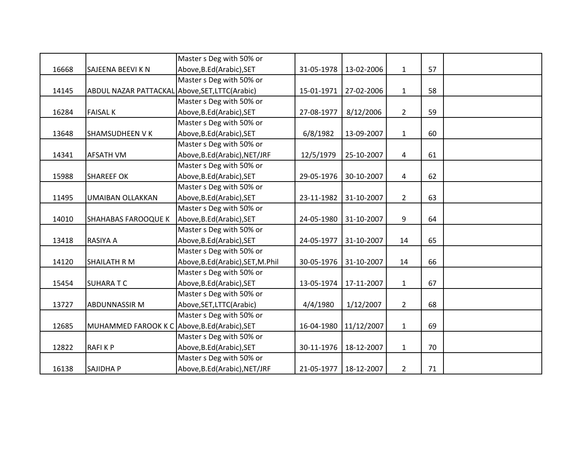|       |                                                 | Master s Deg with 50% or         |            |                         |                |    |  |
|-------|-------------------------------------------------|----------------------------------|------------|-------------------------|----------------|----|--|
| 16668 | SAJEENA BEEVI K N                               | Above, B.Ed (Arabic), SET        | 31-05-1978 | 13-02-2006              | $\mathbf{1}$   | 57 |  |
|       |                                                 | Master s Deg with 50% or         |            |                         |                |    |  |
| 14145 | ABDUL NAZAR PATTACKAL Above, SET, LTTC (Arabic) |                                  | 15-01-1971 | 27-02-2006              | $\mathbf{1}$   | 58 |  |
|       |                                                 | Master s Deg with 50% or         |            |                         |                |    |  |
| 16284 | <b>FAISAL K</b>                                 | Above, B.Ed (Arabic), SET        | 27-08-1977 | 8/12/2006               | $2^{\circ}$    | 59 |  |
|       |                                                 | Master s Deg with 50% or         |            |                         |                |    |  |
| 13648 | <b>SHAMSUDHEEN VK</b>                           | Above, B.Ed (Arabic), SET        | 6/8/1982   | 13-09-2007              | $\mathbf{1}$   | 60 |  |
|       |                                                 | Master s Deg with 50% or         |            |                         |                |    |  |
| 14341 | <b>AFSATH VM</b>                                | Above, B.Ed(Arabic), NET/JRF     | 12/5/1979  | 25-10-2007              | 4              | 61 |  |
|       |                                                 | Master s Deg with 50% or         |            |                         |                |    |  |
| 15988 | <b>SHAREEF OK</b>                               | Above, B.Ed(Arabic), SET         | 29-05-1976 | 30-10-2007              | 4              | 62 |  |
|       |                                                 | Master s Deg with 50% or         |            |                         |                |    |  |
| 11495 | UMAIBAN OLLAKKAN                                | Above, B.Ed (Arabic), SET        | 23-11-1982 | 31-10-2007              | $2^{\circ}$    | 63 |  |
|       |                                                 | Master s Deg with 50% or         |            |                         |                |    |  |
| 14010 | <b>SHAHABAS FAROOQUE K</b>                      | Above, B.Ed (Arabic), SET        | 24-05-1980 | 31-10-2007              | 9              | 64 |  |
|       |                                                 | Master s Deg with 50% or         |            |                         |                |    |  |
| 13418 | RASIYA A                                        | Above, B.Ed (Arabic), SET        | 24-05-1977 | 31-10-2007              | 14             | 65 |  |
|       |                                                 | Master s Deg with 50% or         |            |                         |                |    |  |
| 14120 | <b>SHAILATH R M</b>                             | Above, B.Ed(Arabic), SET, M.Phil | 30-05-1976 | 31-10-2007              | 14             | 66 |  |
|       |                                                 | Master s Deg with 50% or         |            |                         |                |    |  |
| 15454 | <b>SUHARATC</b>                                 | Above, B.Ed (Arabic), SET        | 13-05-1974 | 17-11-2007              | $\mathbf{1}$   | 67 |  |
|       |                                                 | Master s Deg with 50% or         |            |                         |                |    |  |
| 13727 | <b>ABDUNNASSIR M</b>                            | Above, SET, LTTC (Arabic)        | 4/4/1980   | 1/12/2007               | $\overline{2}$ | 68 |  |
|       |                                                 | Master s Deg with 50% or         |            |                         |                |    |  |
| 12685 | MUHAMMED FAROOK K C Above, B.Ed (Arabic), SET   |                                  | 16-04-1980 | 11/12/2007              | $\mathbf{1}$   | 69 |  |
|       |                                                 | Master s Deg with 50% or         |            |                         |                |    |  |
| 12822 | <b>RAFIKP</b>                                   | Above, B.Ed(Arabic), SET         | 30-11-1976 | 18-12-2007              | $\mathbf{1}$   | 70 |  |
|       |                                                 | Master s Deg with 50% or         |            |                         |                |    |  |
| 16138 | SAJIDHA P                                       | Above, B.Ed(Arabic), NET/JRF     |            | 21-05-1977   18-12-2007 | $\overline{2}$ | 71 |  |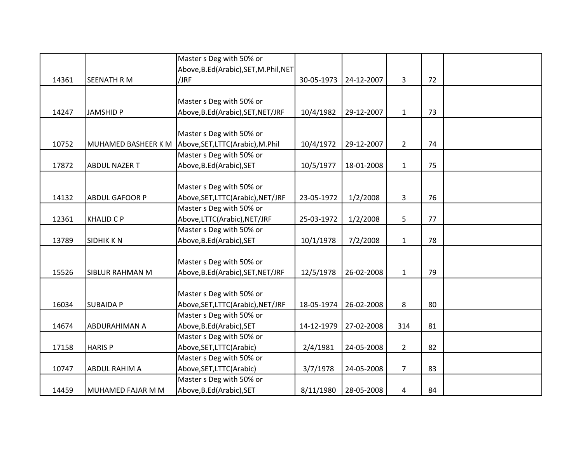|       |                            | Master s Deg with 50% or              |            |            |                |    |  |
|-------|----------------------------|---------------------------------------|------------|------------|----------------|----|--|
|       |                            | Above, B.Ed(Arabic), SET, M.Phil, NET |            |            |                |    |  |
| 14361 | <b>SEENATH R M</b>         | /JRF                                  | 30-05-1973 | 24-12-2007 | $\overline{3}$ | 72 |  |
|       |                            |                                       |            |            |                |    |  |
|       |                            | Master s Deg with 50% or              |            |            |                |    |  |
| 14247 | <b>JAMSHID P</b>           | Above, B.Ed(Arabic), SET, NET/JRF     | 10/4/1982  | 29-12-2007 | $\mathbf{1}$   | 73 |  |
|       |                            |                                       |            |            |                |    |  |
|       |                            | Master s Deg with 50% or              |            |            |                |    |  |
| 10752 | <b>MUHAMED BASHEER K M</b> | Above, SET, LTTC(Arabic), M.Phil      | 10/4/1972  | 29-12-2007 | $\overline{2}$ | 74 |  |
|       |                            | Master s Deg with 50% or              |            |            |                |    |  |
| 17872 | <b>ABDUL NAZER T</b>       | Above, B.Ed (Arabic), SET             | 10/5/1977  | 18-01-2008 | $\mathbf{1}$   | 75 |  |
|       |                            |                                       |            |            |                |    |  |
|       |                            | Master s Deg with 50% or              |            |            |                |    |  |
| 14132 | <b>ABDUL GAFOOR P</b>      | Above, SET, LTTC(Arabic), NET/JRF     | 23-05-1972 | 1/2/2008   | $\mathbf{3}$   | 76 |  |
|       |                            | Master s Deg with 50% or              |            |            |                |    |  |
| 12361 | <b>KHALID C P</b>          | Above,LTTC(Arabic),NET/JRF            | 25-03-1972 | 1/2/2008   | 5              | 77 |  |
|       |                            | Master s Deg with 50% or              |            |            |                |    |  |
| 13789 | <b>SIDHIK KN</b>           | Above, B.Ed (Arabic), SET             | 10/1/1978  | 7/2/2008   | $\mathbf{1}$   | 78 |  |
|       |                            |                                       |            |            |                |    |  |
|       |                            | Master s Deg with 50% or              |            |            |                |    |  |
| 15526 | <b>SIBLUR RAHMAN M</b>     | Above, B.Ed(Arabic), SET, NET/JRF     | 12/5/1978  | 26-02-2008 | $\mathbf{1}$   | 79 |  |
|       |                            |                                       |            |            |                |    |  |
|       |                            | Master s Deg with 50% or              |            |            |                |    |  |
| 16034 | <b>SUBAIDA P</b>           | Above, SET, LTTC(Arabic), NET/JRF     | 18-05-1974 | 26-02-2008 | 8              | 80 |  |
|       |                            | Master s Deg with 50% or              |            |            |                |    |  |
| 14674 | <b>ABDURAHIMAN A</b>       | Above, B.Ed (Arabic), SET             | 14-12-1979 | 27-02-2008 | 314            | 81 |  |
|       |                            | Master s Deg with 50% or              |            |            |                |    |  |
| 17158 | <b>HARISP</b>              | Above, SET, LTTC (Arabic)             | 2/4/1981   | 24-05-2008 | $\overline{2}$ | 82 |  |
|       |                            | Master s Deg with 50% or              |            |            |                |    |  |
| 10747 | <b>ABDUL RAHIM A</b>       | Above, SET, LTTC (Arabic)             | 3/7/1978   | 24-05-2008 | $\overline{7}$ | 83 |  |
|       |                            | Master s Deg with 50% or              |            |            |                |    |  |
| 14459 | MUHAMED FAJAR M M          | Above, B.Ed (Arabic), SET             | 8/11/1980  | 28-05-2008 | 4              | 84 |  |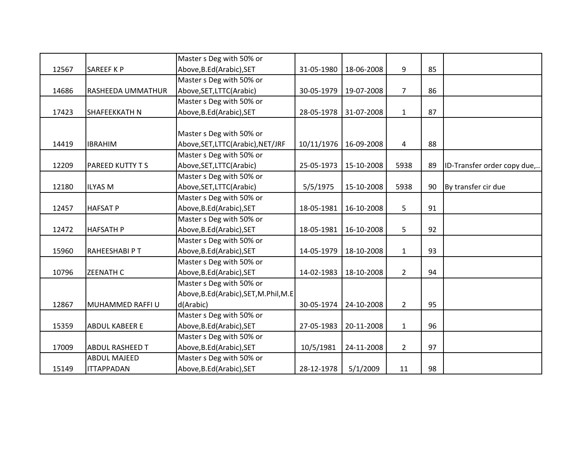|       |                         | Master s Deg with 50% or              |            |            |                |    |                             |
|-------|-------------------------|---------------------------------------|------------|------------|----------------|----|-----------------------------|
| 12567 | <b>SAREEF K P</b>       | Above, B.Ed (Arabic), SET             | 31-05-1980 | 18-06-2008 | 9              | 85 |                             |
|       |                         | Master s Deg with 50% or              |            |            |                |    |                             |
| 14686 | RASHEEDA UMMATHUR       | Above, SET, LTTC (Arabic)             | 30-05-1979 | 19-07-2008 | $\overline{7}$ | 86 |                             |
|       |                         | Master s Deg with 50% or              |            |            |                |    |                             |
| 17423 | <b>SHAFEEKKATH N</b>    | Above, B.Ed (Arabic), SET             | 28-05-1978 | 31-07-2008 | $\mathbf{1}$   | 87 |                             |
|       |                         |                                       |            |            |                |    |                             |
|       |                         | Master s Deg with 50% or              |            |            |                |    |                             |
| 14419 | <b>IBRAHIM</b>          | Above, SET, LTTC(Arabic), NET/JRF     | 10/11/1976 | 16-09-2008 | 4              | 88 |                             |
|       |                         | Master s Deg with 50% or              |            |            |                |    |                             |
| 12209 | <b>PAREED KUTTY T S</b> | Above, SET, LTTC(Arabic)              | 25-05-1973 | 15-10-2008 | 5938           | 89 | ID-Transfer order copy due, |
|       |                         | Master s Deg with 50% or              |            |            |                |    |                             |
| 12180 | <b>ILYAS M</b>          | Above, SET, LTTC (Arabic)             | 5/5/1975   | 15-10-2008 | 5938           | 90 | By transfer cir due         |
|       |                         | Master s Deg with 50% or              |            |            |                |    |                             |
| 12457 | <b>HAFSAT P</b>         | Above, B.Ed (Arabic), SET             | 18-05-1981 | 16-10-2008 | 5              | 91 |                             |
|       |                         | Master s Deg with 50% or              |            |            |                |    |                             |
| 12472 | <b>HAFSATH P</b>        | Above, B.Ed (Arabic), SET             | 18-05-1981 | 16-10-2008 | 5              | 92 |                             |
|       |                         | Master s Deg with 50% or              |            |            |                |    |                             |
| 15960 | RAHEESHABI PT           | Above, B.Ed (Arabic), SET             | 14-05-1979 | 18-10-2008 | $\mathbf{1}$   | 93 |                             |
|       |                         | Master s Deg with 50% or              |            |            |                |    |                             |
| 10796 | <b>ZEENATH C</b>        | Above, B.Ed (Arabic), SET             | 14-02-1983 | 18-10-2008 | $2^{\circ}$    | 94 |                             |
|       |                         | Master s Deg with 50% or              |            |            |                |    |                             |
|       |                         | Above, B.Ed(Arabic), SET, M.Phil, M.E |            |            |                |    |                             |
| 12867 | MUHAMMED RAFFI U        | d(Arabic)                             | 30-05-1974 | 24-10-2008 | $2^{\circ}$    | 95 |                             |
|       |                         | Master s Deg with 50% or              |            |            |                |    |                             |
| 15359 | <b>ABDUL KABEER E</b>   | Above, B.Ed (Arabic), SET             | 27-05-1983 | 20-11-2008 | $\mathbf{1}$   | 96 |                             |
|       |                         | Master s Deg with 50% or              |            |            |                |    |                             |
| 17009 | <b>ABDUL RASHEED T</b>  | Above, B.Ed (Arabic), SET             | 10/5/1981  | 24-11-2008 | $\overline{2}$ | 97 |                             |
|       | <b>ABDUL MAJEED</b>     | Master s Deg with 50% or              |            |            |                |    |                             |
| 15149 | <b>ITTAPPADAN</b>       | Above, B.Ed (Arabic), SET             | 28-12-1978 | 5/1/2009   | 11             | 98 |                             |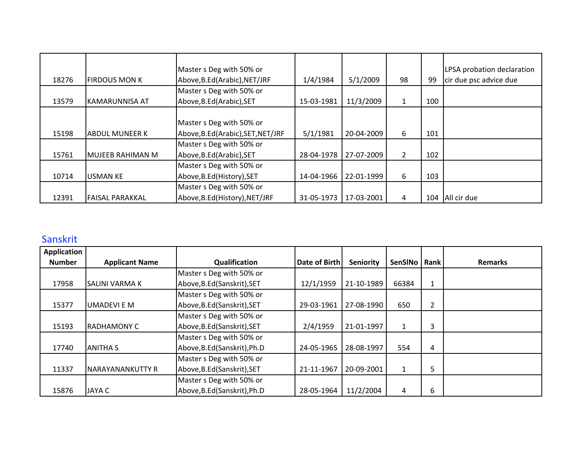| 18276 | <b>FIRDOUS MON K</b>   | Master s Deg with 50% or<br>Above, B.Ed (Arabic), NET/JRF | 1/4/1984   | 5/1/2009   | 98             | 99  | LPSA probation declaration<br>cir due psc advice due |
|-------|------------------------|-----------------------------------------------------------|------------|------------|----------------|-----|------------------------------------------------------|
|       |                        | Master s Deg with 50% or                                  |            |            |                |     |                                                      |
| 13579 | IKAMARUNNISA AT        | Above, B.Ed (Arabic), SET                                 | 15-03-1981 | 11/3/2009  | $\mathbf{1}$   | 100 |                                                      |
|       |                        | Master s Deg with 50% or                                  |            |            |                |     |                                                      |
| 15198 | IABDUL MUNEER K        | Above, B.Ed(Arabic), SET, NET/JRF                         | 5/1/1981   | 20-04-2009 | 6              | 101 |                                                      |
|       |                        | Master s Deg with 50% or                                  |            |            |                |     |                                                      |
| 15761 | MUJEEB RAHIMAN M       | Above, B.Ed (Arabic), SET                                 | 28-04-1978 | 27-07-2009 | $\overline{2}$ | 102 |                                                      |
|       |                        | Master s Deg with 50% or                                  |            |            |                |     |                                                      |
| 10714 | <b>USMAN KE</b>        | Above, B.Ed (History), SET                                | 14-04-1966 | 22-01-1999 | 6              | 103 |                                                      |
|       |                        | Master s Deg with 50% or                                  |            |            |                |     |                                                      |
| 12391 | <b>FAISAL PARAKKAL</b> | Above, B.Ed (History), NET/JRF                            | 31-05-1973 | 17-03-2001 | 4              | 104 | All cir due                                          |

# Sanskrit

| Application   |                         |                              |                      |            |              |      |                |
|---------------|-------------------------|------------------------------|----------------------|------------|--------------|------|----------------|
| <b>Number</b> | <b>Applicant Name</b>   | Qualification                | <b>Date of Birth</b> | Seniority  | SenSINo      | Rank | <b>Remarks</b> |
|               |                         | Master s Deg with 50% or     |                      |            |              |      |                |
| 17958         | <b>SALINI VARMA K</b>   | Above, B.Ed (Sanskrit), SET  | 12/1/1959            | 21-10-1989 | 66384        | 1    |                |
|               |                         | Master s Deg with 50% or     |                      |            |              |      |                |
| 15377         | UMADEVI E M             | Above, B.Ed (Sanskrit), SET  | 29-03-1961           | 27-08-1990 | 650          | 2    |                |
|               |                         | Master s Deg with 50% or     |                      |            |              |      |                |
| 15193         | RADHAMONY C             | Above, B.Ed (Sanskrit), SET  | 2/4/1959             | 21-01-1997 | $\mathbf{1}$ | 3    |                |
|               |                         | Master s Deg with 50% or     |                      |            |              |      |                |
| 17740         | <b>ANITHA S</b>         | Above, B.Ed (Sanskrit), Ph.D | 24-05-1965           | 28-08-1997 | 554          | 4    |                |
|               |                         | Master s Deg with 50% or     |                      |            |              |      |                |
| 11337         | <b>NARAYANANKUTTY R</b> | Above, B.Ed (Sanskrit), SET  | 21-11-1967           | 20-09-2001 | $\mathbf{1}$ | 5    |                |
|               |                         | Master s Deg with 50% or     |                      |            |              |      |                |
| 15876         | <b>JAYA C</b>           | Above, B.Ed (Sanskrit), Ph.D | 28-05-1964           | 11/2/2004  | 4            | 6    |                |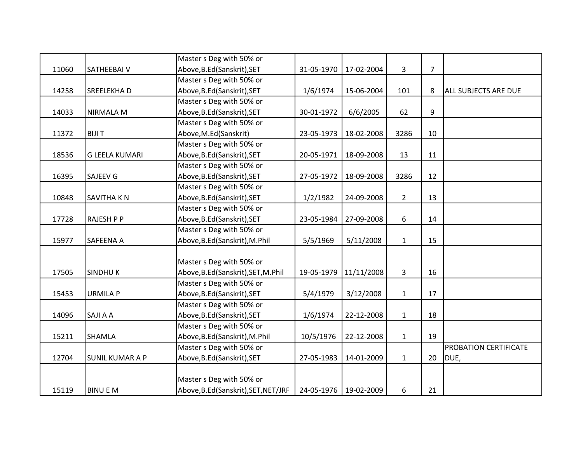|       |                        | Master s Deg with 50% or            |            |            |                |                |                              |
|-------|------------------------|-------------------------------------|------------|------------|----------------|----------------|------------------------------|
| 11060 | <b>SATHEEBAIV</b>      | Above, B.Ed (Sanskrit), SET         | 31-05-1970 | 17-02-2004 | 3              | $\overline{7}$ |                              |
|       |                        | Master s Deg with 50% or            |            |            |                |                |                              |
| 14258 | <b>SREELEKHAD</b>      | Above, B.Ed(Sanskrit), SET          | 1/6/1974   | 15-06-2004 | 101            | 8              | <b>ALL SUBJECTS ARE DUE</b>  |
|       |                        | Master s Deg with 50% or            |            |            |                |                |                              |
| 14033 | <b>NIRMALA M</b>       | Above, B.Ed(Sanskrit), SET          | 30-01-1972 | 6/6/2005   | 62             | 9              |                              |
|       |                        | Master s Deg with 50% or            |            |            |                |                |                              |
| 11372 | <b>BIJIT</b>           | Above, M.Ed(Sanskrit)               | 23-05-1973 | 18-02-2008 | 3286           | 10             |                              |
|       |                        | Master s Deg with 50% or            |            |            |                |                |                              |
| 18536 | <b>G LEELA KUMARI</b>  | Above, B.Ed(Sanskrit), SET          | 20-05-1971 | 18-09-2008 | 13             | 11             |                              |
|       |                        | Master s Deg with 50% or            |            |            |                |                |                              |
| 16395 | <b>SAJEEV G</b>        | Above, B.Ed(Sanskrit), SET          | 27-05-1972 | 18-09-2008 | 3286           | 12             |                              |
|       |                        | Master s Deg with 50% or            |            |            |                |                |                              |
| 10848 | <b>SAVITHA KN</b>      | Above, B.Ed(Sanskrit), SET          | 1/2/1982   | 24-09-2008 | $\overline{2}$ | 13             |                              |
|       |                        | Master s Deg with 50% or            |            |            |                |                |                              |
| 17728 | <b>RAJESH P P</b>      | Above, B.Ed (Sanskrit), SET         | 23-05-1984 | 27-09-2008 | 6              | 14             |                              |
|       |                        | Master s Deg with 50% or            |            |            |                |                |                              |
| 15977 | <b>SAFEENA A</b>       | Above, B.Ed (Sanskrit), M.Phil      | 5/5/1969   | 5/11/2008  | $\mathbf 1$    | 15             |                              |
|       |                        |                                     |            |            |                |                |                              |
|       |                        | Master s Deg with 50% or            |            |            |                |                |                              |
| 17505 | <b>SINDHUK</b>         | Above, B.Ed(Sanskrit), SET, M.Phil  | 19-05-1979 | 11/11/2008 | 3              | 16             |                              |
|       |                        | Master s Deg with 50% or            |            |            |                |                |                              |
| 15453 | <b>URMILA P</b>        | Above, B.Ed(Sanskrit), SET          | 5/4/1979   | 3/12/2008  | $\mathbf{1}$   | 17             |                              |
|       |                        | Master s Deg with 50% or            |            |            |                |                |                              |
| 14096 | SAJI A A               | Above, B.Ed(Sanskrit), SET          | 1/6/1974   | 22-12-2008 | $\mathbf{1}$   | 18             |                              |
|       |                        | Master s Deg with 50% or            |            |            |                |                |                              |
| 15211 | <b>SHAMLA</b>          | Above, B.Ed (Sanskrit), M.Phil      | 10/5/1976  | 22-12-2008 | $\mathbf{1}$   | 19             |                              |
|       |                        | Master s Deg with 50% or            |            |            |                |                | <b>PROBATION CERTIFICATE</b> |
| 12704 | <b>SUNIL KUMAR A P</b> | Above, B.Ed(Sanskrit), SET          | 27-05-1983 | 14-01-2009 | $\mathbf{1}$   | 20             | DUE,                         |
|       |                        |                                     |            |            |                |                |                              |
|       |                        | Master s Deg with 50% or            |            |            |                |                |                              |
| 15119 | <b>BINUEM</b>          | Above, B.Ed(Sanskrit), SET, NET/JRF | 24-05-1976 | 19-02-2009 | 6              | 21             |                              |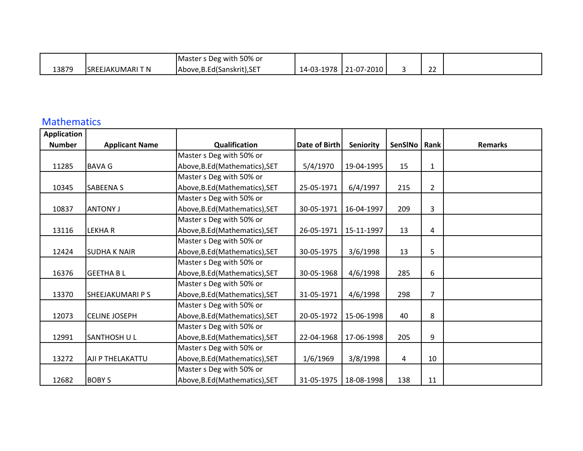|       |                         | Master s Deg with 50% or    |            |                |              |  |
|-------|-------------------------|-----------------------------|------------|----------------|--------------|--|
| 13879 | <b>SREEJAKUMARI T N</b> | Above, B.Ed (Sanskrit), SET | 14-03-1978 | 8   21-07-2010 | $\sim$<br>__ |  |

#### Mathematics

| Application   |                       |                                |                      |            |         |                |                |
|---------------|-----------------------|--------------------------------|----------------------|------------|---------|----------------|----------------|
| <b>Number</b> | <b>Applicant Name</b> | Qualification                  | <b>Date of Birth</b> | Seniority  | SenSINo | Rank           | <b>Remarks</b> |
|               |                       | Master s Deg with 50% or       |                      |            |         |                |                |
| 11285         | <b>BAVA G</b>         | Above, B.Ed (Mathematics), SET | 5/4/1970             | 19-04-1995 | 15      | $\mathbf{1}$   |                |
|               |                       | Master s Deg with 50% or       |                      |            |         |                |                |
| 10345         | <b>SABEENA S</b>      | Above, B.Ed (Mathematics), SET | 25-05-1971           | 6/4/1997   | 215     | $\overline{2}$ |                |
|               |                       | Master s Deg with 50% or       |                      |            |         |                |                |
| 10837         | <b>ANTONY J</b>       | Above, B.Ed (Mathematics), SET | 30-05-1971           | 16-04-1997 | 209     | 3              |                |
|               |                       | Master s Deg with 50% or       |                      |            |         |                |                |
| 13116         | <b>LEKHAR</b>         | Above, B.Ed (Mathematics), SET | 26-05-1971           | 15-11-1997 | 13      | 4              |                |
|               |                       | Master s Deg with 50% or       |                      |            |         |                |                |
| 12424         | <b>SUDHAK NAIR</b>    | Above, B.Ed (Mathematics), SET | 30-05-1975           | 3/6/1998   | 13      | 5              |                |
|               |                       | Master s Deg with 50% or       |                      |            |         |                |                |
| 16376         | <b>GEETHA BL</b>      | Above, B.Ed (Mathematics), SET | 30-05-1968           | 4/6/1998   | 285     | 6              |                |
|               |                       | Master s Deg with 50% or       |                      |            |         |                |                |
| 13370         | SHEEJAKUMARI P S      | Above, B.Ed (Mathematics), SET | 31-05-1971           | 4/6/1998   | 298     | $\overline{7}$ |                |
|               |                       | Master s Deg with 50% or       |                      |            |         |                |                |
| 12073         | <b>CELINE JOSEPH</b>  | Above, B.Ed (Mathematics), SET | 20-05-1972           | 15-06-1998 | 40      | 8              |                |
|               |                       | Master s Deg with 50% or       |                      |            |         |                |                |
| 12991         | SANTHOSH U L          | Above, B.Ed (Mathematics), SET | 22-04-1968           | 17-06-1998 | 205     | 9              |                |
|               |                       | Master s Deg with 50% or       |                      |            |         |                |                |
| 13272         | AJI P THELAKATTU      | Above, B.Ed (Mathematics), SET | 1/6/1969             | 3/8/1998   | 4       | 10             |                |
|               |                       | Master s Deg with 50% or       |                      |            |         |                |                |
| 12682         | <b>BOBY S</b>         | Above, B.Ed (Mathematics), SET | 31-05-1975           | 18-08-1998 | 138     | 11             |                |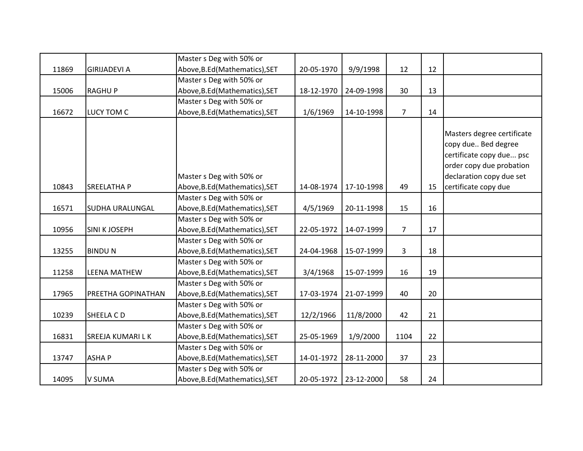|       |                        | Master s Deg with 50% or       |            |                       |                |    |                                                                                                                                       |
|-------|------------------------|--------------------------------|------------|-----------------------|----------------|----|---------------------------------------------------------------------------------------------------------------------------------------|
| 11869 | <b>GIRIJADEVI A</b>    | Above, B.Ed (Mathematics), SET | 20-05-1970 | 9/9/1998              | 12             | 12 |                                                                                                                                       |
|       |                        | Master s Deg with 50% or       |            |                       |                |    |                                                                                                                                       |
| 15006 | <b>RAGHUP</b>          | Above, B.Ed (Mathematics), SET | 18-12-1970 | 24-09-1998            | 30             | 13 |                                                                                                                                       |
|       |                        | Master s Deg with 50% or       |            |                       |                |    |                                                                                                                                       |
| 16672 | LUCY TOM C             | Above, B.Ed (Mathematics), SET | 1/6/1969   | 14-10-1998            | $\overline{7}$ | 14 |                                                                                                                                       |
|       |                        | Master s Deg with 50% or       |            |                       |                |    | Masters degree certificate<br>copy due Bed degree<br>certificate copy due psc<br>order copy due probation<br>declaration copy due set |
| 10843 | <b>SREELATHA P</b>     | Above, B.Ed (Mathematics), SET | 14-08-1974 | 17-10-1998            | 49             | 15 | certificate copy due                                                                                                                  |
|       |                        | Master s Deg with 50% or       |            |                       |                |    |                                                                                                                                       |
| 16571 | <b>SUDHA URALUNGAL</b> | Above, B.Ed (Mathematics), SET | 4/5/1969   | 20-11-1998            | 15             | 16 |                                                                                                                                       |
|       |                        | Master s Deg with 50% or       |            |                       |                |    |                                                                                                                                       |
| 10956 | <b>SINI K JOSEPH</b>   | Above, B.Ed (Mathematics), SET | 22-05-1972 | 14-07-1999            | $\overline{7}$ | 17 |                                                                                                                                       |
|       |                        | Master s Deg with 50% or       |            |                       |                |    |                                                                                                                                       |
| 13255 | <b>BINDUN</b>          | Above, B.Ed (Mathematics), SET | 24-04-1968 | 15-07-1999            | 3              | 18 |                                                                                                                                       |
|       |                        | Master s Deg with 50% or       |            |                       |                |    |                                                                                                                                       |
| 11258 | <b>LEENA MATHEW</b>    | Above, B.Ed (Mathematics), SET | 3/4/1968   | 15-07-1999            | 16             | 19 |                                                                                                                                       |
|       |                        | Master s Deg with 50% or       |            |                       |                |    |                                                                                                                                       |
| 17965 | PREETHA GOPINATHAN     | Above, B.Ed (Mathematics), SET | 17-03-1974 | 21-07-1999            | 40             | 20 |                                                                                                                                       |
|       |                        | Master s Deg with 50% or       |            |                       |                |    |                                                                                                                                       |
| 10239 | SHEELA CD              | Above, B.Ed (Mathematics), SET | 12/2/1966  | 11/8/2000             | 42             | 21 |                                                                                                                                       |
|       |                        | Master s Deg with 50% or       |            |                       |                |    |                                                                                                                                       |
| 16831 | SREEJA KUMARI LK       | Above, B.Ed (Mathematics), SET | 25-05-1969 | 1/9/2000              | 1104           | 22 |                                                                                                                                       |
|       |                        | Master s Deg with 50% or       |            |                       |                |    |                                                                                                                                       |
| 13747 | <b>ASHAP</b>           | Above, B.Ed (Mathematics), SET | 14-01-1972 | 28-11-2000            | 37             | 23 |                                                                                                                                       |
|       |                        | Master s Deg with 50% or       |            |                       |                |    |                                                                                                                                       |
| 14095 | <b>V SUMA</b>          | Above, B.Ed (Mathematics), SET |            | 20-05-1972 23-12-2000 | 58             | 24 |                                                                                                                                       |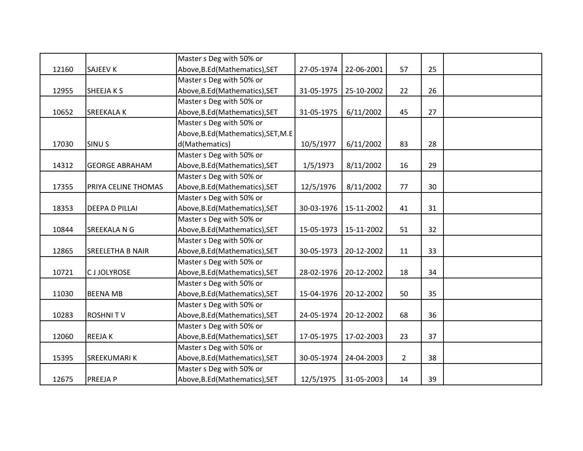|       |                       | Master s Deg with 50% or            |            |            |             |    |  |
|-------|-----------------------|-------------------------------------|------------|------------|-------------|----|--|
| 12160 | <b>SAJEEV K</b>       | Above, B.Ed (Mathematics), SET      | 27-05-1974 | 22-06-2001 | 57          | 25 |  |
|       |                       | Master s Deg with 50% or            |            |            |             |    |  |
| 12955 | SHEEJA K S            | Above, B.Ed (Mathematics), SET      | 31-05-1975 | 25-10-2002 | 22          | 26 |  |
|       |                       | Master s Deg with 50% or            |            |            |             |    |  |
| 10652 | <b>SREEKALAK</b>      | Above, B.Ed (Mathematics), SET      | 31-05-1975 | 6/11/2002  | 45          | 27 |  |
|       |                       | Master s Deg with 50% or            |            |            |             |    |  |
|       |                       | Above, B.Ed (Mathematics), SET, M.E |            |            |             |    |  |
| 17030 | <b>SINUS</b>          | d(Mathematics)                      | 10/5/1977  | 6/11/2002  | 83          | 28 |  |
|       |                       | Master s Deg with 50% or            |            |            |             |    |  |
| 14312 | <b>GEORGE ABRAHAM</b> | Above, B.Ed (Mathematics), SET      | 1/5/1973   | 8/11/2002  | 16          | 29 |  |
|       |                       | Master s Deg with 50% or            |            |            |             |    |  |
| 17355 | PRIYA CELINE THOMAS   | Above, B.Ed (Mathematics), SET      | 12/5/1976  | 8/11/2002  | 77          | 30 |  |
|       |                       | Master s Deg with 50% or            |            |            |             |    |  |
| 18353 | <b>DEEPA D PILLAI</b> | Above, B.Ed (Mathematics), SET      | 30-03-1976 | 15-11-2002 | 41          | 31 |  |
|       |                       | Master s Deg with 50% or            |            |            |             |    |  |
| 10844 | <b>SREEKALA N G</b>   | Above, B.Ed (Mathematics), SET      | 15-05-1973 | 15-11-2002 | 51          | 32 |  |
|       |                       | Master s Deg with 50% or            |            |            |             |    |  |
| 12865 | SREELETHA B NAIR      | Above, B.Ed (Mathematics), SET      | 30-05-1973 | 20-12-2002 | 11          | 33 |  |
|       |                       | Master s Deg with 50% or            |            |            |             |    |  |
| 10721 | <b>CJJOLYROSE</b>     | Above, B.Ed (Mathematics), SET      | 28-02-1976 | 20-12-2002 | 18          | 34 |  |
|       |                       | Master s Deg with 50% or            |            |            |             |    |  |
| 11030 | <b>BEENA MB</b>       | Above, B.Ed (Mathematics), SET      | 15-04-1976 | 20-12-2002 | 50          | 35 |  |
|       |                       | Master s Deg with 50% or            |            |            |             |    |  |
| 10283 | <b>ROSHNITV</b>       | Above, B.Ed (Mathematics), SET      | 24-05-1974 | 20-12-2002 | 68          | 36 |  |
|       |                       | Master s Deg with 50% or            |            |            |             |    |  |
| 12060 | <b>REEJAK</b>         | Above, B.Ed (Mathematics), SET      | 17-05-1975 | 17-02-2003 | 23          | 37 |  |
|       |                       | Master s Deg with 50% or            |            |            |             |    |  |
| 15395 | <b>SREEKUMARIK</b>    | Above, B.Ed (Mathematics), SET      | 30-05-1974 | 24-04-2003 | $2^{\circ}$ | 38 |  |
|       |                       | Master s Deg with 50% or            |            |            |             |    |  |
| 12675 | <b>PREEJAP</b>        | Above, B.Ed (Mathematics), SET      | 12/5/1975  | 31-05-2003 | 14          | 39 |  |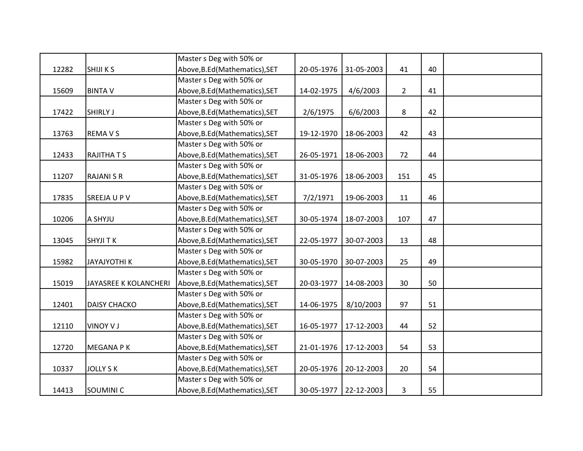|       |                       | Master s Deg with 50% or       |            |            |                |    |  |
|-------|-----------------------|--------------------------------|------------|------------|----------------|----|--|
| 12282 | <b>SHIJI KS</b>       | Above, B.Ed (Mathematics), SET | 20-05-1976 | 31-05-2003 | 41             | 40 |  |
|       |                       | Master s Deg with 50% or       |            |            |                |    |  |
| 15609 | <b>BINTA V</b>        | Above, B.Ed (Mathematics), SET | 14-02-1975 | 4/6/2003   | $\overline{2}$ | 41 |  |
|       |                       | Master s Deg with 50% or       |            |            |                |    |  |
| 17422 | <b>SHIRLY J</b>       | Above, B.Ed (Mathematics), SET | 2/6/1975   | 6/6/2003   | 8              | 42 |  |
|       |                       | Master s Deg with 50% or       |            |            |                |    |  |
| 13763 | <b>REMAVS</b>         | Above, B.Ed (Mathematics), SET | 19-12-1970 | 18-06-2003 | 42             | 43 |  |
|       |                       | Master s Deg with 50% or       |            |            |                |    |  |
| 12433 | <b>RAJITHATS</b>      | Above, B.Ed (Mathematics), SET | 26-05-1971 | 18-06-2003 | 72             | 44 |  |
|       |                       | Master s Deg with 50% or       |            |            |                |    |  |
| 11207 | <b>RAJANI S R</b>     | Above, B.Ed (Mathematics), SET | 31-05-1976 | 18-06-2003 | 151            | 45 |  |
|       |                       | Master s Deg with 50% or       |            |            |                |    |  |
| 17835 | SREEJA U P V          | Above, B.Ed (Mathematics), SET | 7/2/1971   | 19-06-2003 | 11             | 46 |  |
|       |                       | Master s Deg with 50% or       |            |            |                |    |  |
| 10206 | A SHYJU               | Above, B.Ed (Mathematics), SET | 30-05-1974 | 18-07-2003 | 107            | 47 |  |
|       |                       | Master s Deg with 50% or       |            |            |                |    |  |
| 13045 | <b>SHYJI TK</b>       | Above, B.Ed (Mathematics), SET | 22-05-1977 | 30-07-2003 | 13             | 48 |  |
|       |                       | Master s Deg with 50% or       |            |            |                |    |  |
| 15982 | <b>JAYAJYOTHI K</b>   | Above, B.Ed (Mathematics), SET | 30-05-1970 | 30-07-2003 | 25             | 49 |  |
|       |                       | Master s Deg with 50% or       |            |            |                |    |  |
| 15019 | JAYASREE K KOLANCHERI | Above, B.Ed (Mathematics), SET | 20-03-1977 | 14-08-2003 | 30             | 50 |  |
|       |                       | Master s Deg with 50% or       |            |            |                |    |  |
| 12401 | <b>DAISY CHACKO</b>   | Above, B.Ed (Mathematics), SET | 14-06-1975 | 8/10/2003  | 97             | 51 |  |
|       |                       | Master s Deg with 50% or       |            |            |                |    |  |
| 12110 | <b>VINOY VJ</b>       | Above, B.Ed (Mathematics), SET | 16-05-1977 | 17-12-2003 | 44             | 52 |  |
|       |                       | Master s Deg with 50% or       |            |            |                |    |  |
| 12720 | <b>MEGANA PK</b>      | Above, B.Ed (Mathematics), SET | 21-01-1976 | 17-12-2003 | 54             | 53 |  |
|       |                       | Master s Deg with 50% or       |            |            |                |    |  |
| 10337 | <b>JOLLY S K</b>      | Above, B.Ed (Mathematics), SET | 20-05-1976 | 20-12-2003 | 20             | 54 |  |
|       |                       | Master s Deg with 50% or       |            |            |                |    |  |
| 14413 | SOUMINI <sub>C</sub>  | Above, B.Ed (Mathematics), SET | 30-05-1977 | 22-12-2003 | 3              | 55 |  |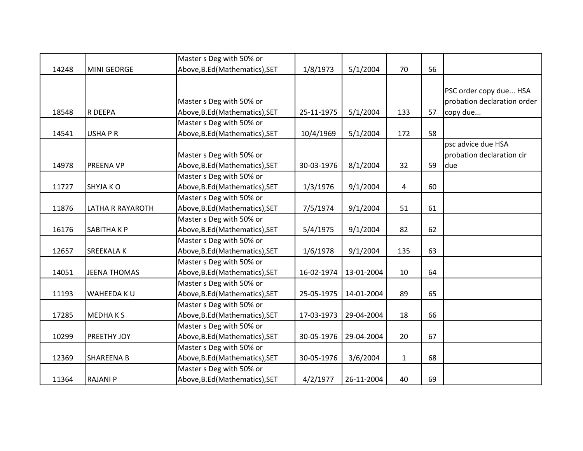|       |                     | Master s Deg with 50% or       |            |            |              |    |                             |
|-------|---------------------|--------------------------------|------------|------------|--------------|----|-----------------------------|
| 14248 | <b>MINI GEORGE</b>  | Above, B.Ed (Mathematics), SET | 1/8/1973   | 5/1/2004   | 70           | 56 |                             |
|       |                     |                                |            |            |              |    |                             |
|       |                     |                                |            |            |              |    | PSC order copy due HSA      |
|       |                     | Master s Deg with 50% or       |            |            |              |    | probation declaration order |
| 18548 | R DEEPA             | Above, B.Ed (Mathematics), SET | 25-11-1975 | 5/1/2004   | 133          | 57 | copy due                    |
|       |                     | Master s Deg with 50% or       |            |            |              |    |                             |
| 14541 | <b>USHAPR</b>       | Above, B.Ed (Mathematics), SET | 10/4/1969  | 5/1/2004   | 172          | 58 |                             |
|       |                     |                                |            |            |              |    | psc advice due HSA          |
|       |                     | Master s Deg with 50% or       |            |            |              |    | probation declaration cir   |
| 14978 | <b>PREENA VP</b>    | Above, B.Ed (Mathematics), SET | 30-03-1976 | 8/1/2004   | 32           | 59 | due                         |
|       |                     | Master s Deg with 50% or       |            |            |              |    |                             |
| 11727 | SHYJA KO            | Above, B.Ed (Mathematics), SET | 1/3/1976   | 9/1/2004   | 4            | 60 |                             |
|       |                     | Master s Deg with 50% or       |            |            |              |    |                             |
| 11876 | LATHA R RAYAROTH    | Above, B.Ed (Mathematics), SET | 7/5/1974   | 9/1/2004   | 51           | 61 |                             |
|       |                     | Master s Deg with 50% or       |            |            |              |    |                             |
| 16176 | SABITHA K P         | Above, B.Ed (Mathematics), SET | 5/4/1975   | 9/1/2004   | 82           | 62 |                             |
|       |                     | Master s Deg with 50% or       |            |            |              |    |                             |
| 12657 | SREEKALA K          | Above, B.Ed (Mathematics), SET | 1/6/1978   | 9/1/2004   | 135          | 63 |                             |
|       |                     | Master s Deg with 50% or       |            |            |              |    |                             |
| 14051 | <b>JEENA THOMAS</b> | Above, B.Ed (Mathematics), SET | 16-02-1974 | 13-01-2004 | 10           | 64 |                             |
|       |                     | Master s Deg with 50% or       |            |            |              |    |                             |
| 11193 | WAHEEDA KU          | Above, B.Ed (Mathematics), SET | 25-05-1975 | 14-01-2004 | 89           | 65 |                             |
|       |                     | Master s Deg with 50% or       |            |            |              |    |                             |
| 17285 | <b>MEDHAKS</b>      | Above, B.Ed (Mathematics), SET | 17-03-1973 | 29-04-2004 | 18           | 66 |                             |
|       |                     | Master s Deg with 50% or       |            |            |              |    |                             |
| 10299 | PREETHY JOY         | Above, B.Ed (Mathematics), SET | 30-05-1976 | 29-04-2004 | 20           | 67 |                             |
|       |                     | Master s Deg with 50% or       |            |            |              |    |                             |
| 12369 | <b>SHAREENA B</b>   | Above, B.Ed (Mathematics), SET | 30-05-1976 | 3/6/2004   | $\mathbf{1}$ | 68 |                             |
|       |                     | Master s Deg with 50% or       |            |            |              |    |                             |
| 11364 | <b>RAJANI P</b>     | Above, B.Ed (Mathematics), SET | 4/2/1977   | 26-11-2004 | 40           | 69 |                             |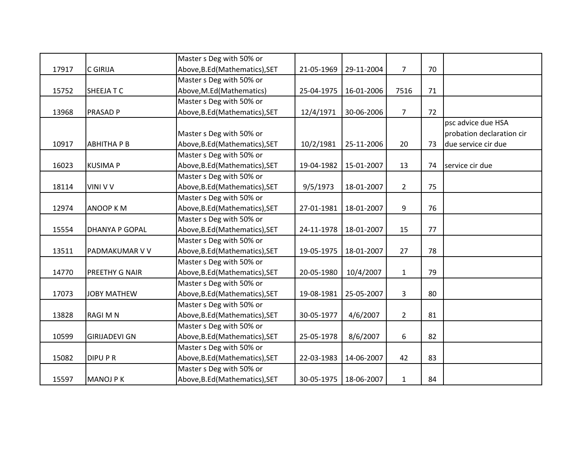|       |                       | Master s Deg with 50% or       |            |            |                |    |                           |
|-------|-----------------------|--------------------------------|------------|------------|----------------|----|---------------------------|
| 17917 | <b>C GIRIJA</b>       | Above, B.Ed (Mathematics), SET | 21-05-1969 | 29-11-2004 | $\overline{7}$ | 70 |                           |
|       |                       | Master s Deg with 50% or       |            |            |                |    |                           |
| 15752 | <b>SHEEJATC</b>       | Above, M.Ed (Mathematics)      | 25-04-1975 | 16-01-2006 | 7516           | 71 |                           |
|       |                       | Master s Deg with 50% or       |            |            |                |    |                           |
| 13968 | <b>PRASAD P</b>       | Above, B.Ed (Mathematics), SET | 12/4/1971  | 30-06-2006 | $\overline{7}$ | 72 |                           |
|       |                       |                                |            |            |                |    | psc advice due HSA        |
|       |                       | Master s Deg with 50% or       |            |            |                |    | probation declaration cir |
| 10917 | <b>ABHITHA P B</b>    | Above, B.Ed (Mathematics), SET | 10/2/1981  | 25-11-2006 | 20             | 73 | due service cir due       |
|       |                       | Master s Deg with 50% or       |            |            |                |    |                           |
| 16023 | <b>KUSIMA P</b>       | Above, B.Ed (Mathematics), SET | 19-04-1982 | 15-01-2007 | 13             | 74 | service cir due           |
|       |                       | Master s Deg with 50% or       |            |            |                |    |                           |
| 18114 | <b>VINI V V</b>       | Above, B.Ed (Mathematics), SET | 9/5/1973   | 18-01-2007 | $\overline{2}$ | 75 |                           |
|       |                       | Master s Deg with 50% or       |            |            |                |    |                           |
| 12974 | <b>ANOOP KM</b>       | Above, B.Ed (Mathematics), SET | 27-01-1981 | 18-01-2007 | 9              | 76 |                           |
|       |                       | Master s Deg with 50% or       |            |            |                |    |                           |
| 15554 | <b>DHANYA P GOPAL</b> | Above, B.Ed (Mathematics), SET | 24-11-1978 | 18-01-2007 | 15             | 77 |                           |
|       |                       | Master s Deg with 50% or       |            |            |                |    |                           |
| 13511 | PADMAKUMAR V V        | Above, B.Ed (Mathematics), SET | 19-05-1975 | 18-01-2007 | 27             | 78 |                           |
|       |                       | Master s Deg with 50% or       |            |            |                |    |                           |
| 14770 | PREETHY G NAIR        | Above, B.Ed (Mathematics), SET | 20-05-1980 | 10/4/2007  | $\mathbf{1}$   | 79 |                           |
|       |                       | Master s Deg with 50% or       |            |            |                |    |                           |
| 17073 | <b>JOBY MATHEW</b>    | Above, B.Ed (Mathematics), SET | 19-08-1981 | 25-05-2007 | 3              | 80 |                           |
|       |                       | Master s Deg with 50% or       |            |            |                |    |                           |
| 13828 | <b>RAGI M N</b>       | Above, B.Ed (Mathematics), SET | 30-05-1977 | 4/6/2007   | $\overline{2}$ | 81 |                           |
|       |                       | Master s Deg with 50% or       |            |            |                |    |                           |
| 10599 | <b>GIRIJADEVI GN</b>  | Above, B.Ed (Mathematics), SET | 25-05-1978 | 8/6/2007   | 6              | 82 |                           |
|       |                       | Master s Deg with 50% or       |            |            |                |    |                           |
| 15082 | <b>DIPUPR</b>         | Above, B.Ed (Mathematics), SET | 22-03-1983 | 14-06-2007 | 42             | 83 |                           |
|       |                       | Master s Deg with 50% or       |            |            |                |    |                           |
| 15597 | <b>MANOJ PK</b>       | Above, B.Ed (Mathematics), SET | 30-05-1975 | 18-06-2007 | $\mathbf{1}$   | 84 |                           |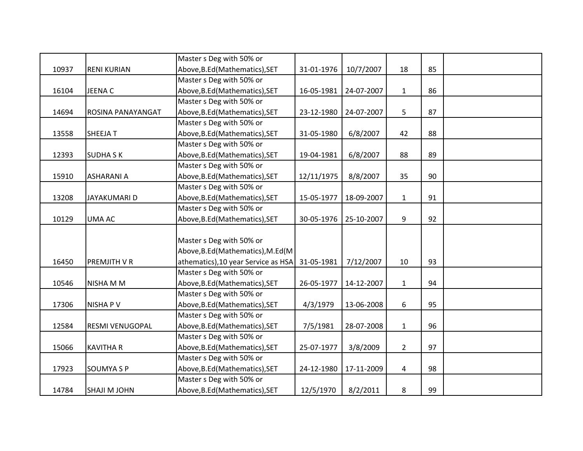|       |                     | Master s Deg with 50% or            |            |            |                |    |  |
|-------|---------------------|-------------------------------------|------------|------------|----------------|----|--|
| 10937 | <b>RENI KURIAN</b>  | Above, B.Ed (Mathematics), SET      | 31-01-1976 | 10/7/2007  | 18             | 85 |  |
|       |                     | Master s Deg with 50% or            |            |            |                |    |  |
| 16104 | <b>JEENAC</b>       | Above, B.Ed (Mathematics), SET      | 16-05-1981 | 24-07-2007 | $\mathbf{1}$   | 86 |  |
|       |                     | Master s Deg with 50% or            |            |            |                |    |  |
| 14694 | ROSINA PANAYANGAT   | Above, B.Ed (Mathematics), SET      | 23-12-1980 | 24-07-2007 | 5              | 87 |  |
|       |                     | Master s Deg with 50% or            |            |            |                |    |  |
| 13558 | <b>SHEEJAT</b>      | Above, B.Ed (Mathematics), SET      | 31-05-1980 | 6/8/2007   | 42             | 88 |  |
|       |                     | Master s Deg with 50% or            |            |            |                |    |  |
| 12393 | <b>SUDHASK</b>      | Above, B.Ed (Mathematics), SET      | 19-04-1981 | 6/8/2007   | 88             | 89 |  |
|       |                     | Master s Deg with 50% or            |            |            |                |    |  |
| 15910 | <b>ASHARANI A</b>   | Above, B.Ed (Mathematics), SET      | 12/11/1975 | 8/8/2007   | 35             | 90 |  |
|       |                     | Master s Deg with 50% or            |            |            |                |    |  |
| 13208 | JAYAKUMARI D        | Above, B.Ed (Mathematics), SET      | 15-05-1977 | 18-09-2007 | $\mathbf{1}$   | 91 |  |
|       |                     | Master s Deg with 50% or            |            |            |                |    |  |
| 10129 | UMA AC              | Above, B.Ed (Mathematics), SET      | 30-05-1976 | 25-10-2007 | 9              | 92 |  |
|       |                     |                                     |            |            |                |    |  |
|       |                     | Master s Deg with 50% or            |            |            |                |    |  |
|       |                     | Above, B.Ed (Mathematics), M.Ed (M  |            |            |                |    |  |
| 16450 | PREMJITH V R        | athematics), 10 year Service as HSA | 31-05-1981 | 7/12/2007  | 10             | 93 |  |
|       |                     | Master s Deg with 50% or            |            |            |                |    |  |
| 10546 | NISHA M M           | Above, B.Ed (Mathematics), SET      | 26-05-1977 | 14-12-2007 | $\mathbf{1}$   | 94 |  |
|       |                     | Master s Deg with 50% or            |            |            |                |    |  |
| 17306 | <b>NISHAPV</b>      | Above, B.Ed (Mathematics), SET      | 4/3/1979   | 13-06-2008 | 6              | 95 |  |
|       |                     | Master s Deg with 50% or            |            |            |                |    |  |
| 12584 | RESMI VENUGOPAL     | Above, B.Ed (Mathematics), SET      | 7/5/1981   | 28-07-2008 | $\mathbf{1}$   | 96 |  |
|       |                     | Master s Deg with 50% or            |            |            |                |    |  |
| 15066 | <b>KAVITHA R</b>    | Above, B.Ed (Mathematics), SET      | 25-07-1977 | 3/8/2009   | $\overline{2}$ | 97 |  |
|       |                     | Master s Deg with 50% or            |            |            |                |    |  |
| 17923 | <b>SOUMYA S P</b>   | Above, B.Ed (Mathematics), SET      | 24-12-1980 | 17-11-2009 | $\overline{4}$ | 98 |  |
|       |                     | Master s Deg with 50% or            |            |            |                |    |  |
| 14784 | <b>SHAJI M JOHN</b> | Above, B.Ed (Mathematics), SET      | 12/5/1970  | 8/2/2011   | 8              | 99 |  |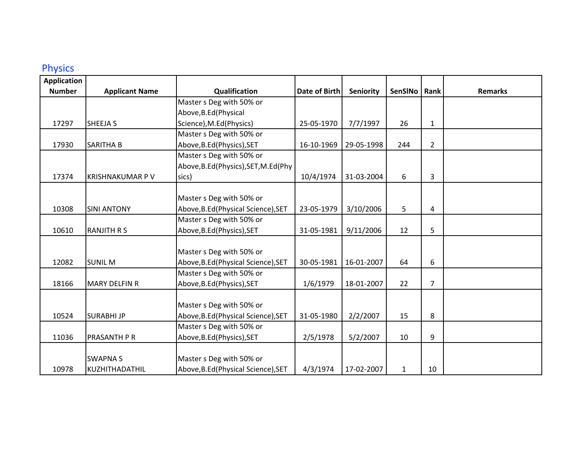#### Physics

| <b>Application</b> |                        |                                     |                      |            |              |                |                |
|--------------------|------------------------|-------------------------------------|----------------------|------------|--------------|----------------|----------------|
| <b>Number</b>      | <b>Applicant Name</b>  | Qualification                       | <b>Date of Birth</b> | Seniority  | SenSINo      | Rank           | <b>Remarks</b> |
|                    |                        | Master s Deg with 50% or            |                      |            |              |                |                |
|                    |                        | Above, B.Ed (Physical               |                      |            |              |                |                |
| 17297              | <b>SHEEJA S</b>        | Science), M.Ed(Physics)             | 25-05-1970           | 7/7/1997   | 26           | 1              |                |
|                    |                        | Master s Deg with 50% or            |                      |            |              |                |                |
| 17930              | <b>SARITHA B</b>       | Above, B.Ed (Physics), SET          | 16-10-1969           | 29-05-1998 | 244          | $\overline{2}$ |                |
|                    |                        | Master s Deg with 50% or            |                      |            |              |                |                |
|                    |                        | Above, B.Ed(Physics), SET, M.Ed(Phy |                      |            |              |                |                |
| 17374              | <b>KRISHNAKUMAR PV</b> | sics)                               | 10/4/1974            | 31-03-2004 | 6            | 3              |                |
|                    |                        |                                     |                      |            |              |                |                |
|                    |                        | Master s Deg with 50% or            |                      |            |              |                |                |
| 10308              | <b>SINI ANTONY</b>     | Above, B.Ed (Physical Science), SET | 23-05-1979           | 3/10/2006  | 5            | $\overline{4}$ |                |
|                    |                        | Master s Deg with 50% or            |                      |            |              |                |                |
| 10610              | <b>RANJITH R S</b>     | Above, B.Ed (Physics), SET          | 31-05-1981           | 9/11/2006  | 12           | 5              |                |
|                    |                        |                                     |                      |            |              |                |                |
|                    |                        | Master s Deg with 50% or            |                      |            |              |                |                |
| 12082              | <b>SUNIL M</b>         | Above, B.Ed (Physical Science), SET | 30-05-1981           | 16-01-2007 | 64           | 6              |                |
|                    |                        | Master s Deg with 50% or            |                      |            |              |                |                |
| 18166              | <b>MARY DELFIN R</b>   | Above, B.Ed (Physics), SET          | 1/6/1979             | 18-01-2007 | 22           | $\overline{7}$ |                |
|                    |                        |                                     |                      |            |              |                |                |
|                    |                        | Master s Deg with 50% or            |                      |            |              |                |                |
| 10524              | <b>SURABHIJP</b>       | Above, B.Ed (Physical Science), SET | 31-05-1980           | 2/2/2007   | 15           | 8              |                |
|                    |                        | Master s Deg with 50% or            |                      |            |              |                |                |
| 11036              | <b>PRASANTH P R</b>    | Above, B.Ed (Physics), SET          | 2/5/1978             | 5/2/2007   | 10           | 9              |                |
|                    |                        |                                     |                      |            |              |                |                |
|                    | <b>SWAPNAS</b>         | Master s Deg with 50% or            |                      |            |              |                |                |
| 10978              | KUZHITHADATHIL         | Above, B.Ed (Physical Science), SET | 4/3/1974             | 17-02-2007 | $\mathbf{1}$ | 10             |                |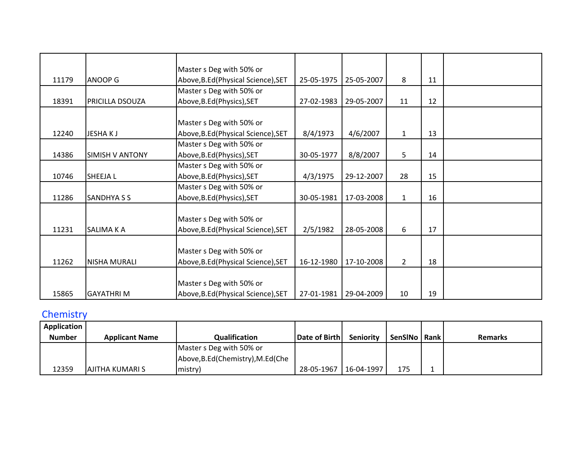|       |                        | Master s Deg with 50% or            |            |            |                |    |  |
|-------|------------------------|-------------------------------------|------------|------------|----------------|----|--|
| 11179 | <b>ANOOP G</b>         | Above, B.Ed (Physical Science), SET | 25-05-1975 | 25-05-2007 | 8              | 11 |  |
|       |                        | Master s Deg with 50% or            |            |            |                |    |  |
| 18391 | <b>PRICILLA DSOUZA</b> | Above, B.Ed(Physics), SET           | 27-02-1983 | 29-05-2007 | 11             | 12 |  |
|       |                        |                                     |            |            |                |    |  |
|       |                        | Master s Deg with 50% or            |            |            |                |    |  |
| 12240 | JESHAKJ                | Above, B.Ed (Physical Science), SET | 8/4/1973   | 4/6/2007   | $\mathbf{1}$   | 13 |  |
|       |                        | Master s Deg with 50% or            |            |            |                |    |  |
| 14386 | <b>SIMISH V ANTONY</b> | Above, B.Ed (Physics), SET          | 30-05-1977 | 8/8/2007   | 5              | 14 |  |
|       |                        | Master s Deg with 50% or            |            |            |                |    |  |
| 10746 | <b>SHEEJAL</b>         | Above, B.Ed (Physics), SET          | 4/3/1975   | 29-12-2007 | 28             | 15 |  |
|       |                        | Master s Deg with 50% or            |            |            |                |    |  |
| 11286 | <b>SANDHYA S S</b>     | Above, B.Ed (Physics), SET          | 30-05-1981 | 17-03-2008 | $\mathbf{1}$   | 16 |  |
|       |                        |                                     |            |            |                |    |  |
|       |                        | Master s Deg with 50% or            |            |            |                |    |  |
| 11231 | <b>SALIMA K A</b>      | Above, B.Ed (Physical Science), SET | 2/5/1982   | 28-05-2008 | 6              | 17 |  |
|       |                        |                                     |            |            |                |    |  |
|       |                        | Master s Deg with 50% or            |            |            |                |    |  |
| 11262 | <b>NISHA MURALI</b>    | Above, B.Ed (Physical Science), SET | 16-12-1980 | 17-10-2008 | $\overline{2}$ | 18 |  |
|       |                        |                                     |            |            |                |    |  |
|       |                        | Master s Deg with 50% or            |            |            |                |    |  |
| 15865 | <b>GAYATHRIM</b>       | Above, B.Ed (Physical Science), SET | 27-01-1981 | 29-04-2009 | 10             | 19 |  |

# **Chemistry**

| <b>Application</b> |                        |                                    |               |                  |                |                |
|--------------------|------------------------|------------------------------------|---------------|------------------|----------------|----------------|
| <b>Number</b>      | <b>Applicant Name</b>  | Qualification                      | Date of Birth | <b>Seniority</b> | SenSINo   Rank | <b>Remarks</b> |
|                    |                        | Master s Deg with 50% or           |               |                  |                |                |
|                    |                        | Above, B.Ed (Chemistry), M.Ed (Che |               |                  |                |                |
| 12359              | <b>AJITHA KUMARI S</b> | mistry)                            | 28-05-1967    | $ 16-04-1997 $   | 175            |                |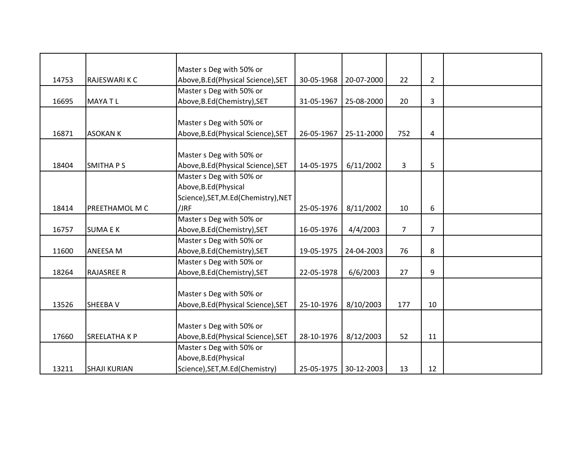|       |                     | Master s Deg with 50% or            |            |            |                |                |  |
|-------|---------------------|-------------------------------------|------------|------------|----------------|----------------|--|
| 14753 | RAJESWARI K C       | Above, B.Ed (Physical Science), SET | 30-05-1968 | 20-07-2000 | 22             | $\overline{2}$ |  |
|       |                     | Master s Deg with 50% or            |            |            |                |                |  |
| 16695 | <b>MAYATL</b>       | Above, B.Ed (Chemistry), SET        | 31-05-1967 | 25-08-2000 | 20             | 3              |  |
|       |                     |                                     |            |            |                |                |  |
|       |                     | Master s Deg with 50% or            |            |            |                |                |  |
| 16871 | <b>ASOKAN K</b>     | Above, B.Ed (Physical Science), SET | 26-05-1967 | 25-11-2000 | 752            | 4              |  |
|       |                     |                                     |            |            |                |                |  |
|       |                     | Master s Deg with 50% or            |            |            |                |                |  |
| 18404 | <b>SMITHAPS</b>     | Above, B.Ed (Physical Science), SET | 14-05-1975 | 6/11/2002  | 3              | 5              |  |
|       |                     | Master s Deg with 50% or            |            |            |                |                |  |
|       |                     | Above, B.Ed (Physical               |            |            |                |                |  |
|       |                     | Science), SET, M.Ed(Chemistry), NET |            |            |                |                |  |
| 18414 | PREETHAMOL M C      | /JRF                                | 25-05-1976 | 8/11/2002  | 10             | 6              |  |
|       |                     | Master s Deg with 50% or            |            |            |                |                |  |
| 16757 | <b>SUMAEK</b>       | Above, B.Ed(Chemistry), SET         | 16-05-1976 | 4/4/2003   | $\overline{7}$ | $\overline{7}$ |  |
|       |                     | Master s Deg with 50% or            |            |            |                |                |  |
| 11600 | ANEESA M            | Above, B.Ed (Chemistry), SET        | 19-05-1975 | 24-04-2003 | 76             | 8              |  |
|       |                     | Master s Deg with 50% or            |            |            |                |                |  |
| 18264 | <b>RAJASREE R</b>   | Above, B.Ed (Chemistry), SET        | 22-05-1978 | 6/6/2003   | 27             | 9              |  |
|       |                     |                                     |            |            |                |                |  |
|       |                     | Master s Deg with 50% or            |            |            |                |                |  |
| 13526 | <b>SHEEBAV</b>      | Above, B.Ed (Physical Science), SET | 25-10-1976 | 8/10/2003  | 177            | 10             |  |
|       |                     |                                     |            |            |                |                |  |
|       |                     | Master s Deg with 50% or            |            |            |                |                |  |
| 17660 | <b>SREELATHAKP</b>  | Above, B.Ed (Physical Science), SET | 28-10-1976 | 8/12/2003  | 52             | 11             |  |
|       |                     | Master s Deg with 50% or            |            |            |                |                |  |
|       |                     | Above, B.Ed (Physical               |            |            |                |                |  |
| 13211 | <b>SHAJI KURIAN</b> | Science), SET, M.Ed(Chemistry)      | 25-05-1975 | 30-12-2003 | 13             | 12             |  |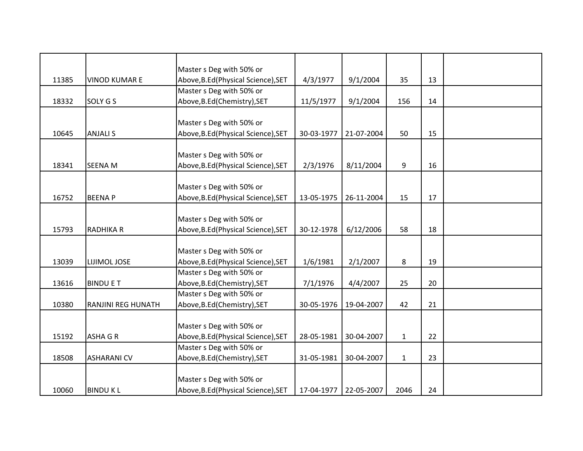|       |                           | Master s Deg with 50% or            |            |            |              |    |  |
|-------|---------------------------|-------------------------------------|------------|------------|--------------|----|--|
| 11385 | <b>VINOD KUMAR E</b>      | Above, B.Ed (Physical Science), SET | 4/3/1977   | 9/1/2004   | 35           | 13 |  |
|       |                           | Master s Deg with 50% or            |            |            |              |    |  |
| 18332 | SOLY G S                  | Above, B.Ed (Chemistry), SET        | 11/5/1977  | 9/1/2004   | 156          | 14 |  |
|       |                           |                                     |            |            |              |    |  |
|       |                           | Master s Deg with 50% or            |            |            |              |    |  |
| 10645 | <b>ANJALI S</b>           | Above, B.Ed (Physical Science), SET | 30-03-1977 | 21-07-2004 | 50           | 15 |  |
|       |                           |                                     |            |            |              |    |  |
|       |                           | Master s Deg with 50% or            |            |            |              |    |  |
| 18341 | <b>SEENA M</b>            | Above, B.Ed (Physical Science), SET | 2/3/1976   | 8/11/2004  | 9            | 16 |  |
|       |                           |                                     |            |            |              |    |  |
|       |                           | Master s Deg with 50% or            |            |            |              |    |  |
| 16752 | <b>BEENAP</b>             | Above, B.Ed (Physical Science), SET | 13-05-1975 | 26-11-2004 | 15           | 17 |  |
|       |                           |                                     |            |            |              |    |  |
|       |                           | Master s Deg with 50% or            |            |            |              |    |  |
| 15793 | <b>RADHIKA R</b>          | Above, B.Ed (Physical Science), SET | 30-12-1978 | 6/12/2006  | 58           | 18 |  |
|       |                           |                                     |            |            |              |    |  |
|       |                           | Master s Deg with 50% or            |            |            |              |    |  |
| 13039 | LIJIMOL JOSE              | Above, B.Ed (Physical Science), SET | 1/6/1981   | 2/1/2007   | 8            | 19 |  |
|       |                           | Master s Deg with 50% or            |            |            |              |    |  |
| 13616 | <b>BINDU E T</b>          | Above, B.Ed(Chemistry), SET         | 7/1/1976   | 4/4/2007   | 25           | 20 |  |
|       |                           | Master s Deg with 50% or            |            |            |              |    |  |
| 10380 | <b>RANJINI REG HUNATH</b> | Above, B.Ed (Chemistry), SET        | 30-05-1976 | 19-04-2007 | 42           | 21 |  |
|       |                           |                                     |            |            |              |    |  |
|       |                           | Master s Deg with 50% or            |            |            |              |    |  |
| 15192 | <b>ASHA G R</b>           | Above, B.Ed (Physical Science), SET | 28-05-1981 | 30-04-2007 | $\mathbf{1}$ | 22 |  |
|       |                           | Master s Deg with 50% or            |            |            |              |    |  |
| 18508 | <b>ASHARANI CV</b>        | Above, B.Ed (Chemistry), SET        | 31-05-1981 | 30-04-2007 | $\mathbf{1}$ | 23 |  |
|       |                           |                                     |            |            |              |    |  |
|       |                           | Master s Deg with 50% or            |            |            |              |    |  |
| 10060 | <b>BINDUKL</b>            | Above, B.Ed (Physical Science), SET | 17-04-1977 | 22-05-2007 | 2046         | 24 |  |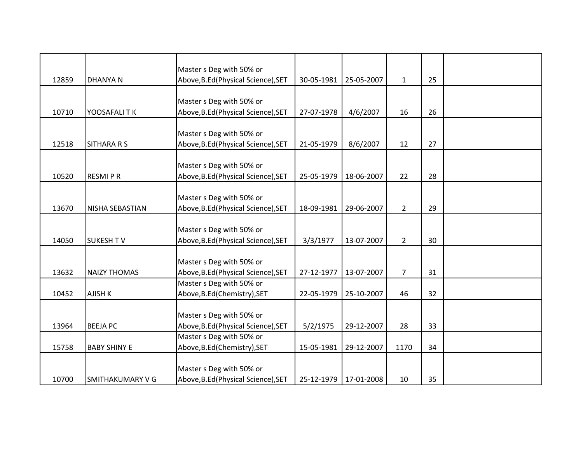|       |                     | Master s Deg with 50% or            |            |            |                |    |  |
|-------|---------------------|-------------------------------------|------------|------------|----------------|----|--|
| 12859 | <b>DHANYAN</b>      | Above, B.Ed (Physical Science), SET | 30-05-1981 | 25-05-2007 | $\mathbf{1}$   | 25 |  |
|       |                     |                                     |            |            |                |    |  |
|       |                     | Master s Deg with 50% or            |            |            |                |    |  |
| 10710 | YOOSAFALITK         | Above, B.Ed (Physical Science), SET | 27-07-1978 | 4/6/2007   | 16             | 26 |  |
|       |                     | Master s Deg with 50% or            |            |            |                |    |  |
| 12518 | <b>SITHARA R S</b>  | Above, B.Ed (Physical Science), SET | 21-05-1979 | 8/6/2007   | 12             | 27 |  |
|       |                     |                                     |            |            |                |    |  |
|       |                     | Master s Deg with 50% or            |            |            |                |    |  |
| 10520 | <b>RESMIPR</b>      | Above, B.Ed (Physical Science), SET | 25-05-1979 | 18-06-2007 | 22             | 28 |  |
|       |                     |                                     |            |            |                |    |  |
|       |                     | Master s Deg with 50% or            |            |            |                |    |  |
| 13670 | NISHA SEBASTIAN     | Above, B.Ed (Physical Science), SET | 18-09-1981 | 29-06-2007 | $2^{\circ}$    | 29 |  |
|       |                     |                                     |            |            |                |    |  |
|       |                     | Master s Deg with 50% or            |            |            |                |    |  |
| 14050 | <b>SUKESH TV</b>    | Above, B.Ed (Physical Science), SET | 3/3/1977   | 13-07-2007 | $\overline{2}$ | 30 |  |
|       |                     |                                     |            |            |                |    |  |
|       |                     | Master s Deg with 50% or            |            |            |                |    |  |
| 13632 | <b>NAIZY THOMAS</b> | Above, B.Ed (Physical Science), SET | 27-12-1977 | 13-07-2007 | 7              | 31 |  |
|       |                     | Master s Deg with 50% or            |            |            |                |    |  |
| 10452 | AJISH K             | Above, B.Ed (Chemistry), SET        | 22-05-1979 | 25-10-2007 | 46             | 32 |  |
|       |                     |                                     |            |            |                |    |  |
|       |                     | Master s Deg with 50% or            |            |            |                |    |  |
| 13964 | <b>BEEJA PC</b>     | Above, B.Ed (Physical Science), SET | 5/2/1975   | 29-12-2007 | 28             | 33 |  |
|       |                     | Master s Deg with 50% or            |            |            |                |    |  |
| 15758 | <b>BABY SHINY E</b> | Above, B.Ed(Chemistry), SET         | 15-05-1981 | 29-12-2007 | 1170           | 34 |  |
|       |                     |                                     |            |            |                |    |  |
|       |                     | Master s Deg with 50% or            |            |            |                |    |  |
| 10700 | SMITHAKUMARY V G    | Above, B.Ed (Physical Science), SET | 25-12-1979 | 17-01-2008 | 10             | 35 |  |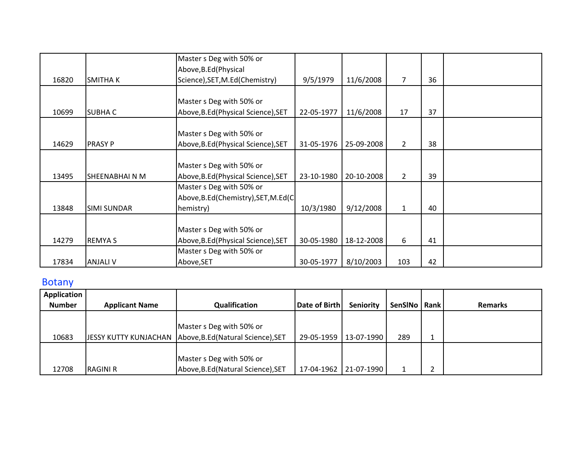|       |                     | Master s Deg with 50% or            |            |            |                |    |  |
|-------|---------------------|-------------------------------------|------------|------------|----------------|----|--|
|       |                     | Above, B.Ed (Physical               |            |            |                |    |  |
| 16820 | <b>SMITHAK</b>      | Science), SET, M.Ed(Chemistry)      | 9/5/1979   | 11/6/2008  | $\overline{7}$ | 36 |  |
|       |                     |                                     |            |            |                |    |  |
|       |                     | Master s Deg with 50% or            |            |            |                |    |  |
| 10699 | <b>SUBHAC</b>       | Above, B.Ed (Physical Science), SET | 22-05-1977 | 11/6/2008  | 17             | 37 |  |
|       |                     |                                     |            |            |                |    |  |
|       |                     | Master s Deg with 50% or            |            |            |                |    |  |
| 14629 | <b>PRASY P</b>      | Above, B.Ed (Physical Science), SET | 31-05-1976 | 25-09-2008 | $\overline{2}$ | 38 |  |
|       |                     |                                     |            |            |                |    |  |
|       |                     | Master s Deg with 50% or            |            |            |                |    |  |
| 13495 | <b>SHEENABHAINM</b> | Above, B.Ed (Physical Science), SET | 23-10-1980 | 20-10-2008 | $\overline{2}$ | 39 |  |
|       |                     | Master s Deg with 50% or            |            |            |                |    |  |
|       |                     | Above, B.Ed(Chemistry), SET, M.Ed(C |            |            |                |    |  |
| 13848 | <b>SIMI SUNDAR</b>  | hemistry)                           | 10/3/1980  | 9/12/2008  | $\mathbf{1}$   | 40 |  |
|       |                     |                                     |            |            |                |    |  |
|       |                     | Master s Deg with 50% or            |            |            |                |    |  |
| 14279 | <b>REMYAS</b>       | Above, B.Ed (Physical Science), SET | 30-05-1980 | 18-12-2008 | 6              | 41 |  |
|       |                     | Master s Deg with 50% or            |            |            |                |    |  |
| 17834 | <b>ANJALI V</b>     | Above, SET                          | 30-05-1977 | 8/10/2003  | 103            | 42 |  |

# Botany

| Application   |                       |                                                          |               |                  |                |                |
|---------------|-----------------------|----------------------------------------------------------|---------------|------------------|----------------|----------------|
| <b>Number</b> | <b>Applicant Name</b> | Qualification                                            | Date of Birth | <b>Seniority</b> | SenSINo   Rank | <b>Remarks</b> |
|               |                       |                                                          |               |                  |                |                |
|               |                       | Master s Deg with 50% or                                 |               |                  |                |                |
| 10683         |                       | JESSY KUTTY KUNJACHAN Above, B.Ed (Natural Science), SET | 29-05-1959    | 13-07-1990       | 289            |                |
|               |                       |                                                          |               |                  |                |                |
|               |                       | Master s Deg with 50% or                                 |               |                  |                |                |
| 12708         | <b>RAGINI R</b>       | Above, B.Ed (Natural Science), SET                       | 17-04-1962    | 21-07-1990       |                |                |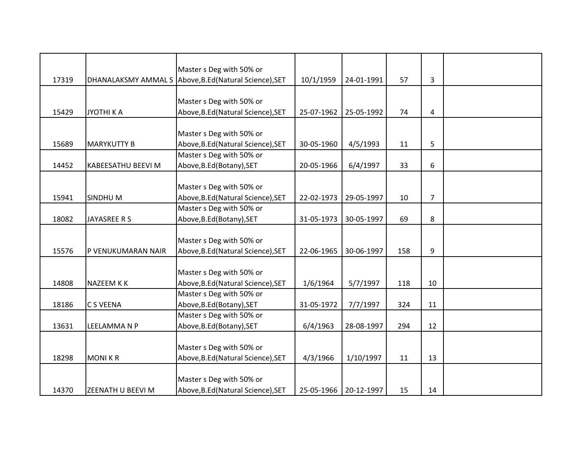|       |                           | Master s Deg with 50% or           |            |            |     |                |  |
|-------|---------------------------|------------------------------------|------------|------------|-----|----------------|--|
| 17319 | DHANALAKSMY AMMAL S       | Above, B.Ed (Natural Science), SET | 10/1/1959  | 24-01-1991 | 57  | 3              |  |
|       |                           |                                    |            |            |     |                |  |
|       |                           | Master s Deg with 50% or           |            |            |     |                |  |
| 15429 | JYOTHI K A                | Above, B.Ed (Natural Science), SET | 25-07-1962 | 25-05-1992 | 74  | 4              |  |
|       |                           |                                    |            |            |     |                |  |
|       |                           | Master s Deg with 50% or           |            |            |     |                |  |
| 15689 | <b>MARYKUTTY B</b>        | Above, B.Ed (Natural Science), SET | 30-05-1960 | 4/5/1993   | 11  | 5              |  |
|       |                           | Master s Deg with 50% or           |            |            |     |                |  |
| 14452 | <b>KABEESATHU BEEVI M</b> | Above, B.Ed (Botany), SET          | 20-05-1966 | 6/4/1997   | 33  | 6              |  |
|       |                           |                                    |            |            |     |                |  |
|       |                           | Master s Deg with 50% or           |            |            |     |                |  |
| 15941 | SINDHU M                  | Above, B.Ed (Natural Science), SET | 22-02-1973 | 29-05-1997 | 10  | $\overline{7}$ |  |
|       |                           | Master s Deg with 50% or           |            |            |     |                |  |
| 18082 | JAYASREE R S              | Above, B.Ed (Botany), SET          | 31-05-1973 | 30-05-1997 | 69  | 8              |  |
|       |                           |                                    |            |            |     |                |  |
|       |                           | Master s Deg with 50% or           |            |            |     |                |  |
| 15576 | P VENUKUMARAN NAIR        | Above, B.Ed (Natural Science), SET | 22-06-1965 | 30-06-1997 | 158 | 9              |  |
|       |                           |                                    |            |            |     |                |  |
|       |                           | Master s Deg with 50% or           |            |            |     |                |  |
| 14808 | <b>NAZEEM KK</b>          | Above, B.Ed (Natural Science), SET | 1/6/1964   | 5/7/1997   | 118 | 10             |  |
|       |                           | Master s Deg with 50% or           |            |            |     |                |  |
| 18186 | <b>C S VEENA</b>          | Above, B.Ed (Botany), SET          | 31-05-1972 | 7/7/1997   | 324 | 11             |  |
|       |                           | Master s Deg with 50% or           |            |            |     |                |  |
| 13631 | LEELAMMA N P              | Above, B.Ed (Botany), SET          | 6/4/1963   | 28-08-1997 | 294 | 12             |  |
|       |                           |                                    |            |            |     |                |  |
|       |                           | Master s Deg with 50% or           |            |            |     |                |  |
| 18298 | <b>MONIKR</b>             | Above, B.Ed (Natural Science), SET | 4/3/1966   | 1/10/1997  | 11  | 13             |  |
|       |                           |                                    |            |            |     |                |  |
|       |                           | Master s Deg with 50% or           |            |            |     |                |  |
| 14370 | <b>ZEENATH U BEEVI M</b>  | Above, B.Ed (Natural Science), SET | 25-05-1966 | 20-12-1997 | 15  | 14             |  |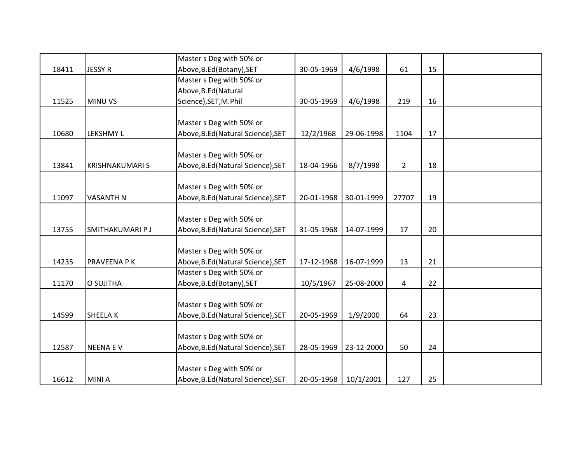|       |                        | Master s Deg with 50% or           |            |            |                |    |  |
|-------|------------------------|------------------------------------|------------|------------|----------------|----|--|
| 18411 | <b>JESSY R</b>         | Above, B.Ed (Botany), SET          | 30-05-1969 | 4/6/1998   | 61             | 15 |  |
|       |                        | Master s Deg with 50% or           |            |            |                |    |  |
|       |                        | Above, B.Ed (Natural               |            |            |                |    |  |
| 11525 | <b>MINU VS</b>         | Science), SET, M.Phil              | 30-05-1969 | 4/6/1998   | 219            | 16 |  |
|       |                        |                                    |            |            |                |    |  |
|       |                        | Master s Deg with 50% or           |            |            |                |    |  |
| 10680 | <b>LEKSHMY L</b>       | Above, B.Ed (Natural Science), SET | 12/2/1968  | 29-06-1998 | 1104           | 17 |  |
|       |                        |                                    |            |            |                |    |  |
|       |                        | Master s Deg with 50% or           |            |            |                |    |  |
| 13841 | <b>KRISHNAKUMARI S</b> | Above, B.Ed (Natural Science), SET | 18-04-1966 | 8/7/1998   | $2^{\circ}$    | 18 |  |
|       |                        |                                    |            |            |                |    |  |
|       |                        | Master s Deg with 50% or           |            |            |                |    |  |
| 11097 | <b>VASANTH N</b>       | Above, B.Ed (Natural Science), SET | 20-01-1968 | 30-01-1999 | 27707          | 19 |  |
|       |                        |                                    |            |            |                |    |  |
|       |                        | Master s Deg with 50% or           |            |            |                |    |  |
| 13755 | SMITHAKUMARI P J       | Above, B.Ed (Natural Science), SET | 31-05-1968 | 14-07-1999 | 17             | 20 |  |
|       |                        |                                    |            |            |                |    |  |
|       |                        | Master s Deg with 50% or           |            |            |                |    |  |
| 14235 | PRAVEENA P K           | Above, B.Ed (Natural Science), SET | 17-12-1968 | 16-07-1999 | 13             | 21 |  |
|       |                        | Master s Deg with 50% or           |            |            |                |    |  |
| 11170 | O SUJITHA              | Above, B.Ed (Botany), SET          | 10/5/1967  | 25-08-2000 | $\overline{4}$ | 22 |  |
|       |                        |                                    |            |            |                |    |  |
|       |                        | Master s Deg with 50% or           |            |            |                |    |  |
| 14599 | <b>SHEELAK</b>         | Above, B.Ed (Natural Science), SET | 20-05-1969 | 1/9/2000   | 64             | 23 |  |
|       |                        |                                    |            |            |                |    |  |
|       |                        | Master s Deg with 50% or           |            |            |                |    |  |
| 12587 | <b>NEENA EV</b>        | Above, B.Ed (Natural Science), SET | 28-05-1969 | 23-12-2000 | 50             | 24 |  |
|       |                        |                                    |            |            |                |    |  |
|       |                        | Master s Deg with 50% or           |            |            |                |    |  |
| 16612 | <b>MINIA</b>           | Above, B.Ed (Natural Science), SET | 20-05-1968 | 10/1/2001  | 127            | 25 |  |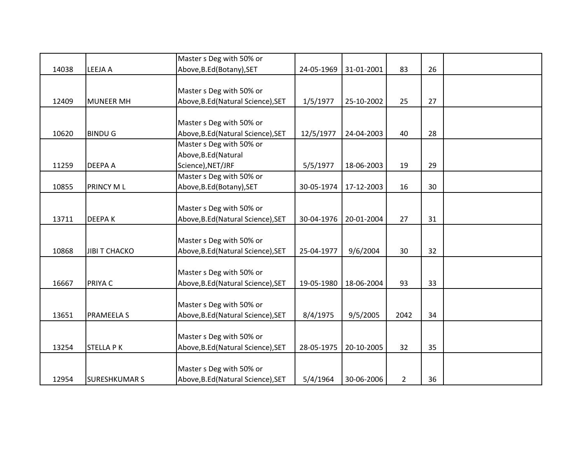|       |                      | Master s Deg with 50% or           |            |            |                |    |  |
|-------|----------------------|------------------------------------|------------|------------|----------------|----|--|
| 14038 | LEEJA A              | Above, B.Ed (Botany), SET          | 24-05-1969 | 31-01-2001 | 83             | 26 |  |
|       |                      |                                    |            |            |                |    |  |
|       |                      | Master s Deg with 50% or           |            |            |                |    |  |
| 12409 | <b>MUNEER MH</b>     | Above, B.Ed (Natural Science), SET | 1/5/1977   | 25-10-2002 | 25             | 27 |  |
|       |                      | Master s Deg with 50% or           |            |            |                |    |  |
| 10620 | <b>BINDU G</b>       | Above, B.Ed (Natural Science), SET | 12/5/1977  | 24-04-2003 | 40             | 28 |  |
|       |                      | Master s Deg with 50% or           |            |            |                |    |  |
|       |                      | Above, B.Ed (Natural               |            |            |                |    |  |
| 11259 | <b>DEEPA A</b>       | Science), NET/JRF                  | 5/5/1977   | 18-06-2003 | 19             | 29 |  |
|       |                      | Master s Deg with 50% or           |            |            |                |    |  |
| 10855 | <b>PRINCY ML</b>     | Above, B.Ed (Botany), SET          | 30-05-1974 | 17-12-2003 | 16             | 30 |  |
|       |                      |                                    |            |            |                |    |  |
|       |                      | Master s Deg with 50% or           |            |            |                |    |  |
| 13711 | <b>DEEPAK</b>        | Above, B.Ed (Natural Science), SET | 30-04-1976 | 20-01-2004 | 27             | 31 |  |
|       |                      |                                    |            |            |                |    |  |
|       |                      | Master s Deg with 50% or           |            |            |                |    |  |
| 10868 | <b>JIBI T CHACKO</b> | Above, B.Ed (Natural Science), SET | 25-04-1977 | 9/6/2004   | 30             | 32 |  |
|       |                      |                                    |            |            |                |    |  |
|       |                      | Master s Deg with 50% or           |            |            |                |    |  |
| 16667 | PRIYA C              | Above, B.Ed (Natural Science), SET | 19-05-1980 | 18-06-2004 | 93             | 33 |  |
|       |                      |                                    |            |            |                |    |  |
|       |                      | Master s Deg with 50% or           |            |            |                |    |  |
| 13651 | <b>PRAMEELA S</b>    | Above, B.Ed (Natural Science), SET | 8/4/1975   | 9/5/2005   | 2042           | 34 |  |
|       |                      |                                    |            |            |                |    |  |
|       |                      | Master s Deg with 50% or           |            |            |                |    |  |
| 13254 | <b>STELLA PK</b>     | Above, B.Ed (Natural Science), SET | 28-05-1975 | 20-10-2005 | 32             | 35 |  |
|       |                      | Master s Deg with 50% or           |            |            |                |    |  |
| 12954 | <b>SURESHKUMARS</b>  | Above, B.Ed (Natural Science), SET | 5/4/1964   | 30-06-2006 | $\overline{2}$ | 36 |  |
|       |                      |                                    |            |            |                |    |  |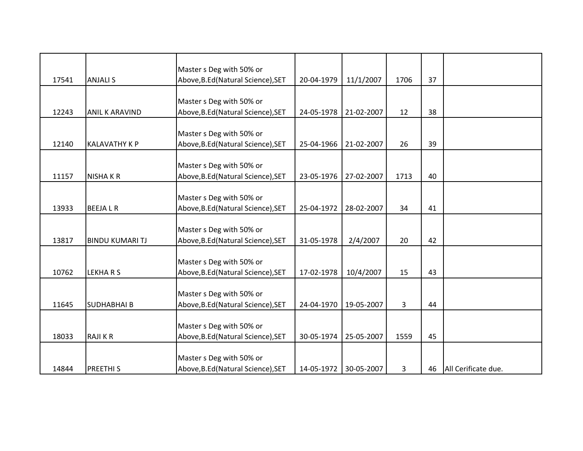|       |                        | Master s Deg with 50% or           |            |            |      |    |                     |
|-------|------------------------|------------------------------------|------------|------------|------|----|---------------------|
| 17541 | <b>ANJALI S</b>        | Above, B.Ed (Natural Science), SET | 20-04-1979 | 11/1/2007  | 1706 | 37 |                     |
|       |                        |                                    |            |            |      |    |                     |
|       |                        | Master s Deg with 50% or           |            |            |      |    |                     |
| 12243 | <b>ANIL K ARAVIND</b>  | Above, B.Ed (Natural Science), SET | 24-05-1978 | 21-02-2007 | 12   | 38 |                     |
|       |                        |                                    |            |            |      |    |                     |
|       |                        | Master s Deg with 50% or           |            |            |      |    |                     |
| 12140 | <b>KALAVATHY K P</b>   | Above, B.Ed (Natural Science), SET | 25-04-1966 | 21-02-2007 | 26   | 39 |                     |
|       |                        | Master s Deg with 50% or           |            |            |      |    |                     |
| 11157 | <b>NISHAKR</b>         | Above, B.Ed (Natural Science), SET | 23-05-1976 | 27-02-2007 | 1713 | 40 |                     |
|       |                        |                                    |            |            |      |    |                     |
|       |                        | Master s Deg with 50% or           |            |            |      |    |                     |
| 13933 | <b>BEEJALR</b>         | Above, B.Ed (Natural Science), SET | 25-04-1972 | 28-02-2007 | 34   | 41 |                     |
|       |                        |                                    |            |            |      |    |                     |
|       |                        | Master s Deg with 50% or           |            |            |      |    |                     |
| 13817 | <b>BINDU KUMARI TJ</b> | Above, B.Ed (Natural Science), SET | 31-05-1978 | 2/4/2007   | 20   | 42 |                     |
|       |                        |                                    |            |            |      |    |                     |
| 10762 | <b>LEKHARS</b>         | Master s Deg with 50% or           | 17-02-1978 |            | 15   | 43 |                     |
|       |                        | Above, B.Ed (Natural Science), SET |            | 10/4/2007  |      |    |                     |
|       |                        | Master s Deg with 50% or           |            |            |      |    |                     |
| 11645 | <b>SUDHABHAI B</b>     | Above, B.Ed (Natural Science), SET | 24-04-1970 | 19-05-2007 | 3    | 44 |                     |
|       |                        |                                    |            |            |      |    |                     |
|       |                        | Master s Deg with 50% or           |            |            |      |    |                     |
| 18033 | <b>RAJIKR</b>          | Above, B.Ed (Natural Science), SET | 30-05-1974 | 25-05-2007 | 1559 | 45 |                     |
|       |                        |                                    |            |            |      |    |                     |
|       |                        | Master s Deg with 50% or           |            |            |      |    |                     |
| 14844 | <b>PREETHIS</b>        | Above, B.Ed (Natural Science), SET | 14-05-1972 | 30-05-2007 | 3    | 46 | All Cerificate due. |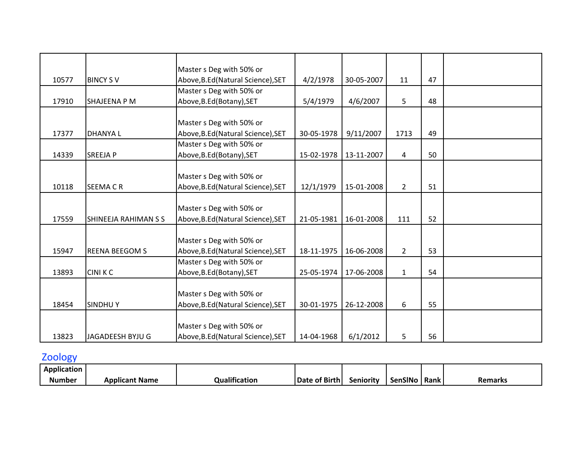|       |                             | Master s Deg with 50% or           |            |            |                |    |  |
|-------|-----------------------------|------------------------------------|------------|------------|----------------|----|--|
| 10577 | <b>BINCY SV</b>             | Above, B.Ed (Natural Science), SET | 4/2/1978   | 30-05-2007 | 11             | 47 |  |
|       |                             | Master s Deg with 50% or           |            |            |                |    |  |
| 17910 | <b>SHAJEENA P M</b>         | Above, B.Ed (Botany), SET          | 5/4/1979   | 4/6/2007   | 5              | 48 |  |
|       |                             |                                    |            |            |                |    |  |
|       |                             | Master s Deg with 50% or           |            |            |                |    |  |
| 17377 | <b>DHANYAL</b>              | Above, B.Ed (Natural Science), SET | 30-05-1978 | 9/11/2007  | 1713           | 49 |  |
|       |                             | Master s Deg with 50% or           |            |            |                |    |  |
| 14339 | <b>SREEJAP</b>              | Above, B.Ed (Botany), SET          | 15-02-1978 | 13-11-2007 | $\overline{4}$ | 50 |  |
|       |                             |                                    |            |            |                |    |  |
|       |                             | Master s Deg with 50% or           |            |            |                |    |  |
| 10118 | <b>SEEMACR</b>              | Above, B.Ed (Natural Science), SET | 12/1/1979  | 15-01-2008 | $\overline{2}$ | 51 |  |
|       |                             |                                    |            |            |                |    |  |
|       |                             | Master s Deg with 50% or           |            |            |                |    |  |
| 17559 | <b>SHINEEJA RAHIMAN S S</b> | Above, B.Ed (Natural Science), SET | 21-05-1981 | 16-01-2008 | 111            | 52 |  |
|       |                             |                                    |            |            |                |    |  |
|       |                             | Master s Deg with 50% or           |            |            |                |    |  |
| 15947 | <b>REENA BEEGOM S</b>       | Above, B.Ed (Natural Science), SET | 18-11-1975 | 16-06-2008 | $2^{\circ}$    | 53 |  |
|       |                             | Master s Deg with 50% or           |            |            |                |    |  |
| 13893 | <b>CINIKC</b>               | Above, B.Ed (Botany), SET          | 25-05-1974 | 17-06-2008 | $\mathbf{1}$   | 54 |  |
|       |                             |                                    |            |            |                |    |  |
|       |                             | Master s Deg with 50% or           |            |            |                |    |  |
| 18454 | <b>SINDHUY</b>              | Above, B.Ed (Natural Science), SET | 30-01-1975 | 26-12-2008 | 6              | 55 |  |
|       |                             |                                    |            |            |                |    |  |
|       |                             | Master s Deg with 50% or           |            |            |                |    |  |
| 13823 | JAGADEESH BYJU G            | Above, B.Ed (Natural Science), SET | 14-04-1968 | 6/1/2012   | 5              | 56 |  |
|       |                             |                                    |            |            |                |    |  |

# Zoology

| .<br>Application |                |                   |               |           |                |             |                |
|------------------|----------------|-------------------|---------------|-----------|----------------|-------------|----------------|
| .<br>Number      | Applicant Name | <br>Qualification | Date of Birth | Seniority | <b>SenSINC</b> | <b>Rank</b> | <b>Remarks</b> |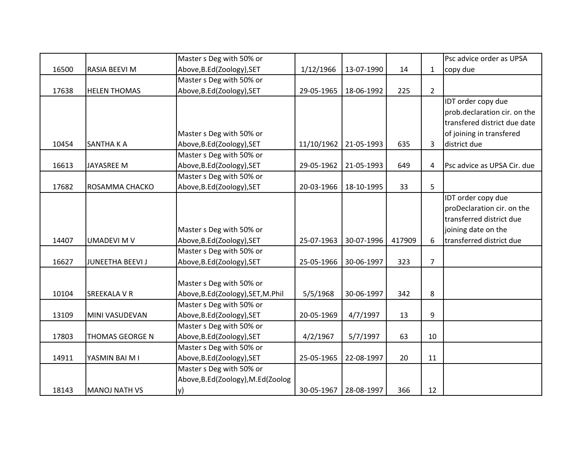|       |                         | Master s Deg with 50% or          |            |            |        |                | Psc advice order as UPSA     |
|-------|-------------------------|-----------------------------------|------------|------------|--------|----------------|------------------------------|
| 16500 | RASIA BEEVI M           | Above, B.Ed(Zoology), SET         | 1/12/1966  | 13-07-1990 | 14     | $\mathbf{1}$   | copy due                     |
|       |                         | Master s Deg with 50% or          |            |            |        |                |                              |
| 17638 | <b>HELEN THOMAS</b>     | Above, B.Ed(Zoology), SET         | 29-05-1965 | 18-06-1992 | 225    | $\overline{2}$ |                              |
|       |                         |                                   |            |            |        |                | IDT order copy due           |
|       |                         |                                   |            |            |        |                | prob.declaration cir. on the |
|       |                         |                                   |            |            |        |                | transfered district due date |
|       |                         | Master s Deg with 50% or          |            |            |        |                | of joining in transfered     |
| 10454 | <b>SANTHA K A</b>       | Above, B.Ed(Zoology), SET         | 11/10/1962 | 21-05-1993 | 635    | 3              | district due                 |
|       |                         | Master s Deg with 50% or          |            |            |        |                |                              |
| 16613 | <b>JAYASREE M</b>       | Above, B.Ed(Zoology), SET         | 29-05-1962 | 21-05-1993 | 649    | 4              | Psc advice as UPSA Cir. due  |
|       |                         | Master s Deg with 50% or          |            |            |        |                |                              |
| 17682 | ROSAMMA CHACKO          | Above, B.Ed(Zoology), SET         | 20-03-1966 | 18-10-1995 | 33     | 5              |                              |
|       |                         |                                   |            |            |        |                | IDT order copy due           |
|       |                         |                                   |            |            |        |                | proDeclaration cir. on the   |
|       |                         |                                   |            |            |        |                | transferred district due     |
|       |                         | Master s Deg with 50% or          |            |            |        |                | joining date on the          |
| 14407 | <b>UMADEVI M V</b>      | Above, B.Ed(Zoology), SET         | 25-07-1963 | 30-07-1996 | 417909 | 6              | transferred district due     |
|       |                         | Master s Deg with 50% or          |            |            |        |                |                              |
| 16627 | <b>JUNEETHA BEEVI J</b> | Above, B.Ed (Zoology), SET        | 25-05-1966 | 30-06-1997 | 323    | $\overline{7}$ |                              |
|       |                         |                                   |            |            |        |                |                              |
|       |                         | Master s Deg with 50% or          |            |            |        |                |                              |
| 10104 | <b>SREEKALA V R</b>     | Above, B.Ed(Zoology), SET, M.Phil | 5/5/1968   | 30-06-1997 | 342    | 8              |                              |
|       |                         | Master s Deg with 50% or          |            |            |        |                |                              |
| 13109 | MINI VASUDEVAN          | Above, B.Ed (Zoology), SET        | 20-05-1969 | 4/7/1997   | 13     | 9              |                              |
|       |                         | Master s Deg with 50% or          |            |            |        |                |                              |
| 17803 | <b>THOMAS GEORGE N</b>  | Above, B.Ed(Zoology), SET         | 4/2/1967   | 5/7/1997   | 63     | 10             |                              |
|       |                         | Master s Deg with 50% or          |            |            |        |                |                              |
| 14911 | YASMIN BAI M I          | Above, B.Ed(Zoology), SET         | 25-05-1965 | 22-08-1997 | 20     | 11             |                              |
|       |                         | Master s Deg with 50% or          |            |            |        |                |                              |
|       |                         | Above, B.Ed(Zoology), M.Ed(Zoolog |            |            |        |                |                              |
| 18143 | <b>MANOJ NATH VS</b>    | y)                                | 30-05-1967 | 28-08-1997 | 366    | 12             |                              |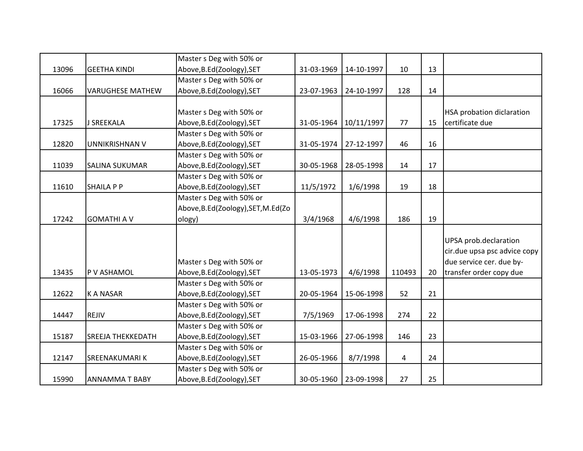|       |                          | Master s Deg with 50% or           |            |                         |                |    |                                  |
|-------|--------------------------|------------------------------------|------------|-------------------------|----------------|----|----------------------------------|
| 13096 | <b>GEETHA KINDI</b>      | Above, B.Ed(Zoology), SET          | 31-03-1969 | 14-10-1997              | 10             | 13 |                                  |
|       |                          | Master s Deg with 50% or           |            |                         |                |    |                                  |
| 16066 | <b>VARUGHESE MATHEW</b>  | Above, B.Ed(Zoology), SET          | 23-07-1963 | 24-10-1997              | 128            | 14 |                                  |
|       |                          |                                    |            |                         |                |    |                                  |
|       |                          | Master s Deg with 50% or           |            |                         |                |    | <b>HSA probation diclaration</b> |
| 17325 | J SREEKALA               | Above, B.Ed (Zoology), SET         | 31-05-1964 | 10/11/1997              | 77             | 15 | certificate due                  |
|       |                          | Master s Deg with 50% or           |            |                         |                |    |                                  |
| 12820 | <b>UNNIKRISHNAN V</b>    | Above, B.Ed(Zoology), SET          | 31-05-1974 | 27-12-1997              | 46             | 16 |                                  |
|       |                          | Master s Deg with 50% or           |            |                         |                |    |                                  |
| 11039 | <b>SALINA SUKUMAR</b>    | Above, B.Ed(Zoology), SET          | 30-05-1968 | 28-05-1998              | 14             | 17 |                                  |
|       |                          | Master s Deg with 50% or           |            |                         |                |    |                                  |
| 11610 | <b>SHAILA P P</b>        | Above, B.Ed(Zoology), SET          | 11/5/1972  | 1/6/1998                | 19             | 18 |                                  |
|       |                          | Master s Deg with 50% or           |            |                         |                |    |                                  |
|       |                          | Above, B.Ed(Zoology), SET, M.Ed(Zo |            |                         |                |    |                                  |
| 17242 | <b>GOMATHI A V</b>       | ology)                             | 3/4/1968   | 4/6/1998                | 186            | 19 |                                  |
|       |                          |                                    |            |                         |                |    |                                  |
|       |                          |                                    |            |                         |                |    | UPSA prob.declaration            |
|       |                          |                                    |            |                         |                |    | cir.due upsa psc advice copy     |
|       |                          | Master s Deg with 50% or           |            |                         |                |    | due service cer. due by-         |
| 13435 | P V ASHAMOL              | Above, B.Ed(Zoology), SET          | 13-05-1973 | 4/6/1998                | 110493         | 20 | transfer order copy due          |
|       |                          | Master s Deg with 50% or           |            |                         |                |    |                                  |
| 12622 | <b>KANASAR</b>           | Above, B.Ed(Zoology), SET          | 20-05-1964 | 15-06-1998              | 52             | 21 |                                  |
|       |                          | Master s Deg with 50% or           |            |                         |                |    |                                  |
| 14447 | REJIV                    | Above, B.Ed(Zoology), SET          | 7/5/1969   | 17-06-1998              | 274            | 22 |                                  |
|       |                          | Master s Deg with 50% or           |            |                         |                |    |                                  |
| 15187 | <b>SREEJA THEKKEDATH</b> | Above, B.Ed(Zoology), SET          | 15-03-1966 | 27-06-1998              | 146            | 23 |                                  |
|       |                          | Master s Deg with 50% or           |            |                         |                |    |                                  |
| 12147 | <b>SREENAKUMARIK</b>     | Above, B.Ed(Zoology), SET          | 26-05-1966 | 8/7/1998                | $\overline{4}$ | 24 |                                  |
|       |                          | Master s Deg with 50% or           |            |                         |                |    |                                  |
| 15990 | <b>ANNAMMAT BABY</b>     | Above, B.Ed(Zoology), SET          |            | 30-05-1960   23-09-1998 | 27             | 25 |                                  |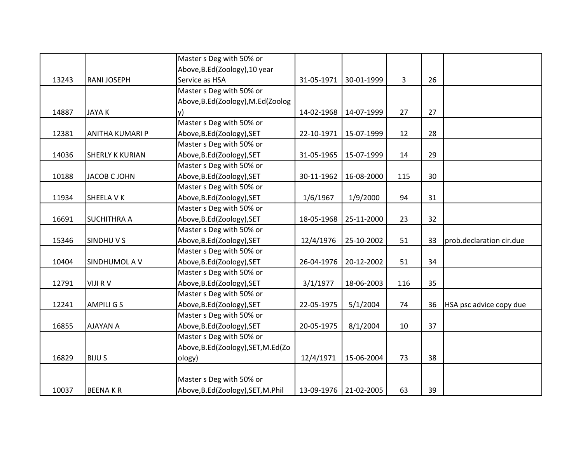|       |                        | Master s Deg with 50% or           |            |            |     |    |                          |
|-------|------------------------|------------------------------------|------------|------------|-----|----|--------------------------|
|       |                        | Above, B.Ed(Zoology), 10 year      |            |            |     |    |                          |
| 13243 | <b>RANI JOSEPH</b>     | Service as HSA                     | 31-05-1971 | 30-01-1999 | 3   | 26 |                          |
|       |                        | Master s Deg with 50% or           |            |            |     |    |                          |
|       |                        | Above, B.Ed(Zoology), M.Ed(Zoolog  |            |            |     |    |                          |
| 14887 | <b>JAYAK</b>           | y)                                 | 14-02-1968 | 14-07-1999 | 27  | 27 |                          |
|       |                        | Master s Deg with 50% or           |            |            |     |    |                          |
| 12381 | <b>ANITHA KUMARI P</b> | Above, B.Ed(Zoology), SET          | 22-10-1971 | 15-07-1999 | 12  | 28 |                          |
|       |                        | Master s Deg with 50% or           |            |            |     |    |                          |
| 14036 | <b>SHERLY K KURIAN</b> | Above, B.Ed(Zoology), SET          | 31-05-1965 | 15-07-1999 | 14  | 29 |                          |
|       |                        | Master s Deg with 50% or           |            |            |     |    |                          |
| 10188 | <b>JACOB C JOHN</b>    | Above, B.Ed(Zoology), SET          | 30-11-1962 | 16-08-2000 | 115 | 30 |                          |
|       |                        | Master s Deg with 50% or           |            |            |     |    |                          |
| 11934 | SHEELA V K             | Above, B.Ed(Zoology), SET          | 1/6/1967   | 1/9/2000   | 94  | 31 |                          |
|       |                        | Master s Deg with 50% or           |            |            |     |    |                          |
| 16691 | <b>SUCHITHRA A</b>     | Above, B.Ed(Zoology), SET          | 18-05-1968 | 25-11-2000 | 23  | 32 |                          |
|       |                        | Master s Deg with 50% or           |            |            |     |    |                          |
| 15346 | SINDHUVS               | Above, B.Ed(Zoology), SET          | 12/4/1976  | 25-10-2002 | 51  | 33 | prob.declaration cir.due |
|       |                        | Master s Deg with 50% or           |            |            |     |    |                          |
| 10404 | SINDHUMOL A V          | Above, B.Ed (Zoology), SET         | 26-04-1976 | 20-12-2002 | 51  | 34 |                          |
|       |                        | Master s Deg with 50% or           |            |            |     |    |                          |
| 12791 | <b>VIJI RV</b>         | Above, B.Ed(Zoology), SET          | 3/1/1977   | 18-06-2003 | 116 | 35 |                          |
|       |                        | Master s Deg with 50% or           |            |            |     |    |                          |
| 12241 | <b>AMPILI G S</b>      | Above, B.Ed(Zoology), SET          | 22-05-1975 | 5/1/2004   | 74  | 36 | HSA psc advice copy due  |
|       |                        | Master s Deg with 50% or           |            |            |     |    |                          |
| 16855 | <b>AJAYAN A</b>        | Above, B.Ed(Zoology), SET          | 20-05-1975 | 8/1/2004   | 10  | 37 |                          |
|       |                        | Master s Deg with 50% or           |            |            |     |    |                          |
|       |                        | Above, B.Ed(Zoology), SET, M.Ed(Zo |            |            |     |    |                          |
| 16829 | <b>BIJU S</b>          | ology)                             | 12/4/1971  | 15-06-2004 | 73  | 38 |                          |
|       |                        |                                    |            |            |     |    |                          |
|       |                        | Master s Deg with 50% or           |            |            |     |    |                          |
| 10037 | <b>BEENAKR</b>         | Above, B.Ed(Zoology), SET, M.Phil  | 13-09-1976 | 21-02-2005 | 63  | 39 |                          |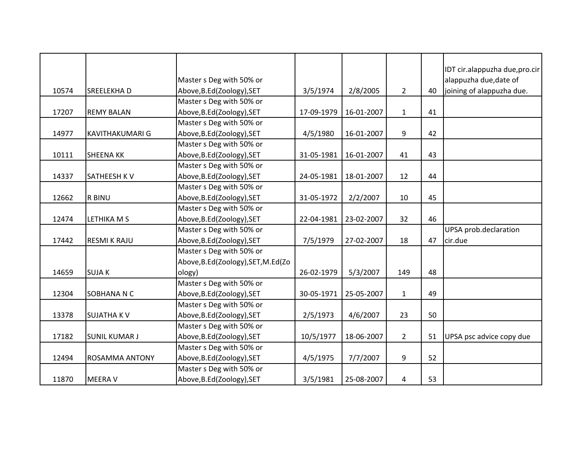|       |                        | Master s Deg with 50% or           |            |            |                |    | IDT cir.alappuzha due, pro.cir<br>alappuzha due, date of |
|-------|------------------------|------------------------------------|------------|------------|----------------|----|----------------------------------------------------------|
| 10574 | <b>SREELEKHAD</b>      | Above, B.Ed(Zoology), SET          | 3/5/1974   | 2/8/2005   | $\overline{2}$ | 40 | joining of alappuzha due.                                |
|       |                        | Master s Deg with 50% or           |            |            |                |    |                                                          |
| 17207 | <b>REMY BALAN</b>      | Above, B.Ed(Zoology), SET          | 17-09-1979 | 16-01-2007 | $\mathbf{1}$   | 41 |                                                          |
|       |                        | Master s Deg with 50% or           |            |            |                |    |                                                          |
| 14977 | <b>KAVITHAKUMARI G</b> | Above, B.Ed (Zoology), SET         | 4/5/1980   | 16-01-2007 | 9              | 42 |                                                          |
|       |                        | Master s Deg with 50% or           |            |            |                |    |                                                          |
| 10111 | <b>SHEENA KK</b>       | Above, B.Ed(Zoology), SET          | 31-05-1981 | 16-01-2007 | 41             | 43 |                                                          |
|       |                        | Master s Deg with 50% or           |            |            |                |    |                                                          |
| 14337 | <b>SATHEESH KV</b>     | Above, B.Ed(Zoology), SET          | 24-05-1981 | 18-01-2007 | 12             | 44 |                                                          |
|       |                        | Master s Deg with 50% or           |            |            |                |    |                                                          |
| 12662 | <b>R BINU</b>          | Above, B.Ed(Zoology), SET          | 31-05-1972 | 2/2/2007   | 10             | 45 |                                                          |
|       |                        | Master s Deg with 50% or           |            |            |                |    |                                                          |
| 12474 | LETHIKA M S            | Above, B.Ed(Zoology), SET          | 22-04-1981 | 23-02-2007 | 32             | 46 |                                                          |
|       |                        | Master s Deg with 50% or           |            |            |                |    | UPSA prob.declaration                                    |
| 17442 | <b>RESMI K RAJU</b>    | Above, B.Ed(Zoology), SET          | 7/5/1979   | 27-02-2007 | 18             | 47 | cir.due                                                  |
|       |                        | Master s Deg with 50% or           |            |            |                |    |                                                          |
|       |                        | Above, B.Ed(Zoology), SET, M.Ed(Zo |            |            |                |    |                                                          |
| 14659 | <b>SUJAK</b>           | ology)                             | 26-02-1979 | 5/3/2007   | 149            | 48 |                                                          |
|       |                        | Master s Deg with 50% or           |            |            |                |    |                                                          |
| 12304 | SOBHANA N C            | Above, B.Ed(Zoology), SET          | 30-05-1971 | 25-05-2007 | $\mathbf{1}$   | 49 |                                                          |
|       |                        | Master s Deg with 50% or           |            |            |                |    |                                                          |
| 13378 | <b>SUJATHA KV</b>      | Above, B.Ed(Zoology), SET          | 2/5/1973   | 4/6/2007   | 23             | 50 |                                                          |
|       |                        | Master s Deg with 50% or           |            |            |                |    |                                                          |
| 17182 | <b>SUNIL KUMAR J</b>   | Above, B.Ed(Zoology), SET          | 10/5/1977  | 18-06-2007 | $\overline{2}$ | 51 | UPSA psc advice copy due                                 |
|       |                        | Master s Deg with 50% or           |            |            |                |    |                                                          |
| 12494 | <b>ROSAMMA ANTONY</b>  | Above, B.Ed(Zoology), SET          | 4/5/1975   | 7/7/2007   | 9              | 52 |                                                          |
|       |                        | Master s Deg with 50% or           |            |            |                |    |                                                          |
| 11870 | <b>MEERA V</b>         | Above, B.Ed (Zoology), SET         | 3/5/1981   | 25-08-2007 | 4              | 53 |                                                          |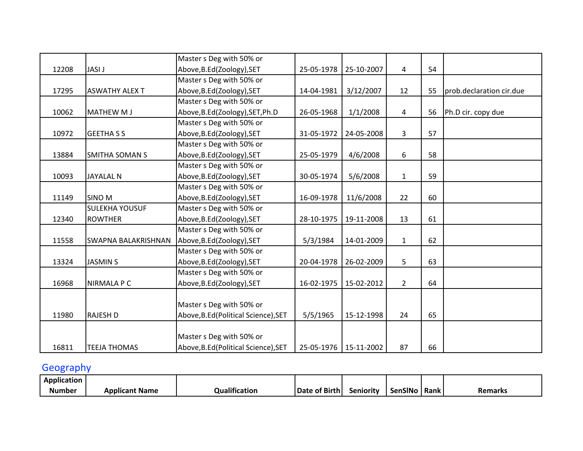|       |                            | Master s Deg with 50% or             |            |                         |                |    |                          |
|-------|----------------------------|--------------------------------------|------------|-------------------------|----------------|----|--------------------------|
| 12208 | <b>JASI J</b>              | Above, B.Ed (Zoology), SET           | 25-05-1978 | 25-10-2007              | 4              | 54 |                          |
|       |                            | Master s Deg with 50% or             |            |                         |                |    |                          |
| 17295 | <b>ASWATHY ALEX T</b>      | Above, B.Ed (Zoology), SET           | 14-04-1981 | 3/12/2007               | 12             | 55 | prob.declaration cir.due |
|       |                            | Master s Deg with 50% or             |            |                         |                |    |                          |
| 10062 | <b>MATHEW MJ</b>           | Above, B.Ed(Zoology), SET, Ph.D      | 26-05-1968 | 1/1/2008                | $\overline{4}$ | 56 | Ph.D cir. copy due       |
|       |                            | Master s Deg with 50% or             |            |                         |                |    |                          |
| 10972 | <b>GEETHA S S</b>          | Above, B.Ed(Zoology), SET            | 31-05-1972 | 24-05-2008              | $\overline{3}$ | 57 |                          |
|       |                            | Master s Deg with 50% or             |            |                         |                |    |                          |
| 13884 | <b>SMITHA SOMAN S</b>      | Above, B.Ed (Zoology), SET           | 25-05-1979 | 4/6/2008                | 6              | 58 |                          |
|       |                            | Master s Deg with 50% or             |            |                         |                |    |                          |
| 10093 | <b>JAYALAL N</b>           | Above, B.Ed(Zoology), SET            | 30-05-1974 | 5/6/2008                | $\mathbf{1}$   | 59 |                          |
|       |                            | Master s Deg with 50% or             |            |                         |                |    |                          |
| 11149 | <b>SINO M</b>              | Above, B.Ed(Zoology), SET            | 16-09-1978 | 11/6/2008               | 22             | 60 |                          |
|       | <b>SULEKHA YOUSUF</b>      | Master s Deg with 50% or             |            |                         |                |    |                          |
| 12340 | <b>ROWTHER</b>             | Above, B.Ed (Zoology), SET           | 28-10-1975 | 19-11-2008              | 13             | 61 |                          |
|       |                            | Master s Deg with 50% or             |            |                         |                |    |                          |
| 11558 | <b>SWAPNA BALAKRISHNAN</b> | Above, B.Ed (Zoology), SET           | 5/3/1984   | 14-01-2009              | $\mathbf{1}$   | 62 |                          |
|       |                            | Master s Deg with 50% or             |            |                         |                |    |                          |
| 13324 | <b>JASMIN S</b>            | Above, B.Ed(Zoology), SET            | 20-04-1978 | 26-02-2009              | 5              | 63 |                          |
|       |                            | Master s Deg with 50% or             |            |                         |                |    |                          |
| 16968 | NIRMALA P C                | Above, B.Ed(Zoology), SET            | 16-02-1975 | 15-02-2012              | $2^{\circ}$    | 64 |                          |
|       |                            |                                      |            |                         |                |    |                          |
|       |                            | Master s Deg with 50% or             |            |                         |                |    |                          |
| 11980 | <b>RAJESH D</b>            | Above, B.Ed (Political Science), SET | 5/5/1965   | 15-12-1998              | 24             | 65 |                          |
|       |                            |                                      |            |                         |                |    |                          |
|       |                            | Master s Deg with 50% or             |            |                         |                |    |                          |
| 16811 | <b>TEEJA THOMAS</b>        | Above, B.Ed (Political Science), SET |            | 25-05-1976   15-11-2002 | 87             | 66 |                          |

# **Geography**

| <br>Application |                       |                    |               |                                  |         |      |         |
|-----------------|-----------------------|--------------------|---------------|----------------------------------|---------|------|---------|
| <b>Number</b>   | <b>Applicant Name</b> | .<br>Qualification | Date of Birth | $\bullet$ $\bullet$<br>Seniority | SenSINo | Rank | Remarks |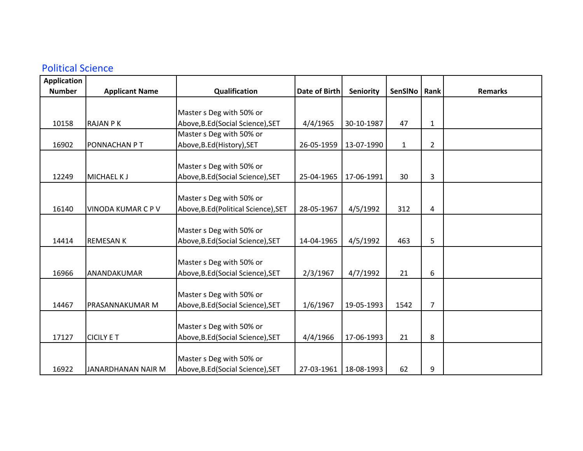#### Political Science

| <b>Application</b> |                           |                                      |                      |            |              |                |                |
|--------------------|---------------------------|--------------------------------------|----------------------|------------|--------------|----------------|----------------|
| <b>Number</b>      | <b>Applicant Name</b>     | Qualification                        | <b>Date of Birth</b> | Seniority  | SenSINo      | Rank           | <b>Remarks</b> |
|                    |                           |                                      |                      |            |              |                |                |
|                    |                           | Master s Deg with 50% or             |                      |            |              |                |                |
| 10158              | <b>RAJAN PK</b>           | Above, B.Ed (Social Science), SET    | 4/4/1965             | 30-10-1987 | 47           | $\mathbf{1}$   |                |
|                    |                           | Master s Deg with 50% or             |                      |            |              |                |                |
| 16902              | <b>PONNACHAN PT</b>       | Above, B.Ed (History), SET           | 26-05-1959           | 13-07-1990 | $\mathbf{1}$ | $\overline{2}$ |                |
|                    |                           |                                      |                      |            |              |                |                |
|                    |                           | Master s Deg with 50% or             |                      |            |              |                |                |
| 12249              | <b>MICHAEL KJ</b>         | Above, B.Ed (Social Science), SET    | 25-04-1965           | 17-06-1991 | 30           | 3              |                |
|                    |                           |                                      |                      |            |              |                |                |
|                    |                           | Master s Deg with 50% or             |                      |            |              |                |                |
| 16140              | <b>VINODA KUMAR C P V</b> | Above, B.Ed (Political Science), SET | 28-05-1967           | 4/5/1992   | 312          | 4              |                |
|                    |                           |                                      |                      |            |              |                |                |
|                    |                           | Master s Deg with 50% or             |                      |            |              |                |                |
| 14414              | <b>REMESAN K</b>          | Above, B.Ed (Social Science), SET    | 14-04-1965           | 4/5/1992   | 463          | 5              |                |
|                    |                           |                                      |                      |            |              |                |                |
|                    |                           | Master s Deg with 50% or             |                      |            |              |                |                |
| 16966              | ANANDAKUMAR               | Above, B.Ed (Social Science), SET    | 2/3/1967             | 4/7/1992   | 21           | 6              |                |
|                    |                           |                                      |                      |            |              |                |                |
|                    |                           | Master s Deg with 50% or             |                      |            |              |                |                |
| 14467              | <b>PRASANNAKUMAR M</b>    | Above, B.Ed (Social Science), SET    | 1/6/1967             | 19-05-1993 | 1542         | 7              |                |
|                    |                           |                                      |                      |            |              |                |                |
|                    |                           | Master s Deg with 50% or             |                      |            |              |                |                |
| 17127              | <b>CICILY E T</b>         | Above, B.Ed (Social Science), SET    | 4/4/1966             | 17-06-1993 | 21           | 8              |                |
|                    |                           |                                      |                      |            |              |                |                |
|                    |                           | Master s Deg with 50% or             |                      |            |              |                |                |
| 16922              | JANARDHANAN NAIR M        | Above, B.Ed (Social Science), SET    | 27-03-1961           | 18-08-1993 | 62           | 9              |                |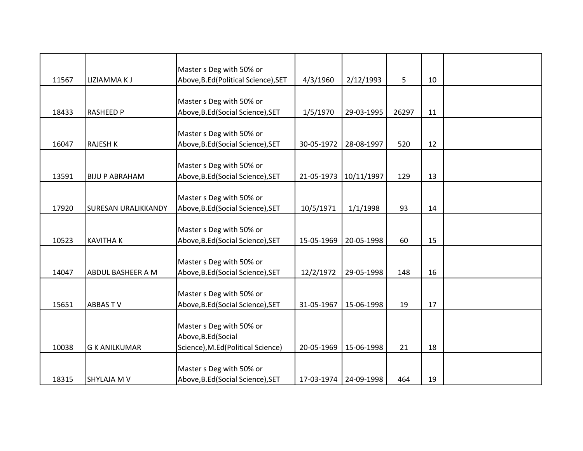|       |                            | Master s Deg with 50% or             |            |            |       |    |  |
|-------|----------------------------|--------------------------------------|------------|------------|-------|----|--|
| 11567 | LIZIAMMA K J               | Above, B.Ed (Political Science), SET | 4/3/1960   | 2/12/1993  | 5     | 10 |  |
|       |                            |                                      |            |            |       |    |  |
|       |                            | Master s Deg with 50% or             |            |            |       |    |  |
| 18433 | <b>RASHEED P</b>           | Above, B.Ed (Social Science), SET    | 1/5/1970   | 29-03-1995 | 26297 | 11 |  |
|       |                            | Master s Deg with 50% or             |            |            |       |    |  |
| 16047 | <b>RAJESH K</b>            | Above, B.Ed (Social Science), SET    | 30-05-1972 | 28-08-1997 | 520   | 12 |  |
|       |                            |                                      |            |            |       |    |  |
|       |                            | Master s Deg with 50% or             |            |            |       |    |  |
| 13591 | <b>BIJU P ABRAHAM</b>      | Above, B.Ed (Social Science), SET    | 21-05-1973 | 10/11/1997 | 129   | 13 |  |
|       |                            |                                      |            |            |       |    |  |
|       |                            | Master s Deg with 50% or             |            |            |       |    |  |
| 17920 | <b>SURESAN URALIKKANDY</b> | Above, B.Ed (Social Science), SET    | 10/5/1971  | 1/1/1998   | 93    | 14 |  |
|       |                            |                                      |            |            |       |    |  |
|       |                            | Master s Deg with 50% or             |            |            |       |    |  |
| 10523 | <b>KAVITHAK</b>            | Above, B.Ed (Social Science), SET    | 15-05-1969 | 20-05-1998 | 60    | 15 |  |
|       |                            |                                      |            |            |       |    |  |
|       |                            | Master s Deg with 50% or             |            |            |       |    |  |
| 14047 | <b>ABDUL BASHEER A M</b>   | Above, B.Ed (Social Science), SET    | 12/2/1972  | 29-05-1998 | 148   | 16 |  |
|       |                            |                                      |            |            |       |    |  |
|       |                            | Master s Deg with 50% or             |            |            |       |    |  |
| 15651 | <b>ABBASTV</b>             | Above, B.Ed (Social Science), SET    | 31-05-1967 | 15-06-1998 | 19    | 17 |  |
|       |                            |                                      |            |            |       |    |  |
|       |                            | Master s Deg with 50% or             |            |            |       |    |  |
|       |                            | Above, B.Ed (Social                  |            |            |       |    |  |
| 10038 | <b>G K ANILKUMAR</b>       | Science), M.Ed(Political Science)    | 20-05-1969 | 15-06-1998 | 21    | 18 |  |
|       |                            |                                      |            |            |       |    |  |
|       |                            | Master s Deg with 50% or             |            |            |       |    |  |
| 18315 | <b>SHYLAJA M V</b>         | Above, B.Ed (Social Science), SET    | 17-03-1974 | 24-09-1998 | 464   | 19 |  |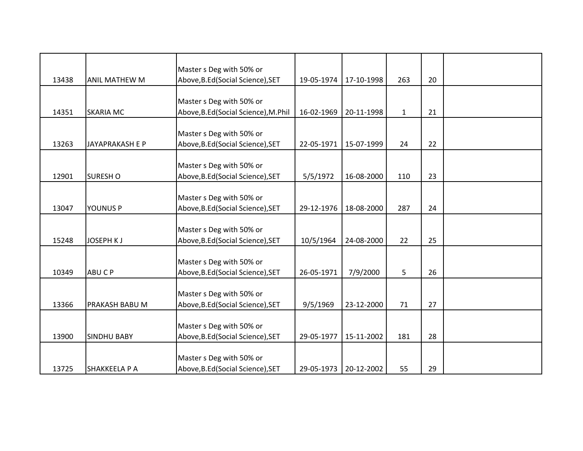|       |                       | Master s Deg with 50% or             |            |            |              |    |  |
|-------|-----------------------|--------------------------------------|------------|------------|--------------|----|--|
| 13438 | <b>ANIL MATHEW M</b>  | Above, B.Ed(Social Science), SET     | 19-05-1974 | 17-10-1998 | 263          | 20 |  |
|       |                       |                                      |            |            |              |    |  |
|       |                       | Master s Deg with 50% or             |            |            |              |    |  |
| 14351 | <b>SKARIA MC</b>      | Above, B.Ed (Social Science), M.Phil | 16-02-1969 | 20-11-1998 | $\mathbf{1}$ | 21 |  |
|       |                       | Master s Deg with 50% or             |            |            |              |    |  |
| 13263 | JAYAPRAKASH E P       | Above, B.Ed (Social Science), SET    | 22-05-1971 | 15-07-1999 | 24           | 22 |  |
|       |                       |                                      |            |            |              |    |  |
|       |                       | Master s Deg with 50% or             |            |            |              |    |  |
| 12901 | <b>SURESHO</b>        | Above, B.Ed (Social Science), SET    | 5/5/1972   | 16-08-2000 | 110          | 23 |  |
|       |                       |                                      |            |            |              |    |  |
|       |                       | Master s Deg with 50% or             |            |            |              |    |  |
| 13047 | <b>YOUNUS P</b>       | Above, B.Ed (Social Science), SET    | 29-12-1976 | 18-08-2000 | 287          | 24 |  |
|       |                       |                                      |            |            |              |    |  |
|       |                       | Master s Deg with 50% or             |            |            |              |    |  |
| 15248 | JOSEPH KJ             | Above, B.Ed (Social Science), SET    | 10/5/1964  | 24-08-2000 | 22           | 25 |  |
|       |                       | Master s Deg with 50% or             |            |            |              |    |  |
| 10349 | ABU C P               | Above, B.Ed (Social Science), SET    | 26-05-1971 | 7/9/2000   | 5            | 26 |  |
|       |                       |                                      |            |            |              |    |  |
|       |                       | Master s Deg with 50% or             |            |            |              |    |  |
| 13366 | <b>PRAKASH BABU M</b> | Above, B.Ed (Social Science), SET    | 9/5/1969   | 23-12-2000 | 71           | 27 |  |
|       |                       |                                      |            |            |              |    |  |
|       |                       | Master s Deg with 50% or             |            |            |              |    |  |
| 13900 | <b>SINDHU BABY</b>    | Above, B.Ed(Social Science), SET     | 29-05-1977 | 15-11-2002 | 181          | 28 |  |
|       |                       |                                      |            |            |              |    |  |
|       |                       | Master s Deg with 50% or             |            |            |              |    |  |
| 13725 | <b>SHAKKEELA P A</b>  | Above, B.Ed (Social Science), SET    | 29-05-1973 | 20-12-2002 | 55           | 29 |  |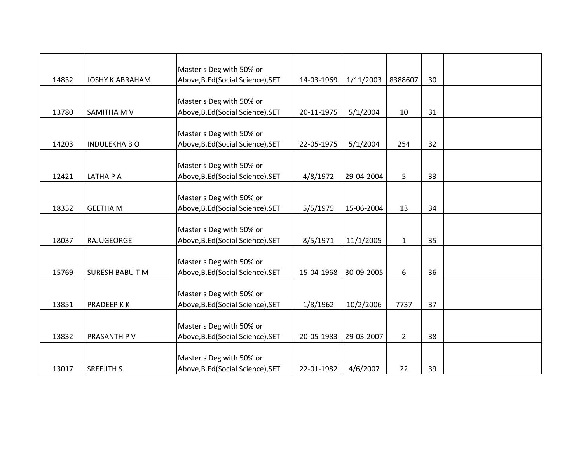|       |                        | Master s Deg with 50% or                                      |            |            |                |    |  |
|-------|------------------------|---------------------------------------------------------------|------------|------------|----------------|----|--|
| 14832 | <b>JOSHY K ABRAHAM</b> | Above, B.Ed (Social Science), SET                             | 14-03-1969 | 1/11/2003  | 8388607        | 30 |  |
|       |                        |                                                               |            |            |                |    |  |
|       |                        | Master s Deg with 50% or                                      |            |            |                |    |  |
| 13780 | <b>SAMITHA M V</b>     | Above, B.Ed (Social Science), SET                             | 20-11-1975 | 5/1/2004   | 10             | 31 |  |
|       |                        | Master s Deg with 50% or                                      |            |            |                |    |  |
| 14203 | <b>INDULEKHA B O</b>   | Above, B.Ed (Social Science), SET                             | 22-05-1975 | 5/1/2004   | 254            | 32 |  |
|       |                        |                                                               |            |            |                |    |  |
|       |                        | Master s Deg with 50% or                                      |            |            |                |    |  |
| 12421 | LATHA P A              | Above, B.Ed (Social Science), SET                             | 4/8/1972   | 29-04-2004 | 5              | 33 |  |
|       |                        | Master s Deg with 50% or                                      |            |            |                |    |  |
| 18352 | <b>GEETHA M</b>        | Above, B.Ed (Social Science), SET                             | 5/5/1975   | 15-06-2004 | 13             | 34 |  |
|       |                        |                                                               |            |            |                |    |  |
|       |                        | Master s Deg with 50% or                                      |            |            |                |    |  |
| 18037 | RAJUGEORGE             | Above, B.Ed (Social Science), SET                             | 8/5/1971   | 11/1/2005  | $\mathbf{1}$   | 35 |  |
|       |                        |                                                               |            |            |                |    |  |
| 15769 | <b>SURESH BABUTM</b>   | Master s Deg with 50% or<br>Above, B.Ed (Social Science), SET | 15-04-1968 | 30-09-2005 | 6              | 36 |  |
|       |                        |                                                               |            |            |                |    |  |
|       |                        | Master s Deg with 50% or                                      |            |            |                |    |  |
| 13851 | <b>PRADEEP KK</b>      | Above, B.Ed (Social Science), SET                             | 1/8/1962   | 10/2/2006  | 7737           | 37 |  |
|       |                        |                                                               |            |            |                |    |  |
|       |                        | Master s Deg with 50% or                                      |            |            |                |    |  |
| 13832 | <b>PRASANTH PV</b>     | Above, B.Ed (Social Science), SET                             | 20-05-1983 | 29-03-2007 | $\overline{2}$ | 38 |  |
|       |                        |                                                               |            |            |                |    |  |
|       |                        | Master s Deg with 50% or                                      |            |            |                |    |  |
| 13017 | <b>SREEJITH S</b>      | Above, B.Ed (Social Science), SET                             | 22-01-1982 | 4/6/2007   | 22             | 39 |  |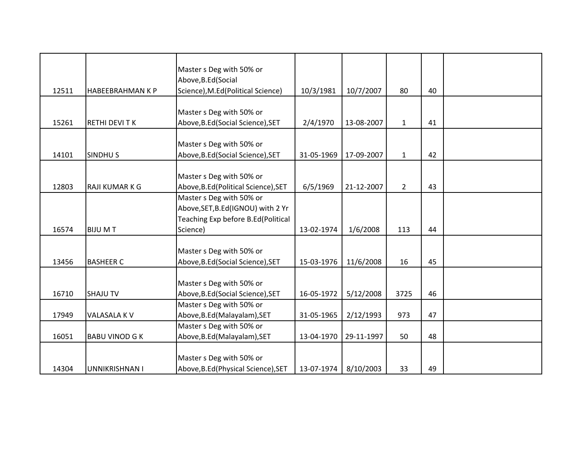|       |                         | Master s Deg with 50% or<br>Above, B.Ed (Social                         |            |            |              |    |  |
|-------|-------------------------|-------------------------------------------------------------------------|------------|------------|--------------|----|--|
| 12511 | <b>HABEEBRAHMAN K P</b> | Science), M.Ed(Political Science)                                       | 10/3/1981  | 10/7/2007  | 80           | 40 |  |
|       |                         |                                                                         |            |            |              |    |  |
| 15261 | <b>RETHI DEVITK</b>     | Master s Deg with 50% or<br>Above, B.Ed (Social Science), SET           | 2/4/1970   | 13-08-2007 | $\mathbf{1}$ | 41 |  |
|       |                         |                                                                         |            |            |              |    |  |
| 14101 | SINDHU <sub>S</sub>     | Master s Deg with 50% or<br>Above, B.Ed (Social Science), SET           | 31-05-1969 | 17-09-2007 | $\mathbf{1}$ | 42 |  |
|       |                         |                                                                         |            |            |              |    |  |
| 12803 | RAJI KUMAR K G          | Master s Deg with 50% or<br>Above, B.Ed (Political Science), SET        | 6/5/1969   | 21-12-2007 | $2^{\circ}$  | 43 |  |
|       |                         | Master s Deg with 50% or                                                |            |            |              |    |  |
|       |                         | Above, SET, B.Ed(IGNOU) with 2 Yr<br>Teaching Exp before B.Ed(Political |            |            |              |    |  |
| 16574 | <b>BIJU MT</b>          | Science)                                                                | 13-02-1974 | 1/6/2008   | 113          | 44 |  |
|       |                         |                                                                         |            |            |              |    |  |
| 13456 | <b>BASHEER C</b>        | Master s Deg with 50% or<br>Above, B.Ed (Social Science), SET           | 15-03-1976 | 11/6/2008  | 16           | 45 |  |
|       |                         |                                                                         |            |            |              |    |  |
| 16710 | <b>SHAJU TV</b>         | Master s Deg with 50% or<br>Above, B.Ed (Social Science), SET           | 16-05-1972 | 5/12/2008  | 3725         | 46 |  |
|       |                         | Master s Deg with 50% or                                                |            |            |              |    |  |
| 17949 | VALASALA K V            | Above, B.Ed (Malayalam), SET                                            | 31-05-1965 | 2/12/1993  | 973          | 47 |  |
|       |                         | Master s Deg with 50% or                                                |            |            |              |    |  |
| 16051 | <b>BABU VINOD G K</b>   | Above, B.Ed (Malayalam), SET                                            | 13-04-1970 | 29-11-1997 | 50           | 48 |  |
|       |                         | Master s Deg with 50% or                                                |            |            |              |    |  |
| 14304 | UNNIKRISHNAN I          | Above, B.Ed (Physical Science), SET                                     | 13-07-1974 | 8/10/2003  | 33           | 49 |  |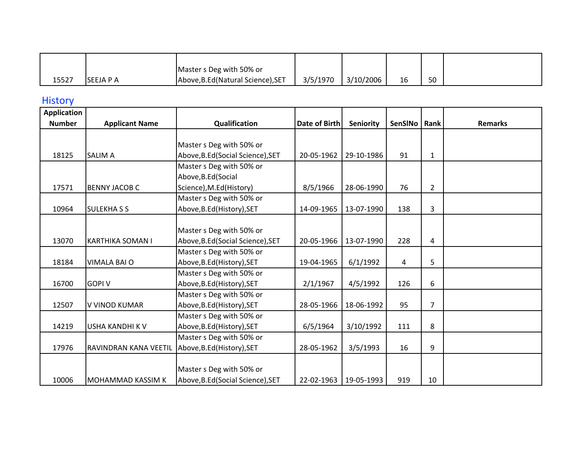|       |                   | Master s Deg with 50% or           |          |           |    |    |  |
|-------|-------------------|------------------------------------|----------|-----------|----|----|--|
| 15527 | <b>ISEEJA P A</b> | Above, B.Ed (Natural Science), SET | 3/5/1970 | 3/10/2006 | 16 | 50 |  |

#### **History**

| <b>Application</b> |                          |                                   |               |                  |         |                |                |
|--------------------|--------------------------|-----------------------------------|---------------|------------------|---------|----------------|----------------|
| <b>Number</b>      | <b>Applicant Name</b>    | Qualification                     | Date of Birth | <b>Seniority</b> | SenSINo | Rank           | <b>Remarks</b> |
|                    |                          |                                   |               |                  |         |                |                |
|                    |                          | Master s Deg with 50% or          |               |                  |         |                |                |
| 18125              | <b>SALIM A</b>           | Above, B.Ed (Social Science), SET | 20-05-1962    | 29-10-1986       | 91      | $\mathbf{1}$   |                |
|                    |                          | Master s Deg with 50% or          |               |                  |         |                |                |
|                    |                          | Above, B.Ed (Social               |               |                  |         |                |                |
| 17571              | <b>BENNY JACOB C</b>     | Science), M.Ed(History)           | 8/5/1966      | 28-06-1990       | 76      | $\overline{2}$ |                |
|                    |                          | Master s Deg with 50% or          |               |                  |         |                |                |
| 10964              | <b>SULEKHASS</b>         | Above, B.Ed (History), SET        | 14-09-1965    | 13-07-1990       | 138     | 3              |                |
|                    |                          |                                   |               |                  |         |                |                |
|                    |                          | Master s Deg with 50% or          |               |                  |         |                |                |
| 13070              | <b>KARTHIKA SOMAN I</b>  | Above, B.Ed (Social Science), SET | 20-05-1966    | 13-07-1990       | 228     | 4              |                |
|                    |                          | Master s Deg with 50% or          |               |                  |         |                |                |
| 18184              | <b>VIMALA BAI O</b>      | Above, B.Ed (History), SET        | 19-04-1965    | 6/1/1992         | 4       | 5              |                |
|                    |                          | Master s Deg with 50% or          |               |                  |         |                |                |
| 16700              | <b>GOPI V</b>            | Above, B.Ed (History), SET        | 2/1/1967      | 4/5/1992         | 126     | 6              |                |
|                    |                          | Master s Deg with 50% or          |               |                  |         |                |                |
| 12507              | V VINOD KUMAR            | Above, B.Ed (History), SET        | 28-05-1966    | 18-06-1992       | 95      | $\overline{7}$ |                |
|                    |                          | Master s Deg with 50% or          |               |                  |         |                |                |
| 14219              | USHA KANDHI K V          | Above, B.Ed (History), SET        | 6/5/1964      | 3/10/1992        | 111     | 8              |                |
|                    |                          | Master s Deg with 50% or          |               |                  |         |                |                |
| 17976              | RAVINDRAN KANA VEETIL    | Above, B.Ed (History), SET        | 28-05-1962    | 3/5/1993         | 16      | 9              |                |
|                    |                          |                                   |               |                  |         |                |                |
|                    |                          | Master s Deg with 50% or          |               |                  |         |                |                |
| 10006              | <b>MOHAMMAD KASSIM K</b> | Above, B.Ed (Social Science), SET | 22-02-1963    | 19-05-1993       | 919     | 10             |                |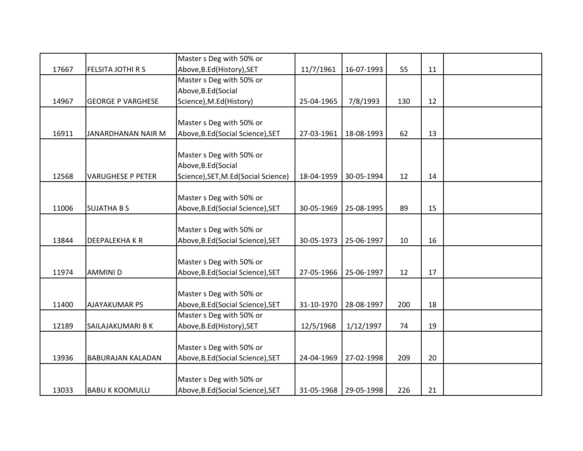|       |                          | Master s Deg with 50% or             |            |                       |     |    |  |
|-------|--------------------------|--------------------------------------|------------|-----------------------|-----|----|--|
| 17667 | FELSITA JOTHI R S        | Above, B.Ed (History), SET           | 11/7/1961  | 16-07-1993            | 55  | 11 |  |
|       |                          | Master s Deg with 50% or             |            |                       |     |    |  |
|       |                          | Above, B.Ed (Social                  |            |                       |     |    |  |
| 14967 | <b>GEORGE P VARGHESE</b> | Science), M.Ed(History)              | 25-04-1965 | 7/8/1993              | 130 | 12 |  |
|       |                          |                                      |            |                       |     |    |  |
|       |                          | Master s Deg with 50% or             |            |                       |     |    |  |
| 16911 | JANARDHANAN NAIR M       | Above, B.Ed (Social Science), SET    | 27-03-1961 | 18-08-1993            | 62  | 13 |  |
|       |                          |                                      |            |                       |     |    |  |
|       |                          | Master s Deg with 50% or             |            |                       |     |    |  |
|       |                          | Above, B.Ed (Social                  |            |                       |     |    |  |
| 12568 | <b>VARUGHESE P PETER</b> | Science), SET, M.Ed (Social Science) | 18-04-1959 | 30-05-1994            | 12  | 14 |  |
|       |                          |                                      |            |                       |     |    |  |
|       |                          | Master s Deg with 50% or             |            |                       |     |    |  |
| 11006 | <b>SUJATHA B S</b>       | Above, B.Ed (Social Science), SET    | 30-05-1969 | 25-08-1995            | 89  | 15 |  |
|       |                          |                                      |            |                       |     |    |  |
|       |                          | Master s Deg with 50% or             |            |                       |     |    |  |
| 13844 | <b>DEEPALEKHAKR</b>      | Above, B.Ed (Social Science), SET    | 30-05-1973 | 25-06-1997            | 10  | 16 |  |
|       |                          |                                      |            |                       |     |    |  |
| 11974 |                          | Master s Deg with 50% or             | 27-05-1966 | 25-06-1997            |     | 17 |  |
|       | <b>AMMINID</b>           | Above, B.Ed (Social Science), SET    |            |                       | 12  |    |  |
|       |                          | Master s Deg with 50% or             |            |                       |     |    |  |
| 11400 | <b>AJAYAKUMAR PS</b>     | Above, B.Ed (Social Science), SET    | 31-10-1970 | 28-08-1997            | 200 | 18 |  |
|       |                          | Master s Deg with 50% or             |            |                       |     |    |  |
| 12189 | SAILAJAKUMARI B K        | Above, B.Ed (History), SET           | 12/5/1968  | 1/12/1997             | 74  | 19 |  |
|       |                          |                                      |            |                       |     |    |  |
|       |                          | Master s Deg with 50% or             |            |                       |     |    |  |
| 13936 | <b>BABURAJAN KALADAN</b> | Above, B.Ed (Social Science), SET    | 24-04-1969 | 27-02-1998            | 209 | 20 |  |
|       |                          |                                      |            |                       |     |    |  |
|       |                          | Master s Deg with 50% or             |            |                       |     |    |  |
| 13033 | <b>BABU K KOOMULLI</b>   | Above, B.Ed (Social Science), SET    |            | 31-05-1968 29-05-1998 | 226 | 21 |  |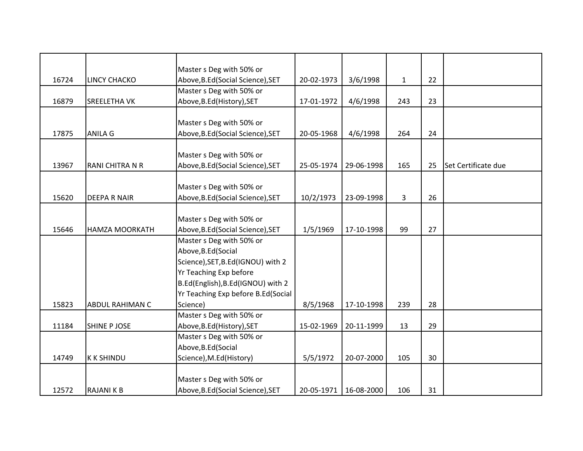|       |                        | Master s Deg with 50% or           |            |            |                |    |                     |
|-------|------------------------|------------------------------------|------------|------------|----------------|----|---------------------|
| 16724 | <b>LINCY CHACKO</b>    | Above, B.Ed (Social Science), SET  | 20-02-1973 | 3/6/1998   | $\mathbf{1}$   | 22 |                     |
|       |                        | Master s Deg with 50% or           |            |            |                |    |                     |
| 16879 | <b>SREELETHA VK</b>    | Above, B.Ed (History), SET         | 17-01-1972 | 4/6/1998   | 243            | 23 |                     |
|       |                        |                                    |            |            |                |    |                     |
|       |                        | Master s Deg with 50% or           |            |            |                |    |                     |
| 17875 | <b>ANILA G</b>         | Above, B.Ed (Social Science), SET  | 20-05-1968 | 4/6/1998   | 264            | 24 |                     |
|       |                        |                                    |            |            |                |    |                     |
|       |                        | Master s Deg with 50% or           |            |            |                |    |                     |
| 13967 | RANI CHITRA N R        | Above, B.Ed (Social Science), SET  | 25-05-1974 | 29-06-1998 | 165            | 25 | Set Certificate due |
|       |                        |                                    |            |            |                |    |                     |
|       |                        | Master s Deg with 50% or           |            |            |                |    |                     |
| 15620 | <b>DEEPA R NAIR</b>    | Above, B.Ed (Social Science), SET  | 10/2/1973  | 23-09-1998 | $\overline{3}$ | 26 |                     |
|       |                        |                                    |            |            |                |    |                     |
|       |                        | Master s Deg with 50% or           |            |            |                |    |                     |
| 15646 | <b>HAMZA MOORKATH</b>  | Above, B.Ed (Social Science), SET  | 1/5/1969   | 17-10-1998 | 99             | 27 |                     |
|       |                        | Master s Deg with 50% or           |            |            |                |    |                     |
|       |                        | Above, B.Ed (Social                |            |            |                |    |                     |
|       |                        | Science), SET, B.Ed(IGNOU) with 2  |            |            |                |    |                     |
|       |                        | Yr Teaching Exp before             |            |            |                |    |                     |
|       |                        | B.Ed(English), B.Ed(IGNOU) with 2  |            |            |                |    |                     |
|       |                        | Yr Teaching Exp before B.Ed(Social |            |            |                |    |                     |
| 15823 | <b>ABDUL RAHIMAN C</b> | Science)                           | 8/5/1968   | 17-10-1998 | 239            | 28 |                     |
|       |                        | Master s Deg with 50% or           |            |            |                |    |                     |
| 11184 | <b>SHINE P JOSE</b>    | Above, B.Ed (History), SET         | 15-02-1969 | 20-11-1999 | 13             | 29 |                     |
|       |                        | Master s Deg with 50% or           |            |            |                |    |                     |
|       |                        | Above, B.Ed (Social                |            |            |                |    |                     |
| 14749 | <b>KKSHINDU</b>        | Science), M.Ed(History)            | 5/5/1972   | 20-07-2000 | 105            | 30 |                     |
|       |                        |                                    |            |            |                |    |                     |
|       |                        | Master s Deg with 50% or           |            |            |                |    |                     |
| 12572 | <b>RAJANIKB</b>        | Above, B.Ed (Social Science), SET  | 20-05-1971 | 16-08-2000 | 106            | 31 |                     |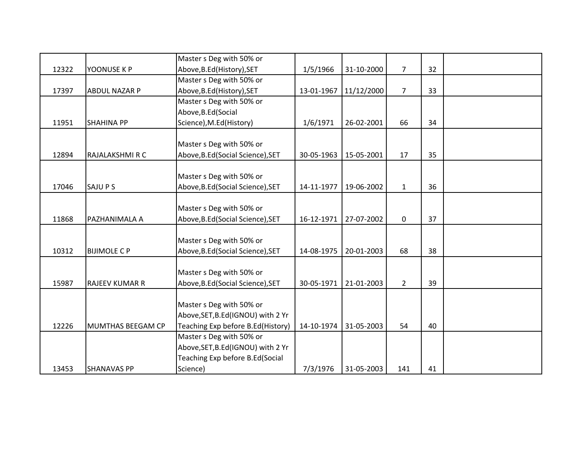|       |                       | Master s Deg with 50% or           |            |            |                |    |  |
|-------|-----------------------|------------------------------------|------------|------------|----------------|----|--|
| 12322 | YOONUSE K P           | Above, B.Ed (History), SET         | 1/5/1966   | 31-10-2000 | $\overline{7}$ | 32 |  |
|       |                       | Master s Deg with 50% or           |            |            |                |    |  |
| 17397 | <b>ABDUL NAZAR P</b>  | Above, B.Ed (History), SET         | 13-01-1967 | 11/12/2000 | $\overline{7}$ | 33 |  |
|       |                       | Master s Deg with 50% or           |            |            |                |    |  |
|       |                       | Above, B.Ed (Social                |            |            |                |    |  |
| 11951 | <b>SHAHINA PP</b>     | Science), M.Ed(History)            | 1/6/1971   | 26-02-2001 | 66             | 34 |  |
|       |                       |                                    |            |            |                |    |  |
|       |                       | Master s Deg with 50% or           |            |            |                |    |  |
| 12894 | RAJALAKSHMI R C       | Above, B.Ed (Social Science), SET  | 30-05-1963 | 15-05-2001 | 17             | 35 |  |
|       |                       |                                    |            |            |                |    |  |
|       |                       | Master s Deg with 50% or           |            |            |                |    |  |
| 17046 | SAJU P S              | Above, B.Ed (Social Science), SET  | 14-11-1977 | 19-06-2002 | $\mathbf{1}$   | 36 |  |
|       |                       |                                    |            |            |                |    |  |
|       |                       | Master s Deg with 50% or           |            |            |                |    |  |
| 11868 | PAZHANIMALA A         | Above, B.Ed (Social Science), SET  | 16-12-1971 | 27-07-2002 | 0              | 37 |  |
|       |                       |                                    |            |            |                |    |  |
|       |                       | Master s Deg with 50% or           |            |            |                |    |  |
| 10312 | <b>BIJIMOLE C P</b>   | Above, B.Ed (Social Science), SET  | 14-08-1975 | 20-01-2003 | 68             | 38 |  |
|       |                       |                                    |            |            |                |    |  |
|       |                       | Master s Deg with 50% or           |            |            |                |    |  |
| 15987 | <b>RAJEEV KUMAR R</b> | Above, B.Ed (Social Science), SET  | 30-05-1971 | 21-01-2003 | $2^{\circ}$    | 39 |  |
|       |                       |                                    |            |            |                |    |  |
|       |                       | Master s Deg with 50% or           |            |            |                |    |  |
|       |                       | Above, SET, B.Ed (IGNOU) with 2 Yr |            |            |                |    |  |
| 12226 | MUMTHAS BEEGAM CP     | Teaching Exp before B.Ed(History)  | 14-10-1974 | 31-05-2003 | 54             | 40 |  |
|       |                       | Master s Deg with 50% or           |            |            |                |    |  |
|       |                       | Above, SET, B.Ed(IGNOU) with 2 Yr  |            |            |                |    |  |
|       |                       | Teaching Exp before B.Ed(Social    |            |            |                |    |  |
| 13453 | <b>SHANAVAS PP</b>    | Science)                           | 7/3/1976   | 31-05-2003 | 141            | 41 |  |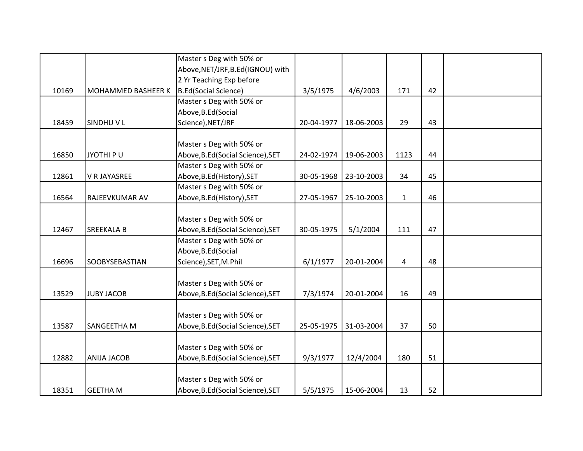|       |                           | Master s Deg with 50% or          |            |            |              |    |  |
|-------|---------------------------|-----------------------------------|------------|------------|--------------|----|--|
|       |                           | Above, NET/JRF, B.Ed(IGNOU) with  |            |            |              |    |  |
|       |                           | 2 Yr Teaching Exp before          |            |            |              |    |  |
| 10169 | <b>MOHAMMED BASHEER K</b> | <b>B.Ed(Social Science)</b>       | 3/5/1975   | 4/6/2003   | 171          | 42 |  |
|       |                           | Master s Deg with 50% or          |            |            |              |    |  |
|       |                           | Above, B.Ed (Social               |            |            |              |    |  |
| 18459 | <b>SINDHUVL</b>           | Science), NET/JRF                 | 20-04-1977 | 18-06-2003 | 29           | 43 |  |
|       |                           |                                   |            |            |              |    |  |
|       |                           | Master s Deg with 50% or          |            |            |              |    |  |
| 16850 | JYOTHI PU                 | Above, B.Ed (Social Science), SET | 24-02-1974 | 19-06-2003 | 1123         | 44 |  |
|       |                           | Master s Deg with 50% or          |            |            |              |    |  |
| 12861 | V R JAYASREE              | Above, B.Ed (History), SET        | 30-05-1968 | 23-10-2003 | 34           | 45 |  |
|       |                           | Master s Deg with 50% or          |            |            |              |    |  |
| 16564 | RAJEEVKUMAR AV            | Above, B.Ed (History), SET        | 27-05-1967 | 25-10-2003 | $\mathbf{1}$ | 46 |  |
|       |                           |                                   |            |            |              |    |  |
|       |                           | Master s Deg with 50% or          |            |            |              |    |  |
| 12467 | SREEKALA B                | Above, B.Ed (Social Science), SET | 30-05-1975 | 5/1/2004   | 111          | 47 |  |
|       |                           | Master s Deg with 50% or          |            |            |              |    |  |
|       |                           | Above, B.Ed (Social               |            |            |              |    |  |
| 16696 | <b>SOOBYSEBASTIAN</b>     | Science), SET, M.Phil             | 6/1/1977   | 20-01-2004 | 4            | 48 |  |
|       |                           |                                   |            |            |              |    |  |
|       |                           | Master s Deg with 50% or          |            |            |              |    |  |
| 13529 | <b>JUBY JACOB</b>         | Above, B.Ed (Social Science), SET | 7/3/1974   | 20-01-2004 | 16           | 49 |  |
|       |                           |                                   |            |            |              |    |  |
|       |                           | Master s Deg with 50% or          |            |            |              |    |  |
| 13587 | SANGEETHA M               | Above, B.Ed (Social Science), SET | 25-05-1975 | 31-03-2004 | 37           | 50 |  |
|       |                           |                                   |            |            |              |    |  |
|       |                           | Master s Deg with 50% or          |            |            |              |    |  |
| 12882 | <b>ANIJA JACOB</b>        | Above, B.Ed (Social Science), SET | 9/3/1977   | 12/4/2004  | 180          | 51 |  |
|       |                           |                                   |            |            |              |    |  |
|       |                           | Master s Deg with 50% or          |            |            |              |    |  |
| 18351 | <b>GEETHAM</b>            | Above, B.Ed (Social Science), SET | 5/5/1975   | 15-06-2004 | 13           | 52 |  |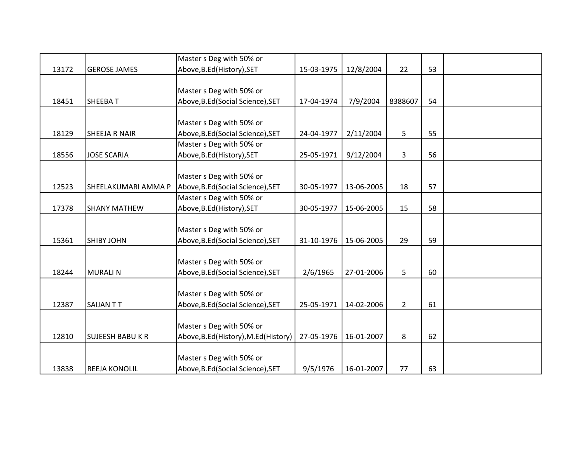| 13172 | <b>GEROSE JAMES</b>     | Master s Deg with 50% or<br>Above, B.Ed (History), SET | 15-03-1975 | 12/8/2004  | 22             | 53 |  |
|-------|-------------------------|--------------------------------------------------------|------------|------------|----------------|----|--|
|       |                         |                                                        |            |            |                |    |  |
|       |                         | Master s Deg with 50% or                               |            |            |                |    |  |
| 18451 | <b>SHEEBAT</b>          | Above, B.Ed (Social Science), SET                      | 17-04-1974 | 7/9/2004   | 8388607        | 54 |  |
|       |                         |                                                        |            |            |                |    |  |
|       |                         | Master s Deg with 50% or                               |            |            |                |    |  |
| 18129 | <b>SHEEJA R NAIR</b>    | Above, B.Ed (Social Science), SET                      | 24-04-1977 | 2/11/2004  | 5              | 55 |  |
|       |                         | Master s Deg with 50% or                               |            |            |                |    |  |
| 18556 | <b>JOSE SCARIA</b>      | Above, B.Ed (History), SET                             | 25-05-1971 | 9/12/2004  | $\mathbf{3}$   | 56 |  |
|       |                         |                                                        |            |            |                |    |  |
|       |                         | Master s Deg with 50% or                               |            |            |                |    |  |
| 12523 | SHEELAKUMARI AMMA P     | Above, B.Ed (Social Science), SET                      | 30-05-1977 | 13-06-2005 | 18             | 57 |  |
|       |                         | Master s Deg with 50% or                               |            |            |                |    |  |
| 17378 | <b>SHANY MATHEW</b>     | Above, B.Ed (History), SET                             | 30-05-1977 | 15-06-2005 | 15             | 58 |  |
|       |                         |                                                        |            |            |                |    |  |
|       |                         | Master s Deg with 50% or                               |            |            |                |    |  |
| 15361 | <b>SHIBY JOHN</b>       | Above, B.Ed (Social Science), SET                      | 31-10-1976 | 15-06-2005 | 29             | 59 |  |
|       |                         |                                                        |            |            |                |    |  |
|       |                         | Master s Deg with 50% or                               |            |            |                |    |  |
| 18244 | <b>MURALIN</b>          | Above, B.Ed (Social Science), SET                      | 2/6/1965   | 27-01-2006 | 5              | 60 |  |
|       |                         |                                                        |            |            |                |    |  |
|       |                         | Master s Deg with 50% or                               |            |            |                |    |  |
| 12387 | <b>SAIJANTT</b>         | Above, B.Ed (Social Science), SET                      | 25-05-1971 | 14-02-2006 | $\overline{2}$ | 61 |  |
|       |                         |                                                        |            |            |                |    |  |
|       |                         | Master s Deg with 50% or                               |            |            |                |    |  |
| 12810 | <b>SUJEESH BABU K R</b> | Above, B.Ed(History), M.Ed(History)                    | 27-05-1976 | 16-01-2007 | 8              | 62 |  |
|       |                         |                                                        |            |            |                |    |  |
|       |                         | Master s Deg with 50% or                               |            |            |                |    |  |
| 13838 | <b>REEJA KONOLIL</b>    | Above, B.Ed (Social Science), SET                      | 9/5/1976   | 16-01-2007 | 77             | 63 |  |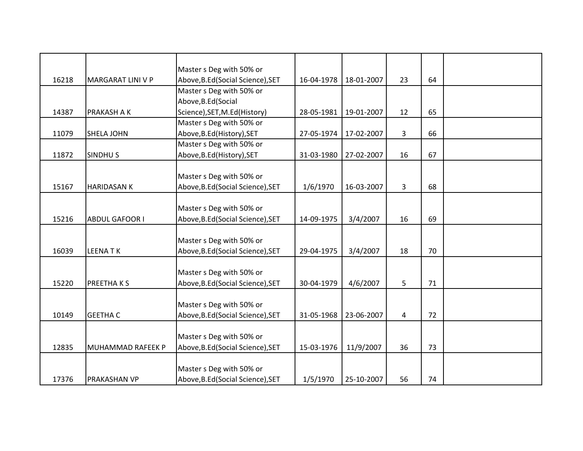|       |                          | Master s Deg with 50% or          |            |            |    |    |  |
|-------|--------------------------|-----------------------------------|------------|------------|----|----|--|
| 16218 | MARGARAT LINI V P        | Above, B.Ed (Social Science), SET | 16-04-1978 | 18-01-2007 | 23 | 64 |  |
|       |                          | Master s Deg with 50% or          |            |            |    |    |  |
|       |                          | Above, B.Ed (Social               |            |            |    |    |  |
| 14387 | PRAKASH A K              | Science), SET, M.Ed(History)      | 28-05-1981 | 19-01-2007 | 12 | 65 |  |
|       |                          | Master s Deg with 50% or          |            |            |    |    |  |
| 11079 | <b>SHELA JOHN</b>        | Above, B.Ed (History), SET        | 27-05-1974 | 17-02-2007 | 3  | 66 |  |
|       |                          | Master s Deg with 50% or          |            |            |    |    |  |
| 11872 | <b>SINDHUS</b>           | Above, B.Ed (History), SET        | 31-03-1980 | 27-02-2007 | 16 | 67 |  |
|       |                          |                                   |            |            |    |    |  |
|       |                          | Master s Deg with 50% or          |            |            |    |    |  |
| 15167 | <b>HARIDASAN K</b>       | Above, B.Ed (Social Science), SET | 1/6/1970   | 16-03-2007 | 3  | 68 |  |
|       |                          |                                   |            |            |    |    |  |
|       |                          | Master s Deg with 50% or          |            |            |    |    |  |
| 15216 | <b>ABDUL GAFOOR I</b>    | Above, B.Ed (Social Science), SET | 14-09-1975 | 3/4/2007   | 16 | 69 |  |
|       |                          |                                   |            |            |    |    |  |
|       |                          | Master s Deg with 50% or          |            |            |    |    |  |
| 16039 | <b>LEENATK</b>           | Above, B.Ed (Social Science), SET | 29-04-1975 | 3/4/2007   | 18 | 70 |  |
|       |                          |                                   |            |            |    |    |  |
|       |                          | Master s Deg with 50% or          |            |            |    |    |  |
| 15220 | <b>PREETHAKS</b>         | Above, B.Ed (Social Science), SET | 30-04-1979 | 4/6/2007   | 5  | 71 |  |
|       |                          |                                   |            |            |    |    |  |
|       |                          | Master s Deg with 50% or          |            |            |    |    |  |
| 10149 | <b>GEETHA C</b>          | Above, B.Ed (Social Science), SET | 31-05-1968 | 23-06-2007 | 4  | 72 |  |
|       |                          |                                   |            |            |    |    |  |
|       |                          | Master s Deg with 50% or          |            |            |    |    |  |
| 12835 | <b>MUHAMMAD RAFEEK P</b> | Above, B.Ed (Social Science), SET | 15-03-1976 | 11/9/2007  | 36 | 73 |  |
|       |                          |                                   |            |            |    |    |  |
|       |                          | Master s Deg with 50% or          |            |            |    |    |  |
| 17376 | <b>PRAKASHAN VP</b>      | Above, B.Ed (Social Science), SET | 1/5/1970   | 25-10-2007 | 56 | 74 |  |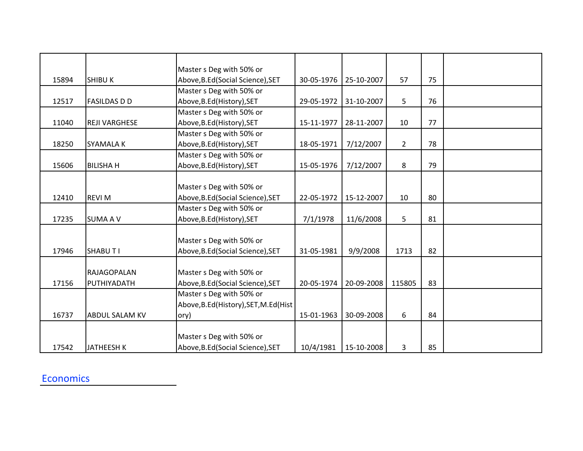|       |                       | Master s Deg with 50% or             |            |            |                |    |  |
|-------|-----------------------|--------------------------------------|------------|------------|----------------|----|--|
| 15894 | <b>SHIBU K</b>        | Above, B.Ed (Social Science), SET    | 30-05-1976 | 25-10-2007 | 57             | 75 |  |
|       |                       | Master s Deg with 50% or             |            |            |                |    |  |
| 12517 | <b>FASILDAS D D</b>   | Above, B.Ed (History), SET           | 29-05-1972 | 31-10-2007 | 5              | 76 |  |
|       |                       | Master s Deg with 50% or             |            |            |                |    |  |
| 11040 | <b>REJI VARGHESE</b>  | Above, B.Ed (History), SET           | 15-11-1977 | 28-11-2007 | 10             | 77 |  |
|       |                       | Master s Deg with 50% or             |            |            |                |    |  |
| 18250 | <b>SYAMALA K</b>      | Above, B.Ed (History), SET           | 18-05-1971 | 7/12/2007  | $\overline{2}$ | 78 |  |
|       |                       | Master s Deg with 50% or             |            |            |                |    |  |
| 15606 | <b>BILISHAH</b>       | Above, B.Ed (History), SET           | 15-05-1976 | 7/12/2007  | 8              | 79 |  |
|       |                       |                                      |            |            |                |    |  |
|       |                       | Master s Deg with 50% or             |            |            |                |    |  |
| 12410 | <b>REVI M</b>         | Above, B.Ed (Social Science), SET    | 22-05-1972 | 15-12-2007 | 10             | 80 |  |
|       |                       | Master s Deg with 50% or             |            |            |                |    |  |
| 17235 | <b>SUMA A V</b>       | Above, B.Ed (History), SET           | 7/1/1978   | 11/6/2008  | 5              | 81 |  |
|       |                       |                                      |            |            |                |    |  |
|       |                       | Master s Deg with 50% or             |            |            |                |    |  |
| 17946 | <b>SHABUTI</b>        | Above, B.Ed (Social Science), SET    | 31-05-1981 | 9/9/2008   | 1713           | 82 |  |
|       |                       |                                      |            |            |                |    |  |
|       | <b>RAJAGOPALAN</b>    | Master s Deg with 50% or             |            |            |                |    |  |
| 17156 | PUTHIYADATH           | Above, B.Ed (Social Science), SET    | 20-05-1974 | 20-09-2008 | 115805         | 83 |  |
|       |                       | Master s Deg with 50% or             |            |            |                |    |  |
|       |                       | Above, B.Ed(History), SET, M.Ed(Hist |            |            |                |    |  |
| 16737 | <b>ABDUL SALAM KV</b> | ory)                                 | 15-01-1963 | 30-09-2008 | 6              | 84 |  |
|       |                       |                                      |            |            |                |    |  |
|       |                       | Master s Deg with 50% or             |            |            |                |    |  |
| 17542 | JATHEESH K            | Above, B.Ed (Social Science), SET    | 10/4/1981  | 15-10-2008 | 3              | 85 |  |

#### Economics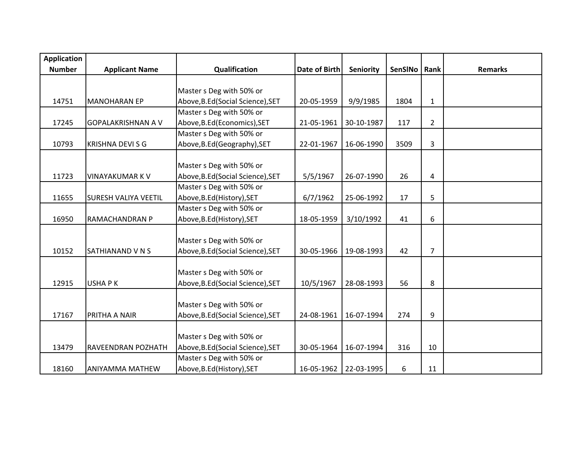| <b>Application</b> |                             |                                   |                      |            |         |                |                |
|--------------------|-----------------------------|-----------------------------------|----------------------|------------|---------|----------------|----------------|
| <b>Number</b>      | <b>Applicant Name</b>       | Qualification                     | <b>Date of Birth</b> | Seniority  | SenSINo | Rank           | <b>Remarks</b> |
|                    |                             |                                   |                      |            |         |                |                |
|                    |                             | Master s Deg with 50% or          |                      |            |         |                |                |
| 14751              | <b>MANOHARAN EP</b>         | Above, B.Ed (Social Science), SET | 20-05-1959           | 9/9/1985   | 1804    | $\mathbf{1}$   |                |
|                    |                             | Master s Deg with 50% or          |                      |            |         |                |                |
| 17245              | <b>GOPALAKRISHNAN A V</b>   | Above, B.Ed (Economics), SET      | 21-05-1961           | 30-10-1987 | 117     | 2              |                |
|                    |                             | Master s Deg with 50% or          |                      |            |         |                |                |
| 10793              | <b>KRISHNA DEVI S G</b>     | Above, B.Ed (Geography), SET      | 22-01-1967           | 16-06-1990 | 3509    | 3              |                |
|                    |                             |                                   |                      |            |         |                |                |
|                    |                             | Master s Deg with 50% or          |                      |            |         |                |                |
| 11723              | VINAYAKUMAR K V             | Above, B.Ed (Social Science), SET | 5/5/1967             | 26-07-1990 | 26      | 4              |                |
|                    |                             | Master s Deg with 50% or          |                      |            |         |                |                |
| 11655              | <b>SURESH VALIYA VEETIL</b> | Above, B.Ed (History), SET        | 6/7/1962             | 25-06-1992 | 17      | 5              |                |
|                    |                             | Master s Deg with 50% or          |                      |            |         |                |                |
| 16950              | RAMACHANDRAN P              | Above, B.Ed (History), SET        | 18-05-1959           | 3/10/1992  | 41      | 6              |                |
|                    |                             |                                   |                      |            |         |                |                |
|                    |                             | Master s Deg with 50% or          |                      |            |         |                |                |
| 10152              | SATHIANAND V N S            | Above, B.Ed (Social Science), SET | 30-05-1966           | 19-08-1993 | 42      | $\overline{7}$ |                |
|                    |                             |                                   |                      |            |         |                |                |
|                    |                             | Master s Deg with 50% or          |                      |            |         |                |                |
| 12915              | <b>USHAPK</b>               | Above, B.Ed (Social Science), SET | 10/5/1967            | 28-08-1993 | 56      | 8              |                |
|                    |                             |                                   |                      |            |         |                |                |
|                    |                             | Master s Deg with 50% or          |                      |            |         |                |                |
| 17167              | PRITHA A NAIR               | Above, B.Ed (Social Science), SET | 24-08-1961           | 16-07-1994 | 274     | 9              |                |
|                    |                             |                                   |                      |            |         |                |                |
|                    |                             | Master s Deg with 50% or          |                      |            |         |                |                |
| 13479              | <b>RAVEENDRAN POZHATH</b>   | Above, B.Ed (Social Science), SET | 30-05-1964           | 16-07-1994 | 316     | 10             |                |
|                    |                             | Master s Deg with 50% or          |                      |            |         |                |                |
| 18160              | <b>ANIYAMMA MATHEW</b>      | Above, B.Ed (History), SET        | 16-05-1962           | 22-03-1995 | 6       | 11             |                |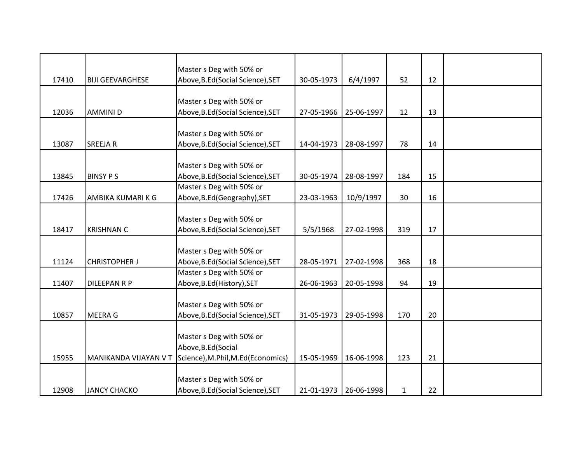|       |                         | Master s Deg with 50% or           |            |            |              |    |  |
|-------|-------------------------|------------------------------------|------------|------------|--------------|----|--|
| 17410 | <b>BIJI GEEVARGHESE</b> | Above, B.Ed (Social Science), SET  | 30-05-1973 | 6/4/1997   | 52           | 12 |  |
|       |                         |                                    |            |            |              |    |  |
|       |                         | Master s Deg with 50% or           |            |            |              |    |  |
| 12036 | <b>AMMINID</b>          | Above, B.Ed (Social Science), SET  | 27-05-1966 | 25-06-1997 | 12           | 13 |  |
|       |                         |                                    |            |            |              |    |  |
|       |                         | Master s Deg with 50% or           |            |            |              |    |  |
| 13087 | <b>SREEJAR</b>          | Above, B.Ed (Social Science), SET  | 14-04-1973 | 28-08-1997 | 78           | 14 |  |
|       |                         |                                    |            |            |              |    |  |
|       |                         | Master s Deg with 50% or           |            |            |              |    |  |
| 13845 | <b>BINSY PS</b>         | Above, B.Ed (Social Science), SET  | 30-05-1974 | 28-08-1997 | 184          | 15 |  |
|       |                         | Master s Deg with 50% or           |            |            |              |    |  |
| 17426 | AMBIKA KUMARI K G       | Above, B.Ed (Geography), SET       | 23-03-1963 | 10/9/1997  | 30           | 16 |  |
|       |                         |                                    |            |            |              |    |  |
|       |                         | Master s Deg with 50% or           |            |            |              |    |  |
| 18417 | <b>KRISHNAN C</b>       | Above, B.Ed (Social Science), SET  | 5/5/1968   | 27-02-1998 | 319          | 17 |  |
|       |                         |                                    |            |            |              |    |  |
|       |                         | Master s Deg with 50% or           |            |            |              |    |  |
| 11124 | <b>CHRISTOPHER J</b>    | Above, B.Ed (Social Science), SET  | 28-05-1971 | 27-02-1998 | 368          | 18 |  |
|       |                         | Master s Deg with 50% or           |            |            |              |    |  |
| 11407 | <b>DILEEPAN R P</b>     | Above, B.Ed (History), SET         | 26-06-1963 | 20-05-1998 | 94           | 19 |  |
|       |                         |                                    |            |            |              |    |  |
|       |                         | Master s Deg with 50% or           |            |            |              |    |  |
| 10857 | <b>MEERA G</b>          | Above, B.Ed (Social Science), SET  | 31-05-1973 | 29-05-1998 | 170          | 20 |  |
|       |                         |                                    |            |            |              |    |  |
|       |                         | Master s Deg with 50% or           |            |            |              |    |  |
|       |                         | Above, B.Ed (Social                |            |            |              |    |  |
| 15955 | MANIKANDA VIJAYAN V T   | Science), M.Phil, M.Ed (Economics) | 15-05-1969 | 16-06-1998 | 123          | 21 |  |
|       |                         |                                    |            |            |              |    |  |
|       |                         | Master s Deg with 50% or           |            |            |              |    |  |
| 12908 | <b>JANCY CHACKO</b>     | Above, B.Ed (Social Science), SET  | 21-01-1973 | 26-06-1998 | $\mathbf{1}$ | 22 |  |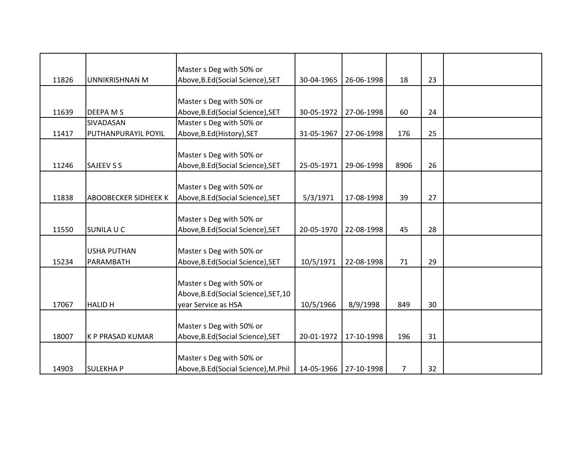|       |                             | Master s Deg with 50% or              |            |            |      |    |  |
|-------|-----------------------------|---------------------------------------|------------|------------|------|----|--|
| 11826 | UNNIKRISHNAN M              | Above, B.Ed (Social Science), SET     | 30-04-1965 | 26-06-1998 | 18   | 23 |  |
|       |                             |                                       |            |            |      |    |  |
|       |                             | Master s Deg with 50% or              |            |            |      |    |  |
| 11639 | <b>DEEPA MS</b>             | Above, B.Ed (Social Science), SET     | 30-05-1972 | 27-06-1998 | 60   | 24 |  |
|       | SIVADASAN                   | Master s Deg with 50% or              |            |            |      |    |  |
| 11417 | PUTHANPURAYIL POYIL         | Above, B.Ed (History), SET            | 31-05-1967 | 27-06-1998 | 176  | 25 |  |
|       |                             |                                       |            |            |      |    |  |
|       |                             | Master s Deg with 50% or              |            |            |      |    |  |
| 11246 | <b>SAJEEV S S</b>           | Above, B.Ed (Social Science), SET     | 25-05-1971 | 29-06-1998 | 8906 | 26 |  |
|       |                             |                                       |            |            |      |    |  |
|       |                             | Master s Deg with 50% or              |            |            |      |    |  |
| 11838 | <b>ABOOBECKER SIDHEEK K</b> | Above, B.Ed (Social Science), SET     | 5/3/1971   | 17-08-1998 | 39   | 27 |  |
|       |                             |                                       |            |            |      |    |  |
|       |                             | Master s Deg with 50% or              |            |            |      |    |  |
| 11550 | <b>SUNILA U C</b>           | Above, B.Ed (Social Science), SET     | 20-05-1970 | 22-08-1998 | 45   | 28 |  |
|       |                             |                                       |            |            |      |    |  |
|       | <b>USHA PUTHAN</b>          | Master s Deg with 50% or              |            |            |      |    |  |
| 15234 | PARAMBATH                   | Above, B.Ed (Social Science), SET     | 10/5/1971  | 22-08-1998 | 71   | 29 |  |
|       |                             |                                       |            |            |      |    |  |
|       |                             | Master s Deg with 50% or              |            |            |      |    |  |
|       |                             | Above, B.Ed (Social Science), SET, 10 |            |            |      |    |  |
| 17067 | <b>HALID H</b>              | year Service as HSA                   | 10/5/1966  | 8/9/1998   | 849  | 30 |  |
|       |                             |                                       |            |            |      |    |  |
|       |                             | Master s Deg with 50% or              |            |            |      |    |  |
| 18007 | <b>K P PRASAD KUMAR</b>     | Above, B.Ed (Social Science), SET     | 20-01-1972 | 17-10-1998 | 196  | 31 |  |
|       |                             |                                       |            |            |      |    |  |
|       |                             | Master s Deg with 50% or              |            |            |      |    |  |
| 14903 | <b>SULEKHAP</b>             | Above, B.Ed(Social Science), M.Phil   | 14-05-1966 | 27-10-1998 | 7    | 32 |  |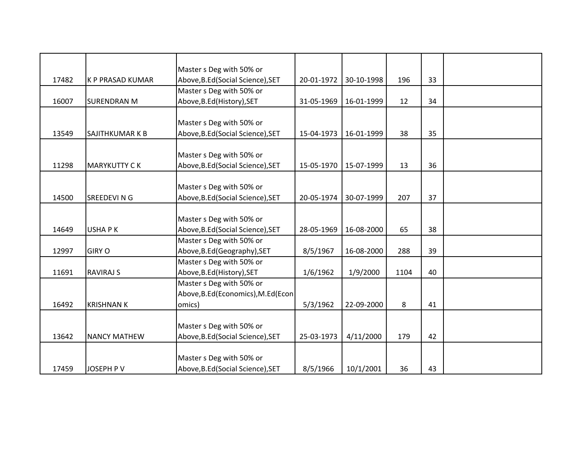|       |                         | Master s Deg with 50% or            |            |            |      |    |  |
|-------|-------------------------|-------------------------------------|------------|------------|------|----|--|
| 17482 | <b>K P PRASAD KUMAR</b> | Above, B.Ed (Social Science), SET   | 20-01-1972 | 30-10-1998 | 196  | 33 |  |
|       |                         | Master s Deg with 50% or            |            |            |      |    |  |
| 16007 | <b>SURENDRAN M</b>      | Above, B.Ed (History), SET          | 31-05-1969 | 16-01-1999 | 12   | 34 |  |
|       |                         |                                     |            |            |      |    |  |
|       |                         | Master s Deg with 50% or            |            |            |      |    |  |
| 13549 | <b>SAJITHKUMAR K B</b>  | Above, B.Ed (Social Science), SET   | 15-04-1973 | 16-01-1999 | 38   | 35 |  |
|       |                         |                                     |            |            |      |    |  |
|       |                         | Master s Deg with 50% or            |            |            |      |    |  |
| 11298 | <b>MARYKUTTY CK</b>     | Above, B.Ed (Social Science), SET   | 15-05-1970 | 15-07-1999 | 13   | 36 |  |
|       |                         |                                     |            |            |      |    |  |
|       |                         | Master s Deg with 50% or            |            |            |      |    |  |
| 14500 | SREEDEVI N G            | Above, B.Ed (Social Science), SET   | 20-05-1974 | 30-07-1999 | 207  | 37 |  |
|       |                         |                                     |            |            |      |    |  |
|       |                         | Master s Deg with 50% or            |            |            |      |    |  |
| 14649 | <b>USHAPK</b>           | Above, B.Ed (Social Science), SET   | 28-05-1969 | 16-08-2000 | 65   | 38 |  |
|       |                         | Master s Deg with 50% or            |            |            |      |    |  |
| 12997 | <b>GIRY O</b>           | Above, B.Ed (Geography), SET        | 8/5/1967   | 16-08-2000 | 288  | 39 |  |
|       |                         | Master s Deg with 50% or            |            |            |      |    |  |
| 11691 | <b>RAVIRAJ S</b>        | Above, B.Ed (History), SET          | 1/6/1962   | 1/9/2000   | 1104 | 40 |  |
|       |                         | Master s Deg with 50% or            |            |            |      |    |  |
|       |                         | Above, B.Ed (Economics), M.Ed (Econ |            |            |      |    |  |
| 16492 | <b>KRISHNAN K</b>       | omics)                              | 5/3/1962   | 22-09-2000 | 8    | 41 |  |
|       |                         |                                     |            |            |      |    |  |
|       |                         | Master s Deg with 50% or            |            |            |      |    |  |
| 13642 | <b>NANCY MATHEW</b>     | Above, B.Ed (Social Science), SET   | 25-03-1973 | 4/11/2000  | 179  | 42 |  |
|       |                         |                                     |            |            |      |    |  |
|       |                         | Master s Deg with 50% or            |            |            |      |    |  |
| 17459 | <b>JOSEPH PV</b>        | Above, B.Ed (Social Science), SET   | 8/5/1966   | 10/1/2001  | 36   | 43 |  |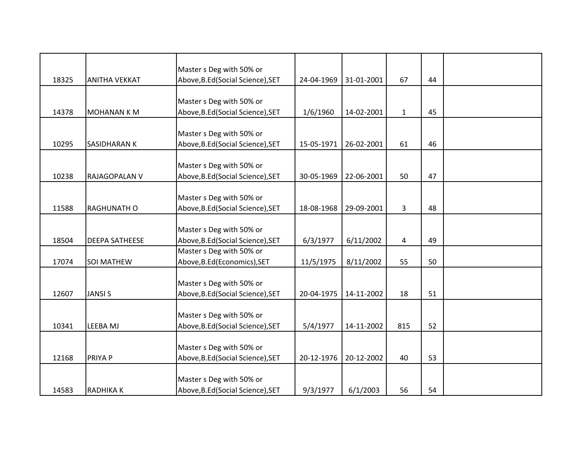|       |                       | Master s Deg with 50% or          |            |            |              |    |  |
|-------|-----------------------|-----------------------------------|------------|------------|--------------|----|--|
| 18325 | <b>ANITHA VEKKAT</b>  | Above, B.Ed (Social Science), SET | 24-04-1969 | 31-01-2001 | 67           | 44 |  |
|       |                       |                                   |            |            |              |    |  |
|       |                       | Master s Deg with 50% or          |            |            |              |    |  |
| 14378 | <b>MOHANAN K M</b>    | Above, B.Ed (Social Science), SET | 1/6/1960   | 14-02-2001 | $\mathbf{1}$ | 45 |  |
|       |                       |                                   |            |            |              |    |  |
|       |                       | Master s Deg with 50% or          |            |            |              |    |  |
| 10295 | <b>SASIDHARAN K</b>   | Above, B.Ed (Social Science), SET | 15-05-1971 | 26-02-2001 | 61           | 46 |  |
|       |                       |                                   |            |            |              |    |  |
|       |                       | Master s Deg with 50% or          |            |            |              |    |  |
| 10238 | RAJAGOPALAN V         | Above, B.Ed (Social Science), SET | 30-05-1969 | 22-06-2001 | 50           | 47 |  |
|       |                       |                                   |            |            |              |    |  |
|       |                       | Master s Deg with 50% or          |            |            |              |    |  |
| 11588 | <b>RAGHUNATH O</b>    | Above, B.Ed (Social Science), SET | 18-08-1968 | 29-09-2001 | 3            | 48 |  |
|       |                       |                                   |            |            |              |    |  |
|       |                       | Master s Deg with 50% or          |            |            |              |    |  |
| 18504 | <b>DEEPA SATHEESE</b> | Above, B.Ed (Social Science), SET | 6/3/1977   | 6/11/2002  | 4            | 49 |  |
|       |                       | Master s Deg with 50% or          |            |            |              |    |  |
| 17074 | <b>SOI MATHEW</b>     | Above, B.Ed (Economics), SET      | 11/5/1975  | 8/11/2002  | 55           | 50 |  |
|       |                       |                                   |            |            |              |    |  |
|       |                       | Master s Deg with 50% or          |            |            |              |    |  |
| 12607 | <b>JANSIS</b>         | Above, B.Ed (Social Science), SET | 20-04-1975 | 14-11-2002 | 18           | 51 |  |
|       |                       |                                   |            |            |              |    |  |
|       |                       | Master s Deg with 50% or          |            |            |              |    |  |
| 10341 | <b>LEEBA MJ</b>       | Above, B.Ed (Social Science), SET | 5/4/1977   | 14-11-2002 | 815          | 52 |  |
|       |                       |                                   |            |            |              |    |  |
|       |                       | Master s Deg with 50% or          |            |            |              |    |  |
| 12168 | <b>PRIYA P</b>        | Above, B.Ed (Social Science), SET | 20-12-1976 | 20-12-2002 | 40           | 53 |  |
|       |                       |                                   |            |            |              |    |  |
|       |                       | Master s Deg with 50% or          |            |            |              |    |  |
| 14583 | <b>RADHIKAK</b>       | Above, B.Ed (Social Science), SET | 9/3/1977   | 6/1/2003   | 56           | 54 |  |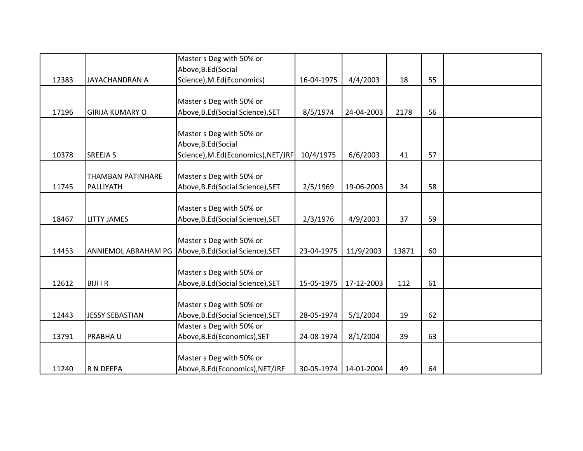|       |                          | Master s Deg with 50% or           |            |            |       |    |  |
|-------|--------------------------|------------------------------------|------------|------------|-------|----|--|
|       |                          | Above, B.Ed (Social                |            |            |       |    |  |
| 12383 | <b>JAYACHANDRAN A</b>    | Science), M.Ed(Economics)          | 16-04-1975 | 4/4/2003   | 18    | 55 |  |
|       |                          | Master s Deg with 50% or           |            |            |       |    |  |
| 17196 | <b>GIRIJA KUMARY O</b>   | Above, B.Ed (Social Science), SET  | 8/5/1974   | 24-04-2003 | 2178  | 56 |  |
|       |                          |                                    |            |            |       |    |  |
|       |                          | Master s Deg with 50% or           |            |            |       |    |  |
|       |                          | Above, B.Ed (Social                |            |            |       |    |  |
| 10378 | <b>SREEJA S</b>          | Science), M.Ed(Economics), NET/JRF | 10/4/1975  | 6/6/2003   | 41    | 57 |  |
|       |                          |                                    |            |            |       |    |  |
|       | <b>THAMBAN PATINHARE</b> | Master s Deg with 50% or           |            |            |       |    |  |
| 11745 | PALLIYATH                | Above, B.Ed (Social Science), SET  | 2/5/1969   | 19-06-2003 | 34    | 58 |  |
|       |                          |                                    |            |            |       |    |  |
|       |                          | Master s Deg with 50% or           |            |            |       |    |  |
| 18467 | <b>LITTY JAMES</b>       | Above, B.Ed (Social Science), SET  | 2/3/1976   | 4/9/2003   | 37    | 59 |  |
|       |                          |                                    |            |            |       |    |  |
|       |                          | Master s Deg with 50% or           |            |            |       |    |  |
| 14453 | ANNIEMOL ABRAHAM PG      | Above, B.Ed (Social Science), SET  | 23-04-1975 | 11/9/2003  | 13871 | 60 |  |
|       |                          | Master s Deg with 50% or           |            |            |       |    |  |
| 12612 | <b>BIJI I R</b>          | Above, B.Ed (Social Science), SET  | 15-05-1975 | 17-12-2003 | 112   | 61 |  |
|       |                          |                                    |            |            |       |    |  |
|       |                          | Master s Deg with 50% or           |            |            |       |    |  |
| 12443 | <b>JESSY SEBASTIAN</b>   | Above, B.Ed (Social Science), SET  | 28-05-1974 | 5/1/2004   | 19    | 62 |  |
|       |                          | Master s Deg with 50% or           |            |            |       |    |  |
| 13791 | <b>PRABHAU</b>           | Above, B.Ed (Economics), SET       | 24-08-1974 | 8/1/2004   | 39    | 63 |  |
|       |                          |                                    |            |            |       |    |  |
|       |                          | Master s Deg with 50% or           |            |            |       |    |  |
| 11240 | R N DEEPA                | Above, B.Ed (Economics), NET/JRF   | 30-05-1974 | 14-01-2004 | 49    | 64 |  |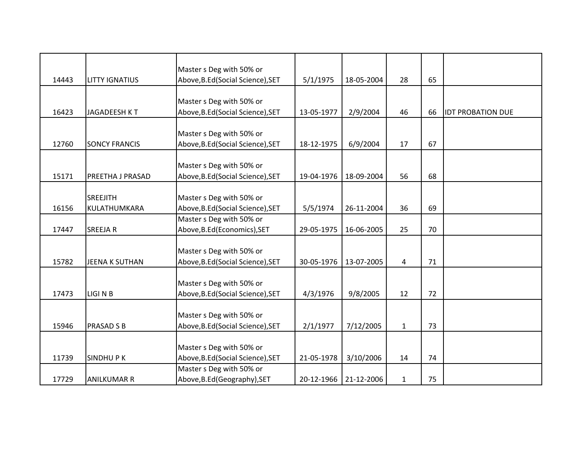|       |                       | Master s Deg with 50% or          |            |                       |              |    |                          |
|-------|-----------------------|-----------------------------------|------------|-----------------------|--------------|----|--------------------------|
| 14443 | <b>LITTY IGNATIUS</b> | Above, B.Ed (Social Science), SET | 5/1/1975   | 18-05-2004            | 28           | 65 |                          |
|       |                       |                                   |            |                       |              |    |                          |
|       |                       | Master s Deg with 50% or          |            |                       |              |    |                          |
| 16423 | JAGADEESH KT          | Above, B.Ed (Social Science), SET | 13-05-1977 | 2/9/2004              | 46           | 66 | <b>IDT PROBATION DUE</b> |
|       |                       |                                   |            |                       |              |    |                          |
|       |                       | Master s Deg with 50% or          |            |                       |              |    |                          |
| 12760 | <b>SONCY FRANCIS</b>  | Above, B.Ed (Social Science), SET | 18-12-1975 | 6/9/2004              | 17           | 67 |                          |
|       |                       | Master s Deg with 50% or          |            |                       |              |    |                          |
| 15171 | PREETHA J PRASAD      | Above, B.Ed (Social Science), SET | 19-04-1976 | 18-09-2004            | 56           | 68 |                          |
|       |                       |                                   |            |                       |              |    |                          |
|       | <b>SREEJITH</b>       | Master s Deg with 50% or          |            |                       |              |    |                          |
| 16156 | KULATHUMKARA          | Above, B.Ed (Social Science), SET | 5/5/1974   | 26-11-2004            | 36           | 69 |                          |
|       |                       | Master s Deg with 50% or          |            |                       |              |    |                          |
| 17447 | <b>SREEJAR</b>        | Above, B.Ed (Economics), SET      | 29-05-1975 | 16-06-2005            | 25           | 70 |                          |
|       |                       |                                   |            |                       |              |    |                          |
|       |                       | Master s Deg with 50% or          |            |                       |              |    |                          |
| 15782 | <b>JEENA K SUTHAN</b> | Above, B.Ed (Social Science), SET | 30-05-1976 | 13-07-2005            | 4            | 71 |                          |
|       |                       |                                   |            |                       |              |    |                          |
|       |                       | Master s Deg with 50% or          |            |                       |              |    |                          |
| 17473 | LIGI N B              | Above, B.Ed (Social Science), SET | 4/3/1976   | 9/8/2005              | 12           | 72 |                          |
|       |                       |                                   |            |                       |              |    |                          |
|       |                       | Master s Deg with 50% or          |            |                       |              |    |                          |
| 15946 | <b>PRASAD S B</b>     | Above, B.Ed (Social Science), SET | 2/1/1977   | 7/12/2005             | $\mathbf{1}$ | 73 |                          |
|       |                       |                                   |            |                       |              |    |                          |
|       |                       | Master s Deg with 50% or          |            |                       |              |    |                          |
| 11739 | <b>SINDHUPK</b>       | Above, B.Ed (Social Science), SET | 21-05-1978 | 3/10/2006             | 14           | 74 |                          |
|       |                       | Master s Deg with 50% or          |            |                       |              |    |                          |
| 17729 | <b>ANILKUMAR R</b>    | Above, B.Ed (Geography), SET      |            | 20-12-1966 21-12-2006 | $\mathbf{1}$ | 75 |                          |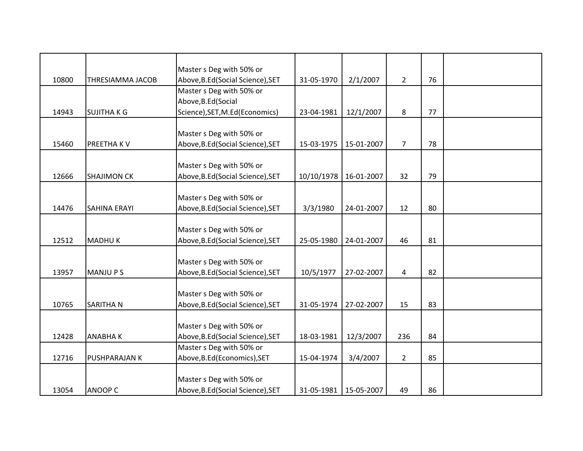|       |                         | Master s Deg with 50% or          |            |                         |                |    |  |
|-------|-------------------------|-----------------------------------|------------|-------------------------|----------------|----|--|
| 10800 | <b>THRESIAMMA JACOB</b> | Above, B.Ed (Social Science), SET | 31-05-1970 | 2/1/2007                | $\overline{2}$ | 76 |  |
|       |                         | Master s Deg with 50% or          |            |                         |                |    |  |
|       |                         | Above, B.Ed (Social               |            |                         |                |    |  |
| 14943 | <b>SUJITHAKG</b>        | Science), SET, M.Ed (Economics)   | 23-04-1981 | 12/1/2007               | 8              | 77 |  |
|       |                         |                                   |            |                         |                |    |  |
|       |                         | Master s Deg with 50% or          |            |                         |                |    |  |
| 15460 | <b>PREETHAKV</b>        | Above, B.Ed (Social Science), SET | 15-03-1975 | 15-01-2007              | $\overline{7}$ | 78 |  |
|       |                         |                                   |            |                         |                |    |  |
|       |                         | Master s Deg with 50% or          |            |                         |                |    |  |
| 12666 | <b>SHAJIMON CK</b>      | Above, B.Ed (Social Science), SET | 10/10/1978 | 16-01-2007              | 32             | 79 |  |
|       |                         |                                   |            |                         |                |    |  |
|       |                         | Master s Deg with 50% or          |            |                         |                |    |  |
| 14476 | <b>SAHINA ERAYI</b>     | Above, B.Ed (Social Science), SET | 3/3/1980   | 24-01-2007              | 12             | 80 |  |
|       |                         |                                   |            |                         |                |    |  |
|       |                         | Master s Deg with 50% or          |            |                         |                |    |  |
| 12512 | <b>MADHUK</b>           | Above, B.Ed (Social Science), SET | 25-05-1980 | 24-01-2007              | 46             | 81 |  |
|       |                         |                                   |            |                         |                |    |  |
|       |                         | Master s Deg with 50% or          |            |                         |                |    |  |
| 13957 | <b>MANJUPS</b>          | Above, B.Ed (Social Science), SET | 10/5/1977  | 27-02-2007              | 4              | 82 |  |
|       |                         |                                   |            |                         |                |    |  |
|       |                         | Master s Deg with 50% or          |            |                         |                |    |  |
| 10765 | <b>SARITHAN</b>         | Above, B.Ed (Social Science), SET | 31-05-1974 | 27-02-2007              | 15             | 83 |  |
|       |                         |                                   |            |                         |                |    |  |
|       |                         | Master s Deg with 50% or          |            |                         |                |    |  |
| 12428 | <b>ANABHAK</b>          | Above, B.Ed (Social Science), SET | 18-03-1981 | 12/3/2007               | 236            | 84 |  |
|       |                         | Master s Deg with 50% or          |            |                         |                |    |  |
| 12716 | <b>PUSHPARAJAN K</b>    | Above, B.Ed (Economics), SET      | 15-04-1974 | 3/4/2007                | $2^{\circ}$    | 85 |  |
|       |                         |                                   |            |                         |                |    |  |
|       |                         | Master s Deg with 50% or          |            |                         |                |    |  |
| 13054 | <b>ANOOP C</b>          | Above, B.Ed (Social Science), SET |            | 31-05-1981   15-05-2007 | 49             | 86 |  |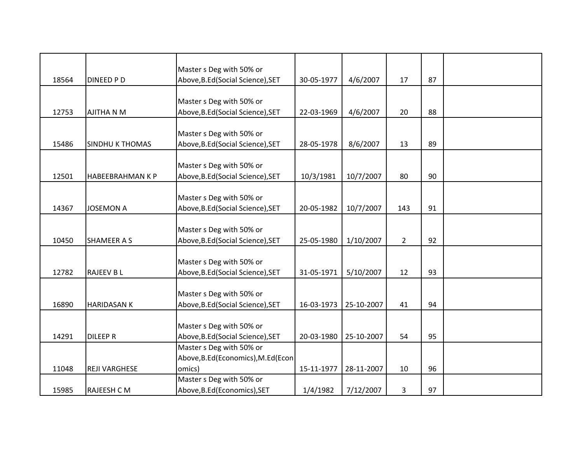|       |                         | Master s Deg with 50% or            |            |            |                |    |  |
|-------|-------------------------|-------------------------------------|------------|------------|----------------|----|--|
| 18564 | <b>DINEED PD</b>        | Above, B.Ed (Social Science), SET   | 30-05-1977 | 4/6/2007   | 17             | 87 |  |
|       |                         |                                     |            |            |                |    |  |
|       |                         | Master s Deg with 50% or            |            |            |                |    |  |
| 12753 | AJITHA N M              | Above, B.Ed (Social Science), SET   | 22-03-1969 | 4/6/2007   | 20             | 88 |  |
|       |                         |                                     |            |            |                |    |  |
|       |                         | Master s Deg with 50% or            |            |            |                |    |  |
| 15486 | <b>SINDHU K THOMAS</b>  | Above, B.Ed (Social Science), SET   | 28-05-1978 | 8/6/2007   | 13             | 89 |  |
|       |                         |                                     |            |            |                |    |  |
|       |                         | Master s Deg with 50% or            |            |            |                |    |  |
| 12501 | <b>HABEEBRAHMAN K P</b> | Above, B.Ed (Social Science), SET   | 10/3/1981  | 10/7/2007  | 80             | 90 |  |
|       |                         |                                     |            |            |                |    |  |
|       |                         | Master s Deg with 50% or            |            |            |                |    |  |
| 14367 | <b>JOSEMON A</b>        | Above, B.Ed (Social Science), SET   | 20-05-1982 | 10/7/2007  | 143            | 91 |  |
|       |                         |                                     |            |            |                |    |  |
|       |                         | Master s Deg with 50% or            |            |            |                |    |  |
| 10450 | <b>SHAMEER A S</b>      | Above, B.Ed (Social Science), SET   | 25-05-1980 | 1/10/2007  | $\overline{2}$ | 92 |  |
|       |                         |                                     |            |            |                |    |  |
|       |                         | Master s Deg with 50% or            |            |            |                |    |  |
| 12782 | <b>RAJEEV BL</b>        | Above, B.Ed (Social Science), SET   | 31-05-1971 | 5/10/2007  | 12             | 93 |  |
|       |                         |                                     |            |            |                |    |  |
|       |                         | Master s Deg with 50% or            |            |            |                |    |  |
| 16890 | <b>HARIDASAN K</b>      | Above, B.Ed (Social Science), SET   | 16-03-1973 | 25-10-2007 | 41             | 94 |  |
|       |                         |                                     |            |            |                |    |  |
|       |                         | Master s Deg with 50% or            |            |            |                |    |  |
| 14291 | <b>DILEEP R</b>         | Above, B.Ed (Social Science), SET   | 20-03-1980 | 25-10-2007 | 54             | 95 |  |
|       |                         | Master s Deg with 50% or            |            |            |                |    |  |
|       |                         | Above, B.Ed (Economics), M.Ed (Econ |            |            |                |    |  |
| 11048 | <b>REJI VARGHESE</b>    | omics)                              | 15-11-1977 | 28-11-2007 | 10             | 96 |  |
|       |                         | Master s Deg with 50% or            |            |            |                |    |  |
| 15985 | <b>RAJEESH C M</b>      | Above, B.Ed (Economics), SET        | 1/4/1982   | 7/12/2007  | 3              | 97 |  |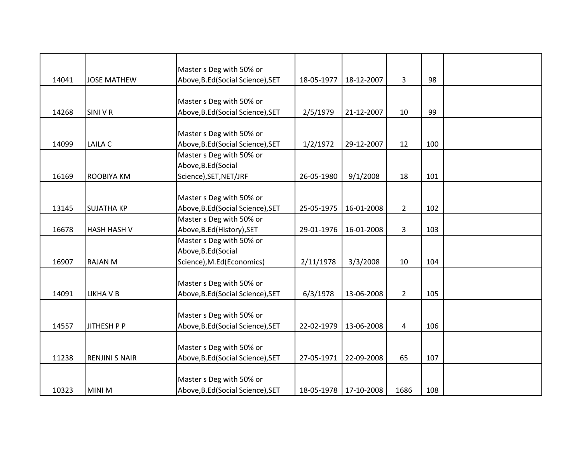|       |                       | Master s Deg with 50% or          |            |            |                |     |  |
|-------|-----------------------|-----------------------------------|------------|------------|----------------|-----|--|
| 14041 | <b>JOSE MATHEW</b>    | Above, B.Ed (Social Science), SET | 18-05-1977 | 18-12-2007 | 3              | 98  |  |
|       |                       |                                   |            |            |                |     |  |
|       |                       | Master s Deg with 50% or          |            |            |                |     |  |
| 14268 | <b>SINI V R</b>       | Above, B.Ed (Social Science), SET | 2/5/1979   | 21-12-2007 | 10             | 99  |  |
|       |                       |                                   |            |            |                |     |  |
|       |                       | Master s Deg with 50% or          |            |            |                |     |  |
| 14099 | LAILA C               | Above, B.Ed (Social Science), SET | 1/2/1972   | 29-12-2007 | 12             | 100 |  |
|       |                       | Master s Deg with 50% or          |            |            |                |     |  |
|       |                       | Above, B.Ed (Social               |            |            |                |     |  |
| 16169 | <b>ROOBIYA KM</b>     | Science), SET, NET/JRF            | 26-05-1980 | 9/1/2008   | 18             | 101 |  |
|       |                       |                                   |            |            |                |     |  |
|       |                       | Master s Deg with 50% or          |            |            |                |     |  |
| 13145 | <b>SUJATHA KP</b>     | Above, B.Ed (Social Science), SET | 25-05-1975 | 16-01-2008 | $2^{\circ}$    | 102 |  |
|       |                       | Master s Deg with 50% or          |            |            |                |     |  |
| 16678 | <b>HASH HASH V</b>    | Above, B.Ed (History), SET        | 29-01-1976 | 16-01-2008 | $\overline{3}$ | 103 |  |
|       |                       | Master s Deg with 50% or          |            |            |                |     |  |
|       |                       | Above, B.Ed (Social               |            |            |                |     |  |
| 16907 | <b>RAJAN M</b>        | Science), M.Ed (Economics)        | 2/11/1978  | 3/3/2008   | 10             | 104 |  |
|       |                       |                                   |            |            |                |     |  |
|       |                       | Master s Deg with 50% or          |            |            |                |     |  |
| 14091 | <b>LIKHA V B</b>      | Above, B.Ed (Social Science), SET | 6/3/1978   | 13-06-2008 | $2^{\circ}$    | 105 |  |
|       |                       |                                   |            |            |                |     |  |
|       |                       | Master s Deg with 50% or          |            |            |                |     |  |
| 14557 | JITHESH P P           | Above, B.Ed (Social Science), SET | 22-02-1979 | 13-06-2008 | 4              | 106 |  |
|       |                       |                                   |            |            |                |     |  |
|       |                       | Master s Deg with 50% or          |            |            |                |     |  |
| 11238 | <b>RENJINI S NAIR</b> | Above, B.Ed (Social Science), SET | 27-05-1971 | 22-09-2008 | 65             | 107 |  |
|       |                       |                                   |            |            |                |     |  |
|       |                       | Master s Deg with 50% or          |            |            |                |     |  |
| 10323 | <b>MINI M</b>         | Above, B.Ed (Social Science), SET | 18-05-1978 | 17-10-2008 | 1686           | 108 |  |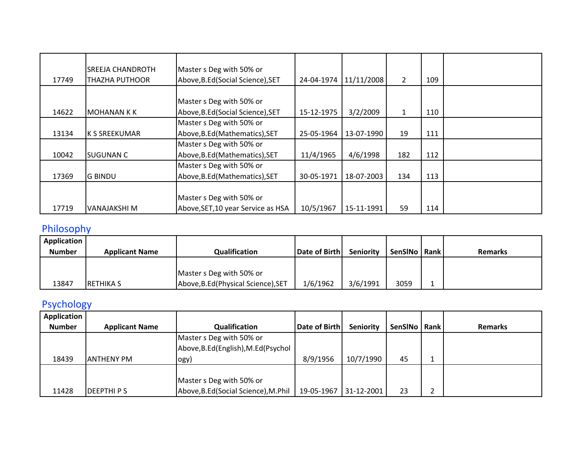| 17749 | ISREEJA CHANDROTH<br>THAZHA PUTHOOR | Master s Deg with 50% or<br>Above, B.Ed (Social Science), SET | 24-04-1974 | 11/11/2008 | $\overline{2}$ | 109 |  |
|-------|-------------------------------------|---------------------------------------------------------------|------------|------------|----------------|-----|--|
|       |                                     |                                                               |            |            |                |     |  |
|       |                                     | Master s Deg with 50% or                                      |            |            |                |     |  |
| 14622 | IMOHANAN K K                        | Above, B.Ed (Social Science), SET                             | 15-12-1975 | 3/2/2009   | $\mathbf{1}$   | 110 |  |
|       |                                     | Master s Deg with 50% or                                      |            |            |                |     |  |
| 13134 | <b>K S SREEKUMAR</b>                | Above, B.Ed (Mathematics), SET                                | 25-05-1964 | 13-07-1990 | 19             | 111 |  |
|       |                                     | Master s Deg with 50% or                                      |            |            |                |     |  |
| 10042 | <b>SUGUNAN C</b>                    | Above, B.Ed (Mathematics), SET                                | 11/4/1965  | 4/6/1998   | 182            | 112 |  |
|       |                                     | Master s Deg with 50% or                                      |            |            |                |     |  |
| 17369 | <b>G BINDU</b>                      | Above, B.Ed (Mathematics), SET                                | 30-05-1971 | 18-07-2003 | 134            | 113 |  |
|       |                                     |                                                               |            |            |                |     |  |
|       |                                     | Master s Deg with 50% or                                      |            |            |                |     |  |
| 17719 | lVANAJAKSHI M                       | Above, SET, 10 year Service as HSA                            | 10/5/1967  | 15-11-1991 | 59             | 114 |  |

## Philosophy

| <b>Application</b> |                       |                                     |               |                  |                |                |
|--------------------|-----------------------|-------------------------------------|---------------|------------------|----------------|----------------|
| <b>Number</b>      | <b>Applicant Name</b> | Qualification                       | Date of Birth | <b>Seniority</b> | SenSINo   Rank | <b>Remarks</b> |
|                    |                       |                                     |               |                  |                |                |
|                    |                       | Master s Deg with 50% or            |               |                  |                |                |
| 13847              | <b>IRETHIKA S</b>     | Above, B.Ed (Physical Science), SET | 1/6/1962      | 3/6/1991         | 3059           |                |

# Psychology

| Application   |                       |                                      |               |                  |         |        |                |
|---------------|-----------------------|--------------------------------------|---------------|------------------|---------|--------|----------------|
| <b>Number</b> | <b>Applicant Name</b> | Qualification                        | Date of Birth | <b>Seniority</b> | SenSINo | l Rank | <b>Remarks</b> |
|               |                       | Master s Deg with 50% or             |               |                  |         |        |                |
|               |                       | Above, B.Ed (English), M.Ed (Psychol |               |                  |         |        |                |
| 18439         | <b>ANTHENY PM</b>     | logy)                                | 8/9/1956      | 10/7/1990        | 45      |        |                |
|               |                       |                                      |               |                  |         |        |                |
|               |                       | Master s Deg with 50% or             |               |                  |         |        |                |
| 11428         | <b>DEEPTHIPS</b>      | Above, B.Ed (Social Science), M.Phil | 19-05-1967    | 31-12-2001       | 23      |        |                |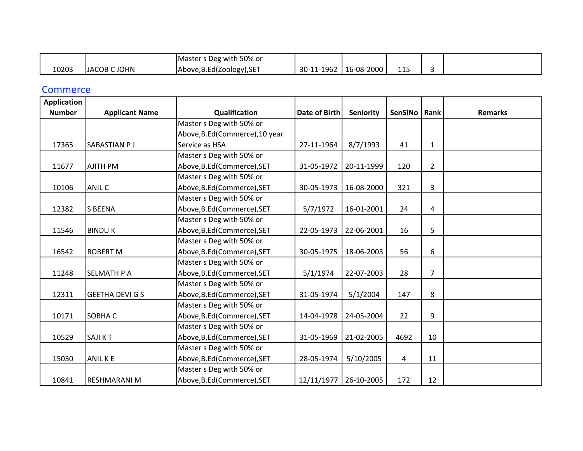|       |              | Master s Deg with 50% or   |            |              |            |  |
|-------|--------------|----------------------------|------------|--------------|------------|--|
| 10203 | JACOB C JOHN | Above, B.Ed (Zoology), SET | 30-11-1962 | $16-08-2000$ | 11F<br>ᆂᆂᆓ |  |

#### **Commerce**

| <b>Application</b> |                        |                                 |                      |            |         |                |                |
|--------------------|------------------------|---------------------------------|----------------------|------------|---------|----------------|----------------|
| <b>Number</b>      | <b>Applicant Name</b>  | Qualification                   | <b>Date of Birth</b> | Seniority  | SenSINo | Rank           | <b>Remarks</b> |
|                    |                        | Master s Deg with 50% or        |                      |            |         |                |                |
|                    |                        | Above, B.Ed (Commerce), 10 year |                      |            |         |                |                |
| 17365              | SABASTIAN PJ           | Service as HSA                  | 27-11-1964           | 8/7/1993   | 41      | $\mathbf{1}$   |                |
|                    |                        | Master s Deg with 50% or        |                      |            |         |                |                |
| 11677              | <b>AJITH PM</b>        | Above, B.Ed (Commerce), SET     | 31-05-1972           | 20-11-1999 | 120     | $\overline{2}$ |                |
|                    |                        | Master s Deg with 50% or        |                      |            |         |                |                |
| 10106              | <b>ANIL C</b>          | Above, B.Ed (Commerce), SET     | 30-05-1973           | 16-08-2000 | 321     | 3              |                |
|                    |                        | Master s Deg with 50% or        |                      |            |         |                |                |
| 12382              | <b>S BEENA</b>         | Above, B.Ed (Commerce), SET     | 5/7/1972             | 16-01-2001 | 24      | 4              |                |
|                    |                        | Master s Deg with 50% or        |                      |            |         |                |                |
| 11546              | <b>BINDUK</b>          | Above, B.Ed (Commerce), SET     | 22-05-1973           | 22-06-2001 | 16      | 5              |                |
|                    |                        | Master s Deg with 50% or        |                      |            |         |                |                |
| 16542              | <b>ROBERT M</b>        | Above, B.Ed (Commerce), SET     | 30-05-1975           | 18-06-2003 | 56      | 6              |                |
|                    |                        | Master s Deg with 50% or        |                      |            |         |                |                |
| 11248              | <b>SELMATH P A</b>     | Above, B.Ed (Commerce), SET     | 5/1/1974             | 22-07-2003 | 28      | 7              |                |
|                    |                        | Master s Deg with 50% or        |                      |            |         |                |                |
| 12311              | <b>GEETHA DEVI G S</b> | Above, B.Ed (Commerce), SET     | 31-05-1974           | 5/1/2004   | 147     | 8              |                |
|                    |                        | Master s Deg with 50% or        |                      |            |         |                |                |
| 10171              | SOBHA C                | Above, B.Ed (Commerce), SET     | 14-04-1978           | 24-05-2004 | 22      | 9              |                |
|                    |                        | Master s Deg with 50% or        |                      |            |         |                |                |
| 10529              | <b>SAJIKT</b>          | Above, B.Ed (Commerce), SET     | 31-05-1969           | 21-02-2005 | 4692    | 10             |                |
|                    |                        | Master s Deg with 50% or        |                      |            |         |                |                |
| 15030              | <b>ANIL KE</b>         | Above, B.Ed(Commerce), SET      | 28-05-1974           | 5/10/2005  | 4       | 11             |                |
|                    |                        | Master s Deg with 50% or        |                      |            |         |                |                |
| 10841              | <b>RESHMARANI M</b>    | Above, B.Ed (Commerce), SET     | 12/11/1977           | 26-10-2005 | 172     | 12             |                |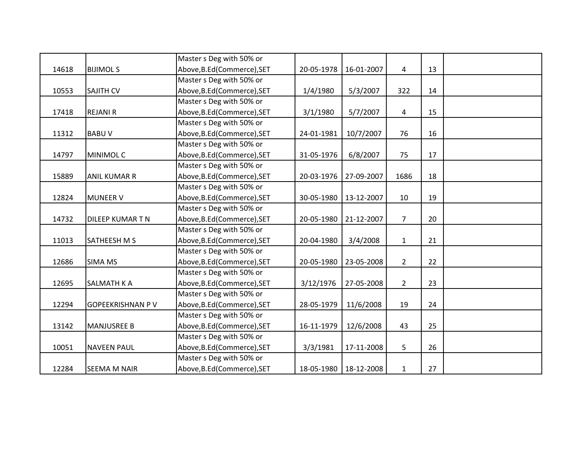|       |                         | Master s Deg with 50% or    |            |                         |                |    |  |
|-------|-------------------------|-----------------------------|------------|-------------------------|----------------|----|--|
| 14618 | <b>BIJIMOLS</b>         | Above, B.Ed (Commerce), SET | 20-05-1978 | 16-01-2007              | 4              | 13 |  |
|       |                         | Master s Deg with 50% or    |            |                         |                |    |  |
| 10553 | <b>SAJITH CV</b>        | Above, B.Ed (Commerce), SET | 1/4/1980   | 5/3/2007                | 322            | 14 |  |
|       |                         | Master s Deg with 50% or    |            |                         |                |    |  |
| 17418 | <b>REJANI R</b>         | Above, B.Ed (Commerce), SET | 3/1/1980   | 5/7/2007                | 4              | 15 |  |
|       |                         | Master s Deg with 50% or    |            |                         |                |    |  |
| 11312 | <b>BABUV</b>            | Above, B.Ed (Commerce), SET | 24-01-1981 | 10/7/2007               | 76             | 16 |  |
|       |                         | Master s Deg with 50% or    |            |                         |                |    |  |
| 14797 | <b>MINIMOLC</b>         | Above, B.Ed (Commerce), SET | 31-05-1976 | 6/8/2007                | 75             | 17 |  |
|       |                         | Master s Deg with 50% or    |            |                         |                |    |  |
| 15889 | <b>ANIL KUMAR R</b>     | Above, B.Ed (Commerce), SET | 20-03-1976 | 27-09-2007              | 1686           | 18 |  |
|       |                         | Master s Deg with 50% or    |            |                         |                |    |  |
| 12824 | <b>MUNEER V</b>         | Above, B.Ed (Commerce), SET | 30-05-1980 | 13-12-2007              | 10             | 19 |  |
|       |                         | Master s Deg with 50% or    |            |                         |                |    |  |
| 14732 | DILEEP KUMAR T N        | Above, B.Ed (Commerce), SET | 20-05-1980 | 21-12-2007              | $\overline{7}$ | 20 |  |
|       |                         | Master s Deg with 50% or    |            |                         |                |    |  |
| 11013 | <b>SATHEESH M S</b>     | Above, B.Ed (Commerce), SET | 20-04-1980 | 3/4/2008                | $\mathbf{1}$   | 21 |  |
|       |                         | Master s Deg with 50% or    |            |                         |                |    |  |
| 12686 | <b>SIMA MS</b>          | Above, B.Ed (Commerce), SET | 20-05-1980 | 23-05-2008              | $2^{\circ}$    | 22 |  |
|       |                         | Master s Deg with 50% or    |            |                         |                |    |  |
| 12695 | <b>SALMATH K A</b>      | Above, B.Ed (Commerce), SET | 3/12/1976  | 27-05-2008              | $\overline{2}$ | 23 |  |
|       |                         | Master s Deg with 50% or    |            |                         |                |    |  |
| 12294 | <b>GOPEEKRISHNAN PV</b> | Above, B.Ed (Commerce), SET | 28-05-1979 | 11/6/2008               | 19             | 24 |  |
|       |                         | Master s Deg with 50% or    |            |                         |                |    |  |
| 13142 | <b>MANJUSREE B</b>      | Above, B.Ed (Commerce), SET | 16-11-1979 | 12/6/2008               | 43             | 25 |  |
|       |                         | Master s Deg with 50% or    |            |                         |                |    |  |
| 10051 | <b>NAVEEN PAUL</b>      | Above, B.Ed (Commerce), SET | 3/3/1981   | 17-11-2008              | 5              | 26 |  |
|       |                         | Master s Deg with 50% or    |            |                         |                |    |  |
| 12284 | <b>SEEMA M NAIR</b>     | Above, B.Ed (Commerce), SET |            | 18-05-1980   18-12-2008 | $\mathbf{1}$   | 27 |  |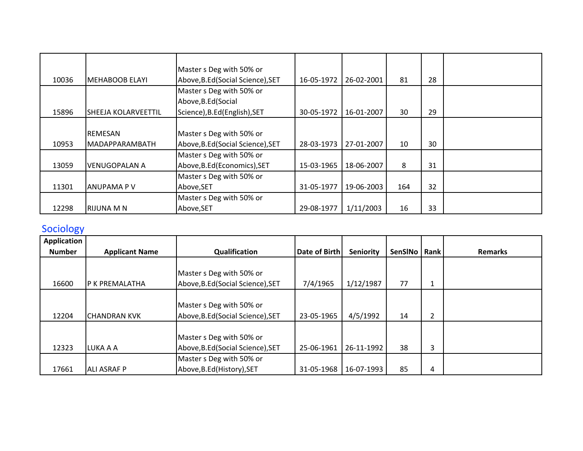|       |                            | Master s Deg with 50% or          |            |            |     |    |  |
|-------|----------------------------|-----------------------------------|------------|------------|-----|----|--|
|       |                            |                                   |            |            | 81  | 28 |  |
| 10036 | IMEHABOOB ELAYI            | Above, B.Ed (Social Science), SET | 16-05-1972 | 26-02-2001 |     |    |  |
|       |                            | Master s Deg with 50% or          |            |            |     |    |  |
|       |                            | Above, B.Ed (Social               |            |            |     |    |  |
| 15896 | <b>SHEEJA KOLARVEETTIL</b> | Science), B.Ed (English), SET     | 30-05-1972 | 16-01-2007 | 30  | 29 |  |
|       |                            |                                   |            |            |     |    |  |
|       | <b>REMESAN</b>             | Master s Deg with 50% or          |            |            |     |    |  |
| 10953 | <b>MADAPPARAMBATH</b>      | Above, B.Ed (Social Science), SET | 28-03-1973 | 27-01-2007 | 10  | 30 |  |
|       |                            | Master s Deg with 50% or          |            |            |     |    |  |
| 13059 | <b>VENUGOPALAN A</b>       | Above, B.Ed (Economics), SET      | 15-03-1965 | 18-06-2007 | 8   | 31 |  |
|       |                            | Master s Deg with 50% or          |            |            |     |    |  |
| 11301 | <b>ANUPAMA PV</b>          | Above, SET                        | 31-05-1977 | 19-06-2003 | 164 | 32 |  |
|       |                            | Master s Deg with 50% or          |            |            |     |    |  |
| 12298 | <b>RIJUNA M N</b>          | Above, SET                        | 29-08-1977 | 1/11/2003  | 16  | 33 |  |

# **Sociology**

| Application   |                       |                                   |                      |                  |                |                |                |
|---------------|-----------------------|-----------------------------------|----------------------|------------------|----------------|----------------|----------------|
| <b>Number</b> | <b>Applicant Name</b> | Qualification                     | <b>Date of Birth</b> | <b>Seniority</b> | <b>SenSINo</b> | Rank           | <b>Remarks</b> |
|               |                       |                                   |                      |                  |                |                |                |
|               |                       | Master s Deg with 50% or          |                      |                  |                |                |                |
| 16600         | IP K PREMALATHA       | Above, B.Ed (Social Science), SET | 7/4/1965             | 1/12/1987        | 77             | 1              |                |
|               |                       |                                   |                      |                  |                |                |                |
|               |                       | Master s Deg with 50% or          |                      |                  |                |                |                |
| 12204         | <b>CHANDRAN KVK</b>   | Above, B.Ed (Social Science), SET | 23-05-1965           | 4/5/1992         | 14             | $\overline{2}$ |                |
|               |                       |                                   |                      |                  |                |                |                |
|               |                       | Master s Deg with 50% or          |                      |                  |                |                |                |
| 12323         | LUKA A A              | Above, B.Ed (Social Science), SET | 25-06-1961           | 26-11-1992       | 38             | 3              |                |
|               |                       | Master s Deg with 50% or          |                      |                  |                |                |                |
| 17661         | <b>ALI ASRAF P</b>    | Above, B.Ed (History), SET        | 31-05-1968           | 16-07-1993       | 85             | 4              |                |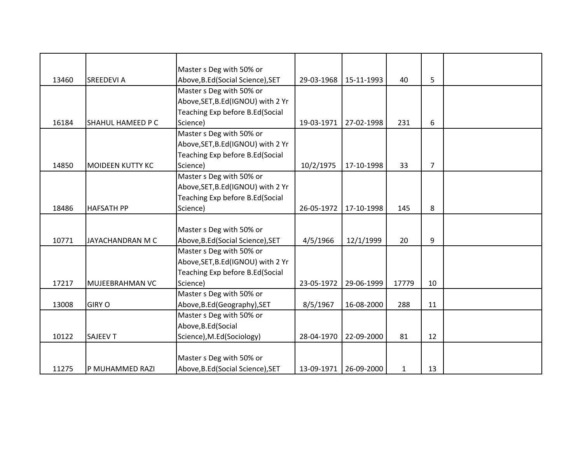|       |                          | Master s Deg with 50% or           |            |            |              |                |  |
|-------|--------------------------|------------------------------------|------------|------------|--------------|----------------|--|
| 13460 | <b>SREEDEVI A</b>        | Above, B.Ed (Social Science), SET  | 29-03-1968 | 15-11-1993 | 40           | 5              |  |
|       |                          | Master s Deg with 50% or           |            |            |              |                |  |
|       |                          | Above, SET, B.Ed (IGNOU) with 2 Yr |            |            |              |                |  |
|       |                          | Teaching Exp before B.Ed(Social    |            |            |              |                |  |
| 16184 | <b>SHAHUL HAMEED P C</b> | Science)                           | 19-03-1971 | 27-02-1998 | 231          | 6              |  |
|       |                          | Master s Deg with 50% or           |            |            |              |                |  |
|       |                          | Above, SET, B.Ed (IGNOU) with 2 Yr |            |            |              |                |  |
|       |                          | Teaching Exp before B.Ed(Social    |            |            |              |                |  |
| 14850 | <b>MOIDEEN KUTTY KC</b>  | Science)                           | 10/2/1975  | 17-10-1998 | 33           | $\overline{7}$ |  |
|       |                          | Master s Deg with 50% or           |            |            |              |                |  |
|       |                          | Above, SET, B.Ed(IGNOU) with 2 Yr  |            |            |              |                |  |
|       |                          | Teaching Exp before B.Ed(Social    |            |            |              |                |  |
| 18486 | <b>HAFSATH PP</b>        | Science)                           | 26-05-1972 | 17-10-1998 | 145          | 8              |  |
|       |                          |                                    |            |            |              |                |  |
|       |                          | Master s Deg with 50% or           |            |            |              |                |  |
| 10771 | JAYACHANDRAN M C         | Above, B.Ed (Social Science), SET  | 4/5/1966   | 12/1/1999  | 20           | 9              |  |
|       |                          | Master s Deg with 50% or           |            |            |              |                |  |
|       |                          | Above, SET, B.Ed(IGNOU) with 2 Yr  |            |            |              |                |  |
|       |                          | Teaching Exp before B.Ed(Social    |            |            |              |                |  |
| 17217 | MUJEEBRAHMAN VC          | Science)                           | 23-05-1972 | 29-06-1999 | 17779        | 10             |  |
|       |                          | Master s Deg with 50% or           |            |            |              |                |  |
| 13008 | <b>GIRY O</b>            | Above, B.Ed (Geography), SET       | 8/5/1967   | 16-08-2000 | 288          | 11             |  |
|       |                          | Master s Deg with 50% or           |            |            |              |                |  |
|       |                          | Above, B.Ed (Social                |            |            |              |                |  |
| 10122 | <b>SAJEEV T</b>          | Science), M.Ed(Sociology)          | 28-04-1970 | 22-09-2000 | 81           | 12             |  |
|       |                          |                                    |            |            |              |                |  |
|       |                          | Master s Deg with 50% or           |            |            |              |                |  |
| 11275 | P MUHAMMED RAZI          | Above, B.Ed (Social Science), SET  | 13-09-1971 | 26-09-2000 | $\mathbf{1}$ | 13             |  |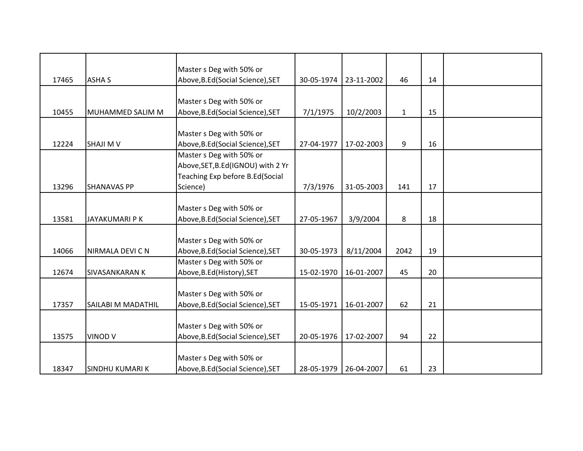|       |                           | Master s Deg with 50% or           |            |            | 46           |    |  |
|-------|---------------------------|------------------------------------|------------|------------|--------------|----|--|
| 17465 | <b>ASHA S</b>             | Above, B.Ed (Social Science), SET  | 30-05-1974 | 23-11-2002 |              | 14 |  |
|       |                           | Master s Deg with 50% or           |            |            |              |    |  |
| 10455 | MUHAMMED SALIM M          | Above, B.Ed (Social Science), SET  | 7/1/1975   | 10/2/2003  | $\mathbf{1}$ | 15 |  |
|       |                           |                                    |            |            |              |    |  |
|       |                           | Master s Deg with 50% or           |            |            |              |    |  |
| 12224 | <b>SHAJI M V</b>          | Above, B.Ed (Social Science), SET  | 27-04-1977 | 17-02-2003 | 9            | 16 |  |
|       |                           | Master s Deg with 50% or           |            |            |              |    |  |
|       |                           | Above, SET, B.Ed (IGNOU) with 2 Yr |            |            |              |    |  |
|       |                           | Teaching Exp before B.Ed(Social    |            |            |              |    |  |
| 13296 | <b>SHANAVAS PP</b>        | Science)                           | 7/3/1976   | 31-05-2003 | 141          | 17 |  |
|       |                           |                                    |            |            |              |    |  |
|       |                           | Master s Deg with 50% or           |            |            |              |    |  |
| 13581 | <b>JAYAKUMARI PK</b>      | Above, B.Ed (Social Science), SET  | 27-05-1967 | 3/9/2004   | 8            | 18 |  |
|       |                           |                                    |            |            |              |    |  |
|       |                           | Master s Deg with 50% or           |            |            |              |    |  |
| 14066 | NIRMALA DEVI C N          | Above, B.Ed (Social Science), SET  | 30-05-1973 | 8/11/2004  | 2042         | 19 |  |
|       |                           | Master s Deg with 50% or           |            |            |              |    |  |
| 12674 | <b>SIVASANKARAN K</b>     | Above, B.Ed (History), SET         | 15-02-1970 | 16-01-2007 | 45           | 20 |  |
|       |                           |                                    |            |            |              |    |  |
|       |                           | Master s Deg with 50% or           |            |            |              |    |  |
| 17357 | <b>SAILABI M MADATHIL</b> | Above, B.Ed (Social Science), SET  | 15-05-1971 | 16-01-2007 | 62           | 21 |  |
|       |                           |                                    |            |            |              |    |  |
|       |                           | Master s Deg with 50% or           |            |            |              |    |  |
| 13575 | <b>VINOD V</b>            | Above, B.Ed (Social Science), SET  | 20-05-1976 | 17-02-2007 | 94           | 22 |  |
|       |                           |                                    |            |            |              |    |  |
|       |                           | Master s Deg with 50% or           |            |            |              |    |  |
| 18347 | <b>SINDHU KUMARI K</b>    | Above, B.Ed (Social Science), SET  | 28-05-1979 | 26-04-2007 | 61           | 23 |  |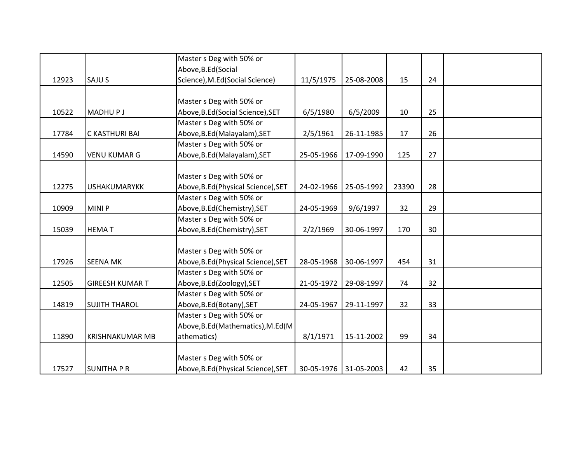|       |                        | Master s Deg with 50% or            |            |            |       |    |  |
|-------|------------------------|-------------------------------------|------------|------------|-------|----|--|
|       |                        | Above, B.Ed (Social                 |            |            |       |    |  |
| 12923 | SAJU S                 | Science), M.Ed(Social Science)      | 11/5/1975  | 25-08-2008 | 15    | 24 |  |
|       |                        |                                     |            |            |       |    |  |
|       |                        | Master s Deg with 50% or            |            |            |       |    |  |
| 10522 | <b>MADHUPJ</b>         | Above, B.Ed (Social Science), SET   | 6/5/1980   | 6/5/2009   | 10    | 25 |  |
|       |                        | Master s Deg with 50% or            |            |            |       |    |  |
| 17784 | <b>C KASTHURI BAI</b>  | Above, B.Ed (Malayalam), SET        | 2/5/1961   | 26-11-1985 | 17    | 26 |  |
|       |                        | Master s Deg with 50% or            |            |            |       |    |  |
| 14590 | <b>VENU KUMAR G</b>    | Above, B.Ed (Malayalam), SET        | 25-05-1966 | 17-09-1990 | 125   | 27 |  |
|       |                        |                                     |            |            |       |    |  |
|       |                        | Master s Deg with 50% or            |            |            |       |    |  |
| 12275 | <b>USHAKUMARYKK</b>    | Above, B.Ed (Physical Science), SET | 24-02-1966 | 25-05-1992 | 23390 | 28 |  |
|       |                        | Master s Deg with 50% or            |            |            |       |    |  |
| 10909 | <b>MINIP</b>           | Above, B.Ed(Chemistry), SET         | 24-05-1969 | 9/6/1997   | 32    | 29 |  |
|       |                        | Master s Deg with 50% or            |            |            |       |    |  |
| 15039 | <b>HEMAT</b>           | Above, B.Ed(Chemistry), SET         | 2/2/1969   | 30-06-1997 | 170   | 30 |  |
|       |                        |                                     |            |            |       |    |  |
|       |                        | Master s Deg with 50% or            |            |            |       |    |  |
| 17926 | <b>SEENA MK</b>        | Above, B.Ed (Physical Science), SET | 28-05-1968 | 30-06-1997 | 454   | 31 |  |
|       |                        | Master s Deg with 50% or            |            |            |       |    |  |
| 12505 | <b>GIREESH KUMAR T</b> | Above, B.Ed(Zoology), SET           | 21-05-1972 | 29-08-1997 | 74    | 32 |  |
|       |                        | Master s Deg with 50% or            |            |            |       |    |  |
| 14819 | <b>SUJITH THAROL</b>   | Above, B.Ed (Botany), SET           | 24-05-1967 | 29-11-1997 | 32    | 33 |  |
|       |                        | Master s Deg with 50% or            |            |            |       |    |  |
|       |                        | Above, B.Ed (Mathematics), M.Ed (M  |            |            |       |    |  |
| 11890 | <b>KRISHNAKUMAR MB</b> | athematics)                         | 8/1/1971   | 15-11-2002 | 99    | 34 |  |
|       |                        |                                     |            |            |       |    |  |
|       |                        | Master s Deg with 50% or            |            |            |       |    |  |
| 17527 | <b>SUNITHA P R</b>     | Above, B.Ed (Physical Science), SET | 30-05-1976 | 31-05-2003 | 42    | 35 |  |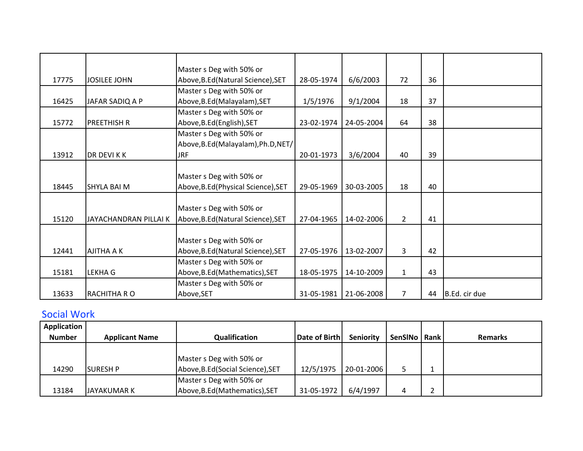|       |                       | Master s Deg with 50% or            |            |            |                |    |               |
|-------|-----------------------|-------------------------------------|------------|------------|----------------|----|---------------|
| 17775 | <b>JOSILEE JOHN</b>   | Above, B.Ed (Natural Science), SET  | 28-05-1974 | 6/6/2003   | 72             | 36 |               |
|       |                       | Master s Deg with 50% or            |            |            |                |    |               |
| 16425 | JAFAR SADIQ A P       | Above, B.Ed (Malayalam), SET        | 1/5/1976   | 9/1/2004   | 18             | 37 |               |
|       |                       | Master s Deg with 50% or            |            |            |                |    |               |
| 15772 | <b>PREETHISH R</b>    | Above, B.Ed (English), SET          | 23-02-1974 | 24-05-2004 | 64             | 38 |               |
|       |                       | Master s Deg with 50% or            |            |            |                |    |               |
|       |                       | Above, B.Ed (Malayalam), Ph.D, NET/ |            |            |                |    |               |
| 13912 | DR DEVI K K           | <b>JRF</b>                          | 20-01-1973 | 3/6/2004   | 40             | 39 |               |
|       |                       |                                     |            |            |                |    |               |
|       |                       | Master s Deg with 50% or            |            |            |                |    |               |
| 18445 | <b>SHYLA BAI M</b>    | Above, B.Ed (Physical Science), SET | 29-05-1969 | 30-03-2005 | 18             | 40 |               |
|       |                       |                                     |            |            |                |    |               |
|       |                       | Master s Deg with 50% or            |            |            |                |    |               |
| 15120 | JAYACHANDRAN PILLAI K | Above, B.Ed (Natural Science), SET  | 27-04-1965 | 14-02-2006 | $\mathbf{2}$   | 41 |               |
|       |                       |                                     |            |            |                |    |               |
|       |                       | Master s Deg with 50% or            |            |            |                |    |               |
| 12441 | <b>AJITHA A K</b>     | Above, B.Ed (Natural Science), SET  | 27-05-1976 | 13-02-2007 | 3              | 42 |               |
|       |                       | Master s Deg with 50% or            |            |            |                |    |               |
| 15181 | <b>LEKHA G</b>        | Above, B.Ed (Mathematics), SET      | 18-05-1975 | 14-10-2009 | $\mathbf{1}$   | 43 |               |
|       |                       | Master s Deg with 50% or            |            |            |                |    |               |
| 13633 | <b>RACHITHA R O</b>   | Above, SET                          | 31-05-1981 | 21-06-2008 | $\overline{7}$ | 44 | B.Ed. cir due |

## Social Work

| <b>Application</b> |                       |                                   |                      |                  |         |          |                |
|--------------------|-----------------------|-----------------------------------|----------------------|------------------|---------|----------|----------------|
| <b>Number</b>      | <b>Applicant Name</b> | Qualification                     | <b>Date of Birth</b> | <b>Seniority</b> | SenSINo | l Rank l | <b>Remarks</b> |
|                    |                       |                                   |                      |                  |         |          |                |
|                    |                       | Master s Deg with 50% or          |                      |                  |         |          |                |
| 14290              | <b>SURESH P</b>       | Above, B.Ed (Social Science), SET | 12/5/1975            | 20-01-2006       |         |          |                |
|                    |                       | Master s Deg with 50% or          |                      |                  |         |          |                |
| 13184              | IJAYAKUMAR K          | Above, B.Ed (Mathematics), SET    | 31-05-1972           | 6/4/1997         |         |          |                |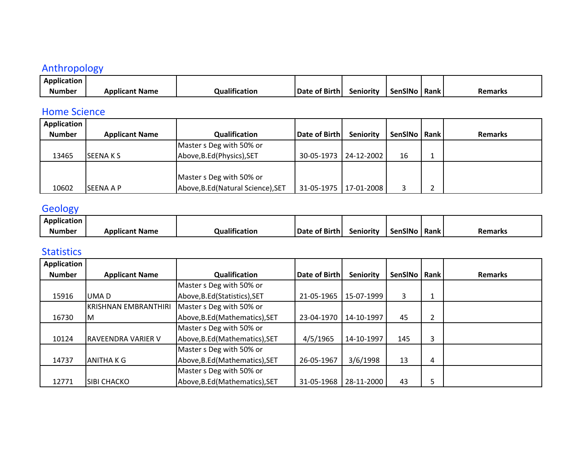## Anthropology

| Application   |                       |                          |                           |           |                |      |         |
|---------------|-----------------------|--------------------------|---------------------------|-----------|----------------|------|---------|
| <b>Number</b> | <b>\pplicant Name</b> | <br><b>Qualification</b> | .<br><b>Date of Birth</b> | šenioritv | <b>SenSINo</b> | Rank | Remarks |

#### Home Science

| <b>Application</b> |                       |                                    |                         |                  |                |                |
|--------------------|-----------------------|------------------------------------|-------------------------|------------------|----------------|----------------|
| <b>Number</b>      | <b>Applicant Name</b> | Qualification                      | Date of Birthl          | <b>Seniority</b> | SenSINo   Rank | <b>Remarks</b> |
|                    |                       | Master s Deg with 50% or           |                         |                  |                |                |
| 13465              | <b>SEENAKS</b>        | Above, B.Ed (Physics), SET         | 30-05-1973 24-12-2002   |                  | 16             |                |
|                    |                       |                                    |                         |                  |                |                |
|                    |                       | Master s Deg with 50% or           |                         |                  |                |                |
| 10602              | <b>SEENA A P</b>      | Above, B.Ed (Natural Science), SET | 31-05-1975   17-01-2008 |                  | 3              |                |

# **Geology**

| .<br>Application |                |                           |               |                  |                |             |                |
|------------------|----------------|---------------------------|---------------|------------------|----------------|-------------|----------------|
| Number           | Applicant Name | $\cdots$<br>Qualification | Date of Birth | <b>Seniority</b> | <b>SenSINc</b> | <b>Rank</b> | <b>Remarks</b> |

#### Statistics

| Application   |                             |                                |               |            |         |      |                |
|---------------|-----------------------------|--------------------------------|---------------|------------|---------|------|----------------|
| <b>Number</b> | <b>Applicant Name</b>       | Qualification                  | Date of Birth | Seniority  | SenSINo | Rank | <b>Remarks</b> |
|               |                             | Master s Deg with 50% or       |               |            |         |      |                |
| 15916         | UMA D                       | Above, B.Ed(Statistics), SET   | 21-05-1965    | 15-07-1999 | 3       | 1    |                |
|               | <b>KRISHNAN EMBRANTHIRI</b> | Master s Deg with 50% or       |               |            |         |      |                |
| 16730         | ΙM                          | Above, B.Ed (Mathematics), SET | 23-04-1970    | 14-10-1997 | 45      | 2    |                |
|               |                             | Master s Deg with 50% or       |               |            |         |      |                |
| 10124         | <b>RAVEENDRA VARIER V</b>   | Above, B.Ed (Mathematics), SET | 4/5/1965      | 14-10-1997 | 145     | 3    |                |
|               |                             | Master s Deg with 50% or       |               |            |         |      |                |
| 14737         | <b>ANITHAKG</b>             | Above, B.Ed (Mathematics), SET | 26-05-1967    | 3/6/1998   | 13      | 4    |                |
|               |                             | Master s Deg with 50% or       |               |            |         |      |                |
| 12771         | <b>SIBI CHACKO</b>          | Above, B.Ed (Mathematics), SET | 31-05-1968    | 28-11-2000 | 43      | 5    |                |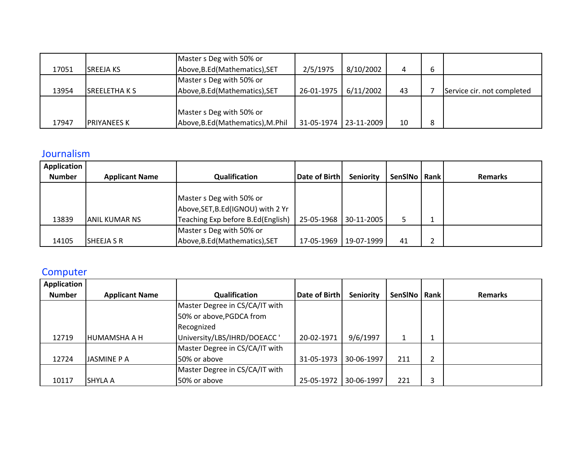|       |                     | Master s Deg with 50% or          |                       |           |    |   |                            |
|-------|---------------------|-----------------------------------|-----------------------|-----------|----|---|----------------------------|
| 17051 | <b>ISREEJA KS</b>   | Above, B.Ed (Mathematics), SET    | 2/5/1975              | 8/10/2002 |    | b |                            |
|       |                     | Master s Deg with 50% or          |                       |           |    |   |                            |
| 13954 | <b>ISREELETHAKS</b> | Above, B.Ed (Mathematics), SET    | 26-01-1975            | 6/11/2002 | 43 |   | Service cir. not completed |
|       |                     |                                   |                       |           |    |   |                            |
|       |                     | Master s Deg with 50% or          |                       |           |    |   |                            |
| 17947 | <b>PRIYANEES K</b>  | Above, B.Ed (Mathematics), M.Phil | 31-05-1974 23-11-2009 |           | 10 | 8 |                            |

#### Journalism

| Application   |                       |                                    |               |                       |                |   |                |
|---------------|-----------------------|------------------------------------|---------------|-----------------------|----------------|---|----------------|
| <b>Number</b> | <b>Applicant Name</b> | Qualification                      | Date of Birth | <b>Seniority</b>      | SenSINo   Rank |   | <b>Remarks</b> |
|               |                       |                                    |               |                       |                |   |                |
|               |                       | Master s Deg with 50% or           |               |                       |                |   |                |
|               |                       | Above, SET, B.Ed (IGNOU) with 2 Yr |               |                       |                |   |                |
| 13839         | IANIL KUMAR NS        | Teaching Exp before B.Ed(English)  |               | 25-05-1968 30-11-2005 |                |   |                |
|               |                       | Master s Deg with 50% or           |               |                       |                |   |                |
| 14105         | <b>SHEEJA S R</b>     | Above, B.Ed (Mathematics), SET     | 17-05-1969    | 19-07-1999            | 41             | ∠ |                |

# **Computer**

| Application   |                       |                                |               |                  |                |      |                |
|---------------|-----------------------|--------------------------------|---------------|------------------|----------------|------|----------------|
| <b>Number</b> | <b>Applicant Name</b> | Qualification                  | Date of Birth | <b>Seniority</b> | <b>SenSINo</b> | Rank | <b>Remarks</b> |
|               |                       | Master Degree in CS/CA/IT with |               |                  |                |      |                |
|               |                       | 50% or above, PGDCA from       |               |                  |                |      |                |
|               |                       | Recognized                     |               |                  |                |      |                |
| 12719         | HUMAMSHA A H          | University/LBS/IHRD/DOEACC '   | 20-02-1971    | 9/6/1997         |                |      |                |
|               |                       | Master Degree in CS/CA/IT with |               |                  |                |      |                |
| 12724         | JASMINE P A           | 50% or above                   | 31-05-1973    | 30-06-1997       | 211            | 2    |                |
|               |                       | Master Degree in CS/CA/IT with |               |                  |                |      |                |
| 10117         | ISHYLA A              | 50% or above                   | 25-05-1972    | 30-06-1997       | 221            | 3    |                |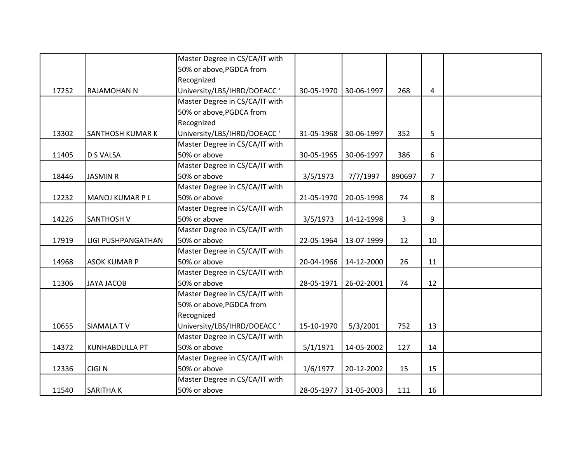|       |                         | Master Degree in CS/CA/IT with |            |                       |              |                |  |
|-------|-------------------------|--------------------------------|------------|-----------------------|--------------|----------------|--|
|       |                         | 50% or above, PGDCA from       |            |                       |              |                |  |
|       |                         | Recognized                     |            |                       |              |                |  |
| 17252 | <b>RAJAMOHAN N</b>      | University/LBS/IHRD/DOEACC'    | 30-05-1970 | 30-06-1997            | 268          | 4              |  |
|       |                         | Master Degree in CS/CA/IT with |            |                       |              |                |  |
|       |                         | 50% or above, PGDCA from       |            |                       |              |                |  |
|       |                         | Recognized                     |            |                       |              |                |  |
| 13302 | <b>SANTHOSH KUMAR K</b> | University/LBS/IHRD/DOEACC'    | 31-05-1968 | 30-06-1997            | 352          | 5              |  |
|       |                         | Master Degree in CS/CA/IT with |            |                       |              |                |  |
| 11405 | <b>D S VALSA</b>        | 50% or above                   | 30-05-1965 | 30-06-1997            | 386          | 6              |  |
|       |                         | Master Degree in CS/CA/IT with |            |                       |              |                |  |
| 18446 | <b>JASMIN R</b>         | 50% or above                   | 3/5/1973   | 7/7/1997              | 890697       | $\overline{7}$ |  |
|       |                         | Master Degree in CS/CA/IT with |            |                       |              |                |  |
| 12232 | MANOJ KUMAR P L         | 50% or above                   | 21-05-1970 | 20-05-1998            | 74           | 8              |  |
|       |                         | Master Degree in CS/CA/IT with |            |                       |              |                |  |
| 14226 | <b>SANTHOSH V</b>       | 50% or above                   | 3/5/1973   | 14-12-1998            | $\mathbf{3}$ | 9              |  |
|       |                         | Master Degree in CS/CA/IT with |            |                       |              |                |  |
| 17919 | LIGI PUSHPANGATHAN      | 50% or above                   | 22-05-1964 | 13-07-1999            | 12           | 10             |  |
|       |                         | Master Degree in CS/CA/IT with |            |                       |              |                |  |
| 14968 | <b>ASOK KUMAR P</b>     | 50% or above                   | 20-04-1966 | 14-12-2000            | 26           | 11             |  |
|       |                         | Master Degree in CS/CA/IT with |            |                       |              |                |  |
| 11306 | <b>JAYA JACOB</b>       | 50% or above                   | 28-05-1971 | 26-02-2001            | 74           | 12             |  |
|       |                         | Master Degree in CS/CA/IT with |            |                       |              |                |  |
|       |                         | 50% or above, PGDCA from       |            |                       |              |                |  |
|       |                         | Recognized                     |            |                       |              |                |  |
| 10655 | <b>SIAMALATV</b>        | University/LBS/IHRD/DOEACC'    | 15-10-1970 | 5/3/2001              | 752          | 13             |  |
|       |                         | Master Degree in CS/CA/IT with |            |                       |              |                |  |
| 14372 | <b>KUNHABDULLA PT</b>   | 50% or above                   | 5/1/1971   | 14-05-2002            | 127          | 14             |  |
|       |                         | Master Degree in CS/CA/IT with |            |                       |              |                |  |
| 12336 | <b>CIGIN</b>            | 50% or above                   | 1/6/1977   | 20-12-2002            | 15           | 15             |  |
|       |                         | Master Degree in CS/CA/IT with |            |                       |              |                |  |
| 11540 | <b>SARITHAK</b>         | 50% or above                   |            | 28-05-1977 31-05-2003 | 111          | 16             |  |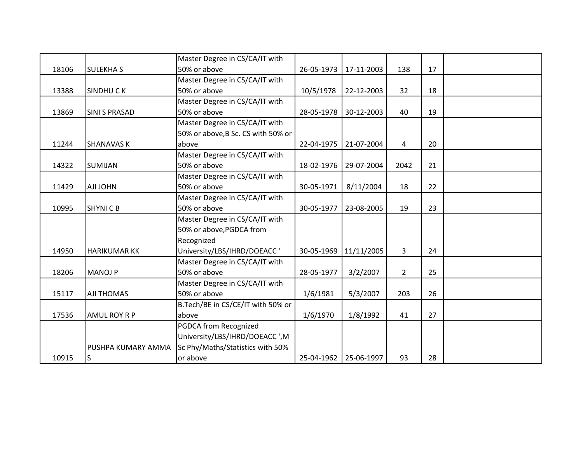|       |                      | Master Degree in CS/CA/IT with     |            |                       |             |    |  |
|-------|----------------------|------------------------------------|------------|-----------------------|-------------|----|--|
| 18106 | <b>SULEKHAS</b>      | 50% or above                       | 26-05-1973 | 17-11-2003            | 138         | 17 |  |
|       |                      | Master Degree in CS/CA/IT with     |            |                       |             |    |  |
| 13388 | <b>SINDHUCK</b>      | 50% or above                       | 10/5/1978  | 22-12-2003            | 32          | 18 |  |
|       |                      | Master Degree in CS/CA/IT with     |            |                       |             |    |  |
| 13869 | <b>SINI S PRASAD</b> | 50% or above                       | 28-05-1978 | 30-12-2003            | 40          | 19 |  |
|       |                      | Master Degree in CS/CA/IT with     |            |                       |             |    |  |
|       |                      | 50% or above, B Sc. CS with 50% or |            |                       |             |    |  |
| 11244 | <b>SHANAVAS K</b>    | above                              | 22-04-1975 | 21-07-2004            | 4           | 20 |  |
|       |                      | Master Degree in CS/CA/IT with     |            |                       |             |    |  |
| 14322 | <b>SUMIJAN</b>       | 50% or above                       | 18-02-1976 | 29-07-2004            | 2042        | 21 |  |
|       |                      | Master Degree in CS/CA/IT with     |            |                       |             |    |  |
| 11429 | <b>AJI JOHN</b>      | 50% or above                       | 30-05-1971 | 8/11/2004             | 18          | 22 |  |
|       |                      | Master Degree in CS/CA/IT with     |            |                       |             |    |  |
| 10995 | <b>SHYNICB</b>       | 50% or above                       | 30-05-1977 | 23-08-2005            | 19          | 23 |  |
|       |                      | Master Degree in CS/CA/IT with     |            |                       |             |    |  |
|       |                      | 50% or above, PGDCA from           |            |                       |             |    |  |
|       |                      | Recognized                         |            |                       |             |    |  |
| 14950 | <b>HARIKUMAR KK</b>  | University/LBS/IHRD/DOEACC'        | 30-05-1969 | 11/11/2005            | 3           | 24 |  |
|       |                      | Master Degree in CS/CA/IT with     |            |                       |             |    |  |
| 18206 | <b>MANOJ P</b>       | 50% or above                       | 28-05-1977 | 3/2/2007              | $2^{\circ}$ | 25 |  |
|       |                      | Master Degree in CS/CA/IT with     |            |                       |             |    |  |
| 15117 | <b>AJI THOMAS</b>    | 50% or above                       | 1/6/1981   | 5/3/2007              | 203         | 26 |  |
|       |                      | B.Tech/BE in CS/CE/IT with 50% or  |            |                       |             |    |  |
| 17536 | <b>AMUL ROY R P</b>  | above                              | 1/6/1970   | 1/8/1992              | 41          | 27 |  |
|       |                      | PGDCA from Recognized              |            |                       |             |    |  |
|       |                      | University/LBS/IHRD/DOEACC ', M    |            |                       |             |    |  |
|       | PUSHPA KUMARY AMMA   | Sc Phy/Maths/Statistics with 50%   |            |                       |             |    |  |
| 10915 | lS                   | or above                           |            | 25-04-1962 25-06-1997 | 93          | 28 |  |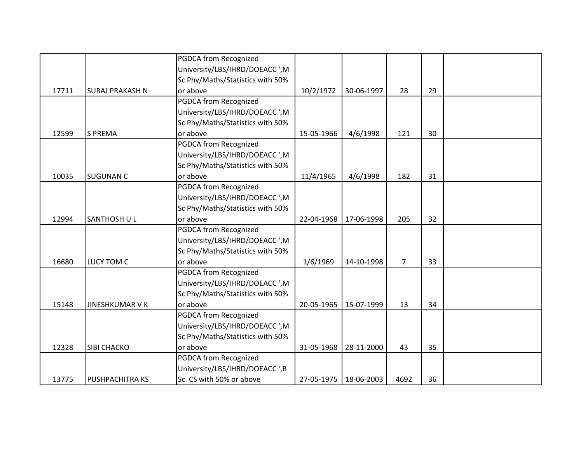|       |                        | PGDCA from Recognized            |            |            |                |    |  |
|-------|------------------------|----------------------------------|------------|------------|----------------|----|--|
|       |                        | University/LBS/IHRD/DOEACC ',M   |            |            |                |    |  |
|       |                        | Sc Phy/Maths/Statistics with 50% |            |            |                |    |  |
| 17711 | <b>SURAJ PRAKASH N</b> | or above                         | 10/2/1972  | 30-06-1997 | 28             | 29 |  |
|       |                        | PGDCA from Recognized            |            |            |                |    |  |
|       |                        | University/LBS/IHRD/DOEACC ',M   |            |            |                |    |  |
|       |                        | Sc Phy/Maths/Statistics with 50% |            |            |                |    |  |
| 12599 | <b>S PREMA</b>         | or above                         | 15-05-1966 | 4/6/1998   | 121            | 30 |  |
|       |                        | PGDCA from Recognized            |            |            |                |    |  |
|       |                        | University/LBS/IHRD/DOEACC ',M   |            |            |                |    |  |
|       |                        | Sc Phy/Maths/Statistics with 50% |            |            |                |    |  |
| 10035 | <b>SUGUNAN C</b>       | or above                         | 11/4/1965  | 4/6/1998   | 182            | 31 |  |
|       |                        | <b>PGDCA from Recognized</b>     |            |            |                |    |  |
|       |                        | University/LBS/IHRD/DOEACC ', M  |            |            |                |    |  |
|       |                        | Sc Phy/Maths/Statistics with 50% |            |            |                |    |  |
| 12994 | <b>SANTHOSH UL</b>     | or above                         | 22-04-1968 | 17-06-1998 | 205            | 32 |  |
|       |                        | <b>PGDCA from Recognized</b>     |            |            |                |    |  |
|       |                        | University/LBS/IHRD/DOEACC ',M   |            |            |                |    |  |
|       |                        | Sc Phy/Maths/Statistics with 50% |            |            |                |    |  |
| 16680 | LUCY TOM C             | or above                         | 1/6/1969   | 14-10-1998 | $\overline{7}$ | 33 |  |
|       |                        | <b>PGDCA from Recognized</b>     |            |            |                |    |  |
|       |                        | University/LBS/IHRD/DOEACC ', M  |            |            |                |    |  |
|       |                        | Sc Phy/Maths/Statistics with 50% |            |            |                |    |  |
| 15148 | <b>JINESHKUMAR V K</b> | or above                         | 20-05-1965 | 15-07-1999 | 13             | 34 |  |
|       |                        | PGDCA from Recognized            |            |            |                |    |  |
|       |                        | University/LBS/IHRD/DOEACC ',M   |            |            |                |    |  |
|       |                        | Sc Phy/Maths/Statistics with 50% |            |            |                |    |  |
| 12328 | SIBI CHACKO            | or above                         | 31-05-1968 | 28-11-2000 | 43             | 35 |  |
|       |                        | PGDCA from Recognized            |            |            |                |    |  |
|       |                        | University/LBS/IHRD/DOEACC ',B   |            |            |                |    |  |
| 13775 | PUSHPACHITRA KS        | Sc. CS with 50% or above         | 27-05-1975 | 18-06-2003 | 4692           | 36 |  |